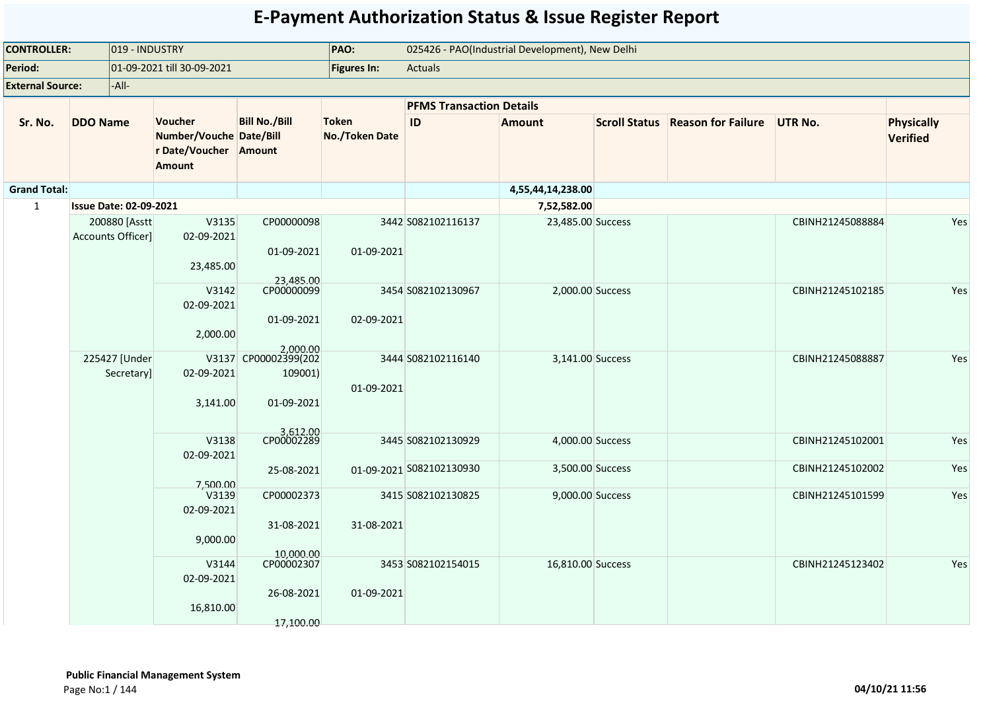| <b>CONTROLLER:</b>      | 019 - INDUSTRY                     |            | PAO:                                                                                |                                                           | 025426 - PAO(Industrial Development), New Delhi |                                                |                                      |                      |                           |                                      |                               |
|-------------------------|------------------------------------|------------|-------------------------------------------------------------------------------------|-----------------------------------------------------------|-------------------------------------------------|------------------------------------------------|--------------------------------------|----------------------|---------------------------|--------------------------------------|-------------------------------|
| Period:                 |                                    |            | 01-09-2021 till 30-09-2021                                                          |                                                           | Figures In:                                     | <b>Actuals</b>                                 |                                      |                      |                           |                                      |                               |
| <b>External Source:</b> | -All-                              |            |                                                                                     |                                                           |                                                 |                                                |                                      |                      |                           |                                      |                               |
|                         |                                    |            |                                                                                     |                                                           |                                                 | <b>PFMS Transaction Details</b>                |                                      |                      |                           |                                      |                               |
| Sr. No.                 | <b>DDO Name</b>                    |            | <b>Voucher</b><br>Number/Vouche Date/Bill<br>r Date/Voucher Amount<br><b>Amount</b> | <b>Bill No./Bill</b>                                      | <b>Token</b><br><b>No./Token Date</b>           | ID                                             | <b>Amount</b>                        | <b>Scroll Status</b> | <b>Reason for Failure</b> | <b>UTR No.</b>                       | <b>Physically</b><br>Verified |
| <b>Grand Total:</b>     |                                    |            |                                                                                     |                                                           |                                                 |                                                | 4,55,44,14,238.00                    |                      |                           |                                      |                               |
| $\mathbf{1}$            | <b>Issue Date: 02-09-2021</b>      |            |                                                                                     |                                                           |                                                 |                                                | 7,52,582.00                          |                      |                           |                                      |                               |
|                         | 200880 [Asstt<br>Accounts Officer] |            | V3135<br>02-09-2021<br>23,485.00                                                    | CP00000098<br>01-09-2021                                  | 01-09-2021                                      | 3442 S082102116137                             | 23,485.00 Success                    |                      |                           | CBINH21245088884                     | Yes                           |
|                         |                                    |            | V3142<br>02-09-2021<br>2,000.00                                                     | 23,485.00<br>CP00000099<br>01-09-2021                     | 02-09-2021                                      | 3454 S082102130967                             | 2,000.00 Success                     |                      |                           | CBINH21245102185                     | Yes                           |
|                         | 225427 [Under                      | Secretary] | 02-09-2021<br>3,141.00                                                              | 2,000.00<br>V3137 CP00002399(202<br>109001)<br>01-09-2021 | 01-09-2021                                      | 3444 S082102116140                             | 3,141.00 Success                     |                      |                           | CBINH21245088887                     | Yes                           |
|                         |                                    |            | V3138<br>02-09-2021                                                                 | 3,612.00<br>CP00002289<br>25-08-2021                      |                                                 | 3445 S082102130929<br>01-09-2021 S082102130930 | 4,000.00 Success<br>3,500.00 Success |                      |                           | CBINH21245102001<br>CBINH21245102002 | Yes<br>Yes                    |
|                         |                                    |            | 7.500.00<br>V3139<br>02-09-2021<br>9,000.00                                         | CP00002373<br>31-08-2021                                  | 31-08-2021                                      | 3415 S082102130825                             | 9,000.00 Success                     |                      |                           | CBINH21245101599                     | Yes                           |
|                         |                                    |            | V3144<br>02-09-2021<br>16,810.00                                                    | 10,000.00<br>CP00002307<br>26-08-2021<br>17,100.00        | 01-09-2021                                      | 3453 S082102154015                             | 16,810.00 Success                    |                      |                           | CBINH21245123402                     | Yes                           |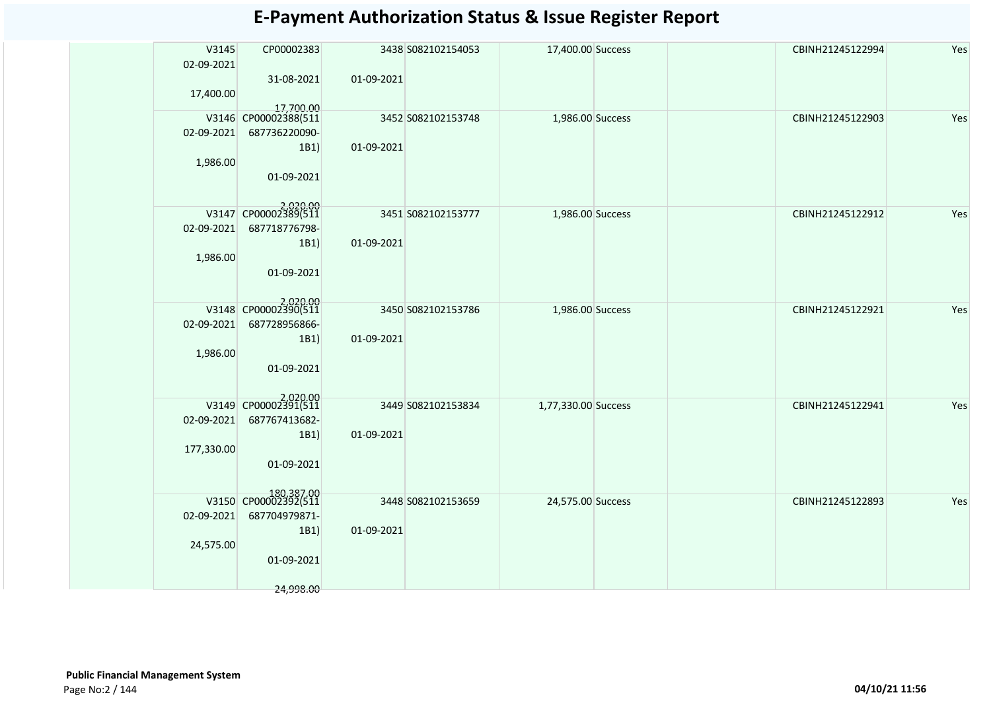| V3145<br>02-09-2021<br>17,400.00 | CP00002383<br>31-08-2021                                                               | 01-09-2021 | 3438 S082102154053 | 17,400.00 Success   | CBINH21245122994 | Yes |
|----------------------------------|----------------------------------------------------------------------------------------|------------|--------------------|---------------------|------------------|-----|
| 02-09-2021<br>1,986.00           | 17,700.00<br>V3146 CP00002388(511<br>687736220090-<br>1B1)<br>01-09-2021               | 01-09-2021 | 3452 S082102153748 | 1,986.00 Success    | CBINH21245122903 | Yes |
| 02-09-2021<br>1,986.00           | V3147 CP00002389(511<br>687718776798-<br>1B1)<br>01-09-2021                            | 01-09-2021 | 3451 S082102153777 | 1,986.00 Success    | CBINH21245122912 | Yes |
| 02-09-2021<br>1,986.00           | V3148 CP00002390(511<br>687728956866-<br>1B1)<br>01-09-2021                            | 01-09-2021 | 3450 S082102153786 | 1,986.00 Success    | CBINH21245122921 | Yes |
| 02-09-2021<br>177,330.00         | V3149 CP00002391(511<br>687767413682-<br>1B1)<br>01-09-2021                            | 01-09-2021 | 3449 S082102153834 | 1,77,330.00 Success | CBINH21245122941 | Yes |
| 02-09-2021<br>24,575.00          | 180,387.00<br>V3150 CP00002392(511<br>687704979871-<br>1B1)<br>01-09-2021<br>24,998.00 | 01-09-2021 | 3448 S082102153659 | 24,575.00 Success   | CBINH21245122893 | Yes |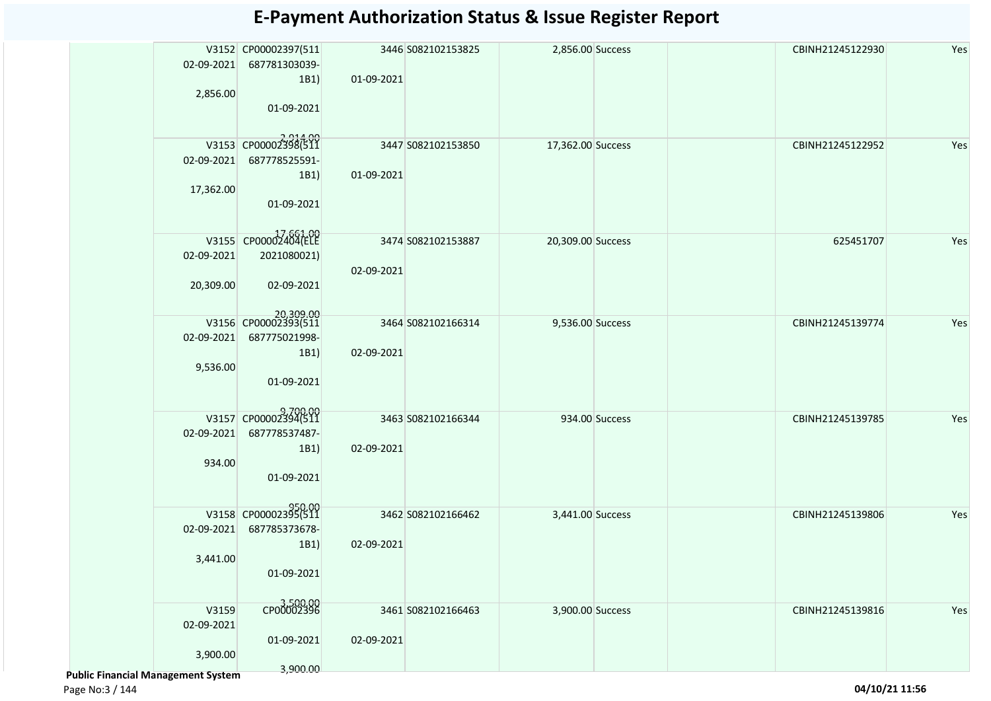| 02-09-2021<br>2,856.00                                  | V3152 CP00002397(511<br>687781303039-<br>1B1)<br>01-09-2021              | 01-09-2021 | 3446 S082102153825 | 2,856.00 Success  |                | CBINH21245122930 | Yes |
|---------------------------------------------------------|--------------------------------------------------------------------------|------------|--------------------|-------------------|----------------|------------------|-----|
| 02-09-2021<br>17,362.00                                 | V3153 CP00002398(511<br>687778525591-<br>1B1)<br>01-09-2021              | 01-09-2021 | 3447 S082102153850 | 17,362.00 Success |                | CBINH21245122952 | Yes |
| 02-09-2021<br>20,309.00                                 | V3155 CP00002404(ELE<br>2021080021)<br>02-09-2021                        | 02-09-2021 | 3474 S082102153887 | 20,309.00 Success |                | 625451707        | Yes |
| 02-09-2021<br>9,536.00                                  | 20,309.00<br>V3156 CP00002393(511<br>687775021998-<br>1B1)<br>01-09-2021 | 02-09-2021 | 3464 S082102166314 | 9,536.00 Success  |                | CBINH21245139774 | Yes |
| 02-09-2021<br>934.00                                    | V3157 CP00002394(511<br>687778537487-<br>1B1)<br>01-09-2021              | 02-09-2021 | 3463 S082102166344 |                   | 934.00 Success | CBINH21245139785 | Yes |
| 02-09-2021<br>3,441.00                                  | V3158 CP00002395(511<br>687785373678-<br>1B1)<br>01-09-2021              | 02-09-2021 | 3462 S082102166462 | 3,441.00 Success  |                | CBINH21245139806 | Yes |
| V3159<br>02-09-2021<br>3,900.00<br>al Managomont System | 3,500.00<br>01-09-2021<br>3,900.00                                       | 02-09-2021 | 3461 S082102166463 | 3,900.00 Success  |                | CBINH21245139816 | Yes |

 **Public Financial Management System**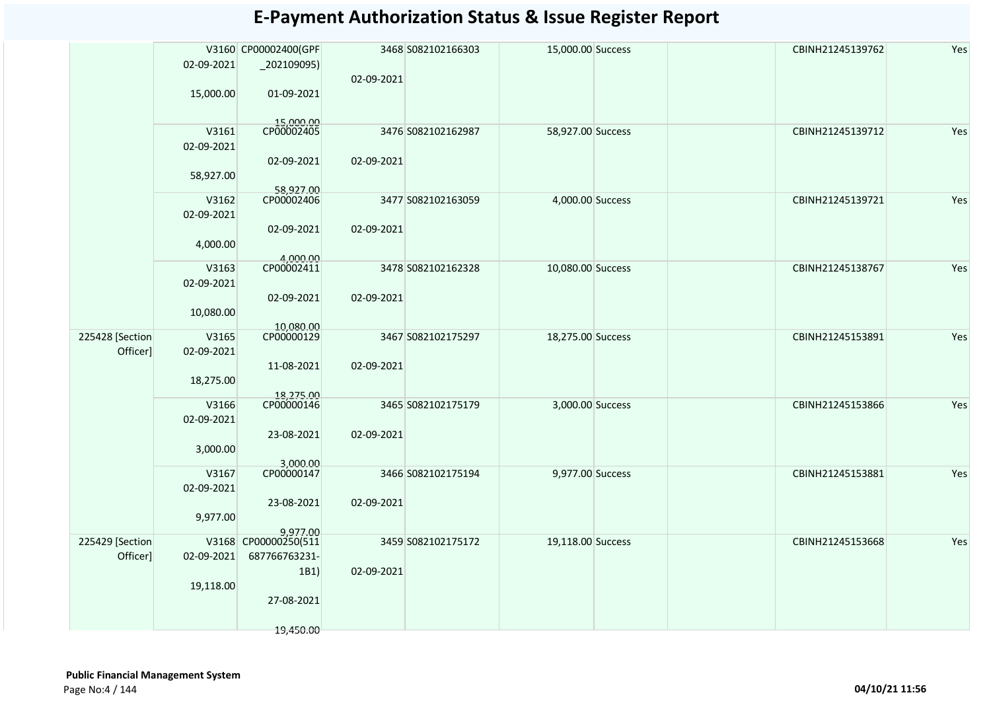|                 |            | V3160 CP00002400(GPF             |            | 3468 S082102166303 | 15,000.00 Success | CBINH21245139762 | Yes |
|-----------------|------------|----------------------------------|------------|--------------------|-------------------|------------------|-----|
|                 | 02-09-2021 | $_2$ 202109095)                  |            |                    |                   |                  |     |
|                 |            |                                  | 02-09-2021 |                    |                   |                  |     |
|                 | 15,000.00  | 01-09-2021                       |            |                    |                   |                  |     |
|                 |            |                                  |            |                    |                   |                  |     |
|                 | V3161      | 15,000.00<br>CP00002405          |            | 3476 S082102162987 | 58,927.00 Success | CBINH21245139712 | Yes |
|                 | 02-09-2021 |                                  |            |                    |                   |                  |     |
|                 |            | 02-09-2021                       | 02-09-2021 |                    |                   |                  |     |
|                 | 58,927.00  |                                  |            |                    |                   |                  |     |
|                 |            |                                  |            |                    |                   |                  |     |
|                 | V3162      | 58,927.00                        |            | 3477 S082102163059 | 4,000.00 Success  | CBINH21245139721 | Yes |
|                 | 02-09-2021 |                                  |            |                    |                   |                  |     |
|                 |            | 02-09-2021                       | 02-09-2021 |                    |                   |                  |     |
|                 | 4,000.00   |                                  |            |                    |                   |                  |     |
|                 |            | 4,000.00<br>CP00002411           |            |                    |                   |                  |     |
|                 | V3163      |                                  |            | 3478 S082102162328 | 10,080.00 Success | CBINH21245138767 | Yes |
|                 | 02-09-2021 |                                  |            |                    |                   |                  |     |
|                 |            | 02-09-2021                       | 02-09-2021 |                    |                   |                  |     |
|                 | 10,080.00  |                                  |            |                    |                   |                  |     |
| 225428 [Section | V3165      | 10,080.00<br>CP00000129          |            | 3467 S082102175297 | 18,275.00 Success | CBINH21245153891 | Yes |
| Officer]        | 02-09-2021 |                                  |            |                    |                   |                  |     |
|                 |            | 11-08-2021                       | 02-09-2021 |                    |                   |                  |     |
|                 | 18,275.00  |                                  |            |                    |                   |                  |     |
|                 |            | 18,275.00<br>CP00000146          |            |                    |                   |                  |     |
|                 | V3166      |                                  |            | 3465 S082102175179 | 3,000.00 Success  | CBINH21245153866 | Yes |
|                 | 02-09-2021 |                                  |            |                    |                   |                  |     |
|                 |            | 23-08-2021                       | 02-09-2021 |                    |                   |                  |     |
|                 | 3,000.00   |                                  |            |                    |                   |                  |     |
|                 | V3167      | 3,000.00<br>CP00000147           |            | 3466 S082102175194 | 9,977.00 Success  | CBINH21245153881 | Yes |
|                 | 02-09-2021 |                                  |            |                    |                   |                  |     |
|                 |            | 23-08-2021                       | 02-09-2021 |                    |                   |                  |     |
|                 | 9,977.00   |                                  |            |                    |                   |                  |     |
|                 |            | 9,977.00<br>V3168 CP00000250(511 |            |                    |                   |                  |     |
| 225429 [Section |            |                                  |            | 3459 S082102175172 | 19,118.00 Success | CBINH21245153668 | Yes |
| Officer]        | 02-09-2021 | 687766763231-                    |            |                    |                   |                  |     |
|                 |            | 1B1)                             | 02-09-2021 |                    |                   |                  |     |
|                 | 19,118.00  |                                  |            |                    |                   |                  |     |
|                 |            | 27-08-2021                       |            |                    |                   |                  |     |
|                 |            |                                  |            |                    |                   |                  |     |
|                 |            | 19,450.00                        |            |                    |                   |                  |     |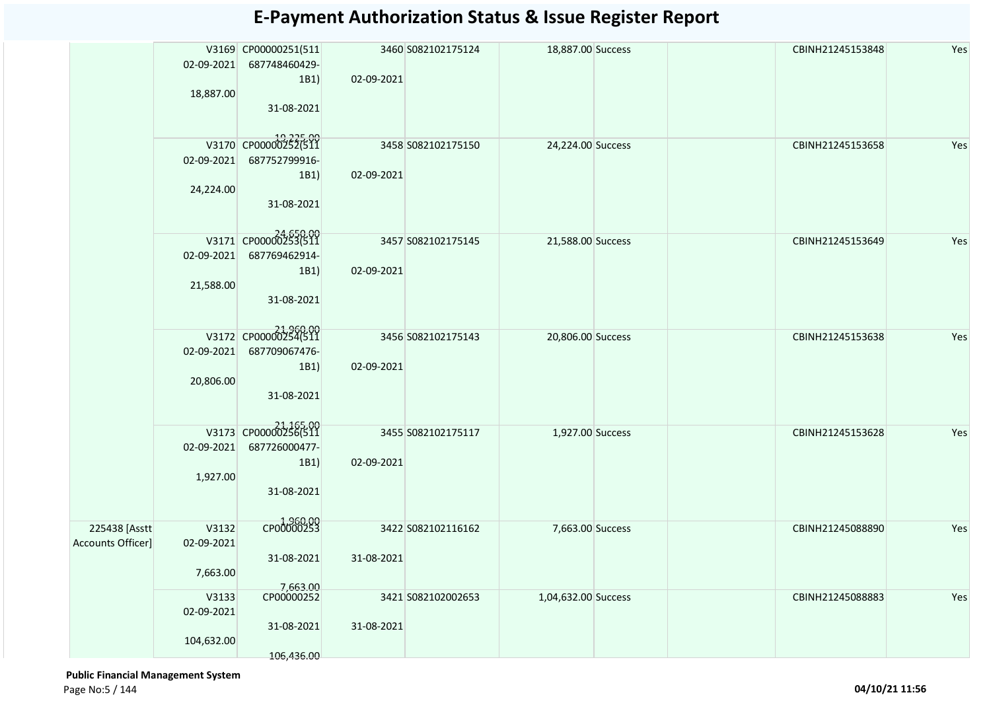|                   |                         | V3169 CP00000251(511                  |            | 3460 S082102175124 | 18,887.00 Success   | CBINH21245153848 | Yes |
|-------------------|-------------------------|---------------------------------------|------------|--------------------|---------------------|------------------|-----|
|                   | 02-09-2021              | 687748460429-<br>1B1)                 | 02-09-2021 |                    |                     |                  |     |
|                   | 18,887.00               | 31-08-2021                            |            |                    |                     |                  |     |
|                   | 02-09-2021              | V3170 CP000002525.00<br>687752799916- |            | 3458 S082102175150 | 24,224.00 Success   | CBINH21245153658 | Yes |
|                   | 24,224.00               | 1B1)<br>31-08-2021                    | 02-09-2021 |                    |                     |                  |     |
|                   |                         | V3171 CP00000253(511                  |            | 3457 S082102175145 | 21,588.00 Success   | CBINH21245153649 | Yes |
|                   | 02-09-2021              | 687769462914-<br>1B1)                 | 02-09-2021 |                    |                     |                  |     |
|                   | 21,588.00               | 31-08-2021                            |            |                    |                     |                  |     |
|                   |                         | V3172 CP00000254(511<br>687709067476- |            | 3456 S082102175143 | 20,806.00 Success   | CBINH21245153638 | Yes |
|                   | 02-09-2021<br>20,806.00 | 1B1)                                  | 02-09-2021 |                    |                     |                  |     |
|                   |                         | 31-08-2021                            |            |                    |                     |                  |     |
|                   | 02-09-2021              | V3173 CP00000256(511<br>687726000477- |            | 3455 S082102175117 | 1,927.00 Success    | CBINH21245153628 | Yes |
|                   | 1,927.00                | 1B1)<br>31-08-2021                    | 02-09-2021 |                    |                     |                  |     |
| 225438 [Asstt     | V3132                   | CP00000253                            |            | 3422 S082102116162 | 7,663.00 Success    | CBINH21245088890 | Yes |
| Accounts Officer] | 02-09-2021              | 31-08-2021                            | 31-08-2021 |                    |                     |                  |     |
|                   | 7,663.00                | 7,663.00                              |            |                    |                     |                  |     |
|                   | V3133<br>02-09-2021     | CP00000252                            |            | 3421 S082102002653 | 1,04,632.00 Success | CBINH21245088883 | Yes |
|                   | 104,632.00              | 31-08-2021<br>106,436.00              | 31-08-2021 |                    |                     |                  |     |
|                   |                         |                                       |            |                    |                     |                  |     |

 **Public Financial Management System**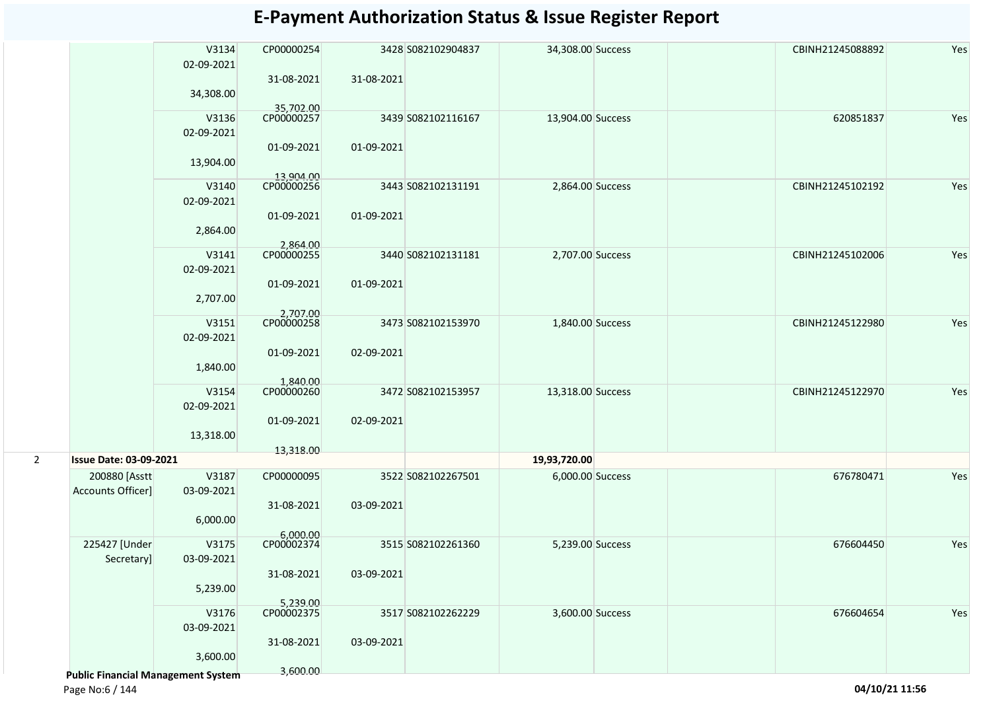|   |                                           | V3134      | CP00000254              |            | 3428 S082102904837 | 34,308.00 Success | CBINH21245088892 | Yes |
|---|-------------------------------------------|------------|-------------------------|------------|--------------------|-------------------|------------------|-----|
|   |                                           | 02-09-2021 | 31-08-2021              | 31-08-2021 |                    |                   |                  |     |
|   |                                           | 34,308.00  |                         |            |                    |                   |                  |     |
|   |                                           | V3136      | 35,702.00<br>CP00000257 |            | 3439 S082102116167 | 13,904.00 Success | 620851837        | Yes |
|   |                                           | 02-09-2021 |                         |            |                    |                   |                  |     |
|   |                                           |            | 01-09-2021              | 01-09-2021 |                    |                   |                  |     |
|   |                                           | 13,904.00  |                         |            |                    |                   |                  |     |
|   |                                           |            | 13,904.00               |            |                    |                   |                  |     |
|   |                                           | V3140      | CP00000256              |            | 3443 S082102131191 | 2,864.00 Success  | CBINH21245102192 | Yes |
|   |                                           | 02-09-2021 |                         |            |                    |                   |                  |     |
|   |                                           |            | 01-09-2021              | 01-09-2021 |                    |                   |                  |     |
|   |                                           | 2,864.00   |                         |            |                    |                   |                  |     |
|   |                                           | V3141      | 2,864.00<br>CP00000255  |            | 3440 S082102131181 | 2,707.00 Success  | CBINH21245102006 | Yes |
|   |                                           | 02-09-2021 |                         |            |                    |                   |                  |     |
|   |                                           |            | 01-09-2021              | 01-09-2021 |                    |                   |                  |     |
|   |                                           | 2,707.00   |                         |            |                    |                   |                  |     |
|   |                                           |            |                         |            |                    |                   |                  |     |
|   |                                           | V3151      | 2,707.00<br>CP00000258  |            | 3473 S082102153970 | 1,840.00 Success  | CBINH21245122980 | Yes |
|   |                                           | 02-09-2021 |                         |            |                    |                   |                  |     |
|   |                                           |            | 01-09-2021              | 02-09-2021 |                    |                   |                  |     |
|   |                                           | 1,840.00   |                         |            |                    |                   |                  |     |
|   |                                           | V3154      | 1,840.00                |            | 3472 S082102153957 | 13,318.00 Success | CBINH21245122970 | Yes |
|   |                                           | 02-09-2021 |                         |            |                    |                   |                  |     |
|   |                                           |            | 01-09-2021              | 02-09-2021 |                    |                   |                  |     |
|   |                                           | 13,318.00  |                         |            |                    |                   |                  |     |
|   |                                           |            | 13,318.00               |            |                    |                   |                  |     |
| 2 | <b>Issue Date: 03-09-2021</b>             |            |                         |            |                    | 19,93,720.00      |                  |     |
|   | 200880 [Asstt                             | V3187      | CP00000095              |            | 3522 S082102267501 | 6,000.00 Success  | 676780471        | Yes |
|   | Accounts Officer]                         | 03-09-2021 |                         |            |                    |                   |                  |     |
|   |                                           |            | 31-08-2021              | 03-09-2021 |                    |                   |                  |     |
|   |                                           | 6,000.00   |                         |            |                    |                   |                  |     |
|   | 225427 [Under                             | V3175      | 6,000.00<br>CP00002374  |            | 3515 S082102261360 | 5,239.00 Success  | 676604450        | Yes |
|   | Secretary]                                | 03-09-2021 |                         |            |                    |                   |                  |     |
|   |                                           |            | 31-08-2021              | 03-09-2021 |                    |                   |                  |     |
|   |                                           | 5,239.00   |                         |            |                    |                   |                  |     |
|   |                                           |            | 5,239.00                |            |                    |                   |                  |     |
|   |                                           | V3176      | CP00002375              |            | 3517 S082102262229 | 3,600.00 Success  | 676604654        | Yes |
|   |                                           | 03-09-2021 |                         |            |                    |                   |                  |     |
|   |                                           |            | 31-08-2021              | 03-09-2021 |                    |                   |                  |     |
|   |                                           | 3,600.00   |                         |            |                    |                   |                  |     |
|   | <b>Public Financial Management System</b> |            | 3,600.00                |            |                    |                   |                  |     |

Page No:6 / 144 **04/10/21 11:56**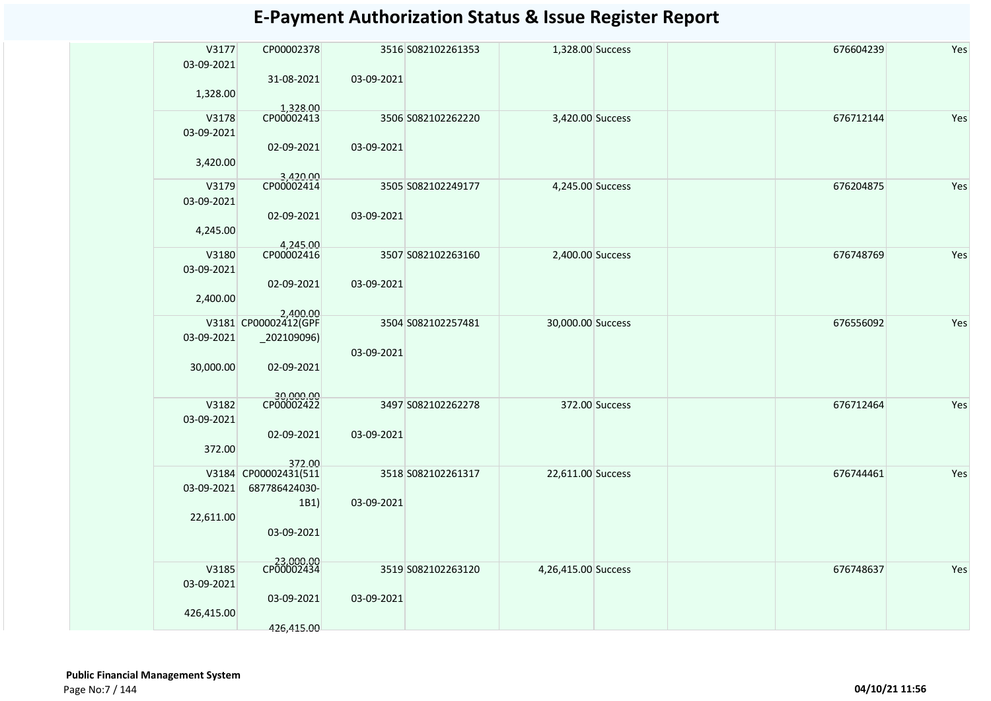| V3177<br>03-09-2021 | CP00002378               |            | 3516 S082102261353 | 1,328.00 Success    |                | 676604239 | Yes |
|---------------------|--------------------------|------------|--------------------|---------------------|----------------|-----------|-----|
| 1,328.00            | 31-08-2021<br>1.328.00   | 03-09-2021 |                    |                     |                |           |     |
| V3178<br>03-09-2021 | CP00002413               |            | 3506 S082102262220 | 3,420.00 Success    |                | 676712144 | Yes |
| 3,420.00            | 02-09-2021<br>3,420.00   | 03-09-2021 |                    |                     |                |           |     |
| V3179               | CP00002414               |            | 3505 S082102249177 | 4,245.00 Success    |                | 676204875 | Yes |
| 03-09-2021          |                          |            |                    |                     |                |           |     |
|                     | 02-09-2021               | 03-09-2021 |                    |                     |                |           |     |
| 4,245.00            |                          |            |                    |                     |                |           |     |
|                     | 4,245.00                 |            |                    |                     |                |           |     |
| V3180               | CP00002416               |            | 3507 S082102263160 | 2,400.00 Success    |                | 676748769 | Yes |
| 03-09-2021          |                          |            |                    |                     |                |           |     |
|                     | 02-09-2021               | 03-09-2021 |                    |                     |                |           |     |
| 2,400.00            |                          |            |                    |                     |                |           |     |
|                     | 2,400.00                 |            |                    |                     |                |           |     |
|                     | V3181 CP00002412(GPF     |            | 3504 S082102257481 | 30,000.00 Success   |                | 676556092 | Yes |
| 03-09-2021          | $_2$ 02109096)           |            |                    |                     |                |           |     |
|                     |                          | 03-09-2021 |                    |                     |                |           |     |
| 30,000.00           | 02-09-2021               |            |                    |                     |                |           |     |
|                     |                          |            |                    |                     |                |           |     |
| V3182               | 30,000.00<br>CP00002422  |            | 3497 S082102262278 |                     |                |           |     |
|                     |                          |            |                    |                     | 372.00 Success | 676712464 | Yes |
| 03-09-2021          |                          |            |                    |                     |                |           |     |
|                     | 02-09-2021               | 03-09-2021 |                    |                     |                |           |     |
| 372.00              |                          |            |                    |                     |                |           |     |
| V3184               | 372.00<br>CP00002431(511 |            | 3518 S082102261317 | 22,611.00 Success   |                | 676744461 | Yes |
| 03-09-2021          | 687786424030-            |            |                    |                     |                |           |     |
|                     | 1B1)                     | 03-09-2021 |                    |                     |                |           |     |
| 22,611.00           |                          |            |                    |                     |                |           |     |
|                     | 03-09-2021               |            |                    |                     |                |           |     |
|                     |                          |            |                    |                     |                |           |     |
|                     |                          |            |                    |                     |                |           |     |
| V3185               | CP00002434               |            | 3519 S082102263120 | 4,26,415.00 Success |                | 676748637 | Yes |
| 03-09-2021          |                          |            |                    |                     |                |           |     |
|                     | 03-09-2021               | 03-09-2021 |                    |                     |                |           |     |
| 426,415.00          |                          |            |                    |                     |                |           |     |
|                     | 426,415.00               |            |                    |                     |                |           |     |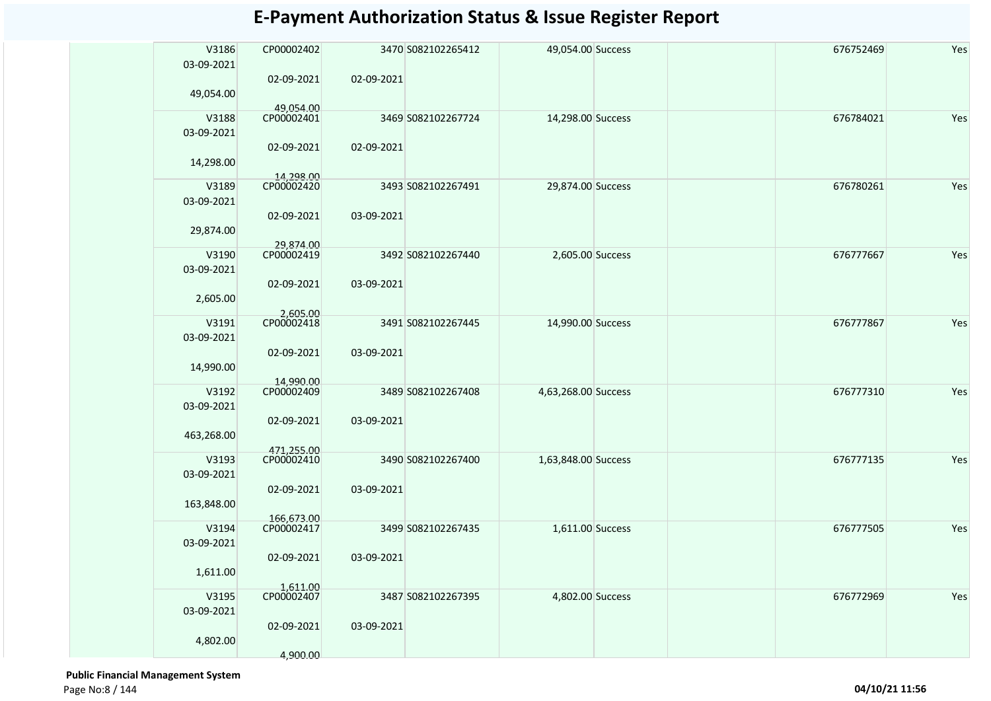| V3186<br>03-09-2021    | CP00002402              |            | 3470 S082102265412 | 49,054.00 Success   | 676752469 | Yes |
|------------------------|-------------------------|------------|--------------------|---------------------|-----------|-----|
| 49,054.00              | 02-09-2021              | 02-09-2021 |                    |                     |           |     |
|                        | 49.054.00               |            |                    |                     |           |     |
| V3188<br>03-09-2021    | CP00002401              |            | 3469 S082102267724 | 14,298.00 Success   | 676784021 | Yes |
| 14,298.00              | 02-09-2021              | 02-09-2021 |                    |                     |           |     |
| V3189                  | 14.298.00<br>CP00002420 |            | 3493 S082102267491 | 29,874.00 Success   | 676780261 | Yes |
| 03-09-2021             |                         |            |                    |                     |           |     |
| 29,874.00              | 02-09-2021              | 03-09-2021 |                    |                     |           |     |
|                        | 29,874.00               |            |                    |                     |           |     |
| V3190<br>03-09-2021    | CP00002419              |            | 3492 S082102267440 | 2,605.00 Success    | 676777667 | Yes |
| 2,605.00               | 02-09-2021              | 03-09-2021 |                    |                     |           |     |
|                        | 2,605.00                |            |                    |                     |           |     |
| V3191<br>03-09-2021    | CP00002418              |            | 3491 S082102267445 | 14,990.00 Success   | 676777867 | Yes |
| 14,990.00              | 02-09-2021              | 03-09-2021 |                    |                     |           |     |
| V3192                  | 14,990.00<br>CP00002409 |            | 3489 S082102267408 | 4,63,268.00 Success | 676777310 | Yes |
| 03-09-2021             |                         |            |                    |                     |           |     |
| 463,268.00             | 02-09-2021              | 03-09-2021 |                    |                     |           |     |
|                        | 471,255.00              |            |                    |                     |           |     |
| V3193                  | CP00002410              |            | 3490 S082102267400 | 1,63,848.00 Success | 676777135 | Yes |
| 03-09-2021             |                         |            |                    |                     |           |     |
| 163,848.00             | 02-09-2021              | 03-09-2021 |                    |                     |           |     |
|                        | 166,673.00              |            |                    |                     |           |     |
| V3194                  | CP00002417              |            | 3499 S082102267435 | 1,611.00 Success    | 676777505 | Yes |
| 03-09-2021<br>1,611.00 | 02-09-2021              | 03-09-2021 |                    |                     |           |     |
|                        | 1,611.00                |            |                    |                     |           |     |
| V3195<br>03-09-2021    | CP00002407              |            | 3487 S082102267395 | 4,802.00 Success    | 676772969 | Yes |
| 4,802.00               | 02-09-2021              | 03-09-2021 |                    |                     |           |     |
|                        | 4,900.00                |            |                    |                     |           |     |

 **Public Financial Management System**  Page No:8 / 144 **04/10/21 11:56**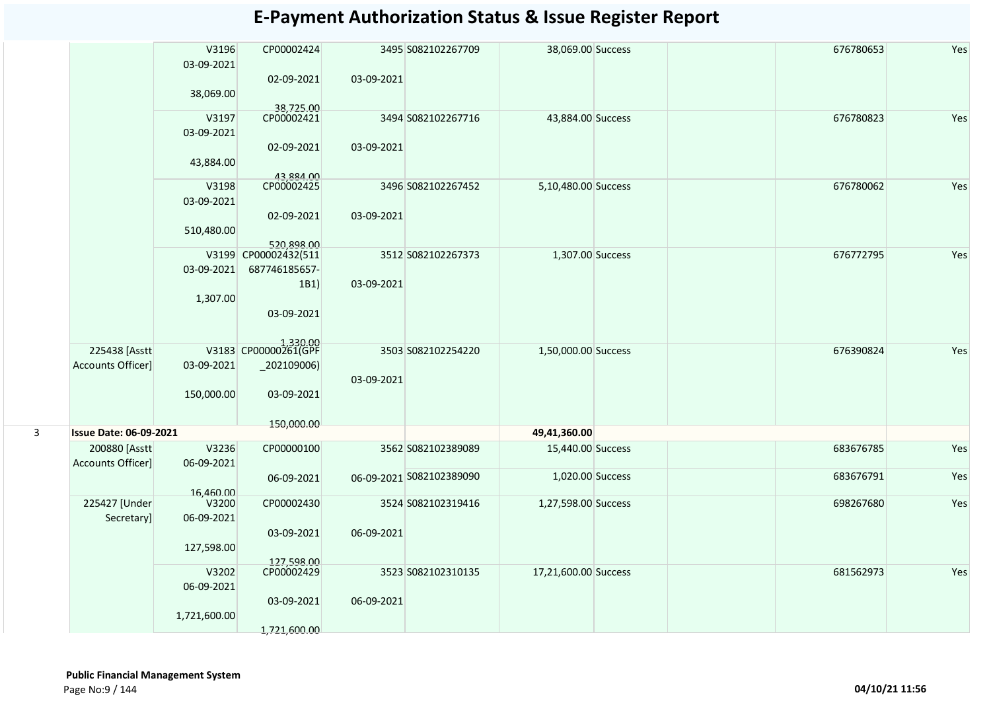|   |                               | V3196<br>03-09-2021<br>38,069.00 | CP00002424<br>02-09-2021           | 03-09-2021 | 3495 S082102267709       | 38,069.00 Success    | 676780653 | Yes |
|---|-------------------------------|----------------------------------|------------------------------------|------------|--------------------------|----------------------|-----------|-----|
|   |                               |                                  |                                    |            |                          |                      |           |     |
|   |                               | V3197                            | 38,725.00<br>CP00002421            |            | 3494 S082102267716       | 43,884.00 Success    | 676780823 | Yes |
|   |                               | 03-09-2021                       |                                    |            |                          |                      |           |     |
|   |                               | 43,884.00                        | 02-09-2021<br>43,884.00            | 03-09-2021 |                          |                      |           |     |
|   |                               | V3198                            | CP00002425                         |            | 3496 S082102267452       | 5,10,480.00 Success  | 676780062 | Yes |
|   |                               | 03-09-2021                       |                                    |            |                          |                      |           |     |
|   |                               |                                  | 02-09-2021                         | 03-09-2021 |                          |                      |           |     |
|   |                               | 510,480.00                       |                                    |            |                          |                      |           |     |
|   |                               |                                  | 520,898.00<br>V3199 CP00002432(511 |            | 3512 S082102267373       | 1,307.00 Success     | 676772795 | Yes |
|   |                               | 03-09-2021                       | 687746185657-                      |            |                          |                      |           |     |
|   |                               |                                  | 1B1)                               | 03-09-2021 |                          |                      |           |     |
|   |                               | 1,307.00                         |                                    |            |                          |                      |           |     |
|   |                               |                                  | 03-09-2021                         |            |                          |                      |           |     |
|   |                               |                                  |                                    |            |                          |                      |           |     |
|   | 225438 [Asstt                 |                                  | V3183 CP00000261(GPF               |            | 3503 S082102254220       | 1,50,000.00 Success  | 676390824 | Yes |
|   | Accounts Officer]             | 03-09-2021                       | _202109006)                        | 03-09-2021 |                          |                      |           |     |
|   |                               | 150,000.00                       | 03-09-2021                         |            |                          |                      |           |     |
| 3 | <b>Issue Date: 06-09-2021</b> |                                  | 150,000.00                         |            |                          | 49,41,360.00         |           |     |
|   | 200880 [Asstt                 | V3236                            | CP00000100                         |            | 3562 S082102389089       | 15,440.00 Success    | 683676785 | Yes |
|   | Accounts Officer]             | 06-09-2021                       |                                    |            |                          |                      |           |     |
|   |                               |                                  | 06-09-2021                         |            | 06-09-2021 S082102389090 | 1,020.00 Success     | 683676791 | Yes |
|   |                               | 16,460.00                        |                                    |            |                          |                      |           |     |
|   | 225427 [Under                 | V3200                            | CP00002430                         |            | 3524 S082102319416       | 1,27,598.00 Success  | 698267680 | Yes |
|   | Secretary]                    | 06-09-2021                       |                                    |            |                          |                      |           |     |
|   |                               |                                  | 03-09-2021                         | 06-09-2021 |                          |                      |           |     |
|   |                               | 127,598.00                       |                                    |            |                          |                      |           |     |
|   |                               | V3202                            | 127,598.00<br>CP00002429           |            | 3523 S082102310135       | 17,21,600.00 Success | 681562973 | Yes |
|   |                               | 06-09-2021                       |                                    |            |                          |                      |           |     |
|   |                               |                                  | 03-09-2021                         | 06-09-2021 |                          |                      |           |     |
|   |                               | 1,721,600.00                     |                                    |            |                          |                      |           |     |
|   |                               |                                  | 1,721,600.00                       |            |                          |                      |           |     |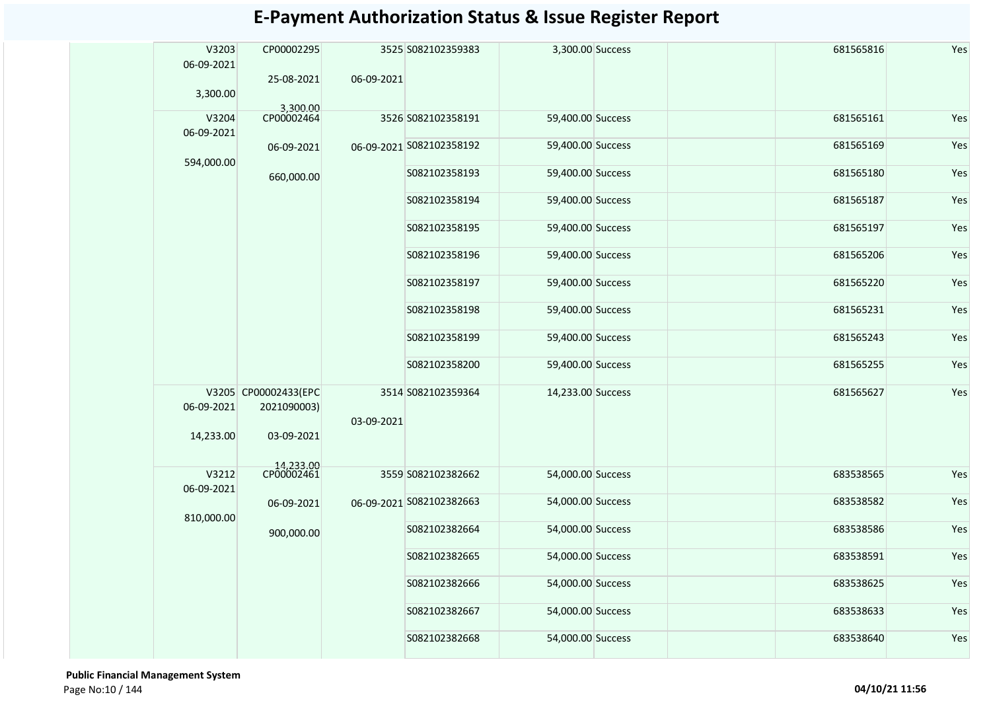|  | V3203<br>06-09-2021 | CP00002295                          |            | 3525 S082102359383       | 3,300.00 Success  |  | 681565816 | Yes |
|--|---------------------|-------------------------------------|------------|--------------------------|-------------------|--|-----------|-----|
|  | 3,300.00            | 25-08-2021                          | 06-09-2021 |                          |                   |  |           |     |
|  | V3204<br>06-09-2021 | 3,300.00<br>CP00002464              |            | 3526 S082102358191       | 59,400.00 Success |  | 681565161 | Yes |
|  | 594,000.00          | 06-09-2021                          |            | 06-09-2021 S082102358192 | 59,400.00 Success |  | 681565169 | Yes |
|  |                     | 660,000.00                          |            | S082102358193            | 59,400.00 Success |  | 681565180 | Yes |
|  |                     |                                     |            | S082102358194            | 59,400.00 Success |  | 681565187 | Yes |
|  |                     |                                     |            | S082102358195            | 59,400.00 Success |  | 681565197 | Yes |
|  |                     |                                     |            | S082102358196            | 59,400.00 Success |  | 681565206 | Yes |
|  |                     |                                     |            | S082102358197            | 59,400.00 Success |  | 681565220 | Yes |
|  |                     |                                     |            | S082102358198            | 59,400.00 Success |  | 681565231 | Yes |
|  |                     |                                     |            | S082102358199            | 59,400.00 Success |  | 681565243 | Yes |
|  |                     |                                     |            | S082102358200            | 59,400.00 Success |  | 681565255 | Yes |
|  | 06-09-2021          | V3205 CP00002433(EPC<br>2021090003) | 03-09-2021 | 3514 S082102359364       | 14,233.00 Success |  | 681565627 | Yes |
|  | 14,233.00           | 03-09-2021                          |            |                          |                   |  |           |     |
|  | V3212<br>06-09-2021 | 14,233.00<br>CP00002461             |            | 3559 S082102382662       | 54,000.00 Success |  | 683538565 | Yes |
|  | 810,000.00          | 06-09-2021                          |            | 06-09-2021 S082102382663 | 54,000.00 Success |  | 683538582 | Yes |
|  |                     | 900,000.00                          |            | S082102382664            | 54,000.00 Success |  | 683538586 | Yes |
|  |                     |                                     |            | S082102382665            | 54,000.00 Success |  | 683538591 | Yes |
|  |                     |                                     |            | S082102382666            | 54,000.00 Success |  | 683538625 | Yes |
|  |                     |                                     |            | S082102382667            | 54,000.00 Success |  | 683538633 | Yes |
|  |                     |                                     |            | S082102382668            | 54,000.00 Success |  | 683538640 | Yes |

 **Public Financial Management System**  Page No:10 / 144 **04/10/21 11:56**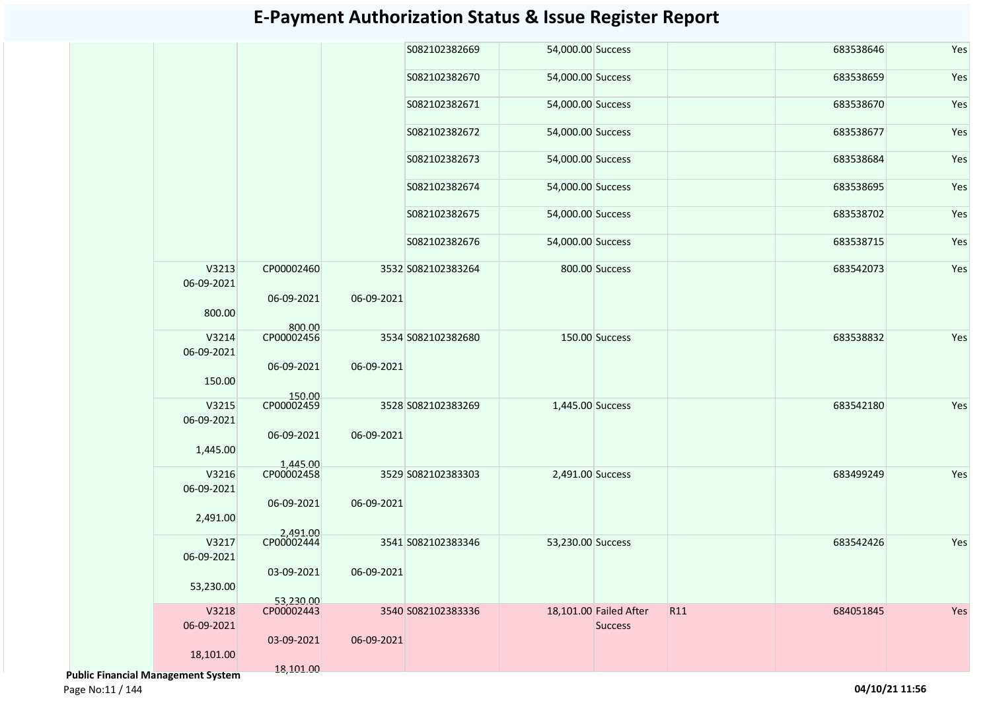|                         |                        |            | S082102382669      | 54,000.00 Success |                        |                 | 683538646 | Yes |
|-------------------------|------------------------|------------|--------------------|-------------------|------------------------|-----------------|-----------|-----|
|                         |                        |            | S082102382670      | 54,000.00 Success |                        |                 | 683538659 | Yes |
|                         |                        |            | S082102382671      | 54,000.00 Success |                        |                 | 683538670 | Yes |
|                         |                        |            | S082102382672      | 54,000.00 Success |                        |                 | 683538677 | Yes |
|                         |                        |            | S082102382673      | 54,000.00 Success |                        |                 | 683538684 | Yes |
|                         |                        |            | S082102382674      | 54,000.00 Success |                        |                 | 683538695 | Yes |
|                         |                        |            | S082102382675      | 54,000.00 Success |                        |                 | 683538702 | Yes |
|                         |                        |            | S082102382676      | 54,000.00 Success |                        |                 | 683538715 | Yes |
| V3213<br>06-09-2021     | CP00002460             |            | 3532 S082102383264 |                   | 800.00 Success         |                 | 683542073 | Yes |
| 800.00                  | 06-09-2021             | 06-09-2021 |                    |                   |                        |                 |           |     |
| V3214<br>06-09-2021     | 800.00<br>CP00002456   |            | 3534 S082102382680 |                   | 150.00 Success         |                 | 683538832 | Yes |
| 150.00                  | 06-09-2021             | 06-09-2021 |                    |                   |                        |                 |           |     |
| V3215                   | 150.00<br>CP00002459   |            | 3528 S082102383269 | 1,445.00 Success  |                        |                 | 683542180 | Yes |
| 06-09-2021              |                        |            |                    |                   |                        |                 |           |     |
| 1,445.00                | 06-09-2021             | 06-09-2021 |                    |                   |                        |                 |           |     |
| V3216<br>06-09-2021     | 1,445.00<br>CP00002458 |            | 3529 S082102383303 | 2,491.00 Success  |                        |                 | 683499249 | Yes |
| 2,491.00                | 06-09-2021             | 06-09-2021 |                    |                   |                        |                 |           |     |
| V3217                   | 2,491.00<br>CP00002444 |            | 3541 S082102383346 | 53,230.00 Success |                        |                 | 683542426 | Yes |
| 06-09-2021              | 03-09-2021             | 06-09-2021 |                    |                   |                        |                 |           |     |
| 53,230.00               | 53,230.00              |            |                    |                   |                        |                 |           |     |
| V3218                   | CP00002443             |            | 3540 S082102383336 |                   | 18,101.00 Failed After | R <sub>11</sub> | 684051845 | Yes |
| 06-09-2021              | 03-09-2021             | 06-09-2021 |                    |                   | <b>Success</b>         |                 |           |     |
| 18,101.00               |                        |            |                    |                   |                        |                 |           |     |
| icial Management System | 18,101.00              |            |                    |                   |                        |                 |           |     |

 **Public Financial Management System**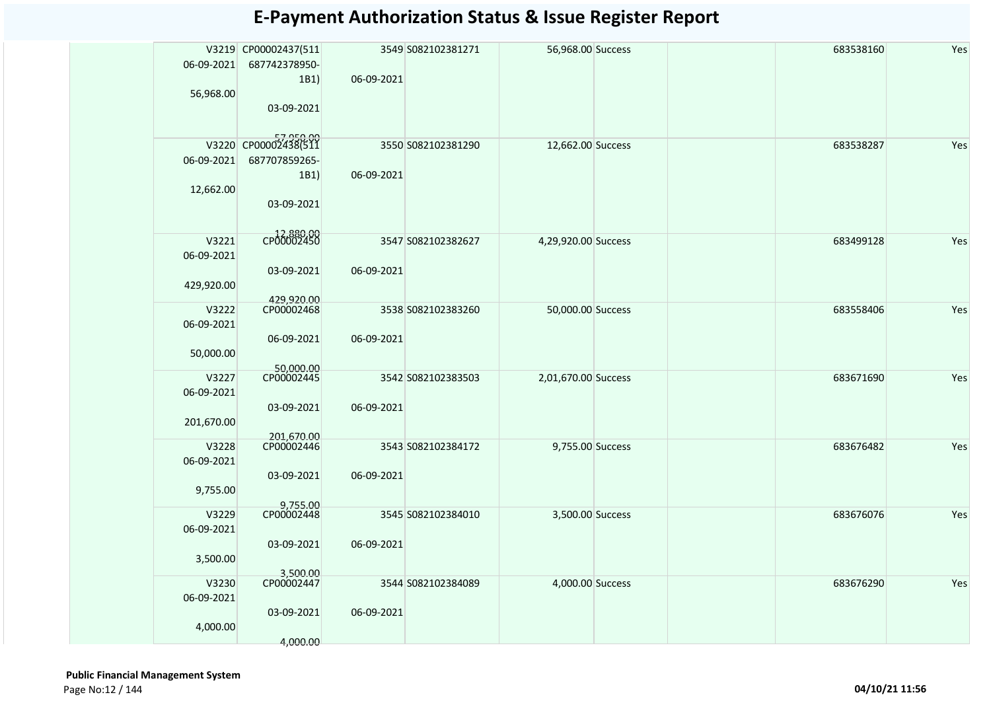| 06-09-2021 | V3219 CP00002437(511<br>687742378950- |            | 3549 S082102381271 | 56,968.00 Success   |  | 683538160 | Yes |
|------------|---------------------------------------|------------|--------------------|---------------------|--|-----------|-----|
|            | 1B1)                                  | 06-09-2021 |                    |                     |  |           |     |
| 56,968.00  |                                       |            |                    |                     |  |           |     |
|            | 03-09-2021                            |            |                    |                     |  |           |     |
|            |                                       |            |                    |                     |  |           |     |
|            | 57,950.00<br>V3220 CP00002438(511     |            | 3550 S082102381290 | 12,662.00 Success   |  | 683538287 | Yes |
| 06-09-2021 | 687707859265-                         |            |                    |                     |  |           |     |
|            | 1B1)                                  | 06-09-2021 |                    |                     |  |           |     |
| 12,662.00  |                                       |            |                    |                     |  |           |     |
|            | 03-09-2021                            |            |                    |                     |  |           |     |
|            | CP00002450                            |            |                    |                     |  |           |     |
|            | V3221                                 |            | 3547 S082102382627 | 4,29,920.00 Success |  | 683499128 | Yes |
| 06-09-2021 | 03-09-2021                            | 06-09-2021 |                    |                     |  |           |     |
| 429,920.00 |                                       |            |                    |                     |  |           |     |
|            | 429,920.00                            |            |                    |                     |  |           |     |
|            | CP00002468<br>V3222                   |            | 3538 S082102383260 | 50,000.00 Success   |  | 683558406 | Yes |
| 06-09-2021 |                                       |            |                    |                     |  |           |     |
|            | 06-09-2021                            | 06-09-2021 |                    |                     |  |           |     |
| 50,000.00  |                                       |            |                    |                     |  |           |     |
|            | 50,000.00<br>CP00002445<br>V3227      |            | 3542 S082102383503 | 2,01,670.00 Success |  | 683671690 | Yes |
| 06-09-2021 |                                       |            |                    |                     |  |           |     |
|            | 03-09-2021                            | 06-09-2021 |                    |                     |  |           |     |
| 201,670.00 |                                       |            |                    |                     |  |           |     |
|            | 201,670.00                            |            |                    |                     |  |           |     |
|            | CP00002446<br>V3228                   |            | 3543 S082102384172 | 9,755.00 Success    |  | 683676482 | Yes |
| 06-09-2021 |                                       |            |                    |                     |  |           |     |
|            | 03-09-2021<br>9,755.00                | 06-09-2021 |                    |                     |  |           |     |
|            |                                       |            |                    |                     |  |           |     |
|            | 9,755.00<br>V3229                     |            | 3545 S082102384010 | 3,500.00 Success    |  | 683676076 | Yes |
| 06-09-2021 |                                       |            |                    |                     |  |           |     |
|            | 03-09-2021                            | 06-09-2021 |                    |                     |  |           |     |
|            | 3,500.00                              |            |                    |                     |  |           |     |
|            | 3,500.00<br>CP00002447<br>V3230       |            | 3544 S082102384089 | 4,000.00 Success    |  | 683676290 | Yes |
| 06-09-2021 |                                       |            |                    |                     |  |           |     |
|            | 03-09-2021                            | 06-09-2021 |                    |                     |  |           |     |
|            | 4,000.00                              |            |                    |                     |  |           |     |
|            | 4,000.00                              |            |                    |                     |  |           |     |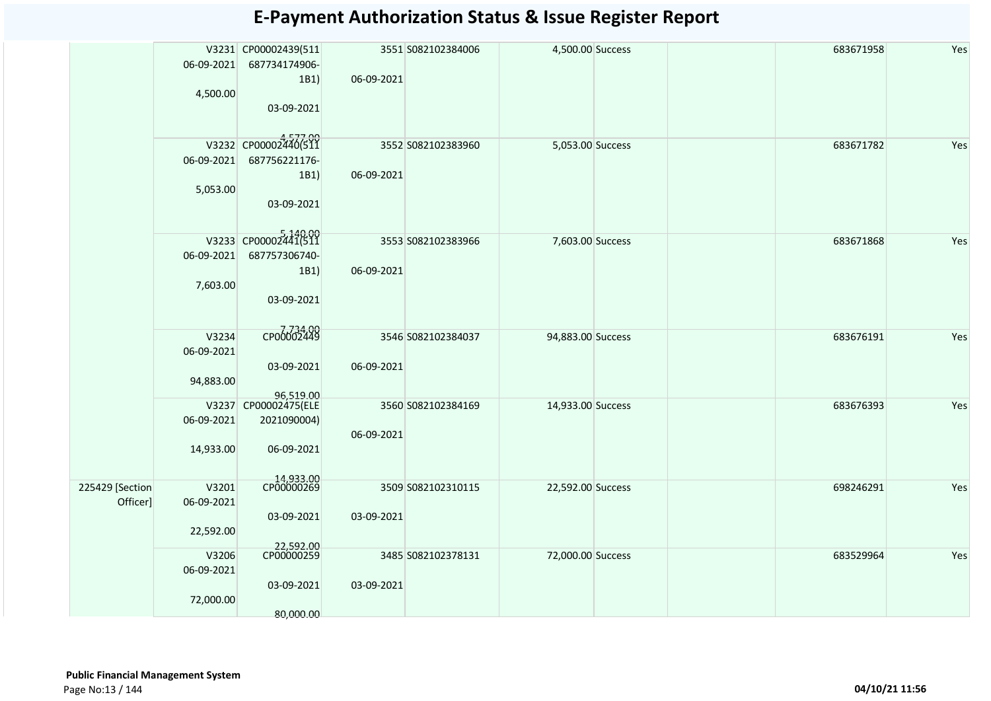| V3231 CP00002439(511<br>3551 S082102384006<br>4,500.00 Success<br>683671958<br>06-09-2021<br>687734174906-<br>06-09-2021<br>1B1)<br>4,500.00<br>03-09-2021<br>V3232 CP00002440(511<br>3552 S082102383960<br>683671782<br>5,053.00 Success<br>06-09-2021<br>687756221176-<br>1B1)<br>06-09-2021<br>5,053.00<br>03-09-2021<br>V3233 CP00002441(511<br>3553 S082102383966<br>7,603.00 Success<br>683671868<br>06-09-2021<br>687757306740-<br>06-09-2021<br>1B1)<br>7,603.00<br>03-09-2021<br>CP00002449<br>V3234<br>3546 S082102384037<br>94,883.00 Success<br>683676191<br>06-09-2021<br>03-09-2021<br>06-09-2021<br>94,883.00<br>96,519.00<br>V3237 CP00002475(ELE<br>3560 S082102384169<br>14,933.00 Success<br>683676393<br>06-09-2021<br>2021090004)<br>06-09-2021<br>14,933.00<br>06-09-2021 |     |  |  |  |  |  |
|-------------------------------------------------------------------------------------------------------------------------------------------------------------------------------------------------------------------------------------------------------------------------------------------------------------------------------------------------------------------------------------------------------------------------------------------------------------------------------------------------------------------------------------------------------------------------------------------------------------------------------------------------------------------------------------------------------------------------------------------------------------------------------------------------|-----|--|--|--|--|--|
|                                                                                                                                                                                                                                                                                                                                                                                                                                                                                                                                                                                                                                                                                                                                                                                                 | Yes |  |  |  |  |  |
|                                                                                                                                                                                                                                                                                                                                                                                                                                                                                                                                                                                                                                                                                                                                                                                                 |     |  |  |  |  |  |
|                                                                                                                                                                                                                                                                                                                                                                                                                                                                                                                                                                                                                                                                                                                                                                                                 |     |  |  |  |  |  |
|                                                                                                                                                                                                                                                                                                                                                                                                                                                                                                                                                                                                                                                                                                                                                                                                 |     |  |  |  |  |  |
|                                                                                                                                                                                                                                                                                                                                                                                                                                                                                                                                                                                                                                                                                                                                                                                                 |     |  |  |  |  |  |
|                                                                                                                                                                                                                                                                                                                                                                                                                                                                                                                                                                                                                                                                                                                                                                                                 | Yes |  |  |  |  |  |
|                                                                                                                                                                                                                                                                                                                                                                                                                                                                                                                                                                                                                                                                                                                                                                                                 |     |  |  |  |  |  |
|                                                                                                                                                                                                                                                                                                                                                                                                                                                                                                                                                                                                                                                                                                                                                                                                 |     |  |  |  |  |  |
|                                                                                                                                                                                                                                                                                                                                                                                                                                                                                                                                                                                                                                                                                                                                                                                                 |     |  |  |  |  |  |
|                                                                                                                                                                                                                                                                                                                                                                                                                                                                                                                                                                                                                                                                                                                                                                                                 |     |  |  |  |  |  |
|                                                                                                                                                                                                                                                                                                                                                                                                                                                                                                                                                                                                                                                                                                                                                                                                 |     |  |  |  |  |  |
|                                                                                                                                                                                                                                                                                                                                                                                                                                                                                                                                                                                                                                                                                                                                                                                                 | Yes |  |  |  |  |  |
|                                                                                                                                                                                                                                                                                                                                                                                                                                                                                                                                                                                                                                                                                                                                                                                                 |     |  |  |  |  |  |
|                                                                                                                                                                                                                                                                                                                                                                                                                                                                                                                                                                                                                                                                                                                                                                                                 |     |  |  |  |  |  |
|                                                                                                                                                                                                                                                                                                                                                                                                                                                                                                                                                                                                                                                                                                                                                                                                 |     |  |  |  |  |  |
|                                                                                                                                                                                                                                                                                                                                                                                                                                                                                                                                                                                                                                                                                                                                                                                                 |     |  |  |  |  |  |
|                                                                                                                                                                                                                                                                                                                                                                                                                                                                                                                                                                                                                                                                                                                                                                                                 | Yes |  |  |  |  |  |
|                                                                                                                                                                                                                                                                                                                                                                                                                                                                                                                                                                                                                                                                                                                                                                                                 |     |  |  |  |  |  |
|                                                                                                                                                                                                                                                                                                                                                                                                                                                                                                                                                                                                                                                                                                                                                                                                 |     |  |  |  |  |  |
|                                                                                                                                                                                                                                                                                                                                                                                                                                                                                                                                                                                                                                                                                                                                                                                                 |     |  |  |  |  |  |
|                                                                                                                                                                                                                                                                                                                                                                                                                                                                                                                                                                                                                                                                                                                                                                                                 | Yes |  |  |  |  |  |
|                                                                                                                                                                                                                                                                                                                                                                                                                                                                                                                                                                                                                                                                                                                                                                                                 |     |  |  |  |  |  |
|                                                                                                                                                                                                                                                                                                                                                                                                                                                                                                                                                                                                                                                                                                                                                                                                 |     |  |  |  |  |  |
|                                                                                                                                                                                                                                                                                                                                                                                                                                                                                                                                                                                                                                                                                                                                                                                                 |     |  |  |  |  |  |
|                                                                                                                                                                                                                                                                                                                                                                                                                                                                                                                                                                                                                                                                                                                                                                                                 |     |  |  |  |  |  |
| 14,933.00<br>CP00000269<br>V3201<br>3509 S082102310115<br>225429 [Section<br>22,592.00 Success<br>698246291                                                                                                                                                                                                                                                                                                                                                                                                                                                                                                                                                                                                                                                                                     | Yes |  |  |  |  |  |
| Officer]<br>06-09-2021                                                                                                                                                                                                                                                                                                                                                                                                                                                                                                                                                                                                                                                                                                                                                                          |     |  |  |  |  |  |
| 03-09-2021<br>03-09-2021<br>22,592.00                                                                                                                                                                                                                                                                                                                                                                                                                                                                                                                                                                                                                                                                                                                                                           |     |  |  |  |  |  |
| 22,592.00                                                                                                                                                                                                                                                                                                                                                                                                                                                                                                                                                                                                                                                                                                                                                                                       |     |  |  |  |  |  |
| CP00000259<br>V3206<br>3485 S082102378131<br>72,000.00 Success<br>683529964                                                                                                                                                                                                                                                                                                                                                                                                                                                                                                                                                                                                                                                                                                                     | Yes |  |  |  |  |  |
| 06-09-2021<br>03-09-2021<br>03-09-2021                                                                                                                                                                                                                                                                                                                                                                                                                                                                                                                                                                                                                                                                                                                                                          |     |  |  |  |  |  |
| 72,000.00                                                                                                                                                                                                                                                                                                                                                                                                                                                                                                                                                                                                                                                                                                                                                                                       |     |  |  |  |  |  |
| 80,000.00                                                                                                                                                                                                                                                                                                                                                                                                                                                                                                                                                                                                                                                                                                                                                                                       |     |  |  |  |  |  |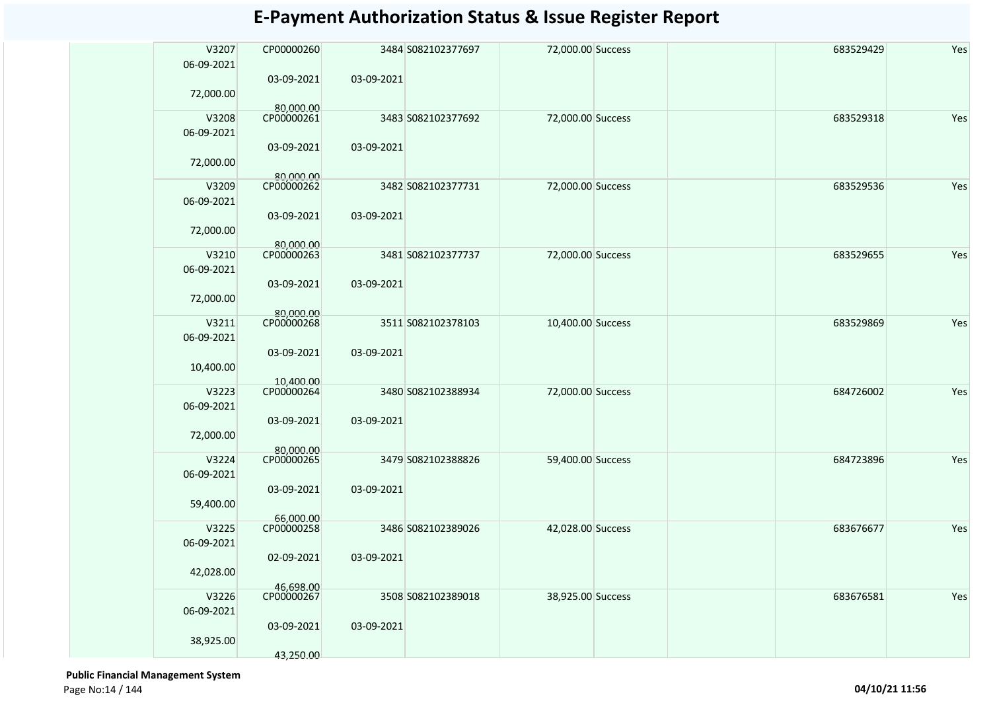| V3207<br>06-09-2021 | CP00000260              |            | 3484 S082102377697 | 72,000.00 Success | 683529429 | Yes |
|---------------------|-------------------------|------------|--------------------|-------------------|-----------|-----|
|                     | 03-09-2021              | 03-09-2021 |                    |                   |           |     |
| 72,000.00           | 80,000.00               |            |                    |                   |           |     |
| V3208               | CP00000261              |            | 3483 S082102377692 | 72,000.00 Success | 683529318 | Yes |
| 06-09-2021          |                         |            |                    |                   |           |     |
| 72,000.00           | 03-09-2021<br>80,000.00 | 03-09-2021 |                    |                   |           |     |
| V3209               | CP00000262              |            | 3482 S082102377731 | 72,000.00 Success | 683529536 | Yes |
| 06-09-2021          |                         |            |                    |                   |           |     |
|                     | 03-09-2021              | 03-09-2021 |                    |                   |           |     |
| 72,000.00           |                         |            |                    |                   |           |     |
|                     | 80,000.00               |            |                    |                   |           |     |
| V3210               | CP00000263              |            | 3481 S082102377737 | 72,000.00 Success | 683529655 | Yes |
| 06-09-2021          |                         |            |                    |                   |           |     |
|                     | 03-09-2021              | 03-09-2021 |                    |                   |           |     |
| 72,000.00           |                         |            |                    |                   |           |     |
|                     | 80,000.00               |            |                    |                   |           |     |
| V3211               | CP00000268              |            | 3511 S082102378103 | 10,400.00 Success | 683529869 | Yes |
| 06-09-2021          |                         |            |                    |                   |           |     |
|                     | 03-09-2021              | 03-09-2021 |                    |                   |           |     |
| 10,400.00           |                         |            |                    |                   |           |     |
|                     | 10,400.00               |            |                    |                   |           |     |
| V3223               | CP00000264              |            | 3480 S082102388934 | 72,000.00 Success | 684726002 | Yes |
| 06-09-2021          |                         |            |                    |                   |           |     |
|                     | 03-09-2021              | 03-09-2021 |                    |                   |           |     |
| 72,000.00           |                         |            |                    |                   |           |     |
|                     | 80,000.00               |            |                    |                   |           |     |
| V3224               | CP00000265              |            | 3479 S082102388826 | 59,400.00 Success | 684723896 | Yes |
| 06-09-2021          |                         |            |                    |                   |           |     |
|                     | 03-09-2021              | 03-09-2021 |                    |                   |           |     |
| 59,400.00           |                         |            |                    |                   |           |     |
|                     | 66,000.00               |            |                    |                   |           |     |
| V3225               | CP00000258              |            | 3486 S082102389026 | 42,028.00 Success | 683676677 | Yes |
| 06-09-2021          |                         |            |                    |                   |           |     |
|                     | 02-09-2021              | 03-09-2021 |                    |                   |           |     |
| 42,028.00           |                         |            |                    |                   |           |     |
|                     | 46,698.00               |            |                    |                   |           |     |
| V3226               | CP00000267              |            | 3508 S082102389018 | 38,925.00 Success | 683676581 | Yes |
| 06-09-2021          |                         |            |                    |                   |           |     |
|                     | 03-09-2021              | 03-09-2021 |                    |                   |           |     |
| 38,925.00           |                         |            |                    |                   |           |     |
|                     | 43,250.00               |            |                    |                   |           |     |
|                     |                         |            |                    |                   |           |     |

 **Public Financial Management System**  Page No:14 / 144 **04/10/21 11:56**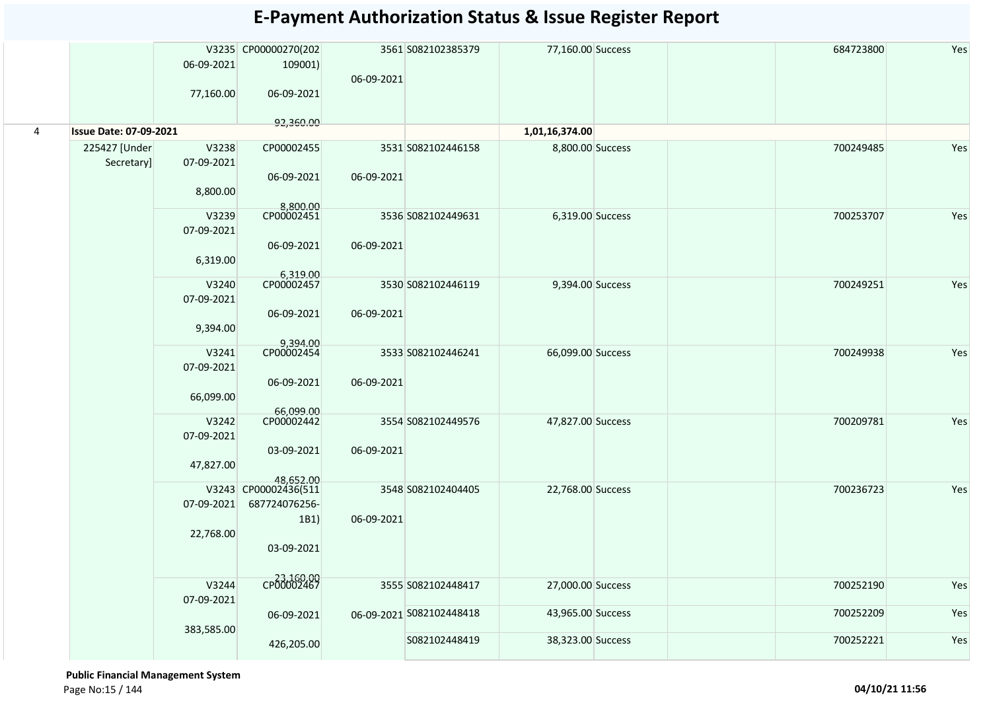|                |                               | 06-09-2021<br>77,160.00          | V3235 CP00000270(202<br>109001)<br>06-09-2021               | 06-09-2021 | 3561 S082102385379       | 77,160.00 Success                |                                       | 684723800  | Yes                |                   |  |           |     |
|----------------|-------------------------------|----------------------------------|-------------------------------------------------------------|------------|--------------------------|----------------------------------|---------------------------------------|------------|--------------------|-------------------|--|-----------|-----|
| $\overline{4}$ | <b>Issue Date: 07-09-2021</b> |                                  | 92,360.00                                                   |            |                          | 1,01,16,374.00                   |                                       |            |                    |                   |  |           |     |
|                | 225427 [Under<br>Secretary]   | V3238<br>07-09-2021<br>8,800.00  | CP00002455<br>06-09-2021<br>8,800.00                        | 06-09-2021 | 3531 S082102446158       | 8,800.00 Success                 |                                       | 700249485  | Yes                |                   |  |           |     |
|                |                               | V3239<br>07-09-2021<br>6,319.00  | CP00002451<br>06-09-2021<br>6,319.00                        | 06-09-2021 | 3536 S082102449631       | 6,319.00 Success                 |                                       | 700253707  | Yes                |                   |  |           |     |
|                |                               | V3240<br>07-09-2021<br>9,394.00  | CP00002457<br>06-09-2021                                    | 06-09-2021 | 3530 S082102446119       | 9,394.00 Success                 |                                       | 700249251  | Yes                |                   |  |           |     |
|                |                               | V3241<br>07-09-2021<br>66,099.00 | 9,394.00<br>CP00002454<br>06-09-2021<br>66,099.00           | 06-09-2021 | 3533 S082102446241       | 66,099.00 Success                |                                       | 700249938  | Yes                |                   |  |           |     |
|                |                               |                                  |                                                             |            |                          | V3242<br>07-09-2021<br>47,827.00 | CP00002442<br>03-09-2021<br>48,652.00 | 06-09-2021 | 3554 S082102449576 | 47,827.00 Success |  | 700209781 | Yes |
|                |                               | 07-09-2021<br>22,768.00          | V3243 CP00002436(511<br>687724076256-<br>1B1)<br>03-09-2021 | 06-09-2021 | 3548 S082102404405       | 22,768.00 Success                |                                       | 700236723  | Yes                |                   |  |           |     |
|                |                               | V3244<br>07-09-2021              | CP00002467                                                  |            | 3555 S082102448417       | 27,000.00 Success                |                                       | 700252190  | Yes                |                   |  |           |     |
|                |                               | 383,585.00                       | 06-09-2021                                                  |            | 06-09-2021 S082102448418 | 43,965.00 Success                |                                       | 700252209  | Yes                |                   |  |           |     |
|                |                               |                                  | 426,205.00                                                  |            | S082102448419            | 38,323.00 Success                |                                       | 700252221  | Yes                |                   |  |           |     |

 **Public Financial Management System**  Page No:15 / 144 **04/10/21 11:56**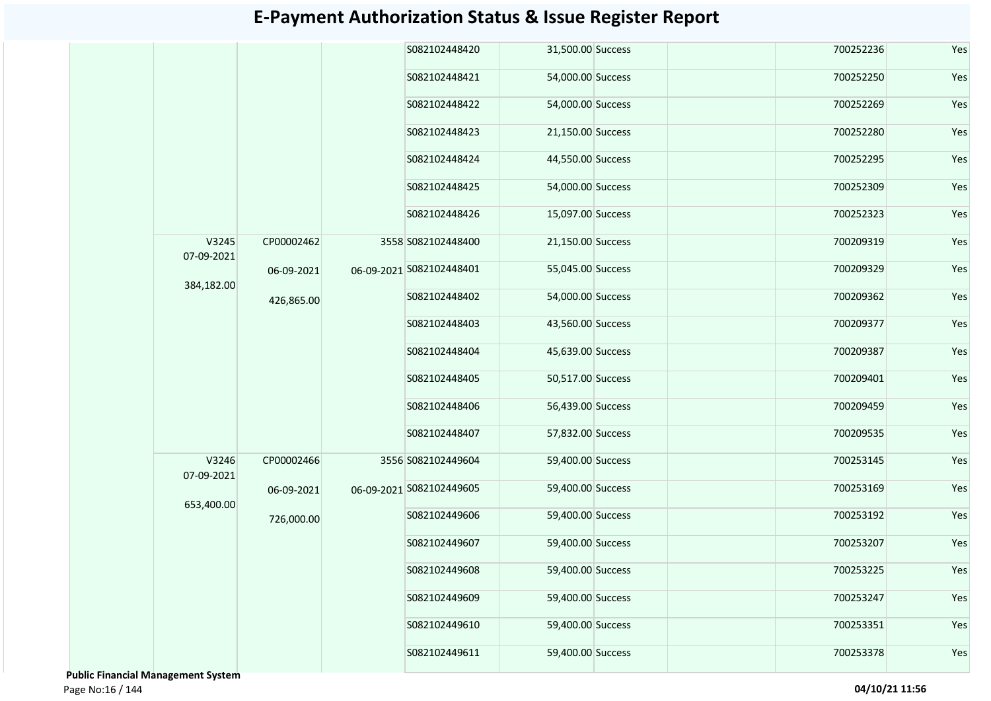|  |                       |            |  | S082102448420            | 31,500.00 Success |  | 700252236 | Yes |
|--|-----------------------|------------|--|--------------------------|-------------------|--|-----------|-----|
|  |                       |            |  | S082102448421            | 54,000.00 Success |  | 700252250 | Yes |
|  |                       |            |  | S082102448422            | 54,000.00 Success |  | 700252269 | Yes |
|  |                       |            |  | S082102448423            | 21,150.00 Success |  | 700252280 | Yes |
|  |                       |            |  | S082102448424            | 44,550.00 Success |  | 700252295 | Yes |
|  |                       |            |  | S082102448425            | 54,000.00 Success |  | 700252309 | Yes |
|  |                       |            |  | S082102448426            | 15,097.00 Success |  | 700252323 | Yes |
|  | V3245<br>07-09-2021   | CP00002462 |  | 3558 S082102448400       | 21,150.00 Success |  | 700209319 | Yes |
|  |                       | 06-09-2021 |  | 06-09-2021 S082102448401 | 55,045.00 Success |  | 700209329 | Yes |
|  | 384,182.00            | 426,865.00 |  | S082102448402            | 54,000.00 Success |  | 700209362 | Yes |
|  |                       |            |  | S082102448403            | 43,560.00 Success |  | 700209377 | Yes |
|  |                       |            |  | S082102448404            | 45,639.00 Success |  | 700209387 | Yes |
|  |                       |            |  | S082102448405            | 50,517.00 Success |  | 700209401 | Yes |
|  |                       |            |  | S082102448406            | 56,439.00 Success |  | 700209459 | Yes |
|  |                       |            |  | S082102448407            | 57,832.00 Success |  | 700209535 | Yes |
|  | V3246<br>07-09-2021   | CP00002466 |  | 3556 S082102449604       | 59,400.00 Success |  | 700253145 | Yes |
|  |                       | 06-09-2021 |  | 06-09-2021 S082102449605 | 59,400.00 Success |  | 700253169 | Yes |
|  | 653,400.00            | 726,000.00 |  | S082102449606            | 59,400.00 Success |  | 700253192 | Yes |
|  |                       |            |  | S082102449607            | 59,400.00 Success |  | 700253207 | Yes |
|  |                       |            |  | S082102449608            | 59,400.00 Success |  | 700253225 | Yes |
|  |                       |            |  | S082102449609            | 59,400.00 Success |  | 700253247 | Yes |
|  |                       |            |  | S082102449610            | 59,400.00 Success |  | 700253351 | Yes |
|  |                       |            |  | S082102449611            | 59,400.00 Success |  | 700253378 | Yes |
|  | ial Managamant System |            |  |                          |                   |  |           |     |

 **Public Financial Management System**  Page No:16 / 144 **04/10/21 11:56**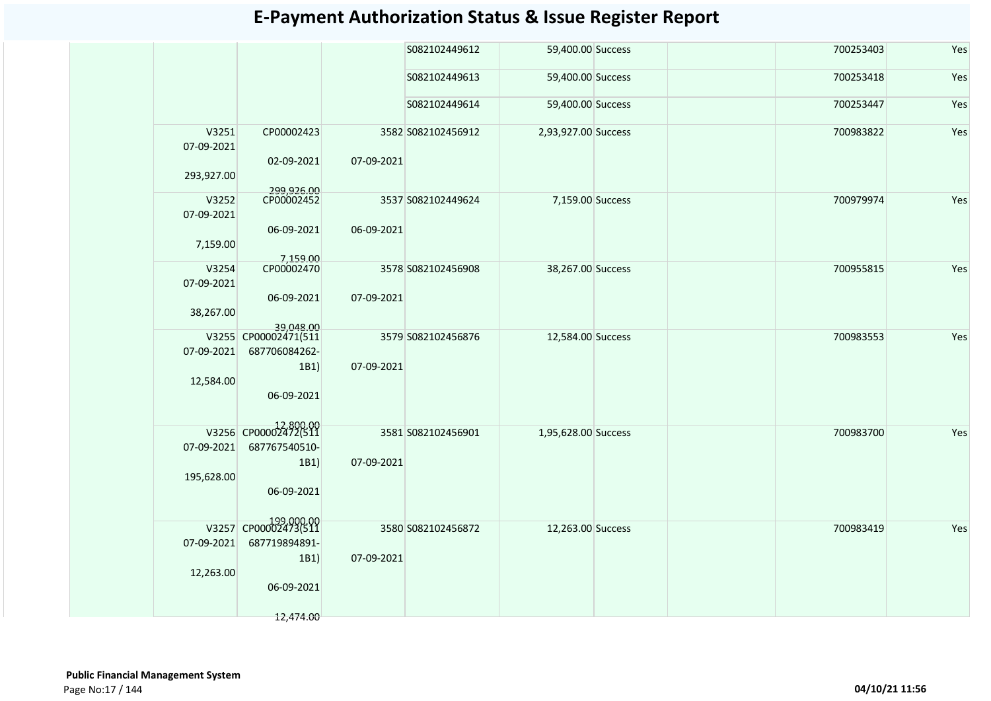|                                   |                                                             |            | S082102449612      | 59,400.00 Success   | 700253403 | Yes |
|-----------------------------------|-------------------------------------------------------------|------------|--------------------|---------------------|-----------|-----|
|                                   |                                                             |            | S082102449613      | 59,400.00 Success   | 700253418 | Yes |
|                                   |                                                             |            | S082102449614      | 59,400.00 Success   | 700253447 | Yes |
| V3251<br>07-09-2021<br>293,927.00 | CP00002423<br>02-09-2021                                    | 07-09-2021 | 3582 S082102456912 | 2,93,927.00 Success | 700983822 | Yes |
| V3252                             | 299,926.00<br>CP00002452                                    |            | 3537 S082102449624 | 7,159.00 Success    | 700979974 | Yes |
| 07-09-2021<br>7,159.00            | 06-09-2021                                                  | 06-09-2021 |                    |                     |           |     |
| V3254<br>07-09-2021               | 7,159.00                                                    |            | 3578 S082102456908 | 38,267.00 Success   | 700955815 | Yes |
| 38,267.00                         | 06-09-2021<br>39,048.00                                     | 07-09-2021 |                    |                     |           |     |
| 07-09-2021<br>12,584.00           | V3255 CP00002471(511<br>687706084262-<br>1B1)<br>06-09-2021 | 07-09-2021 | 3579 S082102456876 | 12,584.00 Success   | 700983553 | Yes |
|                                   |                                                             |            |                    |                     |           |     |
| 07-09-2021                        | V3256 CP00002472(511<br>687767540510-                       | 07-09-2021 | 3581 S082102456901 | 1,95,628.00 Success | 700983700 | Yes |
| 195,628.00                        | 1B1)<br>06-09-2021                                          |            |                    |                     |           |     |
|                                   | 199,000.00<br>V3257 CP00002473(511                          |            | 3580 S082102456872 | 12,263.00 Success   | 700983419 | Yes |
| 07-09-2021                        | 687719894891-                                               |            |                    |                     |           |     |
| 12,263.00                         | 1B1)                                                        | 07-09-2021 |                    |                     |           |     |
|                                   | 06-09-2021<br>12,474.00                                     |            |                    |                     |           |     |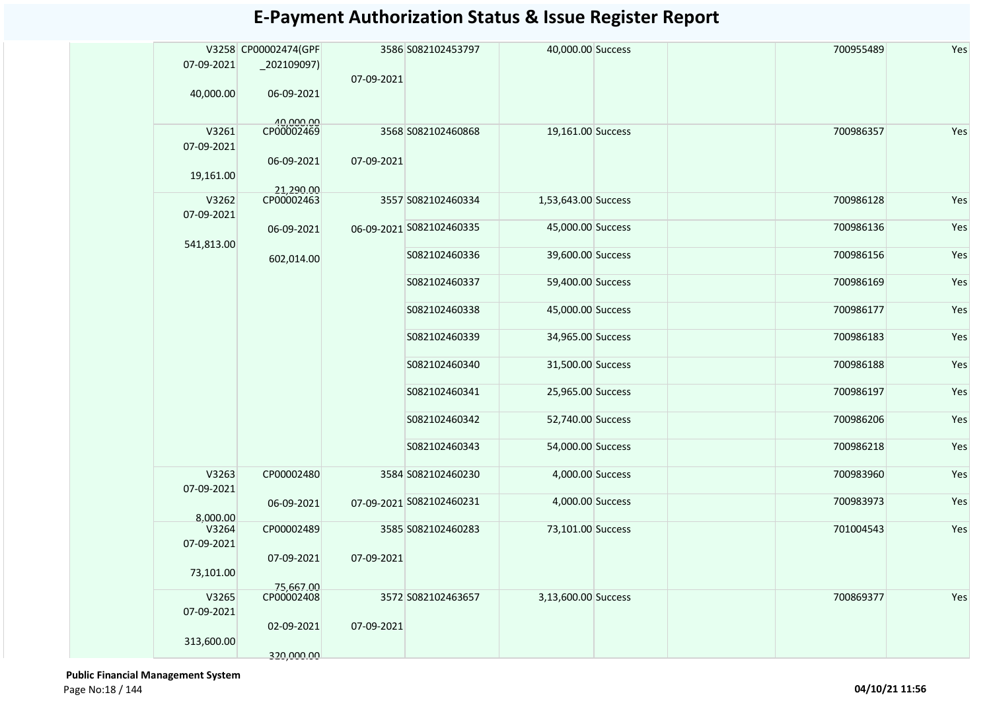|                     | V3258 CP00002474(GPF    |            | 3586 S082102453797       | 40,000.00 Success   | 700955489 | Yes |
|---------------------|-------------------------|------------|--------------------------|---------------------|-----------|-----|
| 07-09-2021          | $_2$ 02109097)          |            |                          |                     |           |     |
|                     |                         | 07-09-2021 |                          |                     |           |     |
| 40,000.00           | 06-09-2021              |            |                          |                     |           |     |
|                     |                         |            |                          |                     |           |     |
| V3261<br>07-09-2021 | 40,000.00<br>CP00002469 |            | 3568 S082102460868       | 19,161.00 Success   | 700986357 | Yes |
| 19,161.00           | 06-09-2021              | 07-09-2021 |                          |                     |           |     |
|                     | 21.290.00               |            |                          |                     |           |     |
| V3262<br>07-09-2021 | CP00002463              |            | 3557 S082102460334       | 1,53,643.00 Success | 700986128 | Yes |
| 541,813.00          | 06-09-2021              |            | 06-09-2021 S082102460335 | 45,000.00 Success   | 700986136 | Yes |
|                     | 602,014.00              |            | S082102460336            | 39,600.00 Success   | 700986156 | Yes |
|                     |                         |            | S082102460337            | 59,400.00 Success   | 700986169 | Yes |
|                     |                         |            | S082102460338            | 45,000.00 Success   | 700986177 | Yes |
|                     |                         |            | S082102460339            | 34,965.00 Success   | 700986183 | Yes |
|                     |                         |            | S082102460340            | 31,500.00 Success   | 700986188 | Yes |
|                     |                         |            | S082102460341            | 25,965.00 Success   | 700986197 | Yes |
|                     |                         |            | S082102460342            | 52,740.00 Success   | 700986206 | Yes |
|                     |                         |            | S082102460343            | 54,000.00 Success   | 700986218 | Yes |
| V3263<br>07-09-2021 | CP00002480              |            | 3584 S082102460230       | 4,000.00 Success    | 700983960 | Yes |
| 8,000.00            | 06-09-2021              |            | 07-09-2021 S082102460231 | 4,000.00 Success    | 700983973 | Yes |
| V3264               | CP00002489              |            | 3585 S082102460283       | 73,101.00 Success   | 701004543 | Yes |
| 07-09-2021          |                         |            |                          |                     |           |     |
| 73,101.00           | 07-09-2021              | 07-09-2021 |                          |                     |           |     |
|                     | 75,667.00               |            |                          |                     |           |     |
| V3265<br>07-09-2021 | CP00002408              |            | 3572 S082102463657       | 3,13,600.00 Success | 700869377 | Yes |
| 313,600.00          | 02-09-2021              | 07-09-2021 |                          |                     |           |     |
|                     | 320,000.00              |            |                          |                     |           |     |

 **Public Financial Management System**  Page No:18 / 144 **04/10/21 11:56**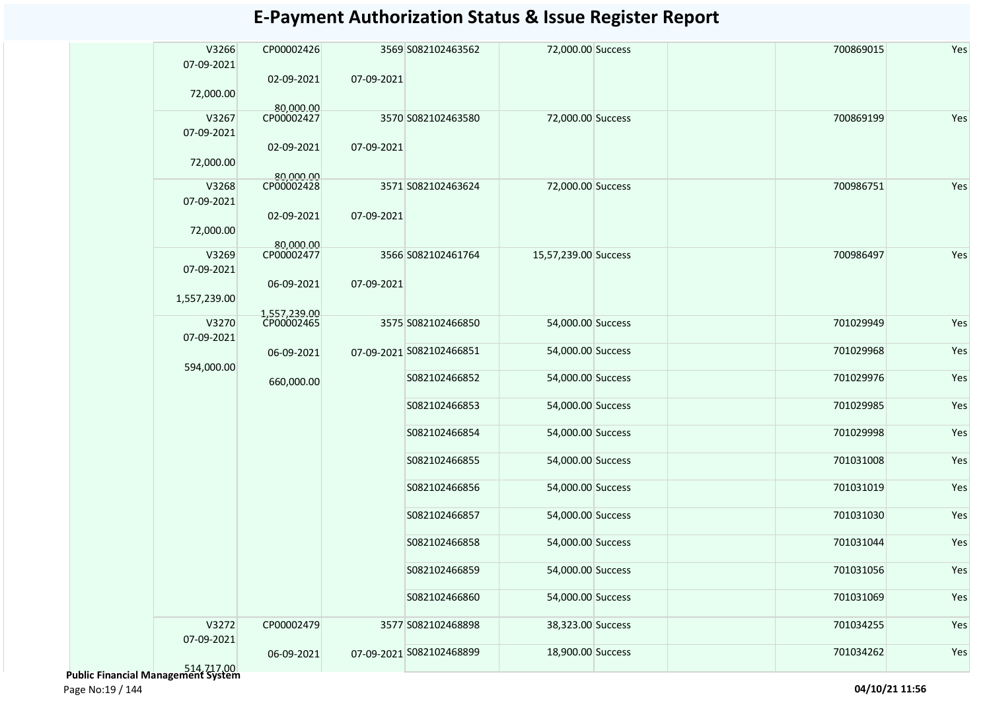| V3266<br>07-09-2021 | CP00002426              |            | 3569 S082102463562       | 72,000.00 Success    | 700869015 | Yes |
|---------------------|-------------------------|------------|--------------------------|----------------------|-----------|-----|
| 72,000.00           | 02-09-2021              | 07-09-2021 |                          |                      |           |     |
|                     | 80.000.00               |            |                          |                      |           |     |
| V3267               | CP00002427              |            | 3570 S082102463580       | 72,000.00 Success    | 700869199 | Yes |
| 07-09-2021          | 02-09-2021              | 07-09-2021 |                          |                      |           |     |
| 72,000.00           |                         |            |                          |                      |           |     |
| V3268               | 80,000,00<br>CP00002428 |            | 3571 S082102463624       | 72,000.00 Success    | 700986751 | Yes |
| 07-09-2021          |                         |            |                          |                      |           |     |
| 72,000.00           | 02-09-2021              | 07-09-2021 |                          |                      |           |     |
|                     | 80,000.00               |            |                          |                      |           |     |
| V3269<br>07-09-2021 | CP00002477              |            | 3566 S082102461764       | 15,57,239.00 Success | 700986497 | Yes |
|                     | 06-09-2021              | 07-09-2021 |                          |                      |           |     |
| 1,557,239.00        |                         |            |                          |                      |           |     |
|                     | 1,557,239.00            |            |                          |                      |           |     |
| V3270               | CP00002465              |            | 3575 S082102466850       | 54,000.00 Success    | 701029949 | Yes |
| 07-09-2021          |                         |            |                          |                      |           |     |
|                     | 06-09-2021              |            | 07-09-2021 S082102466851 | 54,000.00 Success    | 701029968 | Yes |
| 594,000.00          |                         |            |                          |                      |           |     |
|                     | 660,000.00              |            | S082102466852            | 54,000.00 Success    | 701029976 | Yes |
|                     |                         |            | S082102466853            | 54,000.00 Success    | 701029985 | Yes |
|                     |                         |            | S082102466854            | 54,000.00 Success    | 701029998 | Yes |
|                     |                         |            | S082102466855            | 54,000.00 Success    | 701031008 | Yes |
|                     |                         |            | S082102466856            | 54,000.00 Success    | 701031019 | Yes |
|                     |                         |            | S082102466857            | 54,000.00 Success    | 701031030 | Yes |
|                     |                         |            | S082102466858            | 54,000.00 Success    | 701031044 | Yes |
|                     |                         |            | S082102466859            | 54,000.00 Success    | 701031056 | Yes |
|                     |                         |            |                          |                      |           |     |
|                     |                         |            | S082102466860            | 54,000.00 Success    | 701031069 | Yes |
| V3272               | CP00002479              |            | 3577 S082102468898       | 38,323.00 Success    | 701034255 | Yes |
| 07-09-2021          | 06-09-2021              |            | 07-09-2021 S082102468899 | 18,900.00 Success    | 701034262 | Yes |
| 514 717 00          |                         |            |                          |                      |           |     |

514,717.00  **Public Financial Management System**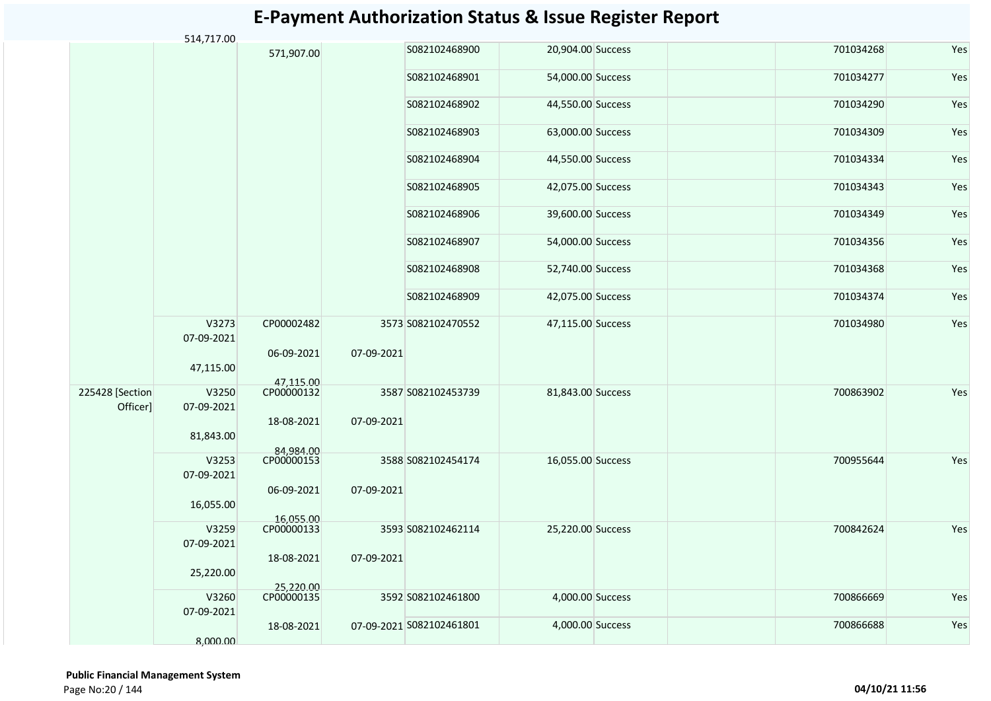#### S082102468900 20,904.00 Success 701034268 Yes S082102468901 54,000.00 Success 701034277 Yes S082102468902 44,550.00 Success 701034290 Yes S082102468903 63,000.00 Success 701034309 Yes S082102468904 44,550.00 Success 701034334 Yes S082102468905 42,075.00 Success 701034343 Yes S082102468906 39,600.00 Success 701034349 Yes S082102468907 54,000.00 Success 701034356 Yes S082102468908 52,740.00 Success 701034368 Yes S082102468909 42,075.00 Success 701034374 Yes V3273 07-09-2021 47,115.00 CP00002482 06-09-2021 47,115.00 S082102470552 47,115.00 Success 701034980 Yes V3250 07-09-2021 81,843.00 CP00000132 18-08-2021 84,984.00 S082102453739 81,843.00 Success 700863902 Yes V3253 07-09-2021 16,055.00 CP00000153 06-09-2021 16,055.00 S082102454174 16,055.00 Success 700955644 Yes V3259 07-09-2021 25,220.00 CP00000133 18-08-2021 25,220.00 S082102462114 25,220.00 Success 700842624 Yes S082102461800 4,000.00 Success 700866669 Yes S082102461801 4,000.00 Success 700866688 Yes 3573 S082102470552 07-09-2021 225428 [Section Officer] 3587 S082102453739 07-09-2021 3588 S082102454174 07-09-2021 3593 S082102462114 07-09-2021 V3260 07-09-2021 8,000.00 CP00000135 18-08-2021 3592 S082102461800 07-09-2021 S082102461801 514,717.00 571,907.00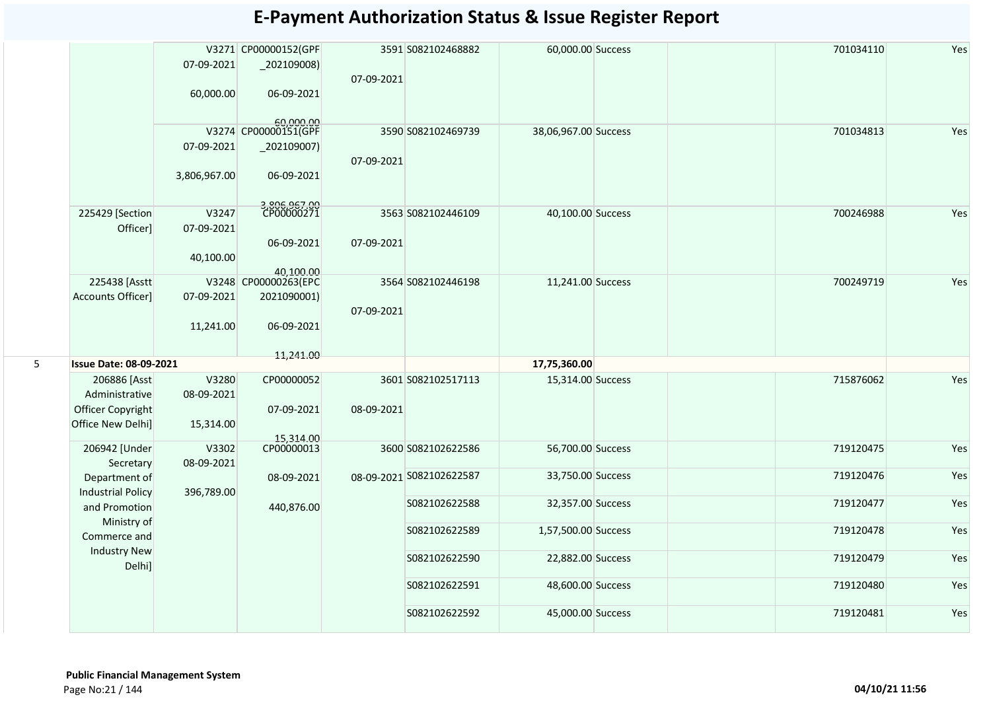|   |                                           | 07-09-2021          | V3271 CP00000152(GPF<br>$_2$ 02109008) | 07-09-2021 | 3591 S082102468882       | 60,000.00 Success    |  | 701034110 | Yes |
|---|-------------------------------------------|---------------------|----------------------------------------|------------|--------------------------|----------------------|--|-----------|-----|
|   |                                           | 60,000.00           | 06-09-2021                             |            |                          |                      |  |           |     |
|   |                                           |                     | 60,000.00<br>V3274 CP00000151(GPF      |            | 3590 S082102469739       | 38,06,967.00 Success |  | 701034813 | Yes |
|   |                                           | 07-09-2021          | $\left[202109007\right)$               | 07-09-2021 |                          |                      |  |           |     |
|   |                                           | 3,806,967.00        | 06-09-2021                             |            |                          |                      |  |           |     |
|   | 225429 [Section                           | V3247               | 3,806,967.00<br>CP00000271             |            | 3563 S082102446109       | 40,100.00 Success    |  | 700246988 | Yes |
|   | Officer]                                  | 07-09-2021          |                                        |            |                          |                      |  |           |     |
|   |                                           |                     | 06-09-2021                             | 07-09-2021 |                          |                      |  |           |     |
|   |                                           | 40,100.00           |                                        |            |                          |                      |  |           |     |
|   | 225438 [Asstt                             |                     | 40,100.00<br>V3248 CP00000263(EPC      |            | 3564 S082102446198       | 11,241.00 Success    |  | 700249719 | Yes |
|   | Accounts Officer]                         | 07-09-2021          | 2021090001)                            | 07-09-2021 |                          |                      |  |           |     |
|   |                                           | 11,241.00           | 06-09-2021                             |            |                          |                      |  |           |     |
|   |                                           |                     | 11,241.00                              |            |                          |                      |  |           |     |
| 5 | <b>Issue Date: 08-09-2021</b>             |                     |                                        |            |                          | 17,75,360.00         |  |           |     |
|   | 206886 [Asst<br>Administrative            | V3280               | CP00000052                             |            | 3601 S082102517113       | 15,314.00 Success    |  | 715876062 | Yes |
|   | Officer Copyright                         | 08-09-2021          | 07-09-2021                             | 08-09-2021 |                          |                      |  |           |     |
|   | Office New Delhi]                         | 15,314.00           |                                        |            |                          |                      |  |           |     |
|   |                                           |                     | 15,314.00                              |            |                          |                      |  |           |     |
|   | 206942 [Under<br>Secretary                | V3302<br>08-09-2021 |                                        |            | 3600 S082102622586       | 56,700.00 Success    |  | 719120475 | Yes |
|   | Department of<br><b>Industrial Policy</b> | 396,789.00          | 08-09-2021                             |            | 08-09-2021 S082102622587 | 33,750.00 Success    |  | 719120476 | Yes |
|   | and Promotion                             |                     | 440,876.00                             |            | S082102622588            | 32,357.00 Success    |  | 719120477 | Yes |
|   | Ministry of<br>Commerce and               |                     |                                        |            | S082102622589            | 1,57,500.00 Success  |  | 719120478 | Yes |
|   | <b>Industry New</b><br>Delhi]             |                     |                                        |            | S082102622590            | 22,882.00 Success    |  | 719120479 | Yes |
|   |                                           |                     |                                        |            | S082102622591            | 48,600.00 Success    |  | 719120480 | Yes |
|   |                                           |                     |                                        |            | S082102622592            | 45,000.00 Success    |  | 719120481 | Yes |
|   |                                           |                     |                                        |            |                          |                      |  |           |     |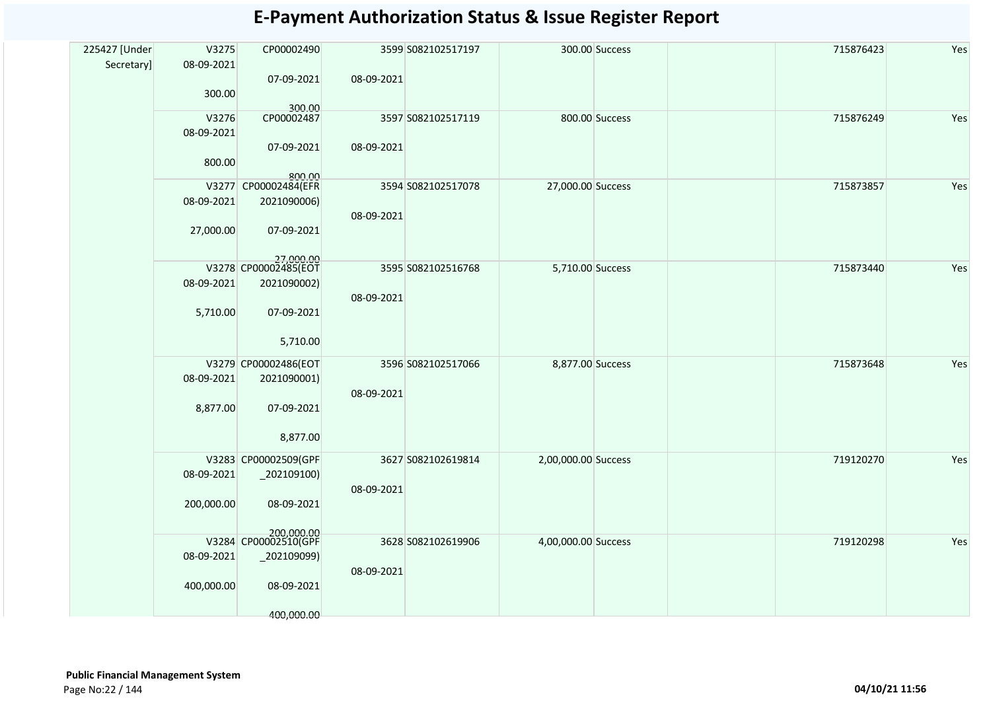| 225427 [Under | V3275      | CP00002490                          |            | 3599 S082102517197 |                     | 300.00 Success | 715876423 | Yes |
|---------------|------------|-------------------------------------|------------|--------------------|---------------------|----------------|-----------|-----|
| Secretary]    | 08-09-2021 |                                     |            |                    |                     |                |           |     |
|               | 300.00     | 07-09-2021                          | 08-09-2021 |                    |                     |                |           |     |
|               |            | 300.00                              |            |                    |                     |                |           |     |
|               | V3276      | CP00002487                          |            | 3597 S082102517119 |                     | 800.00 Success | 715876249 | Yes |
|               | 08-09-2021 |                                     |            |                    |                     |                |           |     |
|               |            | 07-09-2021                          | 08-09-2021 |                    |                     |                |           |     |
|               | 800.00     | 800.00                              |            |                    |                     |                |           |     |
|               |            | V3277 CP00002484(EFR                |            | 3594 S082102517078 | 27,000.00 Success   |                | 715873857 | Yes |
|               | 08-09-2021 | 2021090006)                         |            |                    |                     |                |           |     |
|               |            |                                     | 08-09-2021 |                    |                     |                |           |     |
|               | 27,000.00  | 07-09-2021                          |            |                    |                     |                |           |     |
|               |            |                                     |            |                    |                     |                |           |     |
|               |            | 27,000.00<br>V3278 CP00002485(EOT   |            | 3595 S082102516768 | 5,710.00 Success    |                | 715873440 | Yes |
|               | 08-09-2021 | 2021090002)                         |            |                    |                     |                |           |     |
|               |            |                                     | 08-09-2021 |                    |                     |                |           |     |
|               | 5,710.00   | 07-09-2021                          |            |                    |                     |                |           |     |
|               |            | 5,710.00                            |            |                    |                     |                |           |     |
|               |            |                                     |            |                    |                     |                |           |     |
|               |            | V3279 CP00002486(EOT<br>2021090001) |            | 3596 S082102517066 | 8,877.00 Success    |                | 715873648 | Yes |
|               | 08-09-2021 |                                     | 08-09-2021 |                    |                     |                |           |     |
|               | 8,877.00   | 07-09-2021                          |            |                    |                     |                |           |     |
|               |            |                                     |            |                    |                     |                |           |     |
|               |            | 8,877.00                            |            |                    |                     |                |           |     |
|               |            | V3283 CP00002509(GPF                |            | 3627 S082102619814 | 2,00,000.00 Success |                | 719120270 | Yes |
|               | 08-09-2021 | $-202109100$                        |            |                    |                     |                |           |     |
|               |            |                                     | 08-09-2021 |                    |                     |                |           |     |
|               | 200,000.00 | 08-09-2021                          |            |                    |                     |                |           |     |
|               |            |                                     |            |                    |                     |                |           |     |
|               |            | 200,000.00<br>V3284 CP00002510(GPF  |            | 3628 S082102619906 | 4,00,000.00 Success |                | 719120298 | Yes |
|               | 08-09-2021 | $-202109099$                        | 08-09-2021 |                    |                     |                |           |     |
|               |            |                                     |            |                    |                     |                |           |     |
|               | 400,000.00 | 08-09-2021                          |            |                    |                     |                |           |     |
|               |            | 400,000.00                          |            |                    |                     |                |           |     |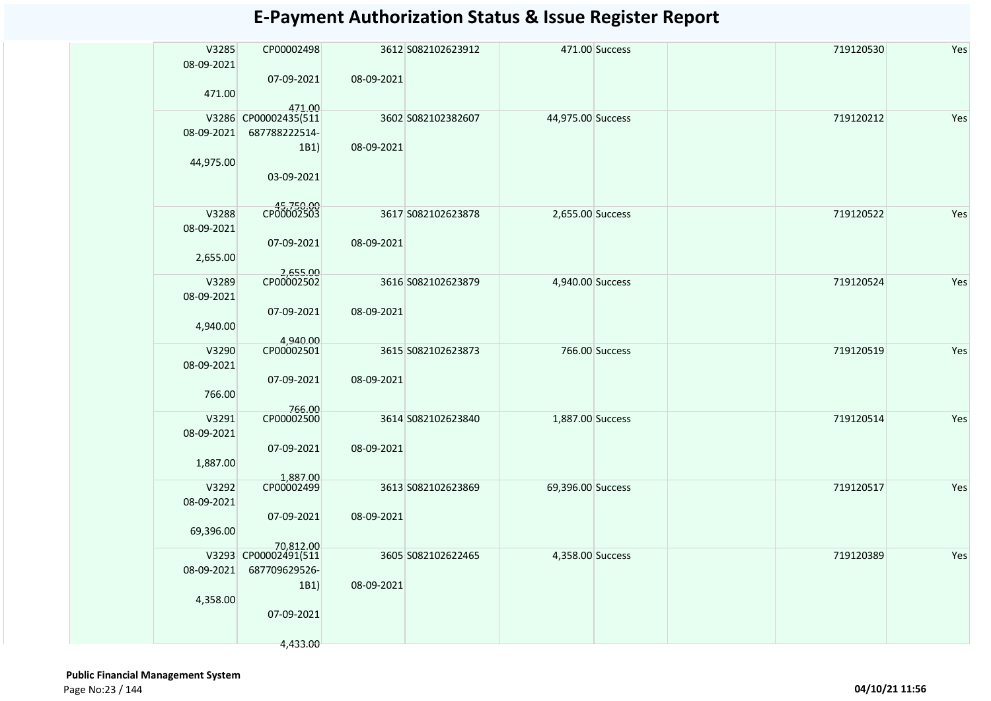| V3285<br>08-09-2021 | CP00002498                     |            | 3612 S082102623912 |                   | 471.00 Success | 719120530 | Yes |
|---------------------|--------------------------------|------------|--------------------|-------------------|----------------|-----------|-----|
|                     | 07-09-2021                     | 08-09-2021 |                    |                   |                |           |     |
| 471.00              |                                |            |                    |                   |                |           |     |
|                     | 471.00<br>V3286 CP00002435(511 |            | 3602 S082102382607 | 44,975.00 Success |                | 719120212 | Yes |
| 08-09-2021          | 687788222514-                  |            |                    |                   |                |           |     |
|                     | 1B1)                           | 08-09-2021 |                    |                   |                |           |     |
| 44,975.00           |                                |            |                    |                   |                |           |     |
|                     | 03-09-2021                     |            |                    |                   |                |           |     |
|                     |                                |            |                    |                   |                |           |     |
|                     | CP00002503                     |            |                    |                   |                |           |     |
| V3288               |                                |            | 3617 S082102623878 | 2,655.00 Success  |                | 719120522 | Yes |
| 08-09-2021          |                                |            |                    |                   |                |           |     |
|                     | 07-09-2021                     | 08-09-2021 |                    |                   |                |           |     |
| 2,655.00            |                                |            |                    |                   |                |           |     |
| V3289               | 2,655.00                       |            | 3616 S082102623879 | 4,940.00 Success  |                | 719120524 | Yes |
| 08-09-2021          |                                |            |                    |                   |                |           |     |
|                     | 07-09-2021                     | 08-09-2021 |                    |                   |                |           |     |
| 4,940.00            |                                |            |                    |                   |                |           |     |
|                     |                                |            |                    |                   |                |           |     |
| V3290               | 4,940.00<br>CP00002501         |            | 3615 S082102623873 |                   | 766.00 Success | 719120519 | Yes |
| 08-09-2021          |                                |            |                    |                   |                |           |     |
|                     | 07-09-2021                     | 08-09-2021 |                    |                   |                |           |     |
| 766.00              |                                |            |                    |                   |                |           |     |
|                     | 766.00                         |            |                    |                   |                |           |     |
| V3291               | CP00002500                     |            | 3614 S082102623840 | 1,887.00 Success  |                | 719120514 | Yes |
| 08-09-2021          |                                |            |                    |                   |                |           |     |
|                     | 07-09-2021                     | 08-09-2021 |                    |                   |                |           |     |
| 1,887.00            |                                |            |                    |                   |                |           |     |
|                     | 1,887.00<br>CP00002499         |            |                    |                   |                |           |     |
| V3292               |                                |            | 3613 S082102623869 | 69,396.00 Success |                | 719120517 | Yes |
| 08-09-2021          |                                |            |                    |                   |                |           |     |
|                     | 07-09-2021                     | 08-09-2021 |                    |                   |                |           |     |
| 69,396.00           | 70,812.00                      |            |                    |                   |                |           |     |
|                     | V3293 CP00002491(511           |            | 3605 S082102622465 | 4,358.00 Success  |                | 719120389 | Yes |
| 08-09-2021          | 687709629526-                  |            |                    |                   |                |           |     |
|                     | 1B1)                           | 08-09-2021 |                    |                   |                |           |     |
| 4,358.00            |                                |            |                    |                   |                |           |     |
|                     | 07-09-2021                     |            |                    |                   |                |           |     |
|                     |                                |            |                    |                   |                |           |     |
|                     | 4,433.00                       |            |                    |                   |                |           |     |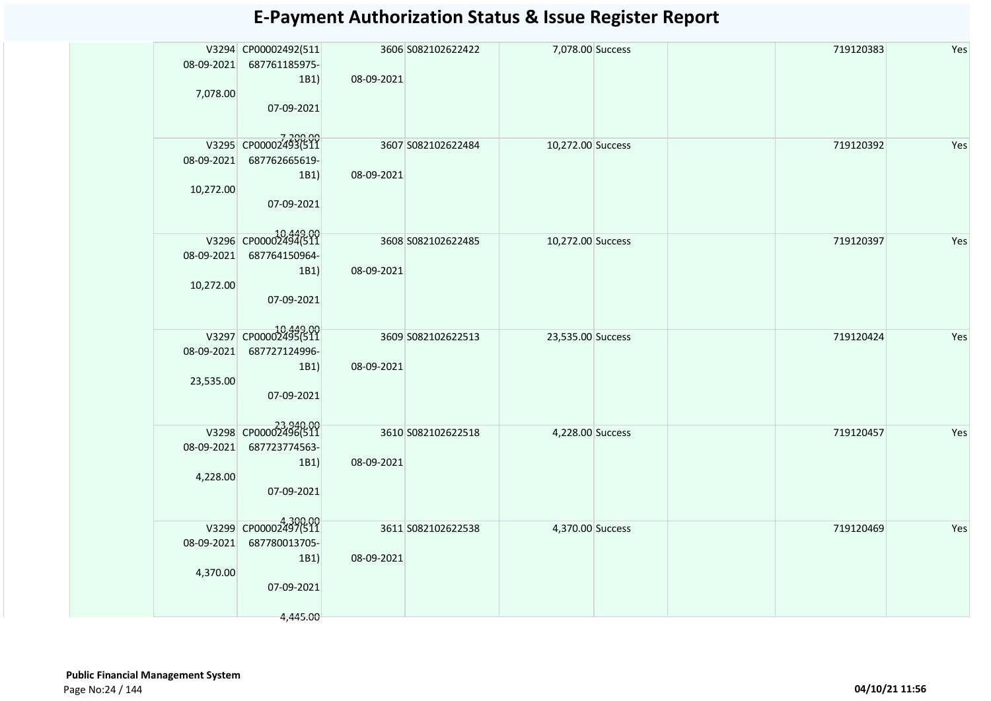|            | V3294 CP00002492(511             | 3606 S082102622422 | 7,078.00 Success  | 719120383 | Yes |
|------------|----------------------------------|--------------------|-------------------|-----------|-----|
|            | 08-09-2021 687761185975-         |                    |                   |           |     |
|            | 1B1                              | 08-09-2021         |                   |           |     |
| 7,078.00   |                                  |                    |                   |           |     |
|            | 07-09-2021                       |                    |                   |           |     |
|            |                                  |                    |                   |           |     |
|            | 7,200.00<br>V3295 CP00002493(511 | 3607 S082102622484 | 10,272.00 Success | 719120392 | Yes |
|            | 08-09-2021 687762665619-         |                    |                   |           |     |
|            | 1B1                              | 08-09-2021         |                   |           |     |
| 10,272.00  |                                  |                    |                   |           |     |
|            | 07-09-2021                       |                    |                   |           |     |
|            |                                  |                    |                   |           |     |
|            | 00-449.00 V3296 CP00002494       | 3608 S082102622485 | 10,272.00 Success | 719120397 | Yes |
|            | 08-09-2021 687764150964-         |                    |                   |           |     |
|            | 1B1)                             | 08-09-2021         |                   |           |     |
| 10,272.00  |                                  |                    |                   |           |     |
|            | 07-09-2021                       |                    |                   |           |     |
|            |                                  |                    |                   |           |     |
|            | 0,449.00 V3297 CP00002495        | 3609 S082102622513 | 23,535.00 Success | 719120424 | Yes |
| 08-09-2021 | 687727124996-                    |                    |                   |           |     |
|            | 1B1)                             | 08-09-2021         |                   |           |     |
| 23,535.00  |                                  |                    |                   |           |     |
|            | 07-09-2021                       |                    |                   |           |     |
|            |                                  |                    |                   |           |     |
|            | V3298 CP00002496(511             | 3610 S082102622518 | 4,228.00 Success  | 719120457 | Yes |
| 08-09-2021 | 687723774563-                    |                    |                   |           |     |
|            | 1B1                              | 08-09-2021         |                   |           |     |
| 4,228.00   |                                  |                    |                   |           |     |
|            | 07-09-2021                       |                    |                   |           |     |
|            |                                  |                    |                   |           |     |
|            | V3299 CP00002497(511             | 3611 S082102622538 | 4,370.00 Success  | 719120469 | Yes |
| 08-09-2021 | 687780013705-                    |                    |                   |           |     |
|            | 1B1                              | 08-09-2021         |                   |           |     |
| 4,370.00   |                                  |                    |                   |           |     |
|            | 07-09-2021                       |                    |                   |           |     |
|            |                                  |                    |                   |           |     |
|            | 4,445.00                         |                    |                   |           |     |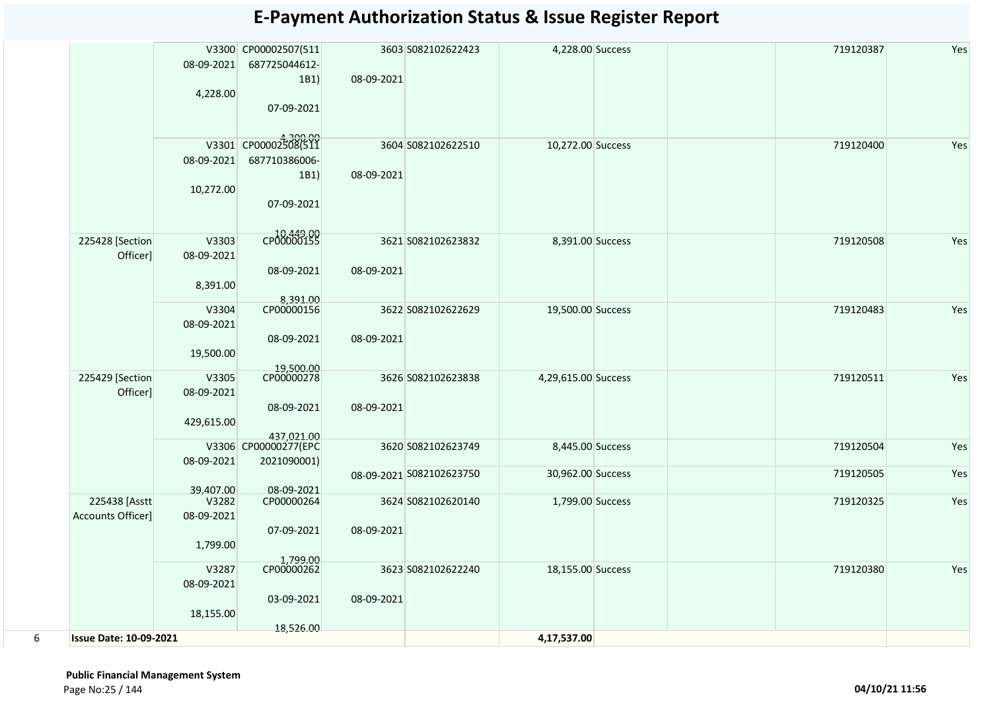|   |                               | 08-09-2021<br>4,228.00 | V3300 CP00002507(511<br>687725044612-<br>1B1) | 08-09-2021 | 3603 S082102622423       | 4,228.00 Success    | 719120387 | Yes |
|---|-------------------------------|------------------------|-----------------------------------------------|------------|--------------------------|---------------------|-----------|-----|
|   |                               |                        | 07-09-2021                                    |            |                          |                     |           |     |
|   |                               |                        | V3301 CP00002308(511                          |            | 3604 S082102622510       | 10,272.00 Success   | 719120400 | Yes |
|   |                               | 08-09-2021             | 687710386006-                                 |            |                          |                     |           |     |
|   |                               | 10,272.00              | 1B1)                                          | 08-09-2021 |                          |                     |           |     |
|   |                               |                        | 07-09-2021                                    |            |                          |                     |           |     |
|   | 225428 [Section               | V3303                  | CP00000155                                    |            | 3621 S082102623832       | 8,391.00 Success    | 719120508 | Yes |
|   | Officer]                      | 08-09-2021             |                                               |            |                          |                     |           |     |
|   |                               | 8,391.00               | 08-09-2021                                    | 08-09-2021 |                          |                     |           |     |
|   |                               |                        | 8,391.00<br>CP00000156                        |            |                          |                     |           |     |
|   |                               | V3304<br>08-09-2021    |                                               |            | 3622 S082102622629       | 19,500.00 Success   | 719120483 | Yes |
|   |                               |                        | 08-09-2021                                    | 08-09-2021 |                          |                     |           |     |
|   |                               | 19,500.00              | 19,500.00                                     |            |                          |                     |           |     |
|   | 225429 [Section               | V3305                  | CP00000278                                    |            | 3626 S082102623838       | 4,29,615.00 Success | 719120511 | Yes |
|   | Officer]                      | 08-09-2021             | 08-09-2021                                    | 08-09-2021 |                          |                     |           |     |
|   |                               | 429,615.00             |                                               |            |                          |                     |           |     |
|   |                               |                        | 437,021.00<br>V3306 CP00000277(EPC            |            | 3620 S082102623749       | 8,445.00 Success    | 719120504 | Yes |
|   |                               | 08-09-2021             | 2021090001)                                   |            |                          |                     |           |     |
|   |                               |                        |                                               |            | 08-09-2021 S082102623750 | 30,962.00 Success   | 719120505 | Yes |
|   | 225438 [Asstt                 | 39,407.00<br>V3282     | 08-09-2021<br>CP00000264                      |            | 3624 S082102620140       | 1,799.00 Success    | 719120325 | Yes |
|   | Accounts Officer]             | 08-09-2021             |                                               |            |                          |                     |           |     |
|   |                               | 1,799.00               | 07-09-2021                                    | 08-09-2021 |                          |                     |           |     |
|   |                               | V3287                  | 1,799.00<br>CP00000262                        |            | 3623 S082102622240       | 18,155.00 Success   | 719120380 | Yes |
|   |                               | 08-09-2021             |                                               |            |                          |                     |           |     |
|   |                               |                        | 03-09-2021                                    | 08-09-2021 |                          |                     |           |     |
|   |                               | 18,155.00              |                                               |            |                          |                     |           |     |
| 6 | <b>Issue Date: 10-09-2021</b> |                        | 18,526.00                                     |            |                          | 4,17,537.00         |           |     |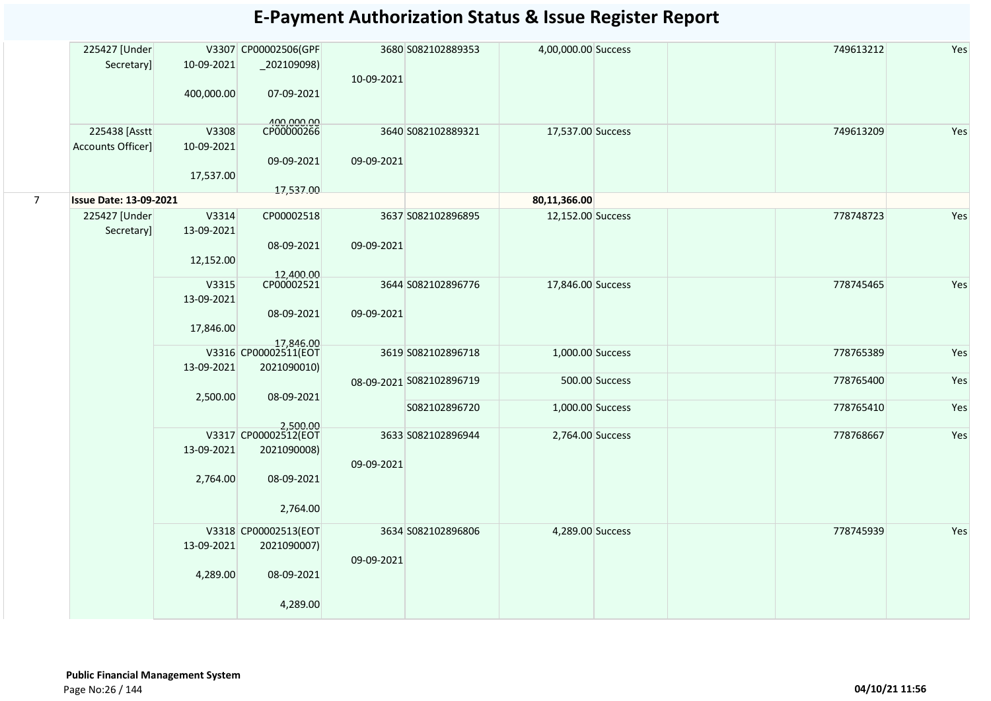|                | 225427 [Under                 |            | V3307 CP00002506(GPF              | 3680 S082102889353       | 4,00,000.00 Success | 749613212 | Yes |
|----------------|-------------------------------|------------|-----------------------------------|--------------------------|---------------------|-----------|-----|
|                | Secretary]                    | 10-09-2021 | _202109098)                       |                          |                     |           |     |
|                |                               |            |                                   | 10-09-2021               |                     |           |     |
|                |                               | 400,000.00 | 07-09-2021                        |                          |                     |           |     |
|                |                               |            |                                   |                          |                     |           |     |
|                |                               |            | $-400,000.00$<br>CP00000266       |                          |                     |           |     |
|                | 225438 [Asstt                 | V3308      |                                   | 3640 S082102889321       | 17,537.00 Success   | 749613209 | Yes |
|                | Accounts Officer]             | 10-09-2021 |                                   |                          |                     |           |     |
|                |                               |            | 09-09-2021                        | 09-09-2021               |                     |           |     |
|                |                               | 17,537.00  |                                   |                          |                     |           |     |
| 7 <sup>7</sup> | <b>Issue Date: 13-09-2021</b> |            | 17,537.00                         |                          | 80,11,366.00        |           |     |
|                | 225427 [Under                 | V3314      | CP00002518                        | 3637 S082102896895       | 12,152.00 Success   | 778748723 | Yes |
|                | Secretary]                    | 13-09-2021 |                                   |                          |                     |           |     |
|                |                               |            |                                   |                          |                     |           |     |
|                |                               |            | 08-09-2021                        | 09-09-2021               |                     |           |     |
|                |                               | 12,152.00  |                                   |                          |                     |           |     |
|                |                               | V3315      | 12,400.00<br>CP00002521           | 3644 S082102896776       | 17,846.00 Success   | 778745465 | Yes |
|                |                               | 13-09-2021 |                                   |                          |                     |           |     |
|                |                               |            | 08-09-2021                        | 09-09-2021               |                     |           |     |
|                |                               | 17,846.00  |                                   |                          |                     |           |     |
|                |                               |            |                                   |                          |                     |           |     |
|                |                               |            | 17,846.00<br>V3316 CP00002511(EOT | 3619 S082102896718       | 1,000.00 Success    | 778765389 | Yes |
|                |                               | 13-09-2021 | 2021090010)                       |                          |                     |           |     |
|                |                               |            |                                   | 08-09-2021 S082102896719 | 500.00 Success      | 778765400 | Yes |
|                |                               | 2,500.00   | 08-09-2021                        |                          |                     |           |     |
|                |                               |            |                                   | S082102896720            | 1,000.00 Success    | 778765410 | Yes |
|                |                               |            | 2,500.00<br>V3317 CP00002512(EOT  | 3633 S082102896944       |                     | 778768667 | Yes |
|                |                               |            |                                   |                          | 2,764.00 Success    |           |     |
|                |                               | 13-09-2021 | 2021090008)                       |                          |                     |           |     |
|                |                               |            |                                   | 09-09-2021               |                     |           |     |
|                |                               | 2,764.00   | 08-09-2021                        |                          |                     |           |     |
|                |                               |            |                                   |                          |                     |           |     |
|                |                               |            | 2,764.00                          |                          |                     |           |     |
|                |                               |            | V3318 CP00002513(EOT              | 3634 S082102896806       | 4,289.00 Success    | 778745939 | Yes |
|                |                               | 13-09-2021 | 2021090007)                       |                          |                     |           |     |
|                |                               |            |                                   | 09-09-2021               |                     |           |     |
|                |                               | 4,289.00   | 08-09-2021                        |                          |                     |           |     |
|                |                               |            |                                   |                          |                     |           |     |
|                |                               |            | 4,289.00                          |                          |                     |           |     |
|                |                               |            |                                   |                          |                     |           |     |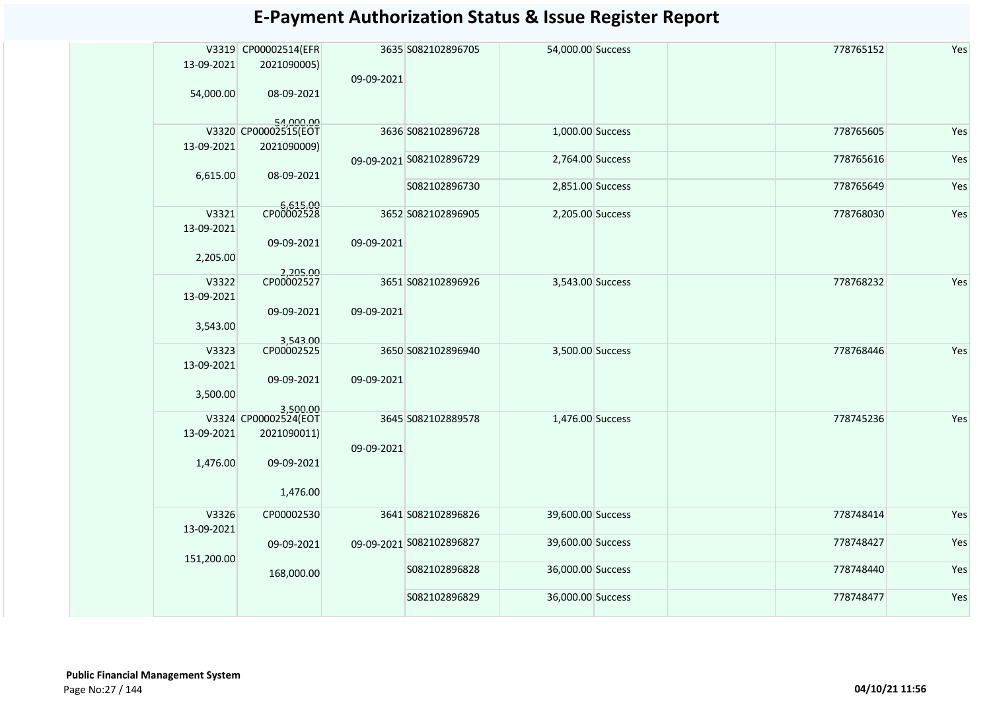|                     | V3319 CP00002514(EFR              |            | 3635 S082102896705       | 54,000.00 Success | 778765152 | Yes |
|---------------------|-----------------------------------|------------|--------------------------|-------------------|-----------|-----|
| 13-09-2021          | 2021090005)                       | 09-09-2021 |                          |                   |           |     |
| 54,000.00           | 08-09-2021                        |            |                          |                   |           |     |
|                     | 54,000.00<br>V3320 CP00002515(EOT |            |                          |                   |           |     |
| 13-09-2021          | 2021090009)                       |            | 3636 S082102896728       | 1,000.00 Success  | 778765605 | Yes |
| 6,615.00            | 08-09-2021                        |            | 09-09-2021 S082102896729 | 2,764.00 Success  | 778765616 | Yes |
|                     |                                   |            | S082102896730            | 2,851.00 Success  | 778765649 | Yes |
|                     | 6,615.00<br>CP00002528            |            |                          |                   |           |     |
| V3321<br>13-09-2021 |                                   |            | 3652 S082102896905       | 2,205.00 Success  | 778768030 | Yes |
|                     | 09-09-2021                        | 09-09-2021 |                          |                   |           |     |
| 2,205.00            | 2,205.00                          |            |                          |                   |           |     |
| V3322               | CP00002527                        |            | 3651 S082102896926       | 3,543.00 Success  | 778768232 | Yes |
| 13-09-2021          |                                   |            |                          |                   |           |     |
| 3,543.00            | 09-09-2021                        | 09-09-2021 |                          |                   |           |     |
|                     | 3,543.00<br>CP00002525            |            |                          |                   |           |     |
| V3323<br>13-09-2021 |                                   |            | 3650 S082102896940       | 3,500.00 Success  | 778768446 | Yes |
|                     | 09-09-2021                        | 09-09-2021 |                          |                   |           |     |
| 3,500.00            |                                   |            |                          |                   |           |     |
|                     | 3,500.00                          |            |                          |                   |           |     |
|                     | V3324 CP00002524(EOT              |            | 3645 S082102889578       | 1,476.00 Success  | 778745236 | Yes |
| 13-09-2021          | 2021090011)                       | 09-09-2021 |                          |                   |           |     |
| 1,476.00            | 09-09-2021                        |            |                          |                   |           |     |
|                     |                                   |            |                          |                   |           |     |
|                     | 1,476.00                          |            |                          |                   |           |     |
| V3326               | CP00002530                        |            | 3641 S082102896826       | 39,600.00 Success | 778748414 | Yes |
| 13-09-2021          |                                   |            |                          |                   |           |     |
|                     | 09-09-2021                        |            | 09-09-2021 S082102896827 | 39,600.00 Success | 778748427 | Yes |
| 151,200.00          | 168,000.00                        |            | S082102896828            | 36,000.00 Success | 778748440 | Yes |
|                     |                                   |            | S082102896829            | 36,000.00 Success | 778748477 | Yes |
|                     |                                   |            |                          |                   |           |     |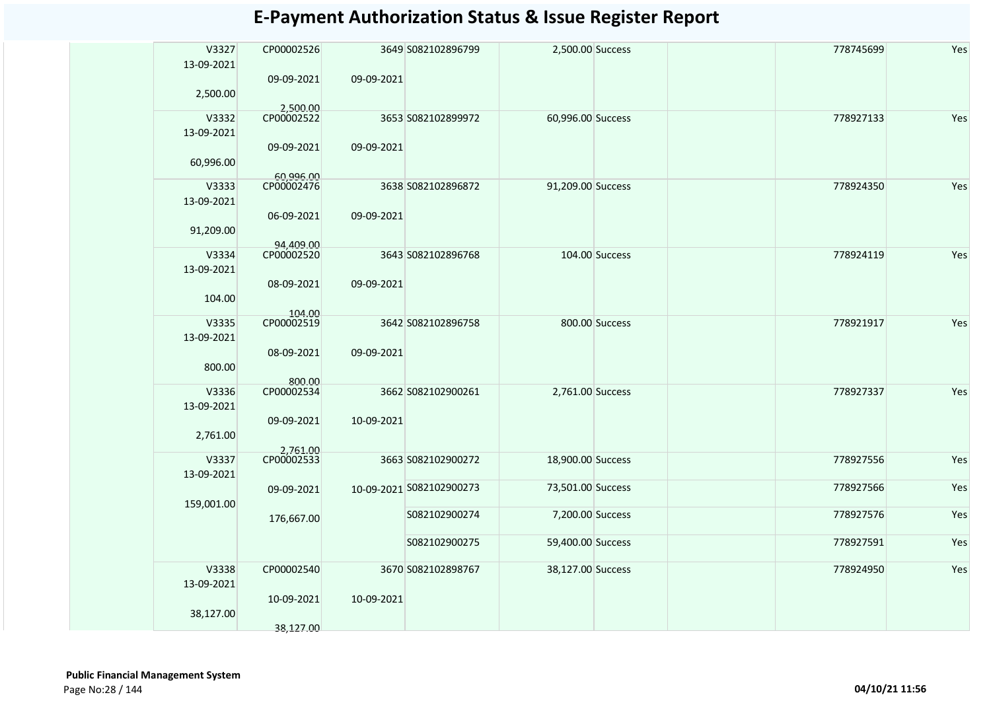| V3327<br>13-09-2021 | CP00002526              |            | 3649 S082102896799       | 2,500.00 Success  |                | 778745699 | Yes |
|---------------------|-------------------------|------------|--------------------------|-------------------|----------------|-----------|-----|
|                     | 09-09-2021              | 09-09-2021 |                          |                   |                |           |     |
| 2,500.00            | 2,500.00                |            |                          |                   |                |           |     |
| V3332               | CP00002522              |            | 3653 S082102899972       | 60,996.00 Success |                | 778927133 | Yes |
| 13-09-2021          |                         |            |                          |                   |                |           |     |
| 60,996.00           | 09-09-2021              | 09-09-2021 |                          |                   |                |           |     |
| V3333               | 60,996.00<br>CP00002476 |            | 3638 S082102896872       | 91,209.00 Success |                | 778924350 | Yes |
|                     |                         |            |                          |                   |                |           |     |
| 13-09-2021          | 06-09-2021              | 09-09-2021 |                          |                   |                |           |     |
| 91,209.00           |                         |            |                          |                   |                |           |     |
|                     | 94,409.00               |            |                          |                   |                |           |     |
| V3334               | CP00002520              |            | 3643 S082102896768       |                   | 104.00 Success | 778924119 | Yes |
| 13-09-2021          |                         |            |                          |                   |                |           |     |
| 104.00              | 08-09-2021              | 09-09-2021 |                          |                   |                |           |     |
|                     | 104.00                  |            |                          |                   |                |           |     |
| V3335<br>13-09-2021 | CP00002519              |            | 3642 S082102896758       |                   | 800.00 Success | 778921917 | Yes |
| 800.00              | 08-09-2021              | 09-09-2021 |                          |                   |                |           |     |
|                     | 800.00                  |            |                          |                   |                |           |     |
| V3336               | CP00002534              |            | 3662 S082102900261       | 2,761.00 Success  |                | 778927337 | Yes |
| 13-09-2021          |                         |            |                          |                   |                |           |     |
| 2,761.00            | 09-09-2021              | 10-09-2021 |                          |                   |                |           |     |
|                     | 2,761.00<br>CP00002533  |            |                          |                   |                |           |     |
| V3337               |                         |            | 3663 S082102900272       | 18,900.00 Success |                | 778927556 | Yes |
| 13-09-2021          | 09-09-2021              |            | 10-09-2021 S082102900273 | 73,501.00 Success |                | 778927566 | Yes |
| 159,001.00          |                         |            |                          |                   |                |           |     |
|                     | 176,667.00              |            | S082102900274            | 7,200.00 Success  |                | 778927576 | Yes |
|                     |                         |            | S082102900275            | 59,400.00 Success |                | 778927591 | Yes |
| V3338               | CP00002540              |            | 3670 S082102898767       | 38,127.00 Success |                | 778924950 | Yes |
| 13-09-2021          |                         |            |                          |                   |                |           |     |
| 38,127.00           | 10-09-2021              | 10-09-2021 |                          |                   |                |           |     |
|                     | 38,127.00               |            |                          |                   |                |           |     |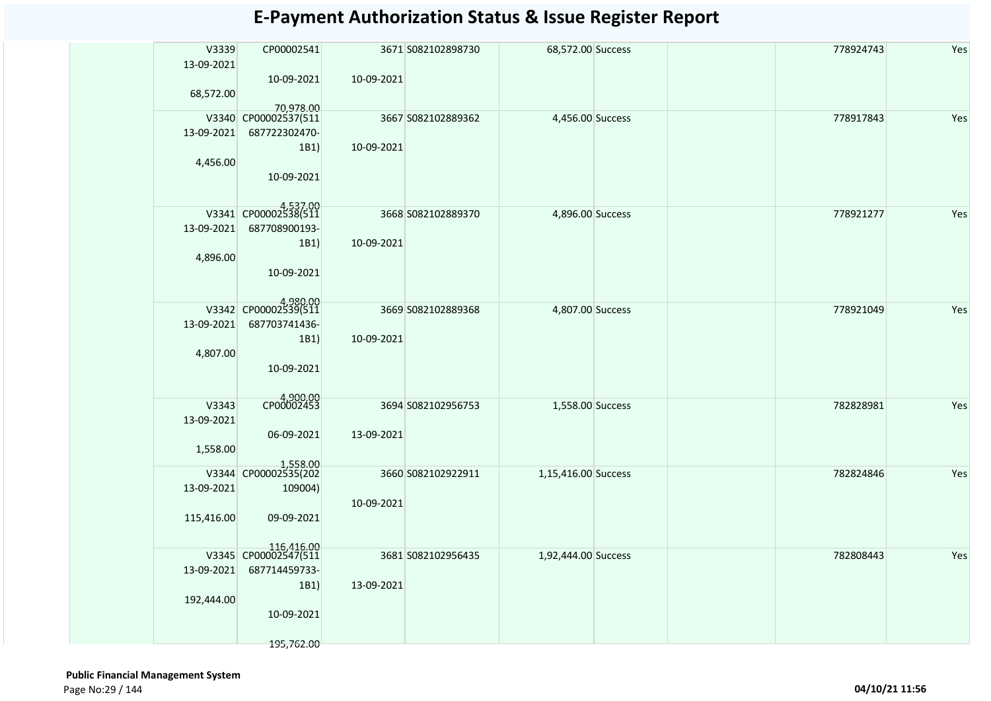| V3339      | CP00002541                         |            | 3671 S082102898730 | 68,572.00 Success   | 778924743 | Yes |
|------------|------------------------------------|------------|--------------------|---------------------|-----------|-----|
| 13-09-2021 |                                    |            |                    |                     |           |     |
|            | 10-09-2021                         | 10-09-2021 |                    |                     |           |     |
| 68,572.00  |                                    |            |                    |                     |           |     |
|            |                                    |            |                    |                     |           |     |
|            | 70,978.00<br>V3340 CP00002537(511  |            | 3667 S082102889362 | 4,456.00 Success    | 778917843 | Yes |
| 13-09-2021 | 687722302470-                      |            |                    |                     |           |     |
|            | 1B1)                               | 10-09-2021 |                    |                     |           |     |
| 4,456.00   |                                    |            |                    |                     |           |     |
|            | 10-09-2021                         |            |                    |                     |           |     |
|            |                                    |            |                    |                     |           |     |
|            |                                    |            |                    |                     |           |     |
|            | V3341 CP00002538(511               |            | 3668 S082102889370 | 4,896.00 Success    | 778921277 | Yes |
| 13-09-2021 | 687708900193-                      |            |                    |                     |           |     |
|            | 1B1)                               | 10-09-2021 |                    |                     |           |     |
| 4,896.00   |                                    |            |                    |                     |           |     |
|            | 10-09-2021                         |            |                    |                     |           |     |
|            |                                    |            |                    |                     |           |     |
|            |                                    |            |                    |                     |           |     |
|            | V3342 CP00002539(511               |            | 3669 S082102889368 | 4,807.00 Success    | 778921049 | Yes |
| 13-09-2021 | 687703741436-                      |            |                    |                     |           |     |
|            | 1B1)                               | 10-09-2021 |                    |                     |           |     |
|            |                                    |            |                    |                     |           |     |
| 4,807.00   |                                    |            |                    |                     |           |     |
|            | 10-09-2021                         |            |                    |                     |           |     |
|            |                                    |            |                    |                     |           |     |
| V3343      | 4,900.00                           |            | 3694 S082102956753 | 1,558.00 Success    | 782828981 | Yes |
| 13-09-2021 |                                    |            |                    |                     |           |     |
|            | 06-09-2021                         | 13-09-2021 |                    |                     |           |     |
|            |                                    |            |                    |                     |           |     |
| 1,558.00   |                                    |            |                    |                     |           |     |
|            | 1,558.00<br>V3344 CP00002535(202   |            | 3660 S082102922911 | 1,15,416.00 Success | 782824846 | Yes |
| 13-09-2021 | 109004)                            |            |                    |                     |           |     |
|            |                                    |            |                    |                     |           |     |
|            |                                    | 10-09-2021 |                    |                     |           |     |
| 115,416.00 | 09-09-2021                         |            |                    |                     |           |     |
|            |                                    |            |                    |                     |           |     |
|            | 116,416.00<br>V3345 CP00002547(511 |            | 3681 S082102956435 | 1,92,444.00 Success | 782808443 | Yes |
| 13-09-2021 | 687714459733-                      |            |                    |                     |           |     |
|            |                                    |            |                    |                     |           |     |
|            | 1B1)                               | 13-09-2021 |                    |                     |           |     |
| 192,444.00 |                                    |            |                    |                     |           |     |
|            | 10-09-2021                         |            |                    |                     |           |     |
|            |                                    |            |                    |                     |           |     |
|            | 195,762.00                         |            |                    |                     |           |     |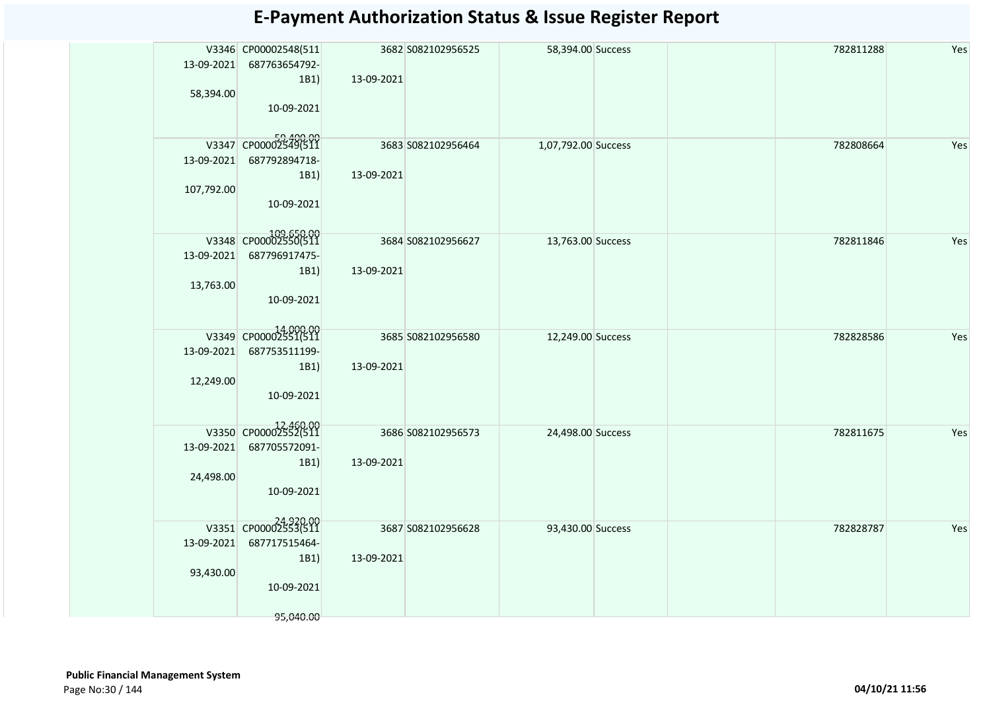|            | V3346 CP00002548(511       |            | 3682 S082102956525 | 58,394.00 Success   | 782811288 | Yes |
|------------|----------------------------|------------|--------------------|---------------------|-----------|-----|
| 13-09-2021 | 687763654792-              |            |                    |                     |           |     |
|            | 1B1)                       | 13-09-2021 |                    |                     |           |     |
| 58,394.00  |                            |            |                    |                     |           |     |
|            | 10-09-2021                 |            |                    |                     |           |     |
|            |                            |            |                    |                     |           |     |
|            | V3347 CP00002549(511       |            | 3683 S082102956464 | 1,07,792.00 Success | 782808664 | Yes |
| 13-09-2021 | 687792894718-              |            |                    |                     |           |     |
|            | 1B1)                       | 13-09-2021 |                    |                     |           |     |
| 107,792.00 |                            |            |                    |                     |           |     |
|            | 10-09-2021                 |            |                    |                     |           |     |
|            |                            |            |                    |                     |           |     |
|            | 09,650.00 V3348 CP00002550 |            | 3684 S082102956627 | 13,763.00 Success   | 782811846 | Yes |
| 13-09-2021 | 687796917475-              |            |                    |                     |           |     |
|            | 1B1)                       | 13-09-2021 |                    |                     |           |     |
| 13,763.00  |                            |            |                    |                     |           |     |
|            | 10-09-2021                 |            |                    |                     |           |     |
|            |                            |            |                    |                     |           |     |
|            | V3349 CP00002551(511       |            | 3685 S082102956580 | 12,249.00 Success   | 782828586 | Yes |
| 13-09-2021 | 687753511199-              |            |                    |                     |           |     |
|            | 1B1)                       | 13-09-2021 |                    |                     |           |     |
| 12,249.00  |                            |            |                    |                     |           |     |
|            | 10-09-2021                 |            |                    |                     |           |     |
|            |                            |            |                    |                     |           |     |
|            | V3350 CP00002552(511       |            | 3686 S082102956573 | 24,498.00 Success   | 782811675 | Yes |
| 13-09-2021 | 687705572091-              |            |                    |                     |           |     |
|            | 1B1                        | 13-09-2021 |                    |                     |           |     |
| 24,498.00  |                            |            |                    |                     |           |     |
|            | 10-09-2021                 |            |                    |                     |           |     |
|            |                            |            |                    |                     |           |     |
|            | V3351 CP00002553(511       |            | 3687 S082102956628 | 93,430.00 Success   | 782828787 | Yes |
| 13-09-2021 | 687717515464-              |            |                    |                     |           |     |
|            | 1B1                        | 13-09-2021 |                    |                     |           |     |
| 93,430.00  |                            |            |                    |                     |           |     |
|            | 10-09-2021                 |            |                    |                     |           |     |
|            |                            |            |                    |                     |           |     |
|            | 95,040.00                  |            |                    |                     |           |     |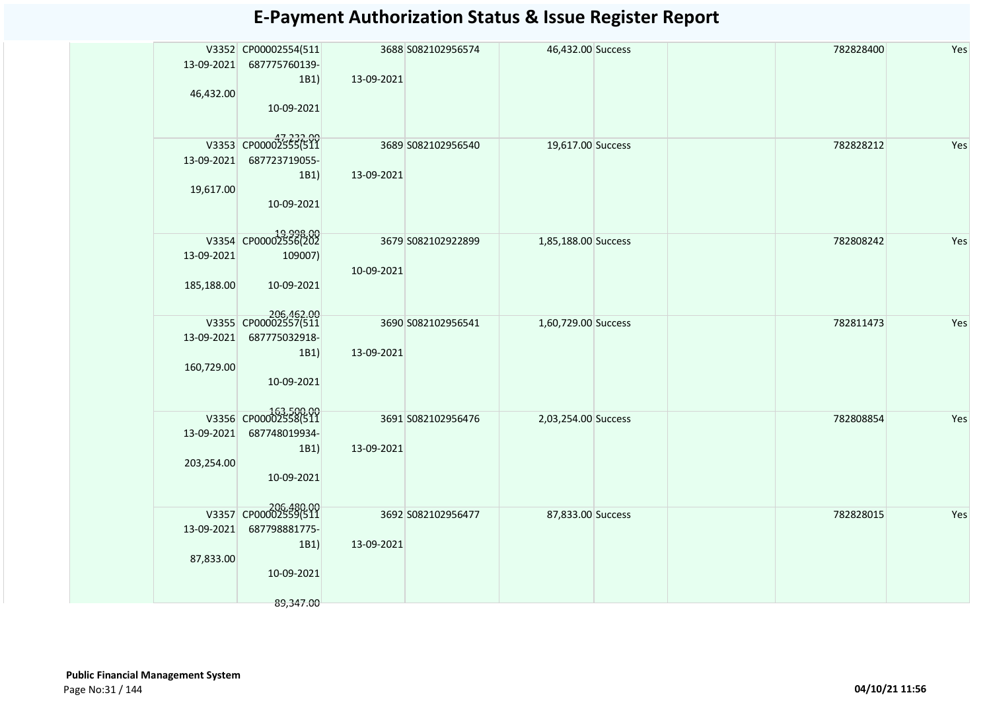|            | V3352 CP00002554(511               |            | 3688 S082102956574 | 46,432.00 Success   |  | 782828400 | Yes |
|------------|------------------------------------|------------|--------------------|---------------------|--|-----------|-----|
|            | 13-09-2021 687775760139-           |            |                    |                     |  |           |     |
|            | 1B1                                | 13-09-2021 |                    |                     |  |           |     |
| 46,432.00  |                                    |            |                    |                     |  |           |     |
|            |                                    |            |                    |                     |  |           |     |
|            | 10-09-2021                         |            |                    |                     |  |           |     |
|            |                                    |            |                    |                     |  |           |     |
|            | V3353 CP00002555(511               |            |                    |                     |  |           |     |
|            |                                    |            | 3689 S082102956540 | 19,617.00 Success   |  | 782828212 | Yes |
|            | 13-09-2021 687723719055-           |            |                    |                     |  |           |     |
|            | 1B1                                | 13-09-2021 |                    |                     |  |           |     |
| 19,617.00  |                                    |            |                    |                     |  |           |     |
|            | 10-09-2021                         |            |                    |                     |  |           |     |
|            |                                    |            |                    |                     |  |           |     |
|            |                                    |            |                    |                     |  |           |     |
|            | 19,998.00<br>V3354 CP00002556(202  |            | 3679 S082102922899 | 1,85,188.00 Success |  | 782808242 | Yes |
| 13-09-2021 | 109007)                            |            |                    |                     |  |           |     |
|            |                                    | 10-09-2021 |                    |                     |  |           |     |
| 185,188.00 | 10-09-2021                         |            |                    |                     |  |           |     |
|            |                                    |            |                    |                     |  |           |     |
|            |                                    |            |                    |                     |  |           |     |
|            | 206,462.00<br>V3355 CP00002557(511 |            | 3690 S082102956541 | 1,60,729.00 Success |  | 782811473 | Yes |
|            | 13-09-2021 687775032918-           |            |                    |                     |  |           |     |
|            | 1B1)                               | 13-09-2021 |                    |                     |  |           |     |
| 160,729.00 |                                    |            |                    |                     |  |           |     |
|            |                                    |            |                    |                     |  |           |     |
|            | 10-09-2021                         |            |                    |                     |  |           |     |
|            |                                    |            |                    |                     |  |           |     |
|            | 163,500.00<br>V3356 CP00002558(511 |            | 3691 S082102956476 | 2,03,254.00 Success |  | 782808854 | Yes |
|            | 13-09-2021 687748019934-           |            |                    |                     |  |           |     |
|            |                                    |            |                    |                     |  |           |     |
|            | 1B1)                               | 13-09-2021 |                    |                     |  |           |     |
| 203,254.00 |                                    |            |                    |                     |  |           |     |
|            | 10-09-2021                         |            |                    |                     |  |           |     |
|            |                                    |            |                    |                     |  |           |     |
|            | 206,480.00<br>V3357 CP00002559(511 |            |                    |                     |  |           |     |
|            |                                    |            | 3692 S082102956477 | 87,833.00 Success   |  | 782828015 | Yes |
| 13-09-2021 | 687798881775-                      |            |                    |                     |  |           |     |
|            | 1B1                                | 13-09-2021 |                    |                     |  |           |     |
| 87,833.00  |                                    |            |                    |                     |  |           |     |
|            | 10-09-2021                         |            |                    |                     |  |           |     |
|            |                                    |            |                    |                     |  |           |     |
|            |                                    |            |                    |                     |  |           |     |
|            | 89,347.00                          |            |                    |                     |  |           |     |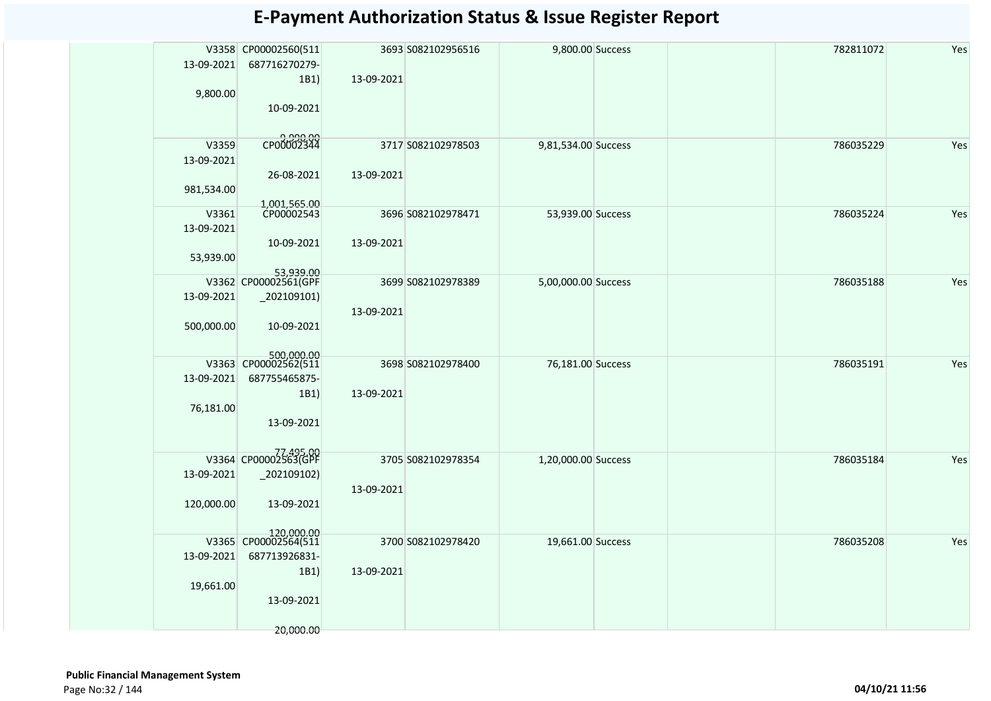|            | V3358 CP00002560(511               |            | 3693 S082102956516 | 9,800.00 Success    | 782811072 | Yes |
|------------|------------------------------------|------------|--------------------|---------------------|-----------|-----|
| 13-09-2021 | 687716270279-                      |            |                    |                     |           |     |
|            | 1B1)                               | 13-09-2021 |                    |                     |           |     |
| 9,800.00   |                                    |            |                    |                     |           |     |
|            | 10-09-2021                         |            |                    |                     |           |     |
|            |                                    |            |                    |                     |           |     |
|            | 00.00<br>CP00002344                |            |                    |                     |           |     |
| V3359      |                                    |            | 3717 S082102978503 | 9,81,534.00 Success | 786035229 | Yes |
| 13-09-2021 |                                    |            |                    |                     |           |     |
|            | 26-08-2021                         | 13-09-2021 |                    |                     |           |     |
| 981,534.00 |                                    |            |                    |                     |           |     |
| V3361      | 1,001,565.00<br>CP00002543         |            | 3696 S082102978471 |                     | 786035224 | Yes |
|            |                                    |            |                    | 53,939.00 Success   |           |     |
| 13-09-2021 |                                    |            |                    |                     |           |     |
|            | 10-09-2021                         | 13-09-2021 |                    |                     |           |     |
| 53,939.00  |                                    |            |                    |                     |           |     |
|            | 53,939.00<br>V3362 CP00002561(GPF  |            | 3699 S082102978389 | 5,00,000.00 Success | 786035188 | Yes |
| 13-09-2021 | $_2$ 02109101)                     |            |                    |                     |           |     |
|            |                                    | 13-09-2021 |                    |                     |           |     |
| 500,000.00 | 10-09-2021                         |            |                    |                     |           |     |
|            |                                    |            |                    |                     |           |     |
|            |                                    |            |                    |                     |           |     |
|            | 500,000.00<br>V3363 CP00002562(511 |            | 3698 S082102978400 | 76,181.00 Success   | 786035191 | Yes |
| 13-09-2021 | 687755465875-                      |            |                    |                     |           |     |
|            | 1B1)                               | 13-09-2021 |                    |                     |           |     |
| 76,181.00  |                                    |            |                    |                     |           |     |
|            | 13-09-2021                         |            |                    |                     |           |     |
|            |                                    |            |                    |                     |           |     |
|            | 77,495.00<br>V3364 CP00002563(GPF  |            |                    |                     |           |     |
|            |                                    |            | 3705 S082102978354 | 1,20,000.00 Success | 786035184 | Yes |
| 13-09-2021 | $_2$ 02109102)                     |            |                    |                     |           |     |
|            |                                    | 13-09-2021 |                    |                     |           |     |
| 120,000.00 | 13-09-2021                         |            |                    |                     |           |     |
|            |                                    |            |                    |                     |           |     |
|            | 120,000.00<br>V3365 CP00002564(511 |            | 3700 S082102978420 | 19,661.00 Success   | 786035208 | Yes |
| 13-09-2021 | 687713926831-                      |            |                    |                     |           |     |
|            | 1B1)                               | 13-09-2021 |                    |                     |           |     |
| 19,661.00  |                                    |            |                    |                     |           |     |
|            | 13-09-2021                         |            |                    |                     |           |     |
|            |                                    |            |                    |                     |           |     |
|            | 20,000.00                          |            |                    |                     |           |     |
|            |                                    |            |                    |                     |           |     |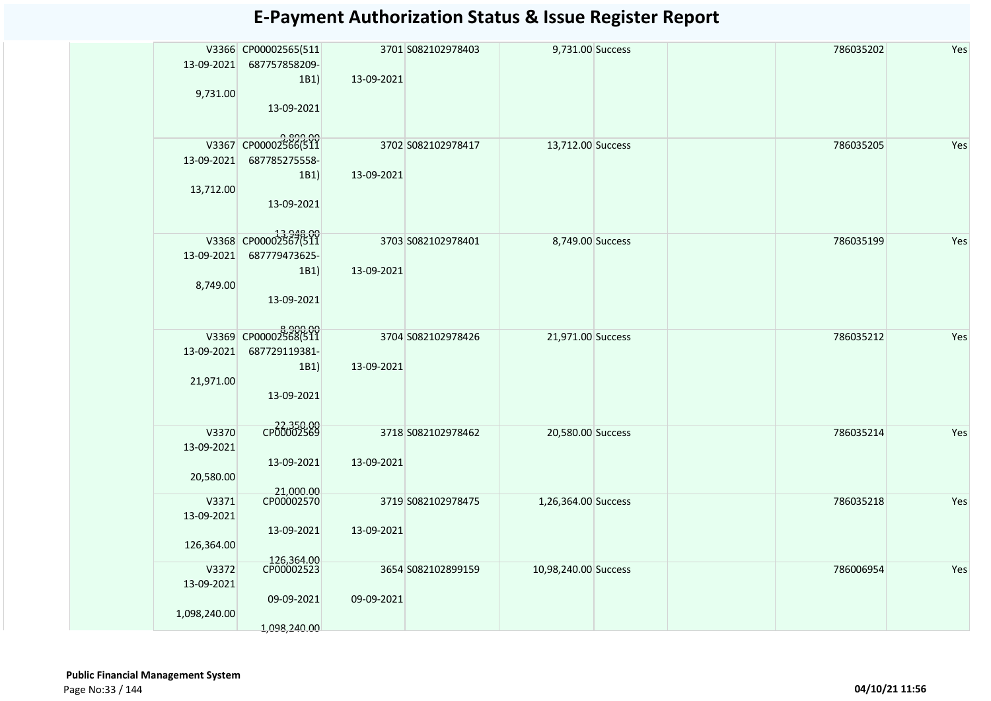| Yes<br>V3366 CP00002565(511<br>3701 S082102978403<br>9,731.00 Success<br>786035202<br>13-09-2021<br>687757858209-<br>1B1)<br>13-09-2021<br>9,731.00<br>13-09-2021<br>9,899.00<br>V3367 CP00002566(511<br>3702 S082102978417<br>13,712.00 Success<br>786035205<br>Yes<br>13-09-2021<br>687785275558-<br>1B1)<br>13-09-2021<br>13,712.00<br>13-09-2021<br>V3368 CP00002567(511<br>3703 S082102978401<br>8,749.00 Success<br>786035199<br>Yes<br>13-09-2021<br>687779473625-<br>1B1)<br>13-09-2021<br>8,749.00<br>13-09-2021<br>8,900.00<br>V3369 CP00002568(511<br>3704 S082102978426<br>786035212<br>Yes<br>21,971.00 Success<br>13-09-2021<br>687729119381-<br>1B1)<br>13-09-2021<br>21,971.00<br>13-09-2021<br>CP00002569<br>V3370<br>3718 S082102978462<br>786035214<br>Yes<br>20,580.00 Success<br>13-09-2021<br>13-09-2021<br>13-09-2021<br>20,580.00<br>21,000.00<br>CP00002570<br>V3371<br>3719 S082102978475<br>1,26,364.00 Success<br>786035218<br>Yes<br>13-09-2021<br>13-09-2021<br>13-09-2021<br>126,364.00<br>126,364.00<br>CP00002523<br>V3372<br>3654 S082102899159<br>10,98,240.00 Success<br>786006954<br>Yes<br>13-09-2021<br>09-09-2021<br>09-09-2021<br>1,098,240.00<br>1,098,240.00 |  |  |  |  |  |
|---------------------------------------------------------------------------------------------------------------------------------------------------------------------------------------------------------------------------------------------------------------------------------------------------------------------------------------------------------------------------------------------------------------------------------------------------------------------------------------------------------------------------------------------------------------------------------------------------------------------------------------------------------------------------------------------------------------------------------------------------------------------------------------------------------------------------------------------------------------------------------------------------------------------------------------------------------------------------------------------------------------------------------------------------------------------------------------------------------------------------------------------------------------------------------------------------------|--|--|--|--|--|
|                                                                                                                                                                                                                                                                                                                                                                                                                                                                                                                                                                                                                                                                                                                                                                                                                                                                                                                                                                                                                                                                                                                                                                                                         |  |  |  |  |  |
|                                                                                                                                                                                                                                                                                                                                                                                                                                                                                                                                                                                                                                                                                                                                                                                                                                                                                                                                                                                                                                                                                                                                                                                                         |  |  |  |  |  |
|                                                                                                                                                                                                                                                                                                                                                                                                                                                                                                                                                                                                                                                                                                                                                                                                                                                                                                                                                                                                                                                                                                                                                                                                         |  |  |  |  |  |
|                                                                                                                                                                                                                                                                                                                                                                                                                                                                                                                                                                                                                                                                                                                                                                                                                                                                                                                                                                                                                                                                                                                                                                                                         |  |  |  |  |  |
|                                                                                                                                                                                                                                                                                                                                                                                                                                                                                                                                                                                                                                                                                                                                                                                                                                                                                                                                                                                                                                                                                                                                                                                                         |  |  |  |  |  |
|                                                                                                                                                                                                                                                                                                                                                                                                                                                                                                                                                                                                                                                                                                                                                                                                                                                                                                                                                                                                                                                                                                                                                                                                         |  |  |  |  |  |
|                                                                                                                                                                                                                                                                                                                                                                                                                                                                                                                                                                                                                                                                                                                                                                                                                                                                                                                                                                                                                                                                                                                                                                                                         |  |  |  |  |  |
|                                                                                                                                                                                                                                                                                                                                                                                                                                                                                                                                                                                                                                                                                                                                                                                                                                                                                                                                                                                                                                                                                                                                                                                                         |  |  |  |  |  |
|                                                                                                                                                                                                                                                                                                                                                                                                                                                                                                                                                                                                                                                                                                                                                                                                                                                                                                                                                                                                                                                                                                                                                                                                         |  |  |  |  |  |
|                                                                                                                                                                                                                                                                                                                                                                                                                                                                                                                                                                                                                                                                                                                                                                                                                                                                                                                                                                                                                                                                                                                                                                                                         |  |  |  |  |  |
|                                                                                                                                                                                                                                                                                                                                                                                                                                                                                                                                                                                                                                                                                                                                                                                                                                                                                                                                                                                                                                                                                                                                                                                                         |  |  |  |  |  |
|                                                                                                                                                                                                                                                                                                                                                                                                                                                                                                                                                                                                                                                                                                                                                                                                                                                                                                                                                                                                                                                                                                                                                                                                         |  |  |  |  |  |
|                                                                                                                                                                                                                                                                                                                                                                                                                                                                                                                                                                                                                                                                                                                                                                                                                                                                                                                                                                                                                                                                                                                                                                                                         |  |  |  |  |  |
|                                                                                                                                                                                                                                                                                                                                                                                                                                                                                                                                                                                                                                                                                                                                                                                                                                                                                                                                                                                                                                                                                                                                                                                                         |  |  |  |  |  |
|                                                                                                                                                                                                                                                                                                                                                                                                                                                                                                                                                                                                                                                                                                                                                                                                                                                                                                                                                                                                                                                                                                                                                                                                         |  |  |  |  |  |
|                                                                                                                                                                                                                                                                                                                                                                                                                                                                                                                                                                                                                                                                                                                                                                                                                                                                                                                                                                                                                                                                                                                                                                                                         |  |  |  |  |  |
|                                                                                                                                                                                                                                                                                                                                                                                                                                                                                                                                                                                                                                                                                                                                                                                                                                                                                                                                                                                                                                                                                                                                                                                                         |  |  |  |  |  |
|                                                                                                                                                                                                                                                                                                                                                                                                                                                                                                                                                                                                                                                                                                                                                                                                                                                                                                                                                                                                                                                                                                                                                                                                         |  |  |  |  |  |
|                                                                                                                                                                                                                                                                                                                                                                                                                                                                                                                                                                                                                                                                                                                                                                                                                                                                                                                                                                                                                                                                                                                                                                                                         |  |  |  |  |  |
|                                                                                                                                                                                                                                                                                                                                                                                                                                                                                                                                                                                                                                                                                                                                                                                                                                                                                                                                                                                                                                                                                                                                                                                                         |  |  |  |  |  |
|                                                                                                                                                                                                                                                                                                                                                                                                                                                                                                                                                                                                                                                                                                                                                                                                                                                                                                                                                                                                                                                                                                                                                                                                         |  |  |  |  |  |
|                                                                                                                                                                                                                                                                                                                                                                                                                                                                                                                                                                                                                                                                                                                                                                                                                                                                                                                                                                                                                                                                                                                                                                                                         |  |  |  |  |  |
|                                                                                                                                                                                                                                                                                                                                                                                                                                                                                                                                                                                                                                                                                                                                                                                                                                                                                                                                                                                                                                                                                                                                                                                                         |  |  |  |  |  |
|                                                                                                                                                                                                                                                                                                                                                                                                                                                                                                                                                                                                                                                                                                                                                                                                                                                                                                                                                                                                                                                                                                                                                                                                         |  |  |  |  |  |
|                                                                                                                                                                                                                                                                                                                                                                                                                                                                                                                                                                                                                                                                                                                                                                                                                                                                                                                                                                                                                                                                                                                                                                                                         |  |  |  |  |  |
|                                                                                                                                                                                                                                                                                                                                                                                                                                                                                                                                                                                                                                                                                                                                                                                                                                                                                                                                                                                                                                                                                                                                                                                                         |  |  |  |  |  |
|                                                                                                                                                                                                                                                                                                                                                                                                                                                                                                                                                                                                                                                                                                                                                                                                                                                                                                                                                                                                                                                                                                                                                                                                         |  |  |  |  |  |
|                                                                                                                                                                                                                                                                                                                                                                                                                                                                                                                                                                                                                                                                                                                                                                                                                                                                                                                                                                                                                                                                                                                                                                                                         |  |  |  |  |  |
|                                                                                                                                                                                                                                                                                                                                                                                                                                                                                                                                                                                                                                                                                                                                                                                                                                                                                                                                                                                                                                                                                                                                                                                                         |  |  |  |  |  |
|                                                                                                                                                                                                                                                                                                                                                                                                                                                                                                                                                                                                                                                                                                                                                                                                                                                                                                                                                                                                                                                                                                                                                                                                         |  |  |  |  |  |
|                                                                                                                                                                                                                                                                                                                                                                                                                                                                                                                                                                                                                                                                                                                                                                                                                                                                                                                                                                                                                                                                                                                                                                                                         |  |  |  |  |  |
|                                                                                                                                                                                                                                                                                                                                                                                                                                                                                                                                                                                                                                                                                                                                                                                                                                                                                                                                                                                                                                                                                                                                                                                                         |  |  |  |  |  |
|                                                                                                                                                                                                                                                                                                                                                                                                                                                                                                                                                                                                                                                                                                                                                                                                                                                                                                                                                                                                                                                                                                                                                                                                         |  |  |  |  |  |
|                                                                                                                                                                                                                                                                                                                                                                                                                                                                                                                                                                                                                                                                                                                                                                                                                                                                                                                                                                                                                                                                                                                                                                                                         |  |  |  |  |  |
|                                                                                                                                                                                                                                                                                                                                                                                                                                                                                                                                                                                                                                                                                                                                                                                                                                                                                                                                                                                                                                                                                                                                                                                                         |  |  |  |  |  |
|                                                                                                                                                                                                                                                                                                                                                                                                                                                                                                                                                                                                                                                                                                                                                                                                                                                                                                                                                                                                                                                                                                                                                                                                         |  |  |  |  |  |
|                                                                                                                                                                                                                                                                                                                                                                                                                                                                                                                                                                                                                                                                                                                                                                                                                                                                                                                                                                                                                                                                                                                                                                                                         |  |  |  |  |  |
|                                                                                                                                                                                                                                                                                                                                                                                                                                                                                                                                                                                                                                                                                                                                                                                                                                                                                                                                                                                                                                                                                                                                                                                                         |  |  |  |  |  |
|                                                                                                                                                                                                                                                                                                                                                                                                                                                                                                                                                                                                                                                                                                                                                                                                                                                                                                                                                                                                                                                                                                                                                                                                         |  |  |  |  |  |
|                                                                                                                                                                                                                                                                                                                                                                                                                                                                                                                                                                                                                                                                                                                                                                                                                                                                                                                                                                                                                                                                                                                                                                                                         |  |  |  |  |  |
|                                                                                                                                                                                                                                                                                                                                                                                                                                                                                                                                                                                                                                                                                                                                                                                                                                                                                                                                                                                                                                                                                                                                                                                                         |  |  |  |  |  |
|                                                                                                                                                                                                                                                                                                                                                                                                                                                                                                                                                                                                                                                                                                                                                                                                                                                                                                                                                                                                                                                                                                                                                                                                         |  |  |  |  |  |
|                                                                                                                                                                                                                                                                                                                                                                                                                                                                                                                                                                                                                                                                                                                                                                                                                                                                                                                                                                                                                                                                                                                                                                                                         |  |  |  |  |  |
|                                                                                                                                                                                                                                                                                                                                                                                                                                                                                                                                                                                                                                                                                                                                                                                                                                                                                                                                                                                                                                                                                                                                                                                                         |  |  |  |  |  |
|                                                                                                                                                                                                                                                                                                                                                                                                                                                                                                                                                                                                                                                                                                                                                                                                                                                                                                                                                                                                                                                                                                                                                                                                         |  |  |  |  |  |
|                                                                                                                                                                                                                                                                                                                                                                                                                                                                                                                                                                                                                                                                                                                                                                                                                                                                                                                                                                                                                                                                                                                                                                                                         |  |  |  |  |  |
|                                                                                                                                                                                                                                                                                                                                                                                                                                                                                                                                                                                                                                                                                                                                                                                                                                                                                                                                                                                                                                                                                                                                                                                                         |  |  |  |  |  |
|                                                                                                                                                                                                                                                                                                                                                                                                                                                                                                                                                                                                                                                                                                                                                                                                                                                                                                                                                                                                                                                                                                                                                                                                         |  |  |  |  |  |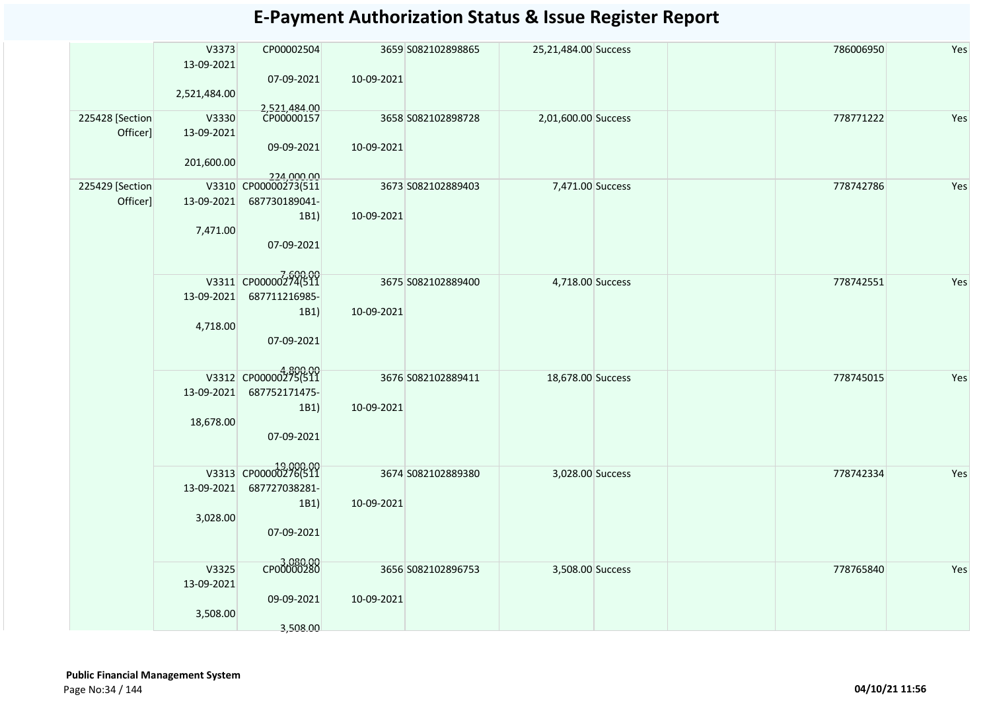|                              | V3373<br>13-09-2021 | CP00002504                               |            | 3659 S082102898865 | 25,21,484.00 Success |  | 786006950 | Yes |
|------------------------------|---------------------|------------------------------------------|------------|--------------------|----------------------|--|-----------|-----|
|                              | 2,521,484.00        | 07-09-2021                               | 10-09-2021 |                    |                      |  |           |     |
| 225428 [Section]<br>Officer] | V3330<br>13-09-2021 | 2,521,484.00<br>CP00000157<br>09-09-2021 | 10-09-2021 | 3658 S082102898728 | 2,01,600.00 Success  |  | 778771222 | Yes |
|                              | 201,600.00          | 224,000.00                               |            |                    |                      |  |           |     |
| 225429 [Section]<br>Officer] | 13-09-2021          | V3310 CP00000273(511<br>687730189041-    |            | 3673 S082102889403 | 7,471.00 Success     |  | 778742786 | Yes |
|                              |                     | 1B1)                                     | 10-09-2021 |                    |                      |  |           |     |
|                              | 7,471.00            | 07-09-2021                               |            |                    |                      |  |           |     |
|                              |                     | V3311 CP00000274(511                     |            | 3675 S082102889400 | 4,718.00 Success     |  | 778742551 | Yes |
|                              | 13-09-2021          | 687711216985-                            |            |                    |                      |  |           |     |
|                              | 4,718.00            | 1B1)                                     | 10-09-2021 |                    |                      |  |           |     |
|                              |                     | 07-09-2021                               |            |                    |                      |  |           |     |
|                              |                     | V3312 CP00000275(511                     |            | 3676 S082102889411 | 18,678.00 Success    |  | 778745015 | Yes |
|                              | 13-09-2021          | 687752171475-<br>1B1)                    | 10-09-2021 |                    |                      |  |           |     |
|                              | 18,678.00           | 07-09-2021                               |            |                    |                      |  |           |     |
|                              |                     |                                          |            |                    |                      |  |           |     |
|                              |                     | 19,000.00<br>V3313 CP00000276(511        |            | 3674 S082102889380 | 3,028.00 Success     |  | 778742334 | Yes |
|                              | 13-09-2021          | 687727038281-<br>1B1)                    | 10-09-2021 |                    |                      |  |           |     |
|                              | 3,028.00            |                                          |            |                    |                      |  |           |     |
|                              |                     | 07-09-2021                               |            |                    |                      |  |           |     |
|                              | V3325               | 3,080.00                                 |            | 3656 S082102896753 | 3,508.00 Success     |  | 778765840 | Yes |
|                              | 13-09-2021          | 09-09-2021                               | 10-09-2021 |                    |                      |  |           |     |
|                              | 3,508.00            |                                          |            |                    |                      |  |           |     |
|                              |                     | 3,508.00                                 |            |                    |                      |  |           |     |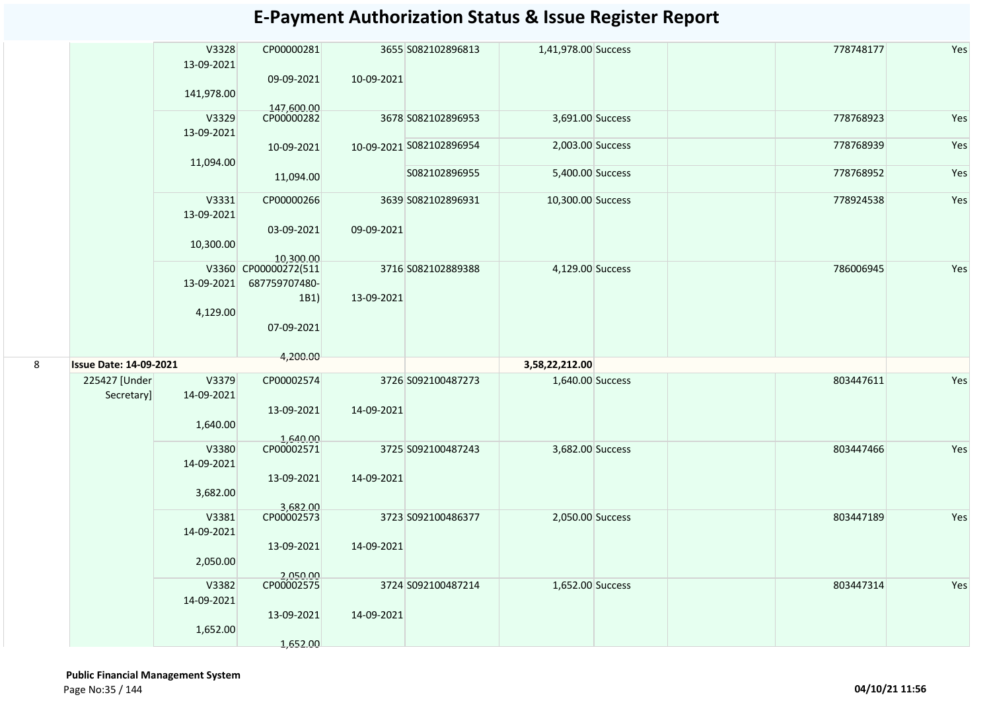|   |                               | V3328<br>13-09-2021<br>141,978.00 | CP00000281<br>09-09-2021                                    | 10-09-2021 | 3655 S082102896813       | 1,41,978.00 Success |  | 778748177 | Yes |
|---|-------------------------------|-----------------------------------|-------------------------------------------------------------|------------|--------------------------|---------------------|--|-----------|-----|
|   |                               | V3329<br>13-09-2021               | 147,600.00<br>CP00000282                                    |            | 3678 S082102896953       | 3,691.00 Success    |  | 778768923 | Yes |
|   |                               |                                   | 10-09-2021                                                  |            | 10-09-2021 S082102896954 | 2,003.00 Success    |  | 778768939 | Yes |
|   |                               | 11,094.00                         | 11,094.00                                                   |            | S082102896955            | 5,400.00 Success    |  | 778768952 | Yes |
|   |                               | V3331<br>13-09-2021<br>10,300.00  | CP00000266<br>03-09-2021<br>10,300.00                       | 09-09-2021 | 3639 S082102896931       | 10,300.00 Success   |  | 778924538 | Yes |
|   |                               | 13-09-2021<br>4,129.00            | V3360 CP00000272(511<br>687759707480-<br>1B1)<br>07-09-2021 | 13-09-2021 | 3716 S082102889388       | 4,129.00 Success    |  | 786006945 | Yes |
|   |                               |                                   |                                                             |            |                          |                     |  |           |     |
| 8 | <b>Issue Date: 14-09-2021</b> |                                   | 4,200.00                                                    |            |                          | 3,58,22,212.00      |  |           |     |
|   | 225427 [Under<br>Secretary]   | V3379<br>14-09-2021<br>1,640.00   | CP00002574<br>13-09-2021                                    | 14-09-2021 | 3726 S092100487273       | 1,640.00 Success    |  | 803447611 | Yes |
|   |                               | V3380<br>14-09-2021               | 1,640.00<br>CP00002571<br>13-09-2021                        | 14-09-2021 | 3725 S092100487243       | 3,682.00 Success    |  | 803447466 | Yes |
|   |                               | 3,682.00                          |                                                             |            |                          |                     |  |           |     |
|   |                               | V3381<br>14-09-2021               | 3,682.00<br>CP00002573                                      |            | 3723 S092100486377       | 2,050.00 Success    |  | 803447189 | Yes |
|   |                               | 2,050.00                          | 13-09-2021                                                  | 14-09-2021 |                          |                     |  |           |     |
|   |                               | V3382<br>14-09-2021               | 2,050.00<br>CP00002575<br>13-09-2021                        | 14-09-2021 | 3724 S092100487214       | 1,652.00 Success    |  | 803447314 | Yes |
|   |                               | 1,652.00                          | 1,652.00                                                    |            |                          |                     |  |           |     |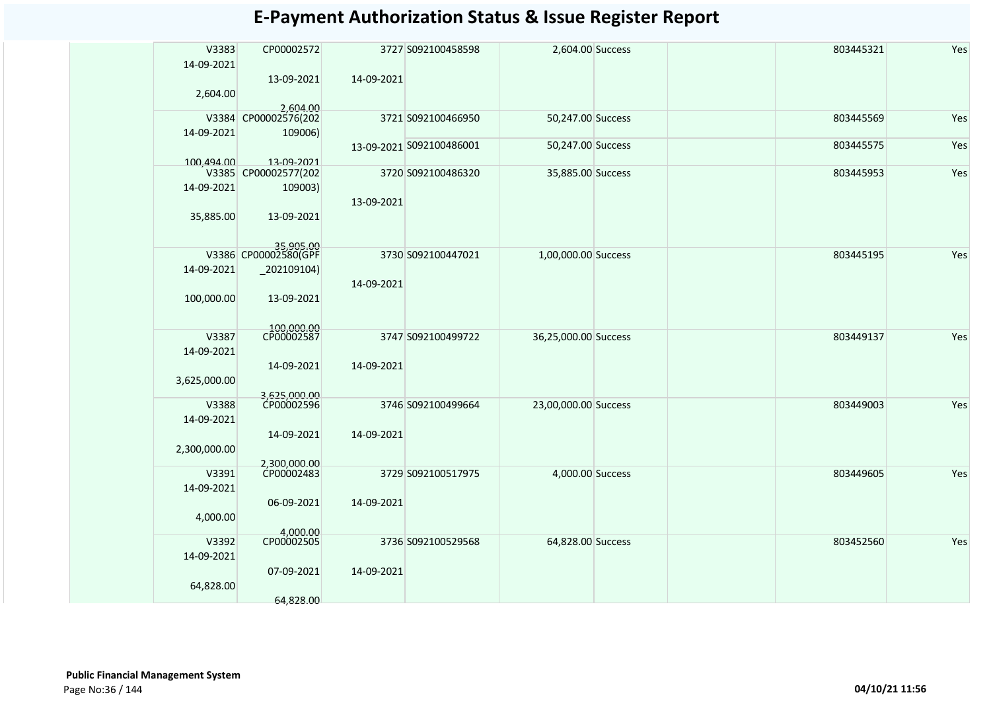| V3383        | CP00002572                        |            | 3727 S092100458598       | 2,604.00 Success     | 803445321 | Yes |
|--------------|-----------------------------------|------------|--------------------------|----------------------|-----------|-----|
| 14-09-2021   |                                   |            |                          |                      |           |     |
|              |                                   |            |                          |                      |           |     |
|              | 13-09-2021                        | 14-09-2021 |                          |                      |           |     |
| 2,604.00     |                                   |            |                          |                      |           |     |
|              | 2,604.00                          |            |                          |                      |           |     |
| V3384        | CP00002576(202                    |            | 3721 S092100466950       | 50,247.00 Success    | 803445569 | Yes |
| 14-09-2021   | 109006)                           |            |                          |                      |           |     |
|              |                                   |            | 13-09-2021 S092100486001 | 50,247.00 Success    | 803445575 | Yes |
| 100,494.00   | 13-09-2021                        |            |                          |                      |           |     |
|              | V3385 CP00002577(202              |            | 3720 S092100486320       | 35,885.00 Success    | 803445953 | Yes |
| 14-09-2021   | 109003)                           |            |                          |                      |           |     |
|              |                                   |            |                          |                      |           |     |
|              |                                   | 13-09-2021 |                          |                      |           |     |
| 35,885.00    | 13-09-2021                        |            |                          |                      |           |     |
|              |                                   |            |                          |                      |           |     |
|              |                                   |            |                          |                      |           |     |
|              | 35,905.00<br>V3386 CP00002580(GPF |            | 3730 S092100447021       | 1,00,000.00 Success  | 803445195 | Yes |
| 14-09-2021   | $_2$ 02109104)                    |            |                          |                      |           |     |
|              |                                   | 14-09-2021 |                          |                      |           |     |
| 100,000.00   | 13-09-2021                        |            |                          |                      |           |     |
|              |                                   |            |                          |                      |           |     |
|              |                                   |            |                          |                      |           |     |
| V3387        | 100,000.00<br>CP00002587          |            | 3747 S092100499722       | 36,25,000.00 Success | 803449137 | Yes |
|              |                                   |            |                          |                      |           |     |
| 14-09-2021   |                                   |            |                          |                      |           |     |
|              | 14-09-2021                        | 14-09-2021 |                          |                      |           |     |
| 3,625,000.00 |                                   |            |                          |                      |           |     |
|              | 3,625,000.00<br>CP00002596        |            |                          |                      |           |     |
| V3388        |                                   |            | 3746 S092100499664       | 23,00,000.00 Success | 803449003 | Yes |
| 14-09-2021   |                                   |            |                          |                      |           |     |
|              | 14-09-2021                        | 14-09-2021 |                          |                      |           |     |
| 2,300,000.00 |                                   |            |                          |                      |           |     |
|              |                                   |            |                          |                      |           |     |
| V3391        | 2,300,000.00<br>CP00002483        |            | 3729 S092100517975       | 4,000.00 Success     | 803449605 | Yes |
| 14-09-2021   |                                   |            |                          |                      |           |     |
|              |                                   |            |                          |                      |           |     |
|              | 06-09-2021                        | 14-09-2021 |                          |                      |           |     |
| 4,000.00     |                                   |            |                          |                      |           |     |
|              | 4,000.00<br>CP00002505            |            |                          |                      |           |     |
| V3392        |                                   |            | 3736 S092100529568       | 64,828.00 Success    | 803452560 | Yes |
| 14-09-2021   |                                   |            |                          |                      |           |     |
|              | 07-09-2021                        | 14-09-2021 |                          |                      |           |     |
| 64,828.00    |                                   |            |                          |                      |           |     |
|              | 64.828.00                         |            |                          |                      |           |     |
|              |                                   |            |                          |                      |           |     |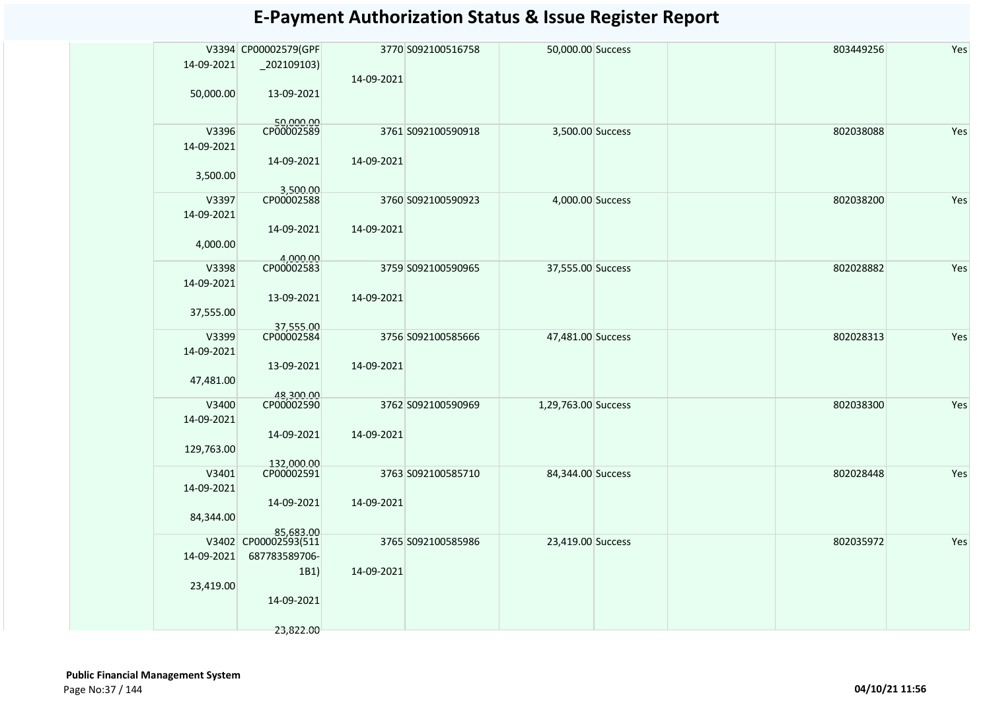|            | V3394 CP00002579(GPF              |            | 3770 S092100516758 | 50,000.00 Success   | 803449256 | Yes |
|------------|-----------------------------------|------------|--------------------|---------------------|-----------|-----|
| 14-09-2021 |                                   |            |                    |                     |           |     |
|            |                                   | 14-09-2021 |                    |                     |           |     |
| 50,000.00  | 13-09-2021                        |            |                    |                     |           |     |
|            |                                   |            |                    |                     |           |     |
|            |                                   |            |                    |                     |           |     |
| V3396      | 50,000.00<br>CP00002589           |            | 3761 S092100590918 | 3,500.00 Success    | 802038088 | Yes |
| 14-09-2021 |                                   |            |                    |                     |           |     |
|            | 14-09-2021                        | 14-09-2021 |                    |                     |           |     |
| 3,500.00   |                                   |            |                    |                     |           |     |
|            |                                   |            |                    |                     |           |     |
| V3397      | 3,500.00<br>CP00002588            |            | 3760 S092100590923 | 4,000.00 Success    | 802038200 | Yes |
| 14-09-2021 |                                   |            |                    |                     |           |     |
|            | 14-09-2021                        | 14-09-2021 |                    |                     |           |     |
|            |                                   |            |                    |                     |           |     |
| 4,000.00   |                                   |            |                    |                     |           |     |
| V3398      | 4,000.00<br>CP00002583            |            | 3759 S092100590965 | 37,555.00 Success   | 802028882 | Yes |
| 14-09-2021 |                                   |            |                    |                     |           |     |
|            | 13-09-2021                        | 14-09-2021 |                    |                     |           |     |
|            |                                   |            |                    |                     |           |     |
| 37,555.00  |                                   |            |                    |                     |           |     |
| V3399      | 37,555.00<br>CP00002584           |            | 3756 S092100585666 | 47,481.00 Success   | 802028313 | Yes |
| 14-09-2021 |                                   |            |                    |                     |           |     |
|            |                                   | 14-09-2021 |                    |                     |           |     |
|            | 13-09-2021                        |            |                    |                     |           |     |
| 47,481.00  |                                   |            |                    |                     |           |     |
| V3400      | 48,300.00<br>CP00002590           |            | 3762 S092100590969 | 1,29,763.00 Success | 802038300 | Yes |
| 14-09-2021 |                                   |            |                    |                     |           |     |
|            | 14-09-2021                        | 14-09-2021 |                    |                     |           |     |
|            |                                   |            |                    |                     |           |     |
| 129,763.00 |                                   |            |                    |                     |           |     |
| V3401      | 132,000.00<br>CP00002591          |            | 3763 S092100585710 | 84,344.00 Success   | 802028448 | Yes |
| 14-09-2021 |                                   |            |                    |                     |           |     |
|            | 14-09-2021                        | 14-09-2021 |                    |                     |           |     |
| 84,344.00  |                                   |            |                    |                     |           |     |
|            |                                   |            |                    |                     |           |     |
|            | 85,683.00<br>V3402 CP00002593(511 |            | 3765 S092100585986 | 23,419.00 Success   | 802035972 | Yes |
| 14-09-2021 | 687783589706-                     |            |                    |                     |           |     |
|            | 1B1                               | 14-09-2021 |                    |                     |           |     |
| 23,419.00  |                                   |            |                    |                     |           |     |
|            |                                   |            |                    |                     |           |     |
|            | 14-09-2021                        |            |                    |                     |           |     |
|            |                                   |            |                    |                     |           |     |
|            | 23,822.00                         |            |                    |                     |           |     |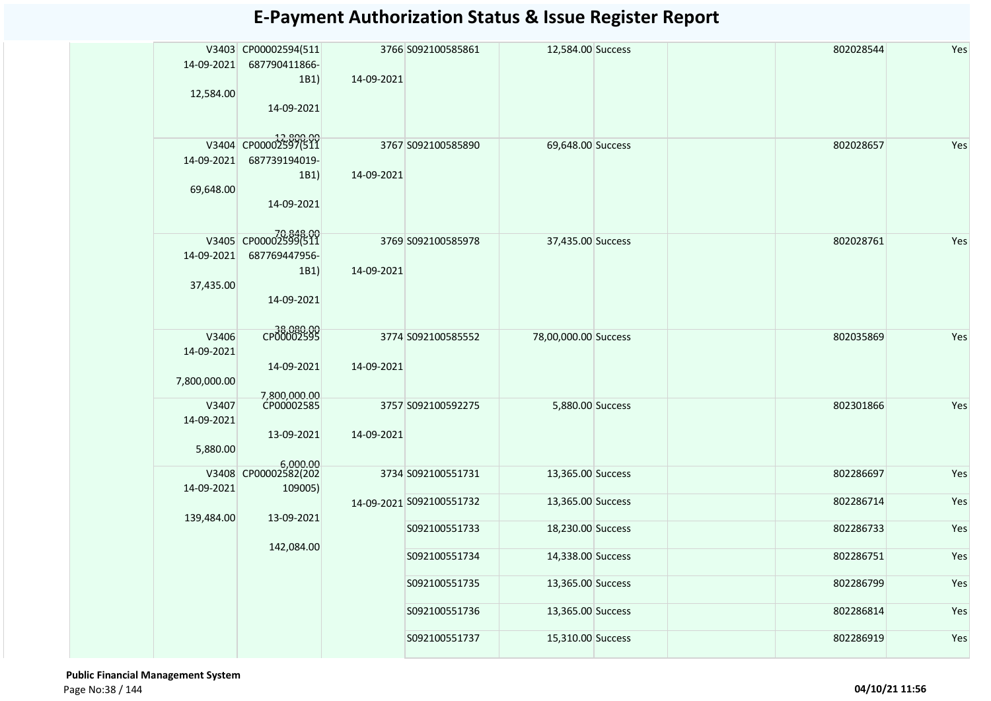| 14-09-2021<br>12,584.00             | V3403 CP00002594(511<br>687790411866-<br>1B1)<br>14-09-2021              | 14-09-2021 | 3766 S092100585861       | 12,584.00 Success    |  | 802028544 | Yes |
|-------------------------------------|--------------------------------------------------------------------------|------------|--------------------------|----------------------|--|-----------|-----|
| 14-09-2021<br>69,648.00             | V3404 CP00002597(511<br>687739194019-<br>1B1)<br>14-09-2021              | 14-09-2021 | 3767 S092100585890       | 69,648.00 Success    |  | 802028657 | Yes |
| 14-09-2021<br>37,435.00             | 70,848.00<br>V3405 CP00002599(511<br>687769447956-<br>1B1)<br>14-09-2021 | 14-09-2021 | 3769 S092100585978       | 37,435.00 Success    |  | 802028761 | Yes |
| V3406<br>14-09-2021<br>7,800,000.00 | 38,080.00<br>14-09-2021                                                  | 14-09-2021 | 3774 S092100585552       | 78,00,000.00 Success |  | 802035869 | Yes |
| V3407<br>14-09-2021<br>5,880.00     | 7,800,000.00<br>CP00002585<br>13-09-2021                                 | 14-09-2021 | 3757 S092100592275       | 5,880.00 Success     |  | 802301866 | Yes |
| 14-09-2021                          | 6,000.00<br>V3408 CP00002582(202<br>109005)                              |            | 3734 S092100551731       | 13,365.00 Success    |  | 802286697 | Yes |
| 139,484.00                          | 13-09-2021                                                               |            | 14-09-2021 S092100551732 | 13,365.00 Success    |  | 802286714 | Yes |
|                                     |                                                                          |            | S092100551733            | 18,230.00 Success    |  | 802286733 | Yes |
|                                     | 142,084.00                                                               |            | S092100551734            | 14,338.00 Success    |  | 802286751 | Yes |
|                                     |                                                                          |            | S092100551735            | 13,365.00 Success    |  | 802286799 | Yes |
|                                     |                                                                          |            | S092100551736            | 13,365.00 Success    |  | 802286814 | Yes |
|                                     |                                                                          |            | S092100551737            | 15,310.00 Success    |  | 802286919 | Yes |

 **Public Financial Management System**  Page No:38 / 144 **04/10/21 11:56**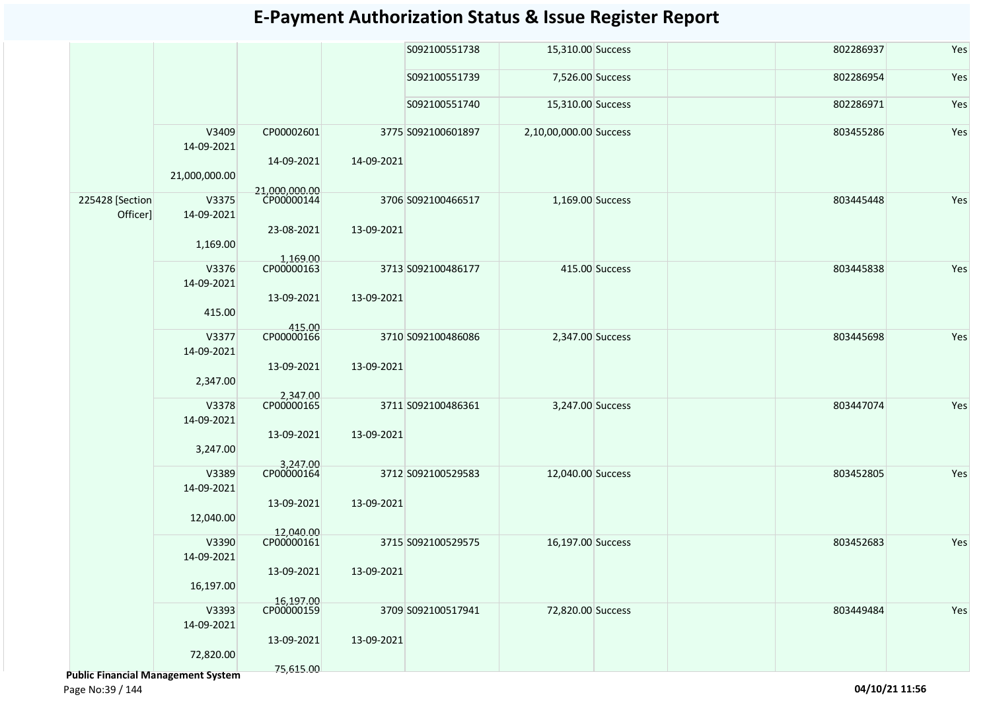|                                    |                     |                          |            | S092100551738      | 15,310.00 Success      |                | 802286937 | Yes |
|------------------------------------|---------------------|--------------------------|------------|--------------------|------------------------|----------------|-----------|-----|
|                                    |                     |                          |            | S092100551739      | 7,526.00 Success       |                | 802286954 | Yes |
|                                    |                     |                          |            | S092100551740      | 15,310.00 Success      |                | 802286971 | Yes |
|                                    | V3409<br>14-09-2021 | CP00002601<br>14-09-2021 | 14-09-2021 | 3775 S092100601897 | 2,10,00,000.00 Success |                | 803455286 | Yes |
|                                    | 21,000,000.00       | 21,000,000.00            |            |                    |                        |                |           |     |
| 225428 [Section<br>Officer]        | V3375<br>14-09-2021 | CP00000144<br>23-08-2021 | 13-09-2021 | 3706 S092100466517 | 1,169.00 Success       |                | 803445448 | Yes |
|                                    | 1,169.00            | 1,169.00                 |            |                    |                        |                |           |     |
|                                    | V3376<br>14-09-2021 | CP00000163               |            | 3713 S092100486177 |                        | 415.00 Success | 803445838 | Yes |
|                                    | 415.00              | 13-09-2021<br>415.00     | 13-09-2021 |                    |                        |                |           |     |
|                                    | V3377<br>14-09-2021 | CP00000166               |            | 3710 S092100486086 | 2,347.00 Success       |                | 803445698 | Yes |
|                                    | 2,347.00            | 13-09-2021               | 13-09-2021 |                    |                        |                |           |     |
|                                    | V3378<br>14-09-2021 | 2,347.00<br>CP00000165   |            | 3711 S092100486361 | 3,247.00 Success       |                | 803447074 | Yes |
|                                    | 3,247.00            | 13-09-2021<br>3,247.00   | 13-09-2021 |                    |                        |                |           |     |
|                                    | V3389<br>14-09-2021 | CP00000164               |            | 3712 S092100529583 | 12,040.00 Success      |                | 803452805 | Yes |
|                                    | 12,040.00           | 13-09-2021<br>12,040.00  | 13-09-2021 |                    |                        |                |           |     |
|                                    | V3390<br>14-09-2021 | CP00000161               |            | 3715 S092100529575 | 16,197.00 Success      |                | 803452683 | Yes |
|                                    | 16,197.00           | 13-09-2021               | 13-09-2021 |                    |                        |                |           |     |
|                                    | V3393<br>14-09-2021 | 16,197.00<br>CP00000159  |            | 3709 S092100517941 | 72,820.00 Success      |                | 803449484 | Yes |
| Dublic Einancial Managoment System | 72,820.00           | 13-09-2021<br>75,615.00  | 13-09-2021 |                    |                        |                |           |     |

 **Public Financial Management System**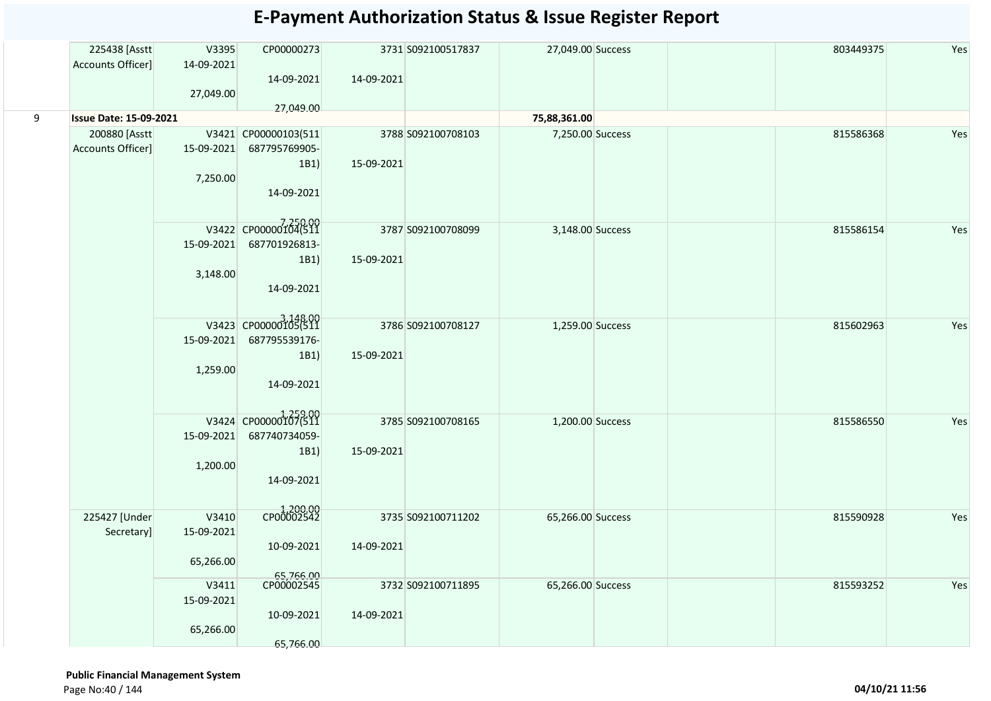|   | 225438 [Asstt                 | V3395      | CP00000273                       |            | 3731 S092100517837 | 27,049.00 Success |  | 803449375 | Yes |
|---|-------------------------------|------------|----------------------------------|------------|--------------------|-------------------|--|-----------|-----|
|   | Accounts Officer]             | 14-09-2021 |                                  |            |                    |                   |  |           |     |
|   |                               |            | 14-09-2021                       | 14-09-2021 |                    |                   |  |           |     |
|   |                               | 27,049.00  |                                  |            |                    |                   |  |           |     |
|   |                               |            | 27,049.00                        |            |                    |                   |  |           |     |
| 9 | <b>Issue Date: 15-09-2021</b> |            |                                  |            |                    | 75,88,361.00      |  |           |     |
|   | 200880 [Asstt                 |            | V3421 CP00000103(511             |            | 3788 S092100708103 | 7,250.00 Success  |  | 815586368 | Yes |
|   | Accounts Officer]             | 15-09-2021 | 687795769905-                    |            |                    |                   |  |           |     |
|   |                               |            |                                  | 15-09-2021 |                    |                   |  |           |     |
|   |                               |            | 1B1)                             |            |                    |                   |  |           |     |
|   |                               | 7,250.00   |                                  |            |                    |                   |  |           |     |
|   |                               |            | 14-09-2021                       |            |                    |                   |  |           |     |
|   |                               |            |                                  |            |                    |                   |  |           |     |
|   |                               |            | V3422 CP00000104(511             |            |                    |                   |  |           |     |
|   |                               |            |                                  |            | 3787 S092100708099 | 3,148.00 Success  |  | 815586154 | Yes |
|   |                               | 15-09-2021 | 687701926813-                    |            |                    |                   |  |           |     |
|   |                               |            | 1B1)                             | 15-09-2021 |                    |                   |  |           |     |
|   |                               | 3,148.00   |                                  |            |                    |                   |  |           |     |
|   |                               |            | 14-09-2021                       |            |                    |                   |  |           |     |
|   |                               |            |                                  |            |                    |                   |  |           |     |
|   |                               |            |                                  |            |                    |                   |  |           |     |
|   |                               |            | 3,148.00<br>V3423 CP00000105(511 |            | 3786 S092100708127 | 1,259.00 Success  |  | 815602963 | Yes |
|   |                               | 15-09-2021 | 687795539176-                    |            |                    |                   |  |           |     |
|   |                               |            | 1B1)                             | 15-09-2021 |                    |                   |  |           |     |
|   |                               | 1,259.00   |                                  |            |                    |                   |  |           |     |
|   |                               |            |                                  |            |                    |                   |  |           |     |
|   |                               |            | 14-09-2021                       |            |                    |                   |  |           |     |
|   |                               |            |                                  |            |                    |                   |  |           |     |
|   |                               |            | V3424 CP00000107(511             |            | 3785 S092100708165 | 1,200.00 Success  |  | 815586550 | Yes |
|   |                               | 15-09-2021 | 687740734059-                    |            |                    |                   |  |           |     |
|   |                               |            |                                  |            |                    |                   |  |           |     |
|   |                               |            | 1B1)                             | 15-09-2021 |                    |                   |  |           |     |
|   |                               | 1,200.00   |                                  |            |                    |                   |  |           |     |
|   |                               |            | 14-09-2021                       |            |                    |                   |  |           |     |
|   |                               |            |                                  |            |                    |                   |  |           |     |
|   |                               |            |                                  |            |                    |                   |  |           |     |
|   | 225427 [Under                 | V3410      | 1,200.00                         |            | 3735 S092100711202 | 65,266.00 Success |  | 815590928 | Yes |
|   | Secretary]                    | 15-09-2021 |                                  |            |                    |                   |  |           |     |
|   |                               |            | 10-09-2021                       | 14-09-2021 |                    |                   |  |           |     |
|   |                               | 65,266.00  |                                  |            |                    |                   |  |           |     |
|   |                               |            |                                  |            |                    |                   |  |           |     |
|   |                               | V3411      | 65,766.00                        |            | 3732 S092100711895 | 65,266.00 Success |  | 815593252 | Yes |
|   |                               | 15-09-2021 |                                  |            |                    |                   |  |           |     |
|   |                               |            | 10-09-2021                       | 14-09-2021 |                    |                   |  |           |     |
|   |                               | 65,266.00  |                                  |            |                    |                   |  |           |     |
|   |                               |            |                                  |            |                    |                   |  |           |     |
|   |                               |            | 65,766.00                        |            |                    |                   |  |           |     |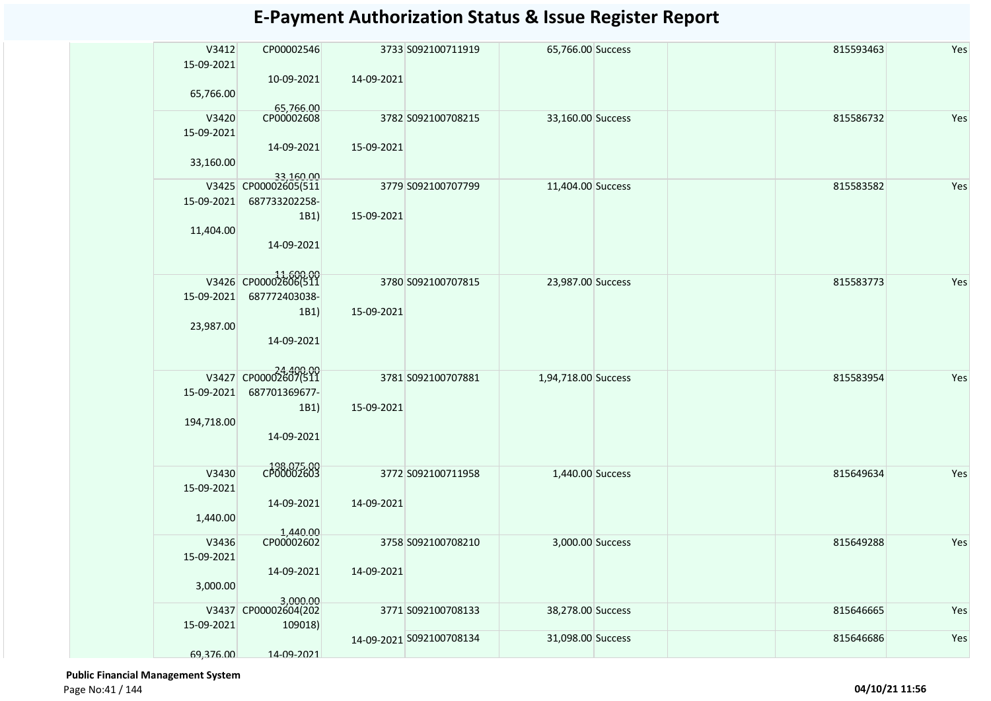| V3412<br>15-09-2021 | CP00002546                            |            | 3733 S092100711919       | 65,766.00 Success   | 815593463 | Yes |
|---------------------|---------------------------------------|------------|--------------------------|---------------------|-----------|-----|
| 65,766.00           | 10-09-2021<br>65,766.00               | 14-09-2021 |                          |                     |           |     |
| V3420<br>15-09-2021 | CP00002608                            |            | 3782 S092100708215       | 33,160.00 Success   | 815586732 | Yes |
| 33,160.00           | 14-09-2021<br>33,160.00               | 15-09-2021 |                          |                     |           |     |
| 15-09-2021          | V3425 CP00002605(511<br>687733202258- |            | 3779 S092100707799       | 11,404.00 Success   | 815583582 | Yes |
| 11,404.00           | 1B1)                                  | 15-09-2021 |                          |                     |           |     |
|                     | 14-09-2021                            |            |                          |                     |           |     |
|                     | V3426 CP00002606(511                  |            | 3780 S092100707815       | 23,987.00 Success   | 815583773 | Yes |
| 15-09-2021          | 687772403038-<br>1B1)                 | 15-09-2021 |                          |                     |           |     |
| 23,987.00           | 14-09-2021                            |            |                          |                     |           |     |
|                     | V3427 CP00002607(511                  |            | 3781 S092100707881       | 1,94,718.00 Success | 815583954 | Yes |
| 15-09-2021          | 687701369677-                         |            |                          |                     |           |     |
| 194,718.00          | 1B1)                                  | 15-09-2021 |                          |                     |           |     |
|                     | 14-09-2021                            |            |                          |                     |           |     |
| V3430               | 198,075.00<br>CP00002603              |            | 3772 S092100711958       | 1,440.00 Success    | 815649634 | Yes |
| 15-09-2021          | 14-09-2021                            | 14-09-2021 |                          |                     |           |     |
| 1,440.00            |                                       |            |                          |                     |           |     |
| V3436               | 1,440.00<br>CP00002602                |            | 3758 S092100708210       | 3,000.00 Success    | 815649288 | Yes |
| 15-09-2021          | 14-09-2021                            | 14-09-2021 |                          |                     |           |     |
| 3,000.00            |                                       |            |                          |                     |           |     |
|                     | 3,000.00<br>V3437 CP00002604(202      |            | 3771 S092100708133       | 38,278.00 Success   | 815646665 | Yes |
| 15-09-2021          | 109018)                               |            | 14-09-2021 S092100708134 | 31,098.00 Success   | 815646686 | Yes |
| 69,376.00           | 14-09-2021                            |            |                          |                     |           |     |

 **Public Financial Management System**  Page No:41 / 144 **04/10/21 11:56**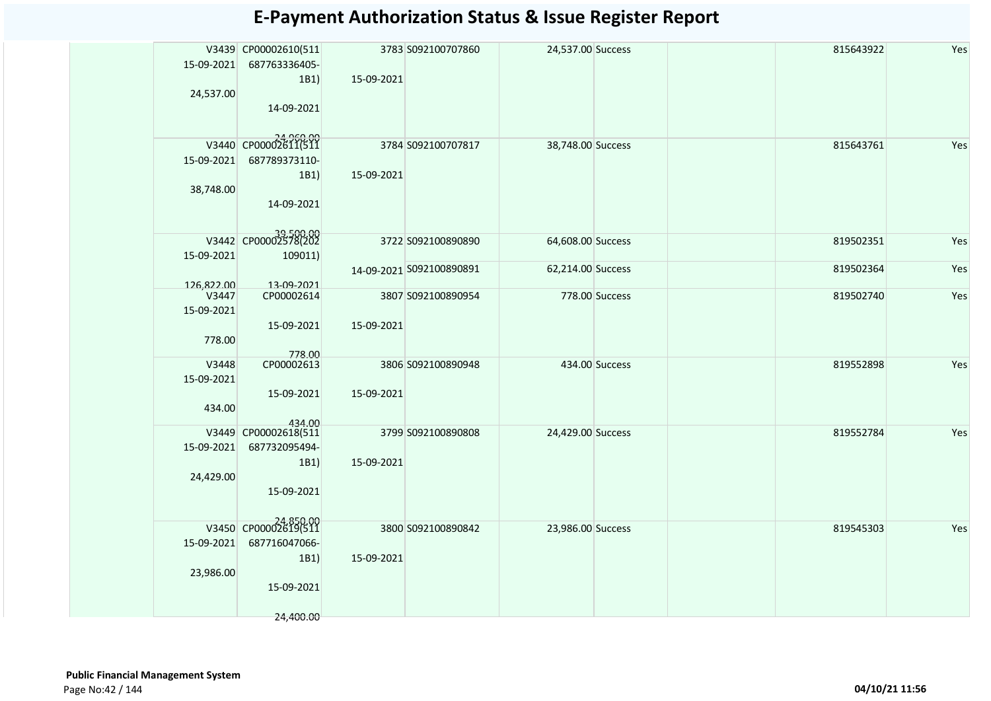|            | V3439 CP00002610(511              |            | 3783 S092100707860       | 24,537.00 Success |                | 815643922 | Yes |
|------------|-----------------------------------|------------|--------------------------|-------------------|----------------|-----------|-----|
| 15-09-2021 | 687763336405-                     |            |                          |                   |                |           |     |
|            | 1B1)                              | 15-09-2021 |                          |                   |                |           |     |
| 24,537.00  |                                   |            |                          |                   |                |           |     |
|            | 14-09-2021                        |            |                          |                   |                |           |     |
|            |                                   |            |                          |                   |                |           |     |
|            |                                   |            |                          |                   |                |           |     |
|            | V3440 CP00002611(511              |            | 3784 S092100707817       | 38,748.00 Success |                | 815643761 | Yes |
| 15-09-2021 | 687789373110-                     |            |                          |                   |                |           |     |
|            | 1B1)                              | 15-09-2021 |                          |                   |                |           |     |
| 38,748.00  |                                   |            |                          |                   |                |           |     |
|            | 14-09-2021                        |            |                          |                   |                |           |     |
|            |                                   |            |                          |                   |                |           |     |
|            | 39,500.00<br>V3442 CP00002578(202 |            |                          |                   |                |           |     |
|            |                                   |            | 3722 S092100890890       | 64,608.00 Success |                | 819502351 | Yes |
| 15-09-2021 | 109011)                           |            |                          |                   |                |           |     |
|            |                                   |            | 14-09-2021 S092100890891 | 62,214.00 Success |                | 819502364 | Yes |
| 126,822.00 | 13-09-2021                        |            |                          |                   |                |           |     |
| V3447      | CP00002614                        |            | 3807 S092100890954       |                   | 778.00 Success | 819502740 | Yes |
| 15-09-2021 |                                   |            |                          |                   |                |           |     |
|            | 15-09-2021                        | 15-09-2021 |                          |                   |                |           |     |
| 778.00     |                                   |            |                          |                   |                |           |     |
| V3448      | 778.00<br>CP00002613              |            | 3806 S092100890948       |                   | 434.00 Success | 819552898 | Yes |
| 15-09-2021 |                                   |            |                          |                   |                |           |     |
|            | 15-09-2021                        | 15-09-2021 |                          |                   |                |           |     |
|            |                                   |            |                          |                   |                |           |     |
| 434.00     |                                   |            |                          |                   |                |           |     |
| V3449      | 434.00<br>CP00002618(511          |            | 3799 S092100890808       | 24,429.00 Success |                | 819552784 | Yes |
| 15-09-2021 | 687732095494-                     |            |                          |                   |                |           |     |
|            | 1B1)                              | 15-09-2021 |                          |                   |                |           |     |
| 24,429.00  |                                   |            |                          |                   |                |           |     |
|            | 15-09-2021                        |            |                          |                   |                |           |     |
|            |                                   |            |                          |                   |                |           |     |
|            |                                   |            |                          |                   |                |           |     |
|            | V3450 CP00002619(511              |            | 3800 S092100890842       | 23,986.00 Success |                | 819545303 | Yes |
| 15-09-2021 | 687716047066-                     |            |                          |                   |                |           |     |
|            | 1B1)                              | 15-09-2021 |                          |                   |                |           |     |
| 23,986.00  |                                   |            |                          |                   |                |           |     |
|            | 15-09-2021                        |            |                          |                   |                |           |     |
|            |                                   |            |                          |                   |                |           |     |
|            | 24,400.00                         |            |                          |                   |                |           |     |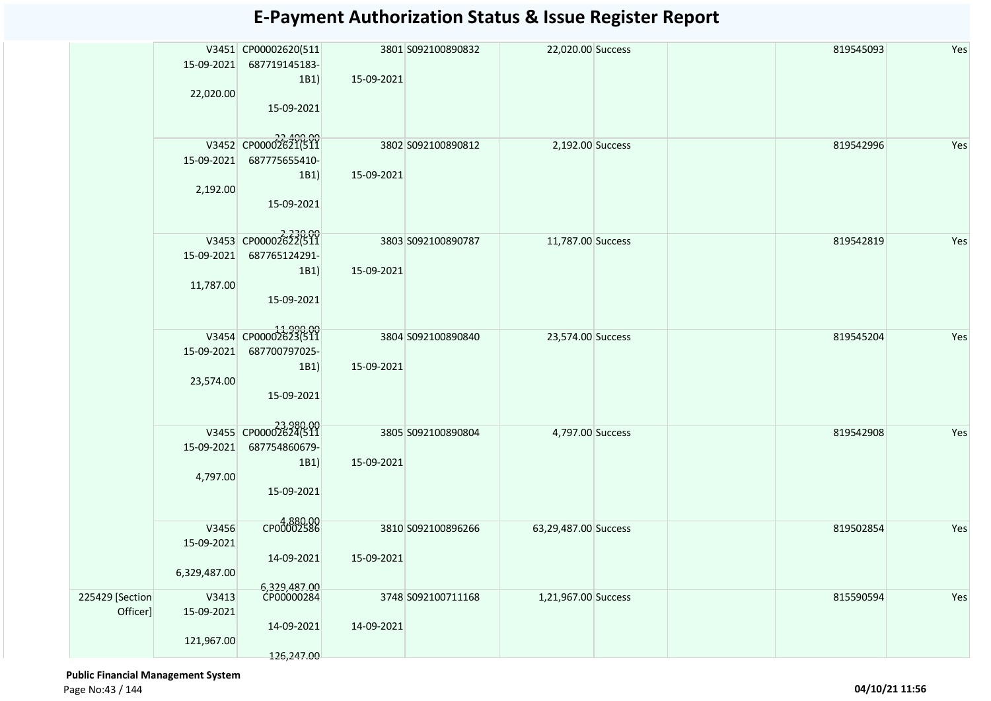|                             |                     | V3451 CP00002620(511<br>15-09-2021 687719145183-<br>1B1 | 15-09-2021 | 3801 S092100890832 | 22,020.00 Success    | 819545093 | Yes |
|-----------------------------|---------------------|---------------------------------------------------------|------------|--------------------|----------------------|-----------|-----|
|                             | 22,020.00           | 15-09-2021                                              |            |                    |                      |           |     |
|                             |                     | V3452 CP00002621(511                                    |            | 3802 S092100890812 | 2,192.00 Success     | 819542996 | Yes |
|                             | 15-09-2021          | 687775655410-<br>1B1)                                   | 15-09-2021 |                    |                      |           |     |
|                             | 2,192.00            | 15-09-2021                                              |            |                    |                      |           |     |
|                             |                     | V3453 CP00002622(511                                    |            | 3803 S092100890787 | 11,787.00 Success    | 819542819 | Yes |
|                             | 15-09-2021          | 687765124291-                                           |            |                    |                      |           |     |
|                             |                     | 1B1)                                                    | 15-09-2021 |                    |                      |           |     |
|                             | 11,787.00           | 15-09-2021                                              |            |                    |                      |           |     |
|                             |                     | V3454 CP00002623(511                                    |            | 3804 S092100890840 | 23,574.00 Success    | 819545204 | Yes |
|                             | 15-09-2021          | 687700797025-<br>1B1                                    | 15-09-2021 |                    |                      |           |     |
|                             | 23,574.00           |                                                         |            |                    |                      |           |     |
|                             |                     | 15-09-2021                                              |            |                    |                      |           |     |
|                             |                     | 23,980.00<br>V3455 CP00002624(511                       |            | 3805 S092100890804 | 4,797.00 Success     | 819542908 | Yes |
|                             | 15-09-2021          | 687754860679-<br>1B1)                                   | 15-09-2021 |                    |                      |           |     |
|                             | 4,797.00            |                                                         |            |                    |                      |           |     |
|                             |                     | 15-09-2021                                              |            |                    |                      |           |     |
|                             | V3456               | 4,880.00                                                |            | 3810 S092100896266 | 63,29,487.00 Success | 819502854 | Yes |
|                             | 15-09-2021          |                                                         |            |                    |                      |           |     |
|                             | 6,329,487.00        | 14-09-2021                                              | 15-09-2021 |                    |                      |           |     |
|                             |                     | 6,329,487.00<br>CP00000284                              |            |                    |                      |           |     |
| 225429 [Section<br>Officer] | V3413<br>15-09-2021 |                                                         |            | 3748 S092100711168 | 1,21,967.00 Success  | 815590594 | Yes |
|                             |                     | 14-09-2021                                              | 14-09-2021 |                    |                      |           |     |
|                             | 121,967.00          | 126,247.00                                              |            |                    |                      |           |     |

 **Public Financial Management System**  Page No:43 / 144 **04/10/21 11:56**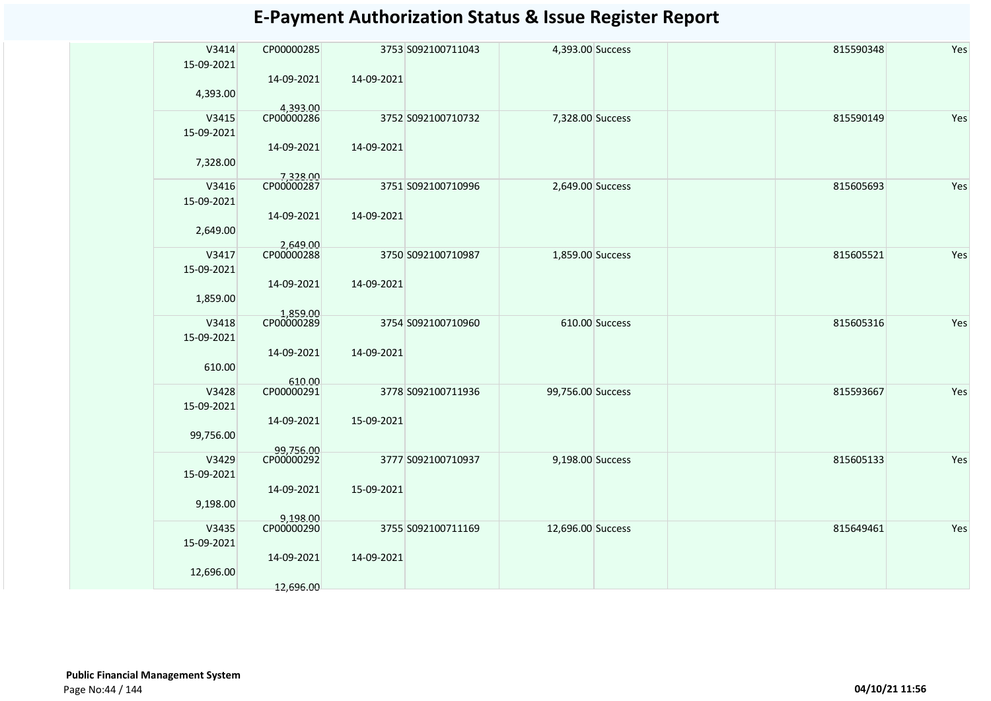| V3414      | CP00000285              |            | 3753 S092100711043 | 4,393.00 Success  |                | 815590348 | Yes |
|------------|-------------------------|------------|--------------------|-------------------|----------------|-----------|-----|
| 15-09-2021 | 14-09-2021              | 14-09-2021 |                    |                   |                |           |     |
| 4,393.00   | 4,393.00                |            |                    |                   |                |           |     |
| V3415      | CP00000286              |            | 3752 S092100710732 | 7,328.00 Success  |                | 815590149 | Yes |
| 15-09-2021 |                         |            |                    |                   |                |           |     |
|            | 14-09-2021              | 14-09-2021 |                    |                   |                |           |     |
| 7,328.00   |                         |            |                    |                   |                |           |     |
|            | 7,328.00                |            |                    |                   |                |           |     |
| V3416      | CP00000287              |            | 3751 S092100710996 | 2,649.00 Success  |                | 815605693 | Yes |
| 15-09-2021 |                         |            |                    |                   |                |           |     |
|            | 14-09-2021              | 14-09-2021 |                    |                   |                |           |     |
| 2,649.00   |                         |            |                    |                   |                |           |     |
|            | 2,649.00                |            |                    |                   |                |           |     |
| V3417      | CP00000288              |            | 3750 S092100710987 | 1,859.00 Success  |                | 815605521 | Yes |
| 15-09-2021 |                         |            |                    |                   |                |           |     |
|            | 14-09-2021              | 14-09-2021 |                    |                   |                |           |     |
| 1,859.00   |                         |            |                    |                   |                |           |     |
| V3418      | 1,859.00<br>CP00000289  |            | 3754 S092100710960 |                   | 610.00 Success | 815605316 | Yes |
| 15-09-2021 |                         |            |                    |                   |                |           |     |
|            | 14-09-2021              | 14-09-2021 |                    |                   |                |           |     |
| 610.00     |                         |            |                    |                   |                |           |     |
|            | 610.00                  |            |                    |                   |                |           |     |
| V3428      | CP00000291              |            | 3778 S092100711936 | 99,756.00 Success |                | 815593667 | Yes |
| 15-09-2021 |                         |            |                    |                   |                |           |     |
|            | 14-09-2021              | 15-09-2021 |                    |                   |                |           |     |
| 99,756.00  |                         |            |                    |                   |                |           |     |
| V3429      | 99,756.00<br>CP00000292 |            | 3777 S092100710937 | 9,198.00 Success  |                | 815605133 | Yes |
| 15-09-2021 |                         |            |                    |                   |                |           |     |
|            | 14-09-2021              | 15-09-2021 |                    |                   |                |           |     |
| 9,198.00   |                         |            |                    |                   |                |           |     |
|            | 9,198.00                |            |                    |                   |                |           |     |
| V3435      | CP00000290              |            | 3755 S092100711169 | 12,696.00 Success |                | 815649461 | Yes |
| 15-09-2021 |                         |            |                    |                   |                |           |     |
|            | 14-09-2021              | 14-09-2021 |                    |                   |                |           |     |
| 12,696.00  |                         |            |                    |                   |                |           |     |
|            | 12,696.00               |            |                    |                   |                |           |     |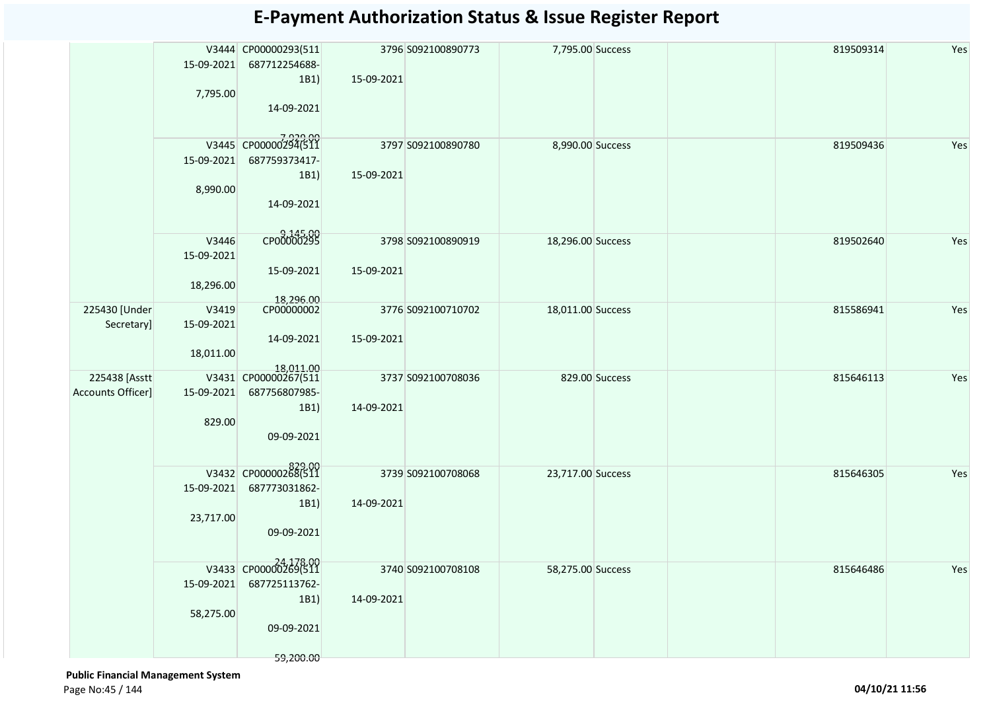| 15-09-2021<br>687712254688-<br>1B1<br>15-09-2021                                             |                  |
|----------------------------------------------------------------------------------------------|------------------|
|                                                                                              |                  |
|                                                                                              |                  |
| 7,795.00<br>14-09-2021                                                                       |                  |
|                                                                                              |                  |
| 7,929.00<br>V3445 CP00000294(511                                                             |                  |
| 3797 S092100890780<br>8,990.00 Success<br>687759373417-<br>15-09-2021                        | Yes<br>819509436 |
| 1B1)<br>15-09-2021                                                                           |                  |
| 8,990.00                                                                                     |                  |
| 14-09-2021                                                                                   |                  |
|                                                                                              |                  |
| CP00000295<br>V3446<br>3798 S092100890919<br>18,296.00 Success                               | Yes<br>819502640 |
| 15-09-2021                                                                                   |                  |
| 15-09-2021<br>15-09-2021<br>18,296.00                                                        |                  |
|                                                                                              |                  |
| 18,296.00<br>CP00000002<br>225430 [Under<br>V3419<br>3776 S092100710702<br>18,011.00 Success | 815586941<br>Yes |
| Secretary]<br>15-09-2021                                                                     |                  |
| 14-09-2021<br>15-09-2021<br>18,011.00                                                        |                  |
| 18,011.00                                                                                    |                  |
| 225438 [Asstt<br>V3431 CP00000267(511<br>3737 S092100708036<br>829.00 Success                | 815646113<br>Yes |
| <b>Accounts Officer]</b><br>15-09-2021<br>687756807985-<br>1B1)<br>14-09-2021                |                  |
| 829.00                                                                                       |                  |
| 09-09-2021                                                                                   |                  |
|                                                                                              |                  |
| 829.00<br>V3432 CP00000268(511<br>3739 S092100708068<br>23,717.00 Success                    | Yes<br>815646305 |
| 15-09-2021<br>687773031862-                                                                  |                  |
| 1B1)<br>14-09-2021                                                                           |                  |
| 23,717.00<br>09-09-2021                                                                      |                  |
|                                                                                              |                  |
| 24 178.00<br>V3433 CP00000269(511<br>3740 S092100708108<br>58,275.00 Success                 | 815646486        |
| 15-09-2021<br>687725113762-                                                                  | Yes              |
| 1B1)<br>14-09-2021                                                                           |                  |
| 58,275.00                                                                                    |                  |
| 09-09-2021                                                                                   |                  |
| 59,200.00                                                                                    |                  |

 **Public Financial Management System**  Page No:45 / 144 **04/10/21 11:56**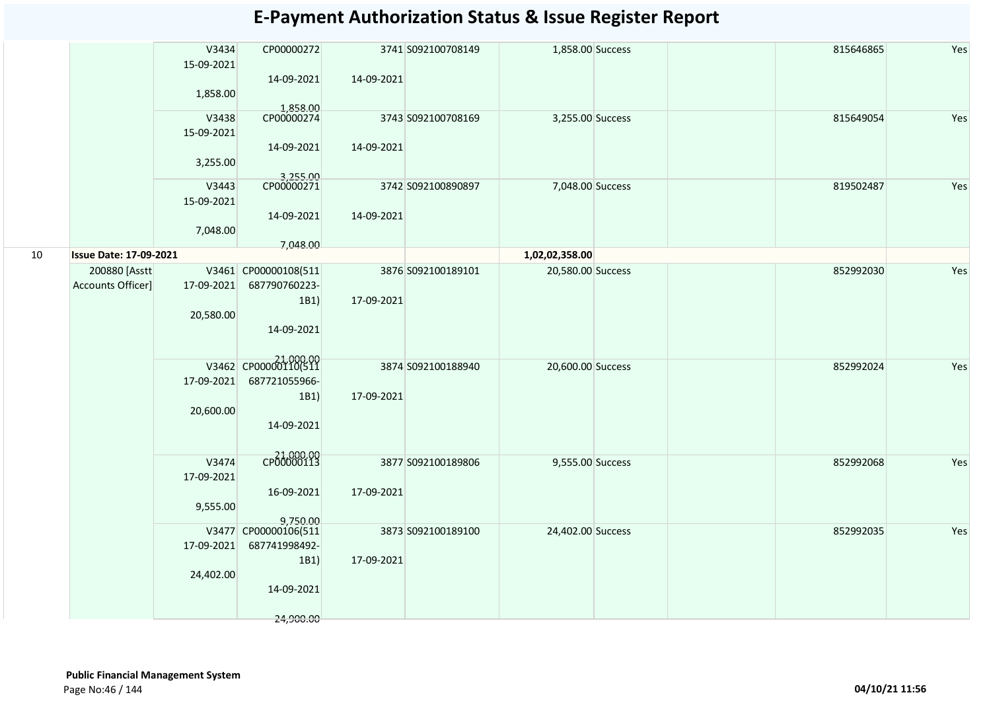|    |                                     | V3434<br>15-09-2021<br>1,858.00              | CP00000272<br>14-09-2021<br>1,858.00                                                                                      | 14-09-2021               | 3741 S092100708149                       | 1,858.00 Success                       |  | 815646865              | Yes        |
|----|-------------------------------------|----------------------------------------------|---------------------------------------------------------------------------------------------------------------------------|--------------------------|------------------------------------------|----------------------------------------|--|------------------------|------------|
|    |                                     | V3438<br>15-09-2021<br>3,255.00              | CP00000274<br>14-09-2021                                                                                                  | 14-09-2021               | 3743 S092100708169                       | 3,255.00 Success                       |  | 815649054              | Yes        |
|    |                                     | V3443<br>15-09-2021<br>7,048.00              | 3,255.00<br>CP00000271<br>14-09-2021                                                                                      | 14-09-2021               | 3742 S092100890897                       | 7,048.00 Success                       |  | 819502487              | Yes        |
| 10 | <b>Issue Date: 17-09-2021</b>       |                                              | 7,048.00                                                                                                                  |                          |                                          | 1,02,02,358.00                         |  |                        |            |
|    | 200880 [Asstt]<br>Accounts Officer] | 17-09-2021<br>20,580.00<br>17-09-2021        | V3461 CP00000108(511<br>687790760223-<br>1B1)<br>14-09-2021<br>21,000.00<br>V3462 CP00000110(511<br>687721055966-<br>1B1) | 17-09-2021<br>17-09-2021 | 3876 S092100189101<br>3874 S092100188940 | 20,580.00 Success<br>20,600.00 Success |  | 852992030<br>852992024 | Yes<br>Yes |
|    |                                     | 20,600.00<br>V3474<br>17-09-2021<br>9,555.00 | 14-09-2021<br>21,000.00<br>16-09-2021                                                                                     | 17-09-2021               | 3877 S092100189806                       | 9,555.00 Success                       |  | 852992068              | Yes        |
|    |                                     | 17-09-2021<br>24,402.00                      | 9,750.00<br>V3477 CP00000106(511<br>687741998492-<br>1B1)<br>14-09-2021<br>24,900.00                                      | 17-09-2021               | 3873 S092100189100                       | 24,402.00 Success                      |  | 852992035              | Yes        |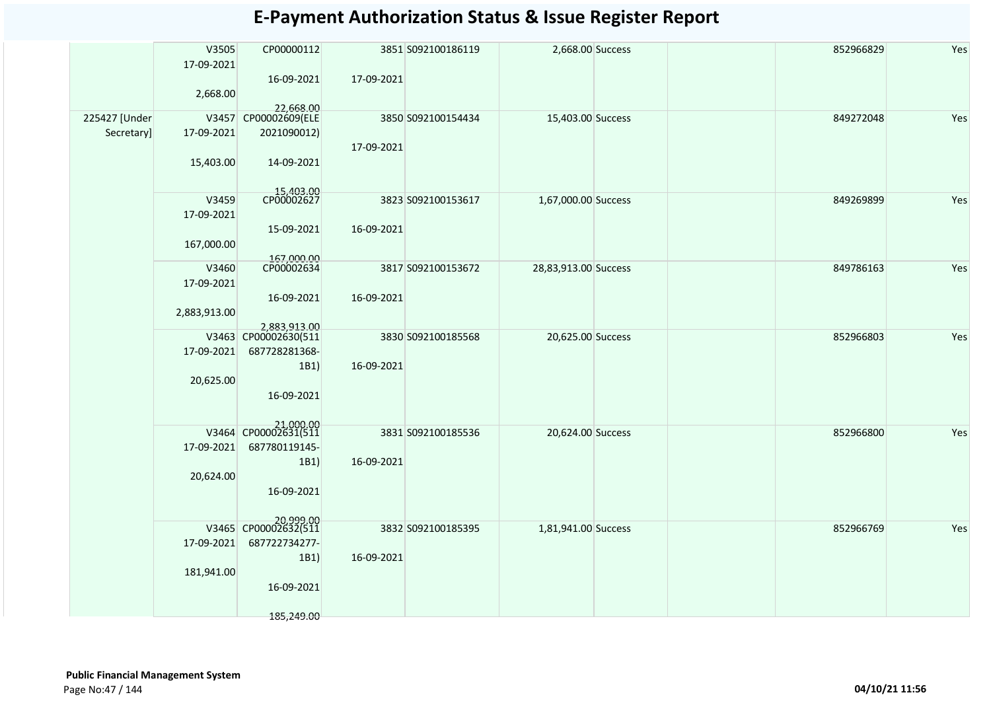|               | V3505               | CP00000112                        |            | 3851 S092100186119 | 2,668.00 Success     |  | 852966829 | Yes |
|---------------|---------------------|-----------------------------------|------------|--------------------|----------------------|--|-----------|-----|
|               | 17-09-2021          | 16-09-2021                        | 17-09-2021 |                    |                      |  |           |     |
|               | 2,668.00            |                                   |            |                    |                      |  |           |     |
|               |                     | 22,668.00                         |            |                    |                      |  |           |     |
| 225427 [Under |                     | V3457 CP00002609(ELE              |            | 3850 S092100154434 | 15,403.00 Success    |  | 849272048 | Yes |
| Secretary]    | 17-09-2021          | 2021090012)                       |            |                    |                      |  |           |     |
|               | 15,403.00           | 14-09-2021                        | 17-09-2021 |                    |                      |  |           |     |
|               |                     |                                   |            |                    |                      |  |           |     |
|               |                     | 15,403.00<br>CP00002627           |            |                    |                      |  |           |     |
|               | V3459<br>17-09-2021 |                                   |            | 3823 S092100153617 | 1,67,000.00 Success  |  | 849269899 | Yes |
|               |                     | 15-09-2021                        | 16-09-2021 |                    |                      |  |           |     |
|               | 167,000.00          |                                   |            |                    |                      |  |           |     |
|               |                     | 167,000.00<br>CP00002634          |            |                    |                      |  |           |     |
|               | V3460               |                                   |            | 3817 S092100153672 | 28,83,913.00 Success |  | 849786163 | Yes |
|               | 17-09-2021          | 16-09-2021                        | 16-09-2021 |                    |                      |  |           |     |
|               | 2,883,913.00        |                                   |            |                    |                      |  |           |     |
|               |                     | 2,883,913.00                      |            |                    |                      |  |           |     |
|               |                     | V3463 CP00002630(511              |            | 3830 S092100185568 | 20,625.00 Success    |  | 852966803 | Yes |
|               | 17-09-2021          | 687728281368-                     |            |                    |                      |  |           |     |
|               | 20,625.00           | 1B1)                              | 16-09-2021 |                    |                      |  |           |     |
|               |                     | 16-09-2021                        |            |                    |                      |  |           |     |
|               |                     |                                   |            |                    |                      |  |           |     |
|               |                     | 21,000.00<br>V3464 CP00002631(511 |            | 3831 S092100185536 | 20,624.00 Success    |  | 852966800 | Yes |
|               | 17-09-2021          | 687780119145-                     |            |                    |                      |  |           |     |
|               |                     | 1B1)                              | 16-09-2021 |                    |                      |  |           |     |
|               | 20,624.00           |                                   |            |                    |                      |  |           |     |
|               |                     | 16-09-2021                        |            |                    |                      |  |           |     |
|               |                     |                                   |            |                    |                      |  |           |     |
|               |                     | 20,999.00<br>V3465 CP00002632(511 |            | 3832 S092100185395 | 1,81,941.00 Success  |  | 852966769 | Yes |
|               | 17-09-2021          | 687722734277-                     |            |                    |                      |  |           |     |
|               |                     | 1B1)                              | 16-09-2021 |                    |                      |  |           |     |
|               | 181,941.00          | 16-09-2021                        |            |                    |                      |  |           |     |
|               |                     |                                   |            |                    |                      |  |           |     |
|               |                     | 185,249.00                        |            |                    |                      |  |           |     |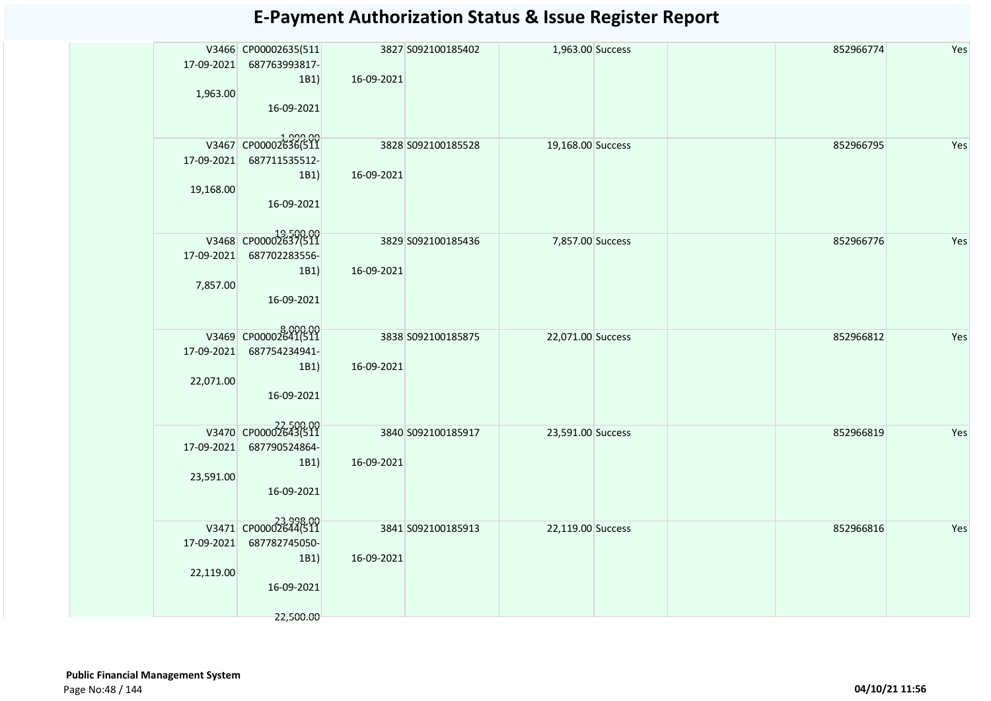|            | V3466 CP00002635(511              |            | 3827 S092100185402 | 1,963.00 Success  |  | 852966774 | Yes |
|------------|-----------------------------------|------------|--------------------|-------------------|--|-----------|-----|
| 17-09-2021 | 687763993817-                     |            |                    |                   |  |           |     |
|            | 1B1)                              | 16-09-2021 |                    |                   |  |           |     |
| 1,963.00   |                                   |            |                    |                   |  |           |     |
|            | 16-09-2021                        |            |                    |                   |  |           |     |
|            |                                   |            |                    |                   |  |           |     |
|            | 1,999.00<br>V3467 CP00002636(511  |            | 3828 S092100185528 | 19,168.00 Success |  | 852966795 | Yes |
| 17-09-2021 | 687711535512-                     |            |                    |                   |  |           |     |
|            | 1B1)                              | 16-09-2021 |                    |                   |  |           |     |
| 19,168.00  |                                   |            |                    |                   |  |           |     |
|            | 16-09-2021                        |            |                    |                   |  |           |     |
|            |                                   |            |                    |                   |  |           |     |
|            | V3468 CP00002637(511              |            | 3829 S092100185436 | 7,857.00 Success  |  | 852966776 | Yes |
| 17-09-2021 | 687702283556-                     |            |                    |                   |  |           |     |
|            | 1B1)                              | 16-09-2021 |                    |                   |  |           |     |
| 7,857.00   |                                   |            |                    |                   |  |           |     |
|            | 16-09-2021                        |            |                    |                   |  |           |     |
|            |                                   |            |                    |                   |  |           |     |
|            | 8,000.00<br>V3469 CP00002641(511  |            | 3838 S092100185875 | 22,071.00 Success |  | 852966812 | Yes |
| 17-09-2021 | 687754234941-                     |            |                    |                   |  |           |     |
|            | 1B1)                              | 16-09-2021 |                    |                   |  |           |     |
| 22,071.00  |                                   |            |                    |                   |  |           |     |
|            | 16-09-2021                        |            |                    |                   |  |           |     |
|            |                                   |            |                    |                   |  |           |     |
|            | V3470 CP00002643(511              |            | 3840 S092100185917 | 23,591.00 Success |  | 852966819 | Yes |
| 17-09-2021 | 687790524864-                     |            |                    |                   |  |           |     |
|            | 1B1)                              | 16-09-2021 |                    |                   |  |           |     |
| 23,591.00  |                                   |            |                    |                   |  |           |     |
|            | 16-09-2021                        |            |                    |                   |  |           |     |
|            |                                   |            |                    |                   |  |           |     |
|            | 23,998.00<br>V3471 CP00002644(511 |            | 3841 S092100185913 | 22,119.00 Success |  | 852966816 | Yes |
| 17-09-2021 | 687782745050-                     |            |                    |                   |  |           |     |
|            | 1B1)                              | 16-09-2021 |                    |                   |  |           |     |
| 22,119.00  |                                   |            |                    |                   |  |           |     |
|            | 16-09-2021                        |            |                    |                   |  |           |     |
|            |                                   |            |                    |                   |  |           |     |
|            | 22,500.00                         |            |                    |                   |  |           |     |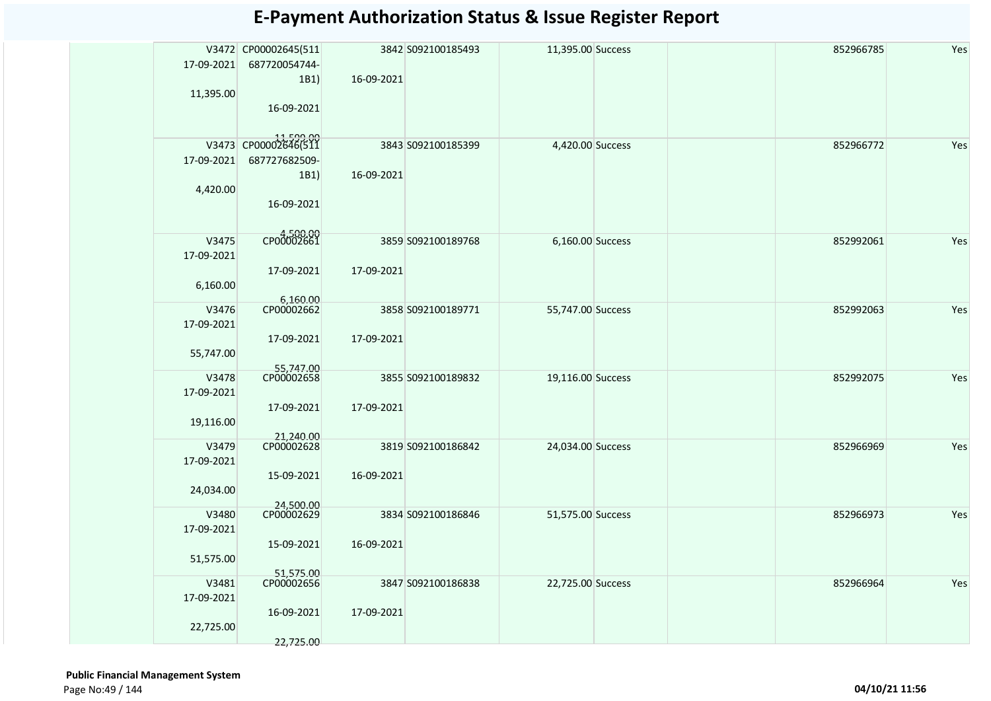| 17-09-2021                       | V3472 CP00002645(511<br>687720054744-              |            | 3842 S092100185493 | 11,395.00 Success | 852966785 | Yes |
|----------------------------------|----------------------------------------------------|------------|--------------------|-------------------|-----------|-----|
| 11,395.00                        | 1B1)<br>16-09-2021                                 | 16-09-2021 |                    |                   |           |     |
| 17-09-2021                       | 11,599.00<br>V3473 CP00002646(511<br>687727682509- | 16-09-2021 | 3843 S092100185399 | 4,420.00 Success  | 852966772 | Yes |
| 4,420.00                         | 1B1)<br>16-09-2021                                 |            |                    |                   |           |     |
| V3475<br>17-09-2021              | 4,500.00                                           |            | 3859 S092100189768 | 6,160.00 Success  | 852992061 | Yes |
| 6,160.00                         | 17-09-2021<br>6,160.00                             | 17-09-2021 |                    |                   |           |     |
| V3476<br>17-09-2021              | CP00002662<br>17-09-2021                           | 17-09-2021 | 3858 S092100189771 | 55,747.00 Success | 852992063 | Yes |
| 55,747.00                        |                                                    |            |                    |                   |           |     |
| V3478<br>17-09-2021              | 55,747.00                                          |            | 3855 S092100189832 | 19,116.00 Success | 852992075 | Yes |
| 19,116.00                        | 17-09-2021<br>21,240.00<br>CP00002628              | 17-09-2021 |                    |                   |           |     |
| V3479<br>17-09-2021              | 15-09-2021                                         | 16-09-2021 | 3819 S092100186842 | 24,034.00 Success | 852966969 | Yes |
| 24,034.00                        | 24,500.00                                          |            |                    |                   |           |     |
| V3480<br>17-09-2021<br>51,575.00 | CP00002629<br>15-09-2021                           | 16-09-2021 | 3834 S092100186846 | 51,575.00 Success | 852966973 | Yes |
|                                  | 51,575.00<br>CP00002656                            |            |                    |                   |           |     |
| V3481<br>17-09-2021              | 16-09-2021                                         | 17-09-2021 | 3847 S092100186838 | 22,725.00 Success | 852966964 | Yes |
| 22,725.00                        | 22,725.00                                          |            |                    |                   |           |     |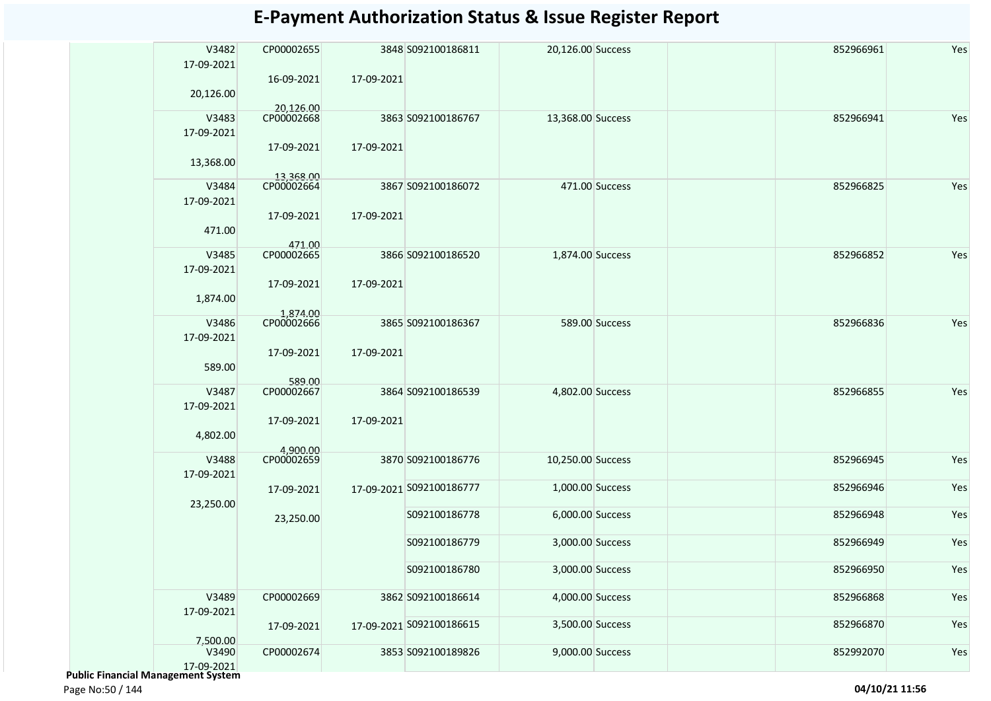| V3482                                     | CP00002655             |            | 3848 S092100186811       | 20,126.00 Success |                | 852966961 | Yes |
|-------------------------------------------|------------------------|------------|--------------------------|-------------------|----------------|-----------|-----|
| 17-09-2021                                |                        |            |                          |                   |                |           |     |
|                                           | 16-09-2021             | 17-09-2021 |                          |                   |                |           |     |
| 20,126.00                                 |                        |            |                          |                   |                |           |     |
|                                           | 20,126.00              |            |                          |                   |                |           |     |
| V3483                                     | CP00002668             |            | 3863 S092100186767       | 13,368.00 Success |                | 852966941 | Yes |
| 17-09-2021                                |                        |            |                          |                   |                |           |     |
|                                           | 17-09-2021             | 17-09-2021 |                          |                   |                |           |     |
| 13,368.00                                 |                        |            |                          |                   |                |           |     |
|                                           | 13,368.00              |            |                          |                   |                |           |     |
| V3484                                     | CP00002664             |            | 3867 S092100186072       |                   | 471.00 Success | 852966825 | Yes |
| 17-09-2021                                |                        |            |                          |                   |                |           |     |
|                                           | 17-09-2021             | 17-09-2021 |                          |                   |                |           |     |
| 471.00                                    |                        |            |                          |                   |                |           |     |
|                                           |                        |            |                          |                   |                |           |     |
| V3485                                     | 471.00<br>CP00002665   |            | 3866 S092100186520       | 1,874.00 Success  |                | 852966852 | Yes |
| 17-09-2021                                |                        |            |                          |                   |                |           |     |
|                                           |                        |            |                          |                   |                |           |     |
|                                           | 17-09-2021             | 17-09-2021 |                          |                   |                |           |     |
| 1,874.00                                  |                        |            |                          |                   |                |           |     |
|                                           | 1,874.00               |            |                          |                   |                |           |     |
| V3486                                     | CP00002666             |            | 3865 S092100186367       |                   | 589.00 Success | 852966836 | Yes |
| 17-09-2021                                |                        |            |                          |                   |                |           |     |
|                                           | 17-09-2021             | 17-09-2021 |                          |                   |                |           |     |
| 589.00                                    |                        |            |                          |                   |                |           |     |
|                                           | 589.00                 |            |                          |                   |                |           |     |
| V3487                                     | CP00002667             |            | 3864 S092100186539       | 4,802.00 Success  |                | 852966855 | Yes |
| 17-09-2021                                |                        |            |                          |                   |                |           |     |
|                                           | 17-09-2021             | 17-09-2021 |                          |                   |                |           |     |
| 4,802.00                                  |                        |            |                          |                   |                |           |     |
|                                           | 4,900.00<br>CP00002659 |            |                          |                   |                |           |     |
| V3488                                     |                        |            | 3870 S092100186776       | 10,250.00 Success |                | 852966945 | Yes |
| 17-09-2021                                |                        |            |                          |                   |                |           |     |
|                                           | 17-09-2021             |            | 17-09-2021 S092100186777 | 1,000.00 Success  |                | 852966946 | Yes |
| 23,250.00                                 |                        |            |                          |                   |                |           |     |
|                                           | 23,250.00              |            | S092100186778            | 6,000.00 Success  |                | 852966948 | Yes |
|                                           |                        |            |                          |                   |                |           |     |
|                                           |                        |            | S092100186779            | 3,000.00 Success  |                | 852966949 | Yes |
|                                           |                        |            |                          |                   |                |           |     |
|                                           |                        |            | S092100186780            | 3,000.00 Success  |                | 852966950 | Yes |
|                                           |                        |            |                          |                   |                |           |     |
| V3489                                     | CP00002669             |            | 3862 S092100186614       | 4,000.00 Success  |                | 852966868 | Yes |
| 17-09-2021                                |                        |            |                          |                   |                |           |     |
|                                           | 17-09-2021             |            | 17-09-2021 S092100186615 | 3,500.00 Success  |                | 852966870 | Yes |
| 7,500.00                                  |                        |            |                          |                   |                |           |     |
| V3490                                     | CP00002674             |            | 3853 S092100189826       | 9,000.00 Success  |                | 852992070 | Yes |
| 17-09-2021                                |                        |            |                          |                   |                |           |     |
| <b>Public Financial Management System</b> |                        |            |                          |                   |                |           |     |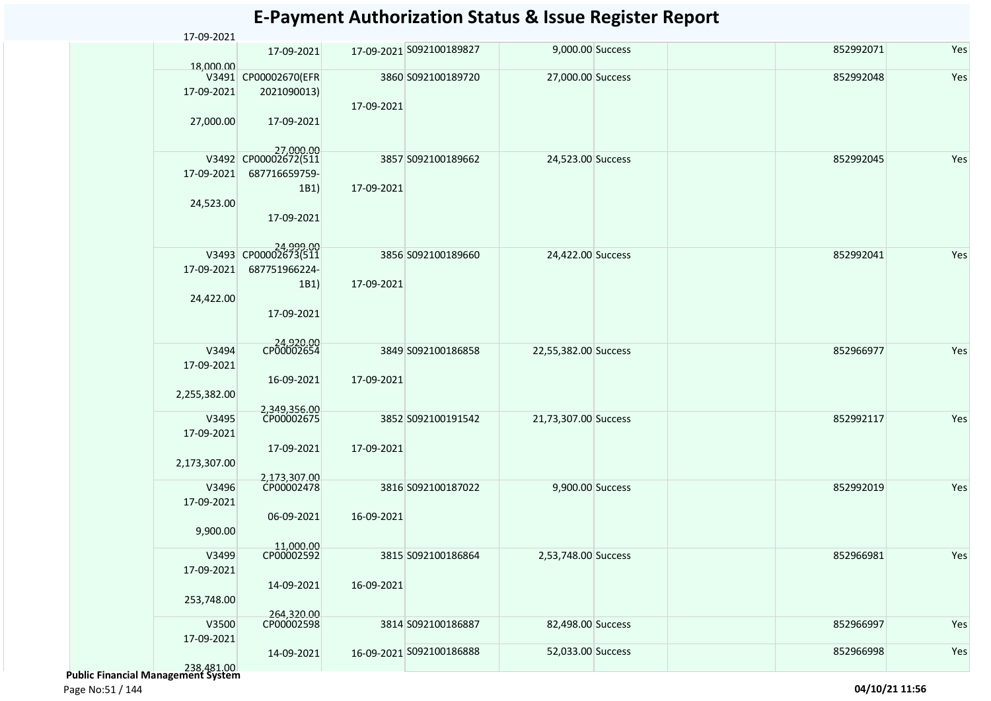| 17-09-2021   |                                   |            |                          |                      |  |           |     |
|--------------|-----------------------------------|------------|--------------------------|----------------------|--|-----------|-----|
| 18,000.00    | 17-09-2021                        |            | 17-09-2021 S092100189827 | 9,000.00 Success     |  | 852992071 | Yes |
|              | V3491 CP00002670(EFR              |            | 3860 S092100189720       | 27,000.00 Success    |  | 852992048 | Yes |
| 17-09-2021   | 2021090013)                       |            |                          |                      |  |           |     |
|              |                                   | 17-09-2021 |                          |                      |  |           |     |
| 27,000.00    | 17-09-2021                        |            |                          |                      |  |           |     |
|              |                                   |            |                          |                      |  |           |     |
|              |                                   |            |                          |                      |  |           |     |
|              | 27,000.00<br>V3492 CP00002672(511 |            | 3857 S092100189662       | 24,523.00 Success    |  | 852992045 | Yes |
| 17-09-2021   | 687716659759-                     |            |                          |                      |  |           |     |
|              | 1B1)                              | 17-09-2021 |                          |                      |  |           |     |
| 24,523.00    |                                   |            |                          |                      |  |           |     |
|              | 17-09-2021                        |            |                          |                      |  |           |     |
|              |                                   |            |                          |                      |  |           |     |
|              |                                   |            |                          |                      |  |           |     |
| V3493        | 24,999.00<br>CP00002673(511       |            | 3856 S092100189660       | 24,422.00 Success    |  | 852992041 | Yes |
| 17-09-2021   | 687751966224-                     |            |                          |                      |  |           |     |
|              | 1B1)                              | 17-09-2021 |                          |                      |  |           |     |
| 24,422.00    |                                   |            |                          |                      |  |           |     |
|              | 17-09-2021                        |            |                          |                      |  |           |     |
|              |                                   |            |                          |                      |  |           |     |
|              | 24,920.00<br>CP00002654           |            |                          |                      |  |           |     |
| V3494        |                                   |            | 3849 S092100186858       | 22,55,382.00 Success |  | 852966977 | Yes |
| 17-09-2021   |                                   |            |                          |                      |  |           |     |
|              | 16-09-2021                        | 17-09-2021 |                          |                      |  |           |     |
| 2,255,382.00 |                                   |            |                          |                      |  |           |     |
| V3495        | 2,349,356.00<br>CP00002675        |            |                          |                      |  | 852992117 | Yes |
|              |                                   |            | 3852 S092100191542       | 21,73,307.00 Success |  |           |     |
| 17-09-2021   |                                   |            |                          |                      |  |           |     |
|              | 17-09-2021                        | 17-09-2021 |                          |                      |  |           |     |
| 2,173,307.00 |                                   |            |                          |                      |  |           |     |
| V3496        | 2,173,307.00<br>CP00002478        |            | 3816 S092100187022       | 9,900.00 Success     |  | 852992019 | Yes |
| 17-09-2021   |                                   |            |                          |                      |  |           |     |
|              | 06-09-2021                        | 16-09-2021 |                          |                      |  |           |     |
| 9,900.00     |                                   |            |                          |                      |  |           |     |
|              | 11,000.00                         |            |                          |                      |  |           |     |
| V3499        | CP00002592                        |            | 3815 S092100186864       | 2,53,748.00 Success  |  | 852966981 | Yes |
| 17-09-2021   |                                   |            |                          |                      |  |           |     |
|              | 14-09-2021                        | 16-09-2021 |                          |                      |  |           |     |
| 253,748.00   |                                   |            |                          |                      |  |           |     |
|              | 264,320.00                        |            |                          |                      |  |           |     |
| V3500        | CP00002598                        |            | 3814 S092100186887       | 82,498.00 Success    |  | 852966997 | Yes |
| 17-09-2021   |                                   |            |                          |                      |  |           |     |
|              | 14-09-2021                        |            | 16-09-2021 S092100186888 | 52,033.00 Success    |  | 852966998 | Yes |
| 238,481,00   |                                   |            |                          |                      |  |           |     |

238,481.00  **Public Financial Management System** 

Page No:51 / 144 **04/10/21 11:56**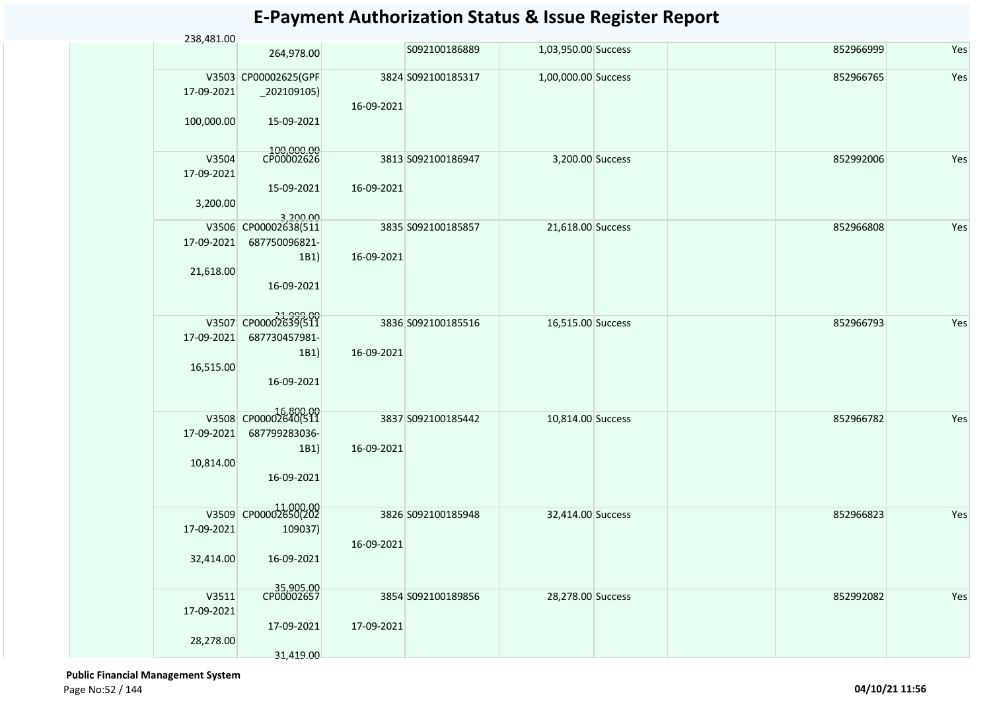| 238,481.00 |                                      |            |                    |                     |           |     |
|------------|--------------------------------------|------------|--------------------|---------------------|-----------|-----|
|            | 264,978.00                           |            | S092100186889      | 1,03,950.00 Success | 852966999 | Yes |
|            | V3503 CP00002625(GPF                 |            | 3824 S092100185317 | 1,00,000.00 Success | 852966765 | Yes |
| 17-09-2021 | $_2$ 202109105)                      |            |                    |                     |           |     |
|            |                                      | 16-09-2021 |                    |                     |           |     |
|            |                                      |            |                    |                     |           |     |
| 100,000.00 | 15-09-2021                           |            |                    |                     |           |     |
|            |                                      |            |                    |                     |           |     |
| V3504      | 100,000.00<br>CP00002626             |            | 3813 S092100186947 | 3,200.00 Success    | 852992006 | Yes |
| 17-09-2021 |                                      |            |                    |                     |           |     |
|            | 15-09-2021                           | 16-09-2021 |                    |                     |           |     |
|            |                                      |            |                    |                     |           |     |
| 3,200.00   |                                      |            |                    |                     |           |     |
| V3506      | 3,200.00<br>CP00002638(511           |            | 3835 S092100185857 | 21,618.00 Success   | 852966808 | Yes |
| 17-09-2021 | 687750096821-                        |            |                    |                     |           |     |
|            | 1B1)                                 | 16-09-2021 |                    |                     |           |     |
|            |                                      |            |                    |                     |           |     |
| 21,618.00  |                                      |            |                    |                     |           |     |
|            | 16-09-2021                           |            |                    |                     |           |     |
|            |                                      |            |                    |                     |           |     |
|            | 21,999.00<br>V3507 CP00002639(511    |            | 3836 S092100185516 | 16,515.00 Success   | 852966793 | Yes |
| 17-09-2021 | 687730457981-                        |            |                    |                     |           |     |
|            |                                      |            |                    |                     |           |     |
|            | 1B1)                                 | 16-09-2021 |                    |                     |           |     |
| 16,515.00  |                                      |            |                    |                     |           |     |
|            | 16-09-2021                           |            |                    |                     |           |     |
|            |                                      |            |                    |                     |           |     |
|            | 00.00016,800<br>V3508 CP00002640(511 |            | 3837 S092100185442 | 10,814.00 Success   | 852966782 | Yes |
| 17-09-2021 | 687799283036-                        |            |                    |                     |           |     |
|            |                                      |            |                    |                     |           |     |
|            | 1B1)                                 | 16-09-2021 |                    |                     |           |     |
| 10,814.00  |                                      |            |                    |                     |           |     |
|            | 16-09-2021                           |            |                    |                     |           |     |
|            |                                      |            |                    |                     |           |     |
|            | V3509 CP00002650(202                 |            | 3826 S092100185948 | 32,414.00 Success   | 852966823 | Yes |
| 17-09-2021 | 109037)                              |            |                    |                     |           |     |
|            |                                      |            |                    |                     |           |     |
|            |                                      | 16-09-2021 |                    |                     |           |     |
| 32,414.00  | 16-09-2021                           |            |                    |                     |           |     |
|            |                                      |            |                    |                     |           |     |
| V3511      | 35,905.00<br>CP00002657              |            | 3854 S092100189856 | 28,278.00 Success   | 852992082 | Yes |
|            |                                      |            |                    |                     |           |     |
| 17-09-2021 |                                      |            |                    |                     |           |     |
|            | 17-09-2021                           | 17-09-2021 |                    |                     |           |     |
| 28,278.00  |                                      |            |                    |                     |           |     |
|            | 31,419.00                            |            |                    |                     |           |     |

 **Public Financial Management System**  Page No:52 / 144 **04/10/21 11:56**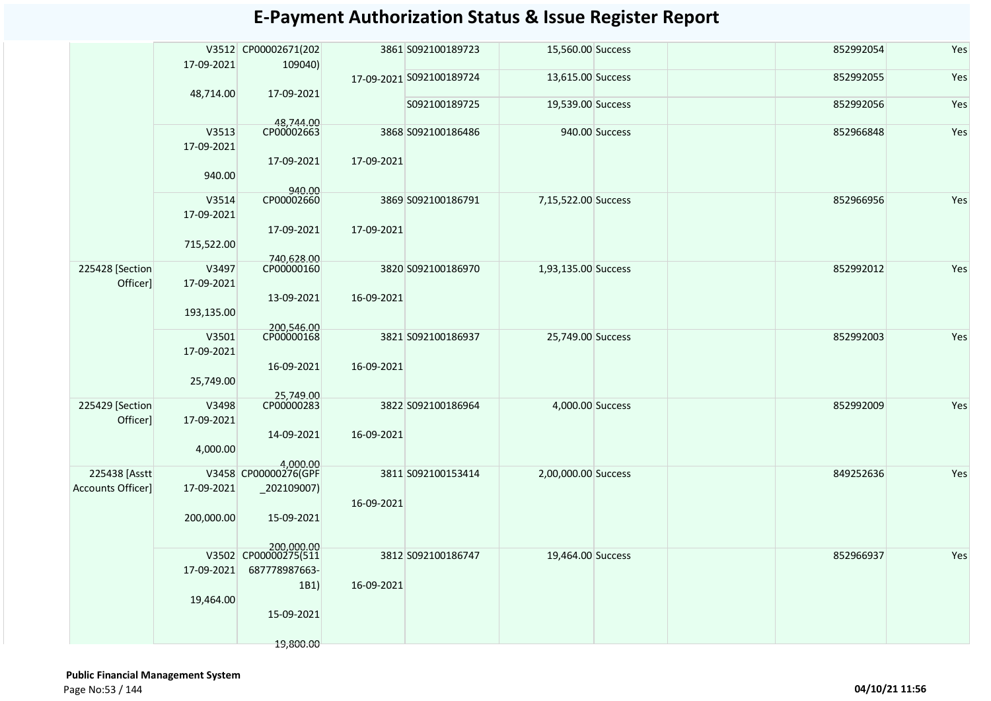|                              | 17-09-2021          | V3512 CP00002671(202<br>109040)    |            | 3861 S092100189723       | 15,560.00 Success   |                | 852992054 | Yes |
|------------------------------|---------------------|------------------------------------|------------|--------------------------|---------------------|----------------|-----------|-----|
|                              | 48,714.00           | 17-09-2021                         |            | 17-09-2021 S092100189724 | 13,615.00 Success   |                | 852992055 | Yes |
|                              |                     |                                    |            | S092100189725            | 19,539.00 Success   |                | 852992056 | Yes |
|                              | V3513<br>17-09-2021 | 48,744.00<br>CP00002663            |            | 3868 S092100186486       |                     | 940.00 Success | 852966848 | Yes |
|                              | 940.00              | 17-09-2021                         | 17-09-2021 |                          |                     |                |           |     |
|                              |                     | 940.00                             |            |                          |                     |                |           |     |
|                              | V3514               | CP00002660                         |            | 3869 S092100186791       | 7,15,522.00 Success |                | 852966956 | Yes |
|                              | 17-09-2021          | 17-09-2021                         | 17-09-2021 |                          |                     |                |           |     |
|                              | 715,522.00          |                                    |            |                          |                     |                |           |     |
| 225428 [Section]             | V3497               | 740.628.00<br>CP00000160           |            | 3820 S092100186970       | 1,93,135.00 Success |                | 852992012 | Yes |
| Officer]                     | 17-09-2021          |                                    |            |                          |                     |                |           |     |
|                              |                     | 13-09-2021                         | 16-09-2021 |                          |                     |                |           |     |
|                              | 193,135.00          |                                    |            |                          |                     |                |           |     |
|                              |                     | 200,546.00                         |            |                          |                     |                |           |     |
|                              | V3501               | CP00000168                         |            | 3821 S092100186937       | 25,749.00 Success   |                | 852992003 | Yes |
|                              | 17-09-2021          |                                    |            |                          |                     |                |           |     |
|                              |                     | 16-09-2021                         | 16-09-2021 |                          |                     |                |           |     |
|                              | 25,749.00           |                                    |            |                          |                     |                |           |     |
|                              |                     | 25,749.00                          |            | 3822 S092100186964       |                     |                |           |     |
| 225429 [Section]<br>Officer] | V3498<br>17-09-2021 | CP00000283                         |            |                          | 4,000.00 Success    |                | 852992009 | Yes |
|                              |                     | 14-09-2021                         | 16-09-2021 |                          |                     |                |           |     |
|                              | 4,000.00            |                                    |            |                          |                     |                |           |     |
| 225438 [Asstt                |                     | 4,000.00<br>V3458 CP00000276(GPF   |            | 3811 S092100153414       | 2,00,000.00 Success |                | 849252636 | Yes |
| <b>Accounts Officer]</b>     | 17-09-2021          | $_2$ 02109007)                     |            |                          |                     |                |           |     |
|                              |                     |                                    | 16-09-2021 |                          |                     |                |           |     |
|                              | 200,000.00          | 15-09-2021                         |            |                          |                     |                |           |     |
|                              |                     |                                    |            |                          |                     |                |           |     |
|                              |                     | 200,000.00<br>V3502 CP00000275(511 |            |                          |                     |                |           |     |
|                              |                     |                                    |            | 3812 S092100186747       | 19,464.00 Success   |                | 852966937 | Yes |
|                              | 17-09-2021          | 687778987663-                      |            |                          |                     |                |           |     |
|                              |                     | 1B1)                               | 16-09-2021 |                          |                     |                |           |     |
|                              | 19,464.00           | 15-09-2021                         |            |                          |                     |                |           |     |
|                              |                     |                                    |            |                          |                     |                |           |     |
|                              |                     | 19,800.00                          |            |                          |                     |                |           |     |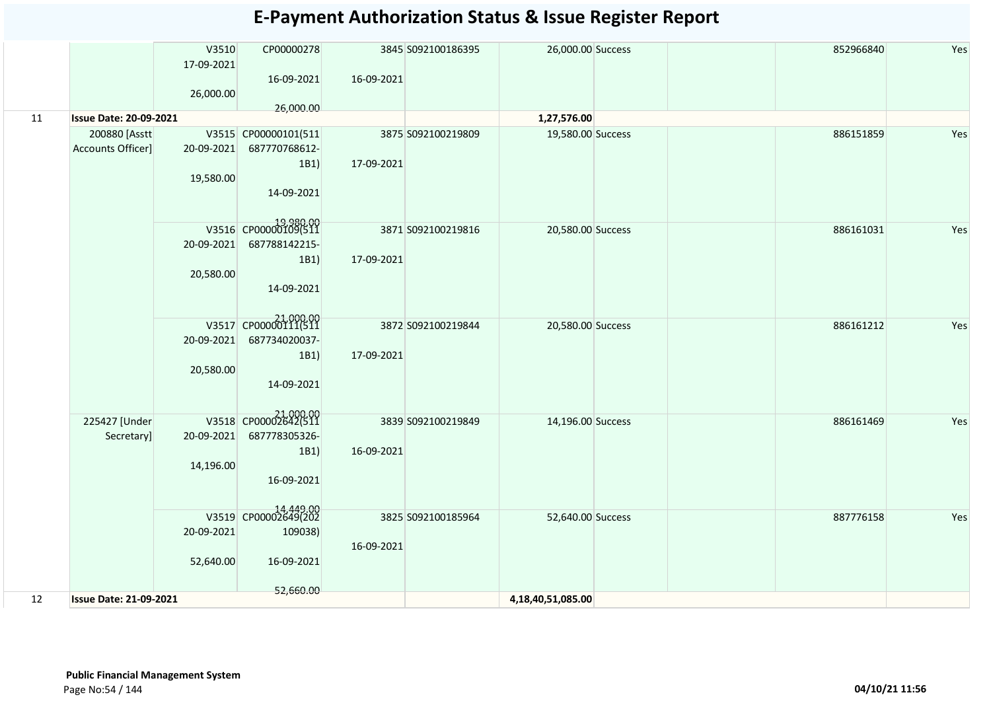|    |                               | V3510<br>17-09-2021 | CP00000278                        |            | 3845 S092100186395 | 26,000.00 Success |  | 852966840 | Yes |
|----|-------------------------------|---------------------|-----------------------------------|------------|--------------------|-------------------|--|-----------|-----|
|    |                               | 26,000.00           | 16-09-2021                        | 16-09-2021 |                    |                   |  |           |     |
| 11 | <b>Issue Date: 20-09-2021</b> |                     | 26,000.00                         |            |                    | 1,27,576.00       |  |           |     |
|    | 200880 [Asstt]                |                     | V3515 CP00000101(511              |            | 3875 S092100219809 | 19,580.00 Success |  | 886151859 | Yes |
|    | Accounts Officer]             | 20-09-2021          | 687770768612-                     |            |                    |                   |  |           |     |
|    |                               |                     | 1B1)                              | 17-09-2021 |                    |                   |  |           |     |
|    |                               | 19,580.00           |                                   |            |                    |                   |  |           |     |
|    |                               |                     | 14-09-2021                        |            |                    |                   |  |           |     |
|    |                               |                     |                                   |            |                    |                   |  |           |     |
|    |                               |                     | 19,980.00<br>V3516 CP00000109(511 |            | 3871 S092100219816 | 20,580.00 Success |  | 886161031 | Yes |
|    |                               | 20-09-2021          | 687788142215-                     |            |                    |                   |  |           |     |
|    |                               |                     | 1B1)                              | 17-09-2021 |                    |                   |  |           |     |
|    |                               | 20,580.00           |                                   |            |                    |                   |  |           |     |
|    |                               |                     | 14-09-2021                        |            |                    |                   |  |           |     |
|    |                               |                     |                                   |            |                    |                   |  |           |     |
|    |                               |                     | 21,000.00<br>V3517 CP00000111(511 |            | 3872 S092100219844 | 20,580.00 Success |  | 886161212 | Yes |
|    |                               | 20-09-2021          | 687734020037-                     |            |                    |                   |  |           |     |
|    |                               |                     | 1B1)                              | 17-09-2021 |                    |                   |  |           |     |
|    |                               | 20,580.00           |                                   |            |                    |                   |  |           |     |
|    |                               |                     | 14-09-2021                        |            |                    |                   |  |           |     |
|    |                               |                     |                                   |            |                    |                   |  |           |     |
|    | 225427 [Under                 |                     | 21,000.00<br>V3518 CP00002642(511 |            | 3839 S092100219849 | 14,196.00 Success |  | 886161469 | Yes |
|    | Secretary]                    | 20-09-2021          | 687778305326-                     |            |                    |                   |  |           |     |
|    |                               |                     | 1B1)                              | 16-09-2021 |                    |                   |  |           |     |
|    |                               | 14,196.00           | 16-09-2021                        |            |                    |                   |  |           |     |
|    |                               |                     |                                   |            |                    |                   |  |           |     |
|    |                               |                     |                                   |            |                    |                   |  |           |     |
|    |                               |                     | 14,449.00<br>V3519 CP00002649(202 |            | 3825 S092100185964 | 52,640.00 Success |  | 887776158 | Yes |
|    |                               | 20-09-2021          | 109038)                           | 16-09-2021 |                    |                   |  |           |     |
|    |                               | 52,640.00           | 16-09-2021                        |            |                    |                   |  |           |     |
|    |                               |                     |                                   |            |                    |                   |  |           |     |
|    |                               |                     | 52,660.00                         |            |                    |                   |  |           |     |
| 12 | <b>Issue Date: 21-09-2021</b> |                     |                                   |            |                    | 4,18,40,51,085.00 |  |           |     |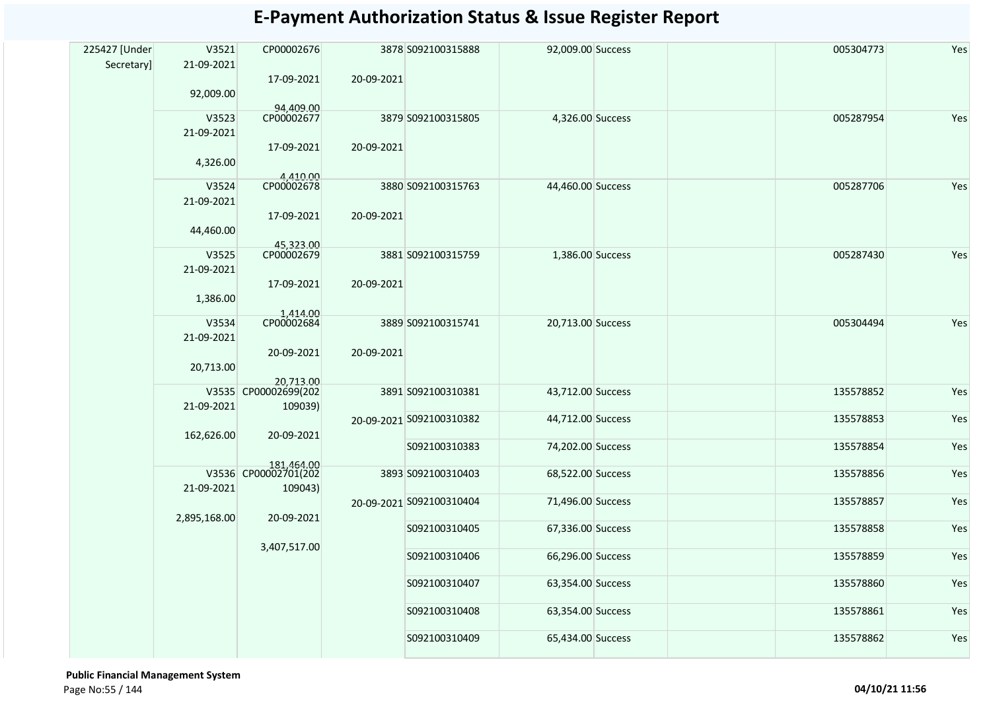| 225427 [Under | V3521        | CP00002676                         |               | 3878 S092100315888       | 92,009.00 Success |           | 005304773 | Yes |
|---------------|--------------|------------------------------------|---------------|--------------------------|-------------------|-----------|-----------|-----|
| Secretary]    | 21-09-2021   |                                    |               |                          |                   |           |           |     |
|               |              | 17-09-2021                         | 20-09-2021    |                          |                   |           |           |     |
|               | 92,009.00    |                                    |               |                          |                   |           |           |     |
|               |              | 94,409.00                          |               |                          |                   |           |           |     |
|               | V3523        | CP00002677                         |               | 3879 S092100315805       | 4,326.00 Success  |           | 005287954 | Yes |
|               | 21-09-2021   |                                    |               |                          |                   |           |           |     |
|               |              | 17-09-2021                         | 20-09-2021    |                          |                   |           |           |     |
|               | 4,326.00     |                                    |               |                          |                   |           |           |     |
|               |              | 4,410.00                           |               |                          |                   |           |           |     |
|               | V3524        | CP00002678                         |               | 3880 S092100315763       | 44,460.00 Success |           | 005287706 | Yes |
|               | 21-09-2021   |                                    |               |                          |                   |           |           |     |
|               |              | 17-09-2021                         | 20-09-2021    |                          |                   |           |           |     |
|               | 44,460.00    |                                    |               |                          |                   |           |           |     |
|               |              | 45,323.00<br>CP00002679            |               |                          |                   |           |           |     |
|               | V3525        |                                    |               | 3881 S092100315759       | 1,386.00 Success  |           | 005287430 | Yes |
|               | 21-09-2021   |                                    |               |                          |                   |           |           |     |
|               |              | 17-09-2021                         | 20-09-2021    |                          |                   |           |           |     |
|               | 1,386.00     |                                    |               |                          |                   |           |           |     |
|               | V3534        | 1,414.00<br>CP00002684             |               | 3889 S092100315741       | 20,713.00 Success |           |           | Yes |
|               |              |                                    |               |                          |                   |           | 005304494 |     |
|               | 21-09-2021   |                                    |               |                          |                   |           |           |     |
|               |              | 20-09-2021                         | 20-09-2021    |                          |                   |           |           |     |
|               | 20,713.00    |                                    |               |                          |                   |           |           |     |
|               |              | 20,713.00<br>V3535 CP00002699(202  |               | 3891 S092100310381       | 43,712.00 Success |           | 135578852 | Yes |
|               | 21-09-2021   | 109039)<br>20-09-2021              |               |                          |                   |           |           |     |
|               |              |                                    |               | 20-09-2021 S092100310382 | 44,712.00 Success |           | 135578853 | Yes |
|               | 162,626.00   |                                    |               |                          |                   |           |           |     |
|               |              |                                    |               | S092100310383            | 74,202.00 Success |           | 135578854 | Yes |
|               |              |                                    |               |                          |                   |           |           |     |
|               |              | 181,464.00<br>V3536 CP00002701(202 |               | 3893 S092100310403       | 68,522.00 Success |           | 135578856 | Yes |
|               | 21-09-2021   | 109043)                            |               |                          |                   |           |           |     |
|               |              |                                    |               | 20-09-2021 S092100310404 | 71,496.00 Success |           | 135578857 | Yes |
|               | 2,895,168.00 | 20-09-2021                         |               |                          |                   |           |           |     |
|               |              |                                    |               | S092100310405            | 67,336.00 Success |           | 135578858 | Yes |
|               |              | 3,407,517.00                       |               |                          |                   |           |           |     |
|               |              |                                    |               | S092100310406            | 66,296.00 Success |           | 135578859 | Yes |
|               |              |                                    |               |                          |                   |           |           |     |
|               |              |                                    |               | S092100310407            | 63,354.00 Success |           | 135578860 | Yes |
|               |              |                                    |               |                          |                   |           |           |     |
|               |              |                                    | S092100310408 | 63,354.00 Success        |                   | 135578861 | Yes       |     |
|               |              |                                    |               |                          | 65,434.00 Success |           |           | Yes |
|               |              |                                    |               | S092100310409            |                   |           | 135578862 |     |

 **Public Financial Management System**  Page No:55 / 144 **04/10/21 11:56**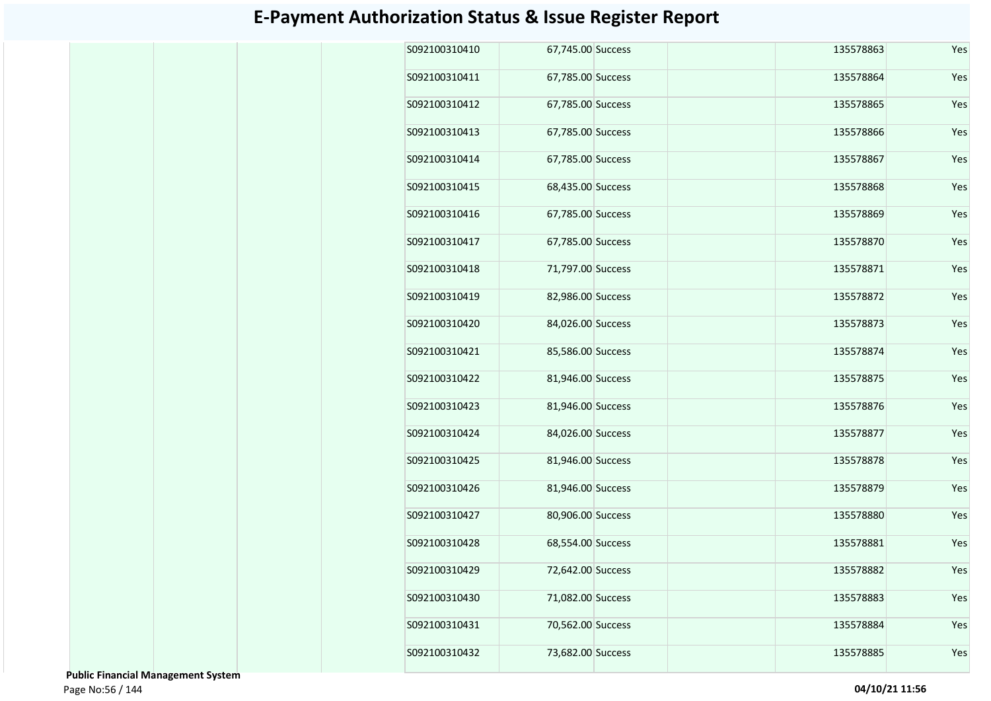| S092100310410 | 67,745.00 Success | 135578863 | Yes |
|---------------|-------------------|-----------|-----|
| S092100310411 | 67,785.00 Success | 135578864 | Yes |
| S092100310412 | 67,785.00 Success | 135578865 | Yes |
| S092100310413 | 67,785.00 Success | 135578866 | Yes |
| S092100310414 | 67,785.00 Success | 135578867 | Yes |
| S092100310415 | 68,435.00 Success | 135578868 | Yes |
| S092100310416 | 67,785.00 Success | 135578869 | Yes |
| S092100310417 | 67,785.00 Success | 135578870 | Yes |
| S092100310418 | 71,797.00 Success | 135578871 | Yes |
| S092100310419 | 82,986.00 Success | 135578872 | Yes |
| S092100310420 | 84,026.00 Success | 135578873 | Yes |
| S092100310421 | 85,586.00 Success | 135578874 | Yes |
| S092100310422 | 81,946.00 Success | 135578875 | Yes |
| S092100310423 | 81,946.00 Success | 135578876 | Yes |
| S092100310424 | 84,026.00 Success | 135578877 | Yes |
| S092100310425 | 81,946.00 Success | 135578878 | Yes |
| S092100310426 | 81,946.00 Success | 135578879 | Yes |
| S092100310427 | 80,906.00 Success | 135578880 | Yes |
| S092100310428 | 68,554.00 Success | 135578881 | Yes |
| S092100310429 | 72,642.00 Success | 135578882 | Yes |
| S092100310430 | 71,082.00 Success | 135578883 | Yes |
| S092100310431 | 70,562.00 Success | 135578884 | Yes |
| S092100310432 | 73,682.00 Success | 135578885 | Yes |

 **Public Financial Management System**  Page No:56 / 144 **04/10/21 11:56**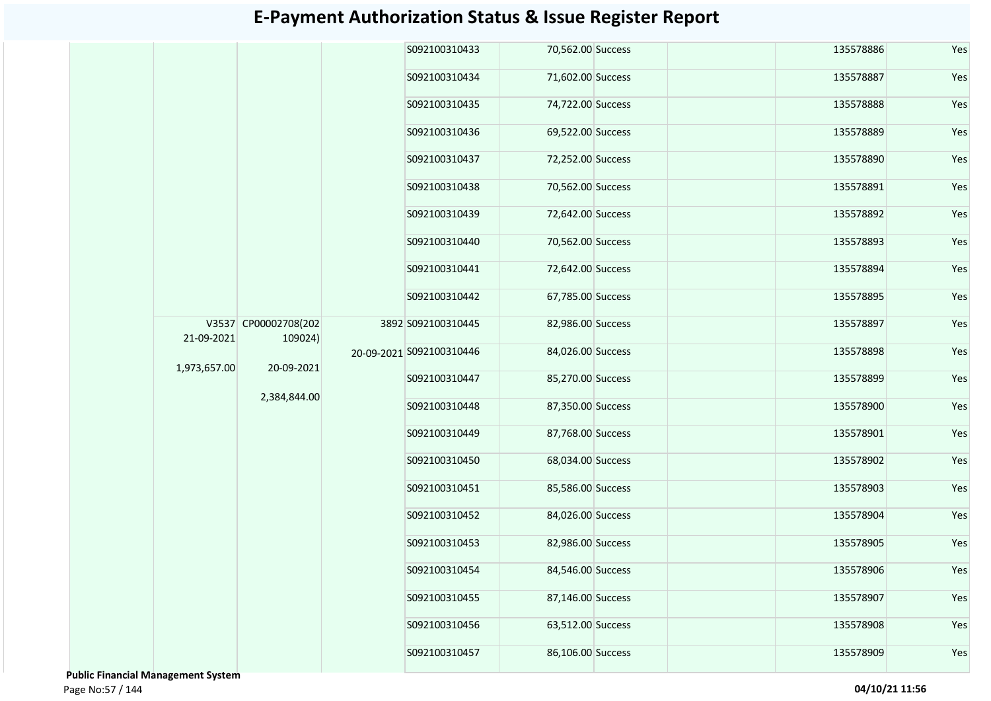|              |                                               |              | S092100310433            | 70,562.00 Success  |                   | 135578886         | Yes               |                   |               |                   |     |           |     |  |  |  |  |  |  |  |  |  |  |  |  |  |  |  |  |               |                   |  |               |                   |  |           |     |
|--------------|-----------------------------------------------|--------------|--------------------------|--------------------|-------------------|-------------------|-------------------|-------------------|---------------|-------------------|-----|-----------|-----|--|--|--|--|--|--|--|--|--|--|--|--|--|--|--|--|---------------|-------------------|--|---------------|-------------------|--|-----------|-----|
|              |                                               |              | S092100310434            | 71,602.00 Success  |                   | 135578887         | Yes               |                   |               |                   |     |           |     |  |  |  |  |  |  |  |  |  |  |  |  |  |  |  |  |               |                   |  |               |                   |  |           |     |
|              |                                               |              | S092100310435            | 74,722.00 Success  |                   | 135578888         | Yes               |                   |               |                   |     |           |     |  |  |  |  |  |  |  |  |  |  |  |  |  |  |  |  |               |                   |  |               |                   |  |           |     |
|              |                                               |              | S092100310436            | 69,522.00 Success  |                   | 135578889         | Yes               |                   |               |                   |     |           |     |  |  |  |  |  |  |  |  |  |  |  |  |  |  |  |  |               |                   |  |               |                   |  |           |     |
|              |                                               |              | S092100310437            | 72,252.00 Success  |                   | 135578890         | Yes               |                   |               |                   |     |           |     |  |  |  |  |  |  |  |  |  |  |  |  |  |  |  |  |               |                   |  |               |                   |  |           |     |
|              | V3537 CP00002708(202<br>109024)<br>20-09-2021 |              |                          | S092100310438      | 70,562.00 Success |                   | 135578891         | Yes               |               |                   |     |           |     |  |  |  |  |  |  |  |  |  |  |  |  |  |  |  |  |               |                   |  |               |                   |  |           |     |
|              |                                               |              |                          |                    |                   |                   | S092100310439     | 72,642.00 Success |               | 135578892         | Yes |           |     |  |  |  |  |  |  |  |  |  |  |  |  |  |  |  |  |               |                   |  |               |                   |  |           |     |
|              |                                               |              |                          |                    |                   |                   |                   |                   | S092100310440 | 70,562.00 Success |     | 135578893 | Yes |  |  |  |  |  |  |  |  |  |  |  |  |  |  |  |  |               |                   |  |               |                   |  |           |     |
|              |                                               |              |                          |                    | S092100310441     | 72,642.00 Success |                   | 135578894         | Yes           |                   |     |           |     |  |  |  |  |  |  |  |  |  |  |  |  |  |  |  |  |               |                   |  |               |                   |  |           |     |
|              |                                               |              |                          | S092100310442      | 67,785.00 Success |                   | 135578895         | Yes               |               |                   |     |           |     |  |  |  |  |  |  |  |  |  |  |  |  |  |  |  |  |               |                   |  |               |                   |  |           |     |
| 21-09-2021   |                                               |              |                          | 3892 S092100310445 | 82,986.00 Success |                   | 135578897         | Yes               |               |                   |     |           |     |  |  |  |  |  |  |  |  |  |  |  |  |  |  |  |  |               |                   |  |               |                   |  |           |     |
| 1,973,657.00 |                                               | 2,384,844.00 | 20-09-2021 S092100310446 | 84,026.00 Success  |                   | 135578898         | Yes               |                   |               |                   |     |           |     |  |  |  |  |  |  |  |  |  |  |  |  |  |  |  |  |               |                   |  |               |                   |  |           |     |
|              |                                               |              | S092100310447            | 85,270.00 Success  |                   | 135578899         | Yes               |                   |               |                   |     |           |     |  |  |  |  |  |  |  |  |  |  |  |  |  |  |  |  |               |                   |  |               |                   |  |           |     |
|              |                                               |              | S092100310448            | 87,350.00 Success  |                   | 135578900         | Yes               |                   |               |                   |     |           |     |  |  |  |  |  |  |  |  |  |  |  |  |  |  |  |  |               |                   |  |               |                   |  |           |     |
|              |                                               |              | S092100310449            | 87,768.00 Success  |                   | 135578901         | Yes               |                   |               |                   |     |           |     |  |  |  |  |  |  |  |  |  |  |  |  |  |  |  |  |               |                   |  |               |                   |  |           |     |
|              |                                               |              |                          |                    |                   |                   |                   |                   |               |                   |     |           |     |  |  |  |  |  |  |  |  |  |  |  |  |  |  |  |  |               |                   |  | S092100310450 | 68,034.00 Success |  | 135578902 | Yes |
|              |                                               |              |                          |                    |                   |                   |                   |                   |               |                   |     |           |     |  |  |  |  |  |  |  |  |  |  |  |  |  |  |  |  | S092100310451 | 85,586.00 Success |  | 135578903     | Yes               |  |           |     |
|              |                                               |              | S092100310452            | 84,026.00 Success  |                   | 135578904         | Yes               |                   |               |                   |     |           |     |  |  |  |  |  |  |  |  |  |  |  |  |  |  |  |  |               |                   |  |               |                   |  |           |     |
|              |                                               |              | S092100310453            | 82,986.00 Success  |                   | 135578905         | Yes               |                   |               |                   |     |           |     |  |  |  |  |  |  |  |  |  |  |  |  |  |  |  |  |               |                   |  |               |                   |  |           |     |
|              |                                               |              | S092100310454            | 84,546.00 Success  |                   | 135578906         | Yes               |                   |               |                   |     |           |     |  |  |  |  |  |  |  |  |  |  |  |  |  |  |  |  |               |                   |  |               |                   |  |           |     |
|              |                                               |              | S092100310455            | 87,146.00 Success  |                   | 135578907         | Yes               |                   |               |                   |     |           |     |  |  |  |  |  |  |  |  |  |  |  |  |  |  |  |  |               |                   |  |               |                   |  |           |     |
|              |                                               |              | S092100310456            | 63,512.00 Success  |                   | 135578908         | Yes               |                   |               |                   |     |           |     |  |  |  |  |  |  |  |  |  |  |  |  |  |  |  |  |               |                   |  |               |                   |  |           |     |
|              |                                               |              |                          |                    |                   | S092100310457     | 86,106.00 Success |                   | 135578909     | Yes               |     |           |     |  |  |  |  |  |  |  |  |  |  |  |  |  |  |  |  |               |                   |  |               |                   |  |           |     |
|              |                                               |              |                          |                    |                   |                   |                   |                   |               |                   |     |           |     |  |  |  |  |  |  |  |  |  |  |  |  |  |  |  |  |               |                   |  |               |                   |  |           |     |

 **Public Financial Management System**  Page No:57 / 144 **04/10/21 11:56**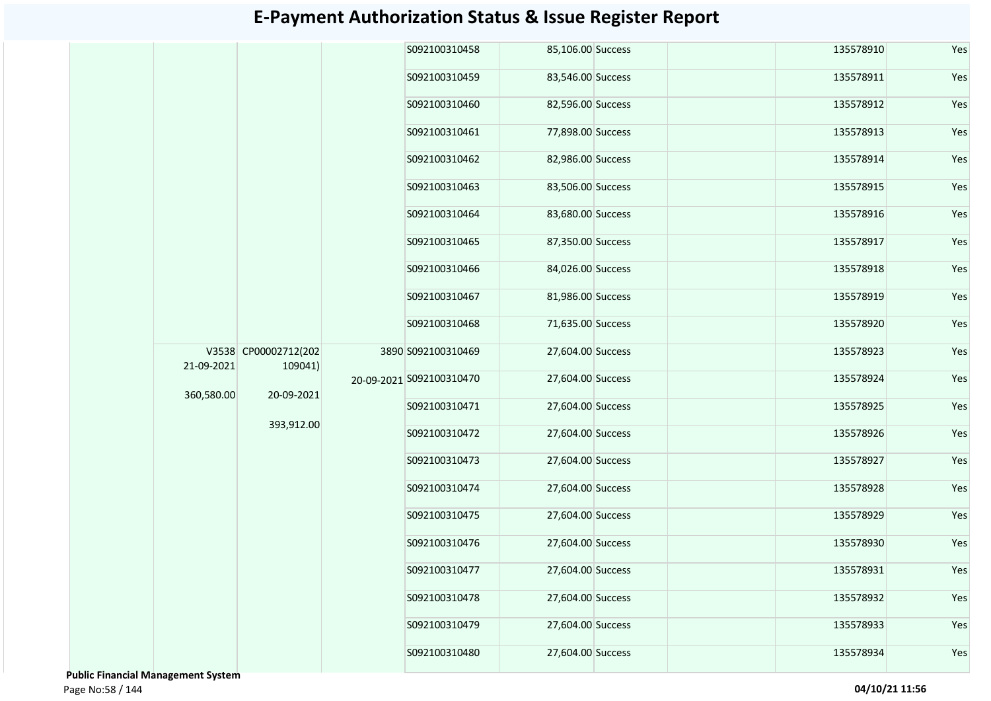|            |                                 |  | S092100310458            | 85,106.00 Success |                   | 135578910         | Yes           |                   |               |                   |     |           |     |  |  |  |               |                   |  |           |     |  |  |  |  |  |  |  |  |  |               |                   |  |           |     |
|------------|---------------------------------|--|--------------------------|-------------------|-------------------|-------------------|---------------|-------------------|---------------|-------------------|-----|-----------|-----|--|--|--|---------------|-------------------|--|-----------|-----|--|--|--|--|--|--|--|--|--|---------------|-------------------|--|-----------|-----|
|            |                                 |  | S092100310459            | 83,546.00 Success |                   | 135578911         | Yes           |                   |               |                   |     |           |     |  |  |  |               |                   |  |           |     |  |  |  |  |  |  |  |  |  |               |                   |  |           |     |
|            |                                 |  | S092100310460            | 82,596.00 Success |                   | 135578912         | Yes           |                   |               |                   |     |           |     |  |  |  |               |                   |  |           |     |  |  |  |  |  |  |  |  |  |               |                   |  |           |     |
|            |                                 |  | S092100310461            | 77,898.00 Success |                   | 135578913         | Yes           |                   |               |                   |     |           |     |  |  |  |               |                   |  |           |     |  |  |  |  |  |  |  |  |  |               |                   |  |           |     |
|            |                                 |  | S092100310462            | 82,986.00 Success |                   | 135578914         | Yes           |                   |               |                   |     |           |     |  |  |  |               |                   |  |           |     |  |  |  |  |  |  |  |  |  |               |                   |  |           |     |
|            |                                 |  |                          | S092100310463     | 83,506.00 Success |                   | 135578915     | Yes               |               |                   |     |           |     |  |  |  |               |                   |  |           |     |  |  |  |  |  |  |  |  |  |               |                   |  |           |     |
|            |                                 |  |                          |                   |                   |                   |               |                   | S092100310464 | 83,680.00 Success |     | 135578916 | Yes |  |  |  |               |                   |  |           |     |  |  |  |  |  |  |  |  |  |               |                   |  |           |     |
|            |                                 |  |                          |                   |                   |                   | S092100310465 | 87,350.00 Success |               | 135578917         | Yes |           |     |  |  |  |               |                   |  |           |     |  |  |  |  |  |  |  |  |  |               |                   |  |           |     |
|            |                                 |  |                          |                   | S092100310466     | 84,026.00 Success |               | 135578918         | Yes           |                   |     |           |     |  |  |  |               |                   |  |           |     |  |  |  |  |  |  |  |  |  |               |                   |  |           |     |
|            |                                 |  |                          |                   | S092100310467     | 81,986.00 Success |               | 135578919         | Yes           |                   |     |           |     |  |  |  |               |                   |  |           |     |  |  |  |  |  |  |  |  |  |               |                   |  |           |     |
|            |                                 |  |                          | S092100310468     | 71,635.00 Success |                   | 135578920     | Yes               |               |                   |     |           |     |  |  |  |               |                   |  |           |     |  |  |  |  |  |  |  |  |  |               |                   |  |           |     |
| 21-09-2021 | V3538 CP00002712(202<br>109041) |  | 3890 S092100310469       | 27,604.00 Success |                   | 135578923         | Yes           |                   |               |                   |     |           |     |  |  |  |               |                   |  |           |     |  |  |  |  |  |  |  |  |  |               |                   |  |           |     |
| 360,580.00 | 20-09-2021                      |  | 20-09-2021 S092100310470 | 27,604.00 Success |                   | 135578924         | Yes           |                   |               |                   |     |           |     |  |  |  |               |                   |  |           |     |  |  |  |  |  |  |  |  |  |               |                   |  |           |     |
|            |                                 |  | S092100310471            | 27,604.00 Success |                   | 135578925         | Yes           |                   |               |                   |     |           |     |  |  |  |               |                   |  |           |     |  |  |  |  |  |  |  |  |  |               |                   |  |           |     |
|            | 393,912.00                      |  | S092100310472            | 27,604.00 Success |                   | 135578926         | Yes           |                   |               |                   |     |           |     |  |  |  |               |                   |  |           |     |  |  |  |  |  |  |  |  |  |               |                   |  |           |     |
|            |                                 |  |                          |                   |                   |                   |               |                   |               |                   |     |           |     |  |  |  |               |                   |  |           |     |  |  |  |  |  |  |  |  |  | S092100310473 | 27,604.00 Success |  | 135578927 | Yes |
|            |                                 |  | S092100310474            | 27,604.00 Success |                   | 135578928         | Yes           |                   |               |                   |     |           |     |  |  |  |               |                   |  |           |     |  |  |  |  |  |  |  |  |  |               |                   |  |           |     |
|            |                                 |  | S092100310475            | 27,604.00 Success |                   | 135578929         | Yes           |                   |               |                   |     |           |     |  |  |  |               |                   |  |           |     |  |  |  |  |  |  |  |  |  |               |                   |  |           |     |
|            |                                 |  |                          |                   |                   |                   |               |                   |               |                   |     |           |     |  |  |  | S092100310476 | 27,604.00 Success |  | 135578930 | Yes |  |  |  |  |  |  |  |  |  |               |                   |  |           |     |
|            |                                 |  | S092100310477            | 27,604.00 Success |                   | 135578931         | Yes           |                   |               |                   |     |           |     |  |  |  |               |                   |  |           |     |  |  |  |  |  |  |  |  |  |               |                   |  |           |     |
|            |                                 |  | S092100310478            | 27,604.00 Success |                   | 135578932         | Yes           |                   |               |                   |     |           |     |  |  |  |               |                   |  |           |     |  |  |  |  |  |  |  |  |  |               |                   |  |           |     |
|            |                                 |  | S092100310479            | 27,604.00 Success |                   | 135578933         | Yes           |                   |               |                   |     |           |     |  |  |  |               |                   |  |           |     |  |  |  |  |  |  |  |  |  |               |                   |  |           |     |
|            |                                 |  | S092100310480            | 27,604.00 Success |                   | 135578934         | Yes           |                   |               |                   |     |           |     |  |  |  |               |                   |  |           |     |  |  |  |  |  |  |  |  |  |               |                   |  |           |     |

 **Public Financial Management System**  Page No:58 / 144 **04/10/21 11:56**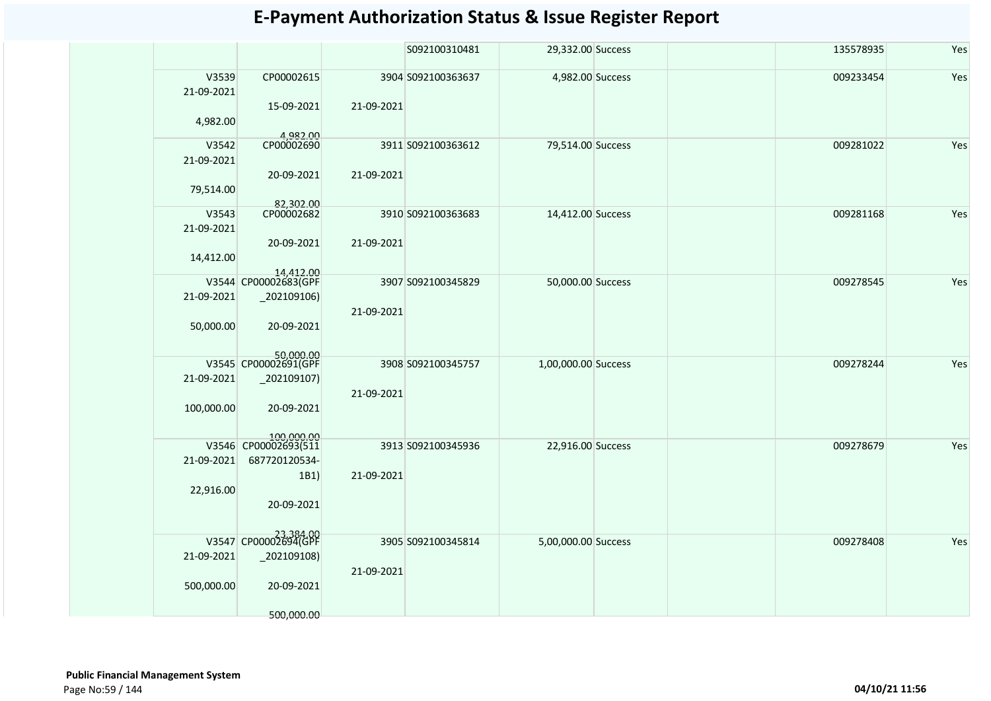|                                  |                                                                     |            | S092100310481      | 29,332.00 Success   |  | 135578935 | Yes |
|----------------------------------|---------------------------------------------------------------------|------------|--------------------|---------------------|--|-----------|-----|
| V3539<br>21-09-2021<br>4,982.00  | CP00002615<br>15-09-2021<br>4,982.00                                | 21-09-2021 | 3904 S092100363637 | 4,982.00 Success    |  | 009233454 | Yes |
| V3542<br>21-09-2021<br>79,514.00 | CP00002690<br>20-09-2021<br>82,302.00                               | 21-09-2021 | 3911 S092100363612 | 79,514.00 Success   |  | 009281022 | Yes |
| V3543<br>21-09-2021<br>14,412.00 | CP00002682<br>20-09-2021<br>14,412.00                               | 21-09-2021 | 3910 S092100363683 | 14,412.00 Success   |  | 009281168 | Yes |
| 21-09-2021<br>50,000.00          | V3544 CP00002683(GPF<br>$_2$ 02109106)<br>20-09-2021                | 21-09-2021 | 3907 S092100345829 | 50,000.00 Success   |  | 009278545 | Yes |
| 21-09-2021<br>100,000.00         | 50,000.00<br>V3545 CP00002691(GPF<br>$_2$ 02109107)<br>20-09-2021   | 21-09-2021 | 3908 S092100345757 | 1,00,000.00 Success |  | 009278244 | Yes |
| V3546<br>21-09-2021<br>22,916.00 | 100,000.00<br>CP00002693(511<br>687720120534-<br>1B1)<br>20-09-2021 | 21-09-2021 | 3913 S092100345936 | 22,916.00 Success   |  | 009278679 | Yes |
| 21-09-2021<br>500,000.00         | 23,384.00<br>$_2$ 02109108)<br>20-09-2021<br>500,000.00             | 21-09-2021 | 3905 S092100345814 | 5,00,000.00 Success |  | 009278408 | Yes |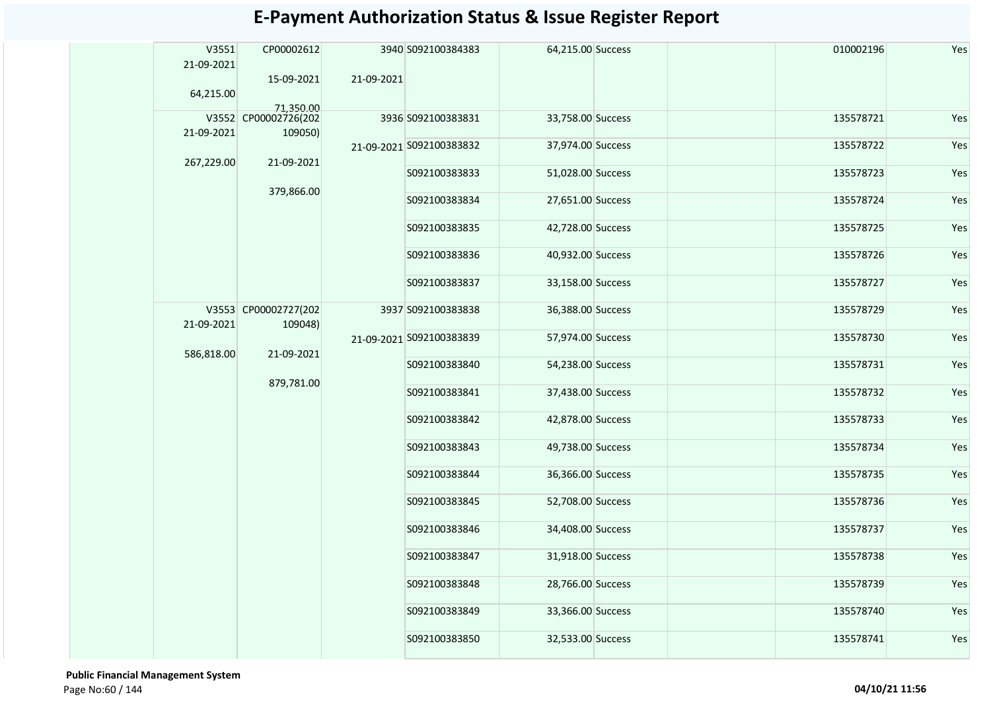| V3551<br>21-09-2021 | CP00002612                         |            | 3940 S092100384383       | 64,215.00 Success  |                   | 010002196         | Yes       |           |     |  |  |  |  |  |               |                   |  |               |                   |  |           |               |                   |  |           |     |  |               |                   |  |           |     |  |               |                   |  |
|---------------------|------------------------------------|------------|--------------------------|--------------------|-------------------|-------------------|-----------|-----------|-----|--|--|--|--|--|---------------|-------------------|--|---------------|-------------------|--|-----------|---------------|-------------------|--|-----------|-----|--|---------------|-------------------|--|-----------|-----|--|---------------|-------------------|--|
| 64,215.00           | 15-09-2021                         | 21-09-2021 |                          |                    |                   |                   |           |           |     |  |  |  |  |  |               |                   |  |               |                   |  |           |               |                   |  |           |     |  |               |                   |  |           |     |  |               |                   |  |
|                     | 71,350.00                          |            |                          |                    |                   | 135578721         |           |           |     |  |  |  |  |  |               |                   |  |               |                   |  |           |               |                   |  |           |     |  |               |                   |  |           |     |  |               |                   |  |
|                     | V3552 CP00002726(202               |            | 3936 S092100383831       | 33,758.00 Success  |                   |                   | Yes       |           |     |  |  |  |  |  |               |                   |  |               |                   |  |           |               |                   |  |           |     |  |               |                   |  |           |     |  |               |                   |  |
| 21-09-2021          | 109050)                            |            | 21-09-2021 S092100383832 | 37,974.00 Success  |                   | 135578722         | Yes       |           |     |  |  |  |  |  |               |                   |  |               |                   |  |           |               |                   |  |           |     |  |               |                   |  |           |     |  |               |                   |  |
| 267,229.00          | 21-09-2021                         |            | S092100383833            | 51,028.00 Success  |                   | 135578723         | Yes       |           |     |  |  |  |  |  |               |                   |  |               |                   |  |           |               |                   |  |           |     |  |               |                   |  |           |     |  |               |                   |  |
|                     | 379,866.00<br>V3553 CP00002727(202 |            | S092100383834            | 27,651.00 Success  |                   | 135578724         | Yes       |           |     |  |  |  |  |  |               |                   |  |               |                   |  |           |               |                   |  |           |     |  |               |                   |  |           |     |  |               |                   |  |
|                     |                                    |            | S092100383835            | 42,728.00 Success  |                   | 135578725         | Yes       |           |     |  |  |  |  |  |               |                   |  |               |                   |  |           |               |                   |  |           |     |  |               |                   |  |           |     |  |               |                   |  |
|                     |                                    |            | S092100383836            | 40,932.00 Success  |                   | 135578726         | Yes       |           |     |  |  |  |  |  |               |                   |  |               |                   |  |           |               |                   |  |           |     |  |               |                   |  |           |     |  |               |                   |  |
|                     |                                    |            | S092100383837            | 33,158.00 Success  |                   | 135578727         | Yes       |           |     |  |  |  |  |  |               |                   |  |               |                   |  |           |               |                   |  |           |     |  |               |                   |  |           |     |  |               |                   |  |
| 21-09-2021          |                                    | 109048)    |                          | 3937 S092100383838 | 36,388.00 Success |                   | 135578729 | Yes       |     |  |  |  |  |  |               |                   |  |               |                   |  |           |               |                   |  |           |     |  |               |                   |  |           |     |  |               |                   |  |
|                     |                                    | 21-09-2021 | 21-09-2021 S092100383839 | 57,974.00 Success  |                   | 135578730         | Yes       |           |     |  |  |  |  |  |               |                   |  |               |                   |  |           |               |                   |  |           |     |  |               |                   |  |           |     |  |               |                   |  |
| 586,818.00          |                                    |            | S092100383840            | 54,238.00 Success  |                   | 135578731         | Yes       |           |     |  |  |  |  |  |               |                   |  |               |                   |  |           |               |                   |  |           |     |  |               |                   |  |           |     |  |               |                   |  |
|                     | 879,781.00                         |            |                          |                    | S092100383841     | 37,438.00 Success |           | 135578732 | Yes |  |  |  |  |  |               |                   |  |               |                   |  |           |               |                   |  |           |     |  |               |                   |  |           |     |  |               |                   |  |
|                     |                                    |            |                          |                    |                   |                   |           |           |     |  |  |  |  |  | S092100383842 | 42,878.00 Success |  | 135578733     | Yes               |  |           |               |                   |  |           |     |  |               |                   |  |           |     |  |               |                   |  |
|                     |                                    |            |                          |                    |                   |                   |           |           |     |  |  |  |  |  |               |                   |  |               |                   |  |           |               |                   |  |           |     |  |               |                   |  |           |     |  | S092100383843 | 49,738.00 Success |  |
|                     |                                    |            |                          |                    |                   |                   |           |           |     |  |  |  |  |  |               |                   |  |               |                   |  |           | S092100383844 | 36,366.00 Success |  | 135578735 | Yes |  |               |                   |  |           |     |  |               |                   |  |
|                     |                                    |            |                          |                    |                   |                   |           |           |     |  |  |  |  |  |               |                   |  | S092100383845 | 52,708.00 Success |  | 135578736 | Yes           |                   |  |           |     |  |               |                   |  |           |     |  |               |                   |  |
|                     |                                    |            |                          |                    |                   |                   |           |           |     |  |  |  |  |  |               |                   |  |               |                   |  |           |               |                   |  |           |     |  | S092100383846 | 34,408.00 Success |  | 135578737 | Yes |  |               |                   |  |
|                     |                                    |            | S092100383847            | 31,918.00 Success  |                   | 135578738         | Yes       |           |     |  |  |  |  |  |               |                   |  |               |                   |  |           |               |                   |  |           |     |  |               |                   |  |           |     |  |               |                   |  |
|                     |                                    |            |                          | S092100383848      | 28,766.00 Success |                   | 135578739 | Yes       |     |  |  |  |  |  |               |                   |  |               |                   |  |           |               |                   |  |           |     |  |               |                   |  |           |     |  |               |                   |  |
|                     |                                    |            | S092100383849            | 33,366.00 Success  |                   | 135578740         | Yes       |           |     |  |  |  |  |  |               |                   |  |               |                   |  |           |               |                   |  |           |     |  |               |                   |  |           |     |  |               |                   |  |
|                     |                                    |            | S092100383850            | 32,533.00 Success  |                   | 135578741         | Yes       |           |     |  |  |  |  |  |               |                   |  |               |                   |  |           |               |                   |  |           |     |  |               |                   |  |           |     |  |               |                   |  |

 **Public Financial Management System**  Page No:60 / 144 **04/10/21 11:56**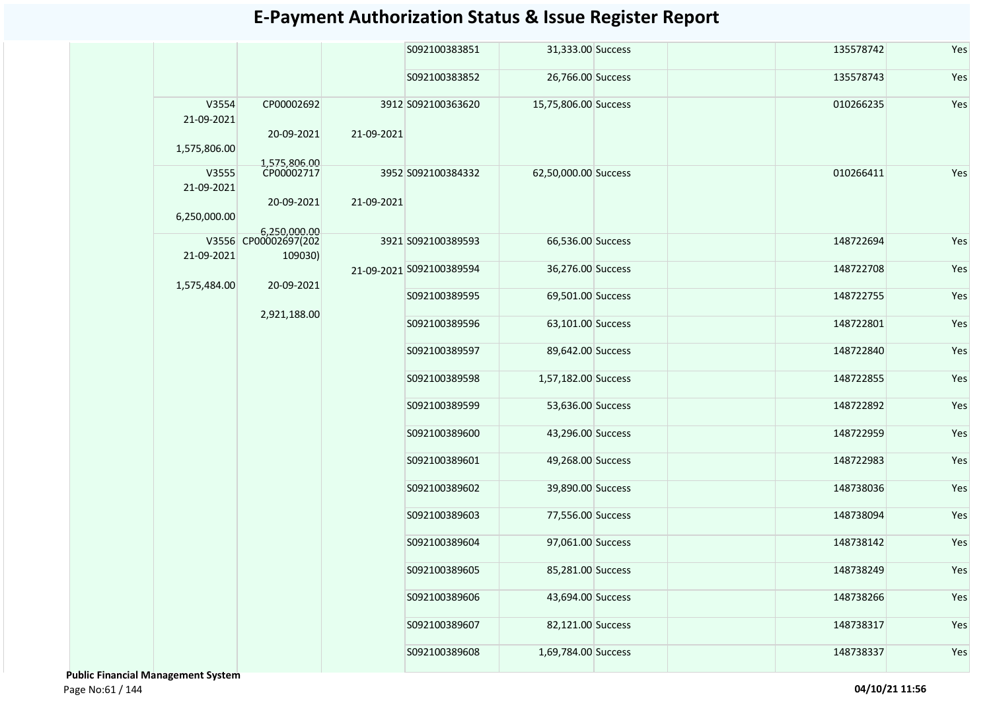|                     |                                 |            | S092100383851            | 31,333.00 Success    |  | 135578742 | Yes |
|---------------------|---------------------------------|------------|--------------------------|----------------------|--|-----------|-----|
|                     |                                 |            | S092100383852            | 26,766.00 Success    |  | 135578743 | Yes |
| V3554<br>21-09-2021 | CP00002692                      |            | 3912 S092100363620       | 15,75,806.00 Success |  | 010266235 | Yes |
| 1,575,806.00        | 20-09-2021<br>1,575,806.00      | 21-09-2021 |                          |                      |  |           |     |
| V3555               | CP00002717                      |            | 3952 S092100384332       | 62,50,000.00 Success |  | 010266411 | Yes |
| 21-09-2021          |                                 |            |                          |                      |  |           |     |
| 6,250,000.00        | 20-09-2021                      | 21-09-2021 |                          |                      |  |           |     |
|                     | 6,250,000.00                    |            |                          |                      |  |           |     |
| 21-09-2021          | V3556 CP00002697(202<br>109030) |            | 3921 S092100389593       | 66,536.00 Success    |  | 148722694 | Yes |
| 1,575,484.00        | 20-09-2021                      |            | 21-09-2021 S092100389594 | 36,276.00 Success    |  | 148722708 | Yes |
|                     |                                 |            | S092100389595            | 69,501.00 Success    |  | 148722755 | Yes |
|                     | 2,921,188.00                    |            | S092100389596            | 63,101.00 Success    |  | 148722801 | Yes |
|                     |                                 |            | S092100389597            | 89,642.00 Success    |  | 148722840 | Yes |
|                     |                                 |            | S092100389598            | 1,57,182.00 Success  |  | 148722855 | Yes |
|                     |                                 |            | S092100389599            | 53,636.00 Success    |  | 148722892 | Yes |
|                     |                                 |            | S092100389600            | 43,296.00 Success    |  | 148722959 | Yes |
|                     |                                 |            | S092100389601            | 49,268.00 Success    |  | 148722983 | Yes |
|                     |                                 |            | S092100389602            | 39,890.00 Success    |  | 148738036 | Yes |
|                     |                                 |            | S092100389603            | 77,556.00 Success    |  | 148738094 | Yes |
|                     |                                 |            | S092100389604            | 97,061.00 Success    |  | 148738142 | Yes |
|                     |                                 |            | S092100389605            | 85,281.00 Success    |  | 148738249 | Yes |
|                     |                                 |            | S092100389606            | 43,694.00 Success    |  | 148738266 | Yes |
|                     |                                 |            | S092100389607            | 82,121.00 Success    |  | 148738317 | Yes |
|                     |                                 |            | S092100389608            | 1,69,784.00 Success  |  | 148738337 | Yes |

 **Public Financial Management System**  Page No:61 / 144 **04/10/21 11:56**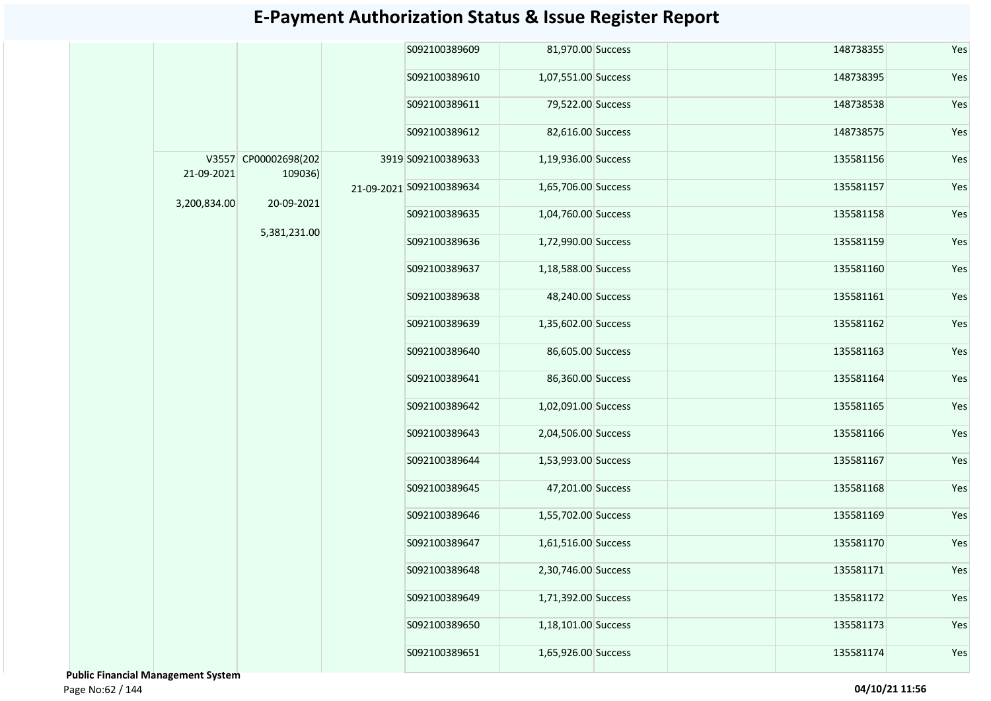|              |                                 |  | S092100389609            | 81,970.00 Success   |                     | 148738355           | Yes       |           |
|--------------|---------------------------------|--|--------------------------|---------------------|---------------------|---------------------|-----------|-----------|
|              |                                 |  | S092100389610            | 1,07,551.00 Success |                     | 148738395           | Yes       |           |
|              |                                 |  | S092100389611            | 79,522.00 Success   |                     | 148738538           | Yes       |           |
|              |                                 |  | S092100389612            | 82,616.00 Success   |                     | 148738575           | Yes       |           |
| 21-09-2021   | V3557 CP00002698(202<br>109036) |  | 3919 S092100389633       | 1,19,936.00 Success |                     | 135581156           | Yes       |           |
|              |                                 |  | 21-09-2021 S092100389634 | 1,65,706.00 Success |                     | 135581157           | Yes       |           |
| 3,200,834.00 | 20-09-2021                      |  |                          | S092100389635       | 1,04,760.00 Success |                     | 135581158 | Yes       |
|              | 5,381,231.00                    |  |                          |                     | S092100389636       | 1,72,990.00 Success |           | 135581159 |
|              |                                 |  | S092100389637            | 1,18,588.00 Success |                     | 135581160           | Yes       |           |
|              |                                 |  | S092100389638            | 48,240.00 Success   |                     | 135581161           | Yes       |           |
|              |                                 |  | S092100389639            | 1,35,602.00 Success |                     | 135581162           | Yes       |           |
|              |                                 |  | S092100389640            | 86,605.00 Success   |                     | 135581163           | Yes       |           |
|              |                                 |  | S092100389641            | 86,360.00 Success   |                     | 135581164           | Yes       |           |
|              |                                 |  | S092100389642            | 1,02,091.00 Success |                     | 135581165           | Yes       |           |
|              |                                 |  | S092100389643            | 2,04,506.00 Success |                     | 135581166           | Yes       |           |
|              |                                 |  | S092100389644            | 1,53,993.00 Success |                     | 135581167           | Yes       |           |
|              |                                 |  | S092100389645            | 47,201.00 Success   |                     | 135581168           | Yes       |           |
|              |                                 |  | S092100389646            | 1,55,702.00 Success |                     | 135581169           | Yes       |           |
|              |                                 |  | S092100389647            | 1,61,516.00 Success |                     | 135581170           | Yes       |           |
|              |                                 |  | S092100389648            | 2,30,746.00 Success |                     | 135581171           | Yes       |           |
|              |                                 |  | S092100389649            | 1,71,392.00 Success |                     | 135581172           | Yes       |           |
|              |                                 |  | S092100389650            | 1,18,101.00 Success |                     | 135581173           | Yes       |           |
|              |                                 |  | S092100389651            | 1,65,926.00 Success |                     | 135581174           | Yes       |           |
|              |                                 |  |                          |                     |                     |                     |           |           |

 **Public Financial Management System**  Page No:62 / 144 **04/10/21 11:56**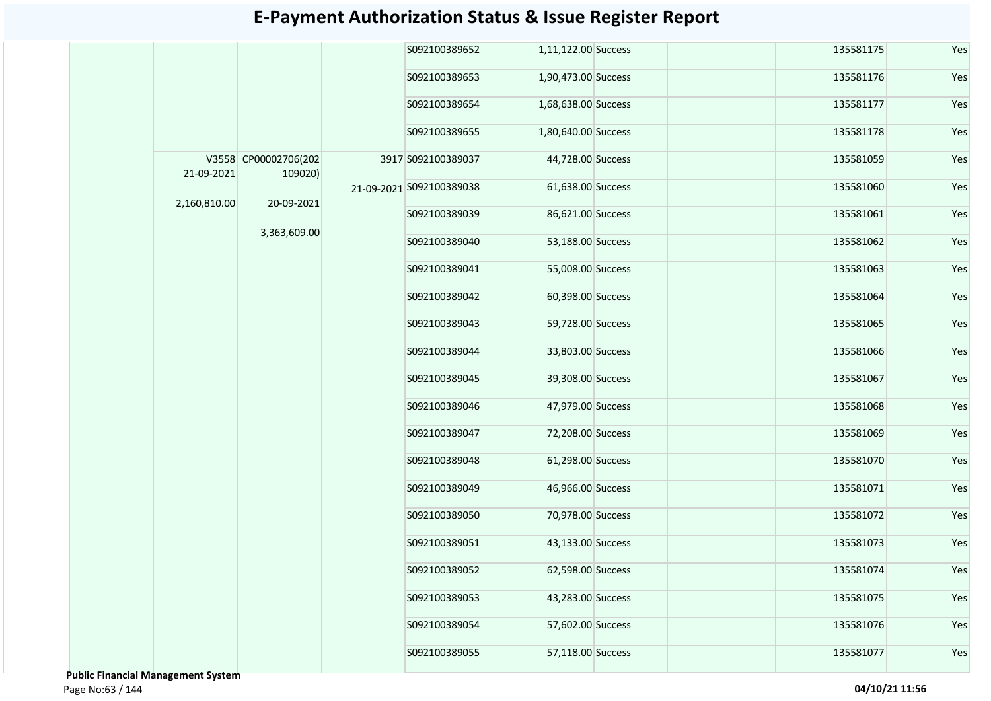|              |                                 | S092100389652            | 1,11,122.00 Success |  | 135581175 | Yes |
|--------------|---------------------------------|--------------------------|---------------------|--|-----------|-----|
|              |                                 | S092100389653            | 1,90,473.00 Success |  | 135581176 | Yes |
|              |                                 | S092100389654            | 1,68,638.00 Success |  | 135581177 | Yes |
|              |                                 | S092100389655            | 1,80,640.00 Success |  | 135581178 | Yes |
| 21-09-2021   | V3558 CP00002706(202<br>109020) | 3917 S092100389037       | 44,728.00 Success   |  | 135581059 | Yes |
| 2,160,810.00 | 20-09-2021                      | 21-09-2021 S092100389038 | 61,638.00 Success   |  | 135581060 | Yes |
|              |                                 | S092100389039            | 86,621.00 Success   |  | 135581061 | Yes |
|              | 3,363,609.00                    | S092100389040            | 53,188.00 Success   |  | 135581062 | Yes |
|              |                                 | S092100389041            | 55,008.00 Success   |  | 135581063 | Yes |
|              |                                 | S092100389042            | 60,398.00 Success   |  | 135581064 | Yes |
|              |                                 | S092100389043            | 59,728.00 Success   |  | 135581065 | Yes |
|              |                                 | S092100389044            | 33,803.00 Success   |  | 135581066 | Yes |
|              |                                 | S092100389045            | 39,308.00 Success   |  | 135581067 | Yes |
|              |                                 | S092100389046            | 47,979.00 Success   |  | 135581068 | Yes |
|              |                                 | S092100389047            | 72,208.00 Success   |  | 135581069 | Yes |
|              |                                 | S092100389048            | 61,298.00 Success   |  | 135581070 | Yes |
|              |                                 | S092100389049            | 46,966.00 Success   |  | 135581071 | Yes |
|              |                                 | S092100389050            | 70,978.00 Success   |  | 135581072 | Yes |
|              |                                 | S092100389051            | 43,133.00 Success   |  | 135581073 | Yes |
|              |                                 | S092100389052            | 62,598.00 Success   |  | 135581074 | Yes |
|              |                                 | S092100389053            | 43,283.00 Success   |  | 135581075 | Yes |
|              |                                 | S092100389054            | 57,602.00 Success   |  | 135581076 | Yes |
|              |                                 | S092100389055            | 57,118.00 Success   |  | 135581077 | Yes |
|              |                                 |                          |                     |  |           |     |

 **Public Financial Management System**  Page No:63 / 144 **04/10/21 11:56**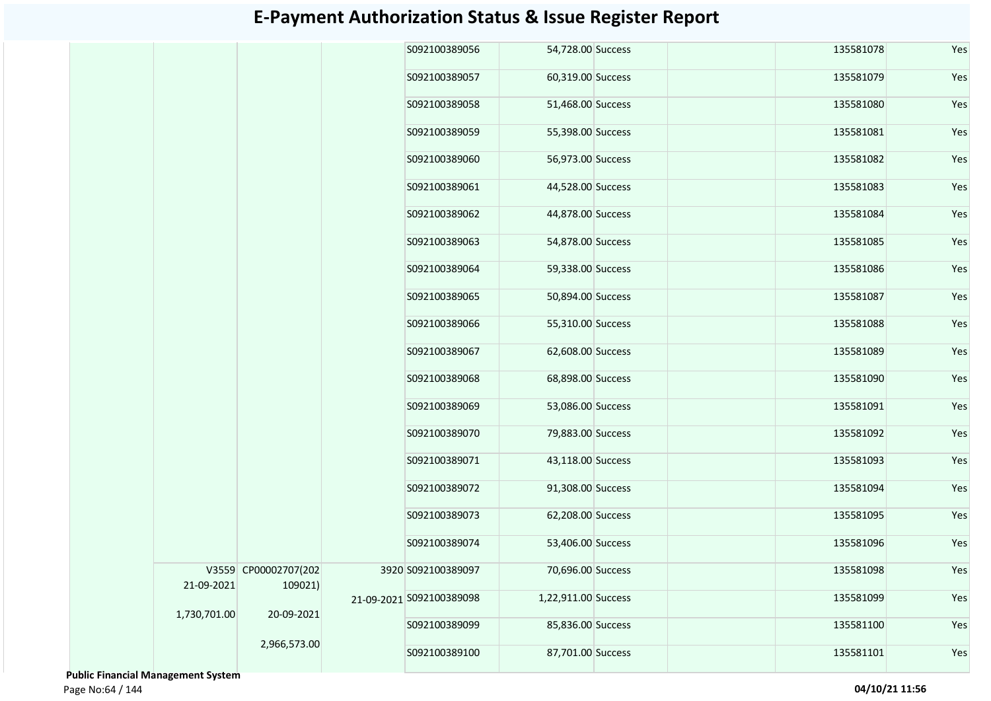|              |                                 | S092100389056            | 54,728.00 Success   |  | 135581078 | Yes |
|--------------|---------------------------------|--------------------------|---------------------|--|-----------|-----|
|              |                                 | S092100389057            | 60,319.00 Success   |  | 135581079 | Yes |
|              |                                 | S092100389058            | 51,468.00 Success   |  | 135581080 | Yes |
|              |                                 | S092100389059            | 55,398.00 Success   |  | 135581081 | Yes |
|              |                                 | S092100389060            | 56,973.00 Success   |  | 135581082 | Yes |
|              |                                 | S092100389061            | 44,528.00 Success   |  | 135581083 | Yes |
|              |                                 | S092100389062            | 44,878.00 Success   |  | 135581084 | Yes |
|              |                                 | S092100389063            | 54,878.00 Success   |  | 135581085 | Yes |
|              |                                 | S092100389064            | 59,338.00 Success   |  | 135581086 | Yes |
|              |                                 | S092100389065            | 50,894.00 Success   |  | 135581087 | Yes |
|              |                                 | S092100389066            | 55,310.00 Success   |  | 135581088 | Yes |
|              |                                 | S092100389067            | 62,608.00 Success   |  | 135581089 | Yes |
|              |                                 | S092100389068            | 68,898.00 Success   |  | 135581090 | Yes |
|              |                                 | S092100389069            | 53,086.00 Success   |  | 135581091 | Yes |
|              |                                 | S092100389070            | 79,883.00 Success   |  | 135581092 | Yes |
|              |                                 | S092100389071            | 43,118.00 Success   |  | 135581093 | Yes |
|              |                                 | S092100389072            | 91,308.00 Success   |  | 135581094 | Yes |
|              |                                 | S092100389073            | 62,208.00 Success   |  | 135581095 | Yes |
|              |                                 | S092100389074            | 53,406.00 Success   |  | 135581096 | Yes |
| 21-09-2021   | V3559 CP00002707(202<br>109021) | 3920 S092100389097       | 70,696.00 Success   |  | 135581098 | Yes |
| 1,730,701.00 | 20-09-2021                      | 21-09-2021 S092100389098 | 1,22,911.00 Success |  | 135581099 | Yes |
|              |                                 | S092100389099            | 85,836.00 Success   |  | 135581100 | Yes |
|              | 2,966,573.00                    | S092100389100            | 87,701.00 Success   |  | 135581101 | Yes |

 **Public Financial Management System**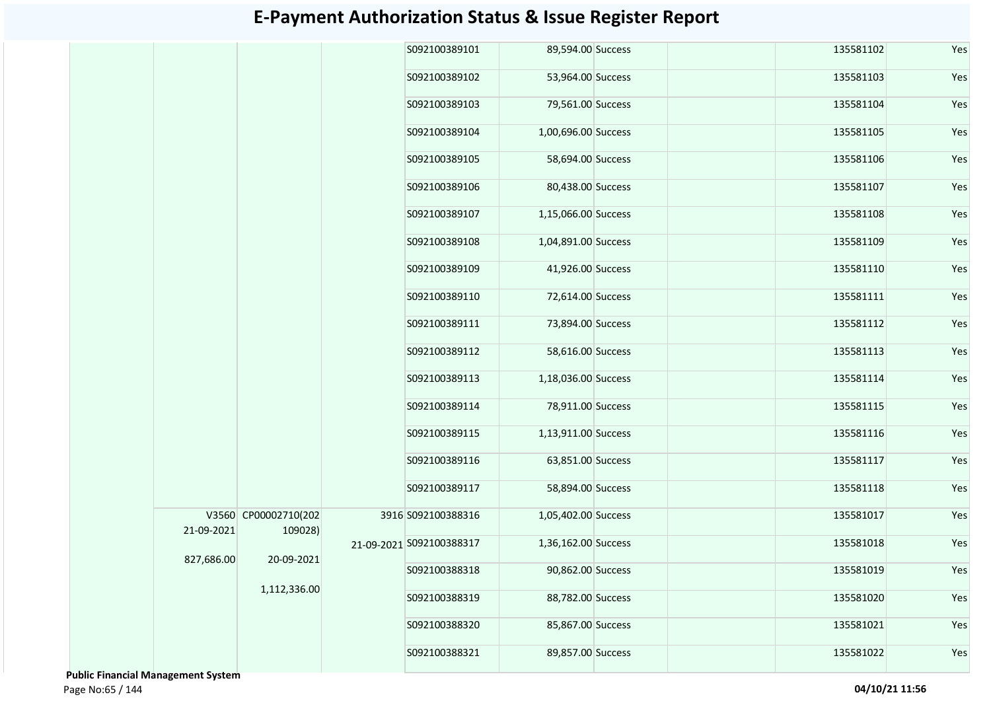|            |                                 | S092100389101            | 89,594.00 Success   |  | 135581102 | Yes |
|------------|---------------------------------|--------------------------|---------------------|--|-----------|-----|
|            |                                 | S092100389102            | 53,964.00 Success   |  | 135581103 | Yes |
|            |                                 | S092100389103            | 79,561.00 Success   |  | 135581104 | Yes |
|            |                                 | S092100389104            | 1,00,696.00 Success |  | 135581105 | Yes |
|            |                                 | S092100389105            | 58,694.00 Success   |  | 135581106 | Yes |
|            |                                 | S092100389106            | 80,438.00 Success   |  | 135581107 | Yes |
|            |                                 | S092100389107            | 1,15,066.00 Success |  | 135581108 | Yes |
|            |                                 | S092100389108            | 1,04,891.00 Success |  | 135581109 | Yes |
|            |                                 | S092100389109            | 41,926.00 Success   |  | 135581110 | Yes |
|            |                                 | S092100389110            | 72,614.00 Success   |  | 135581111 | Yes |
|            |                                 | S092100389111            | 73,894.00 Success   |  | 135581112 | Yes |
|            |                                 | S092100389112            | 58,616.00 Success   |  | 135581113 | Yes |
|            |                                 | S092100389113            | 1,18,036.00 Success |  | 135581114 | Yes |
|            |                                 | S092100389114            | 78,911.00 Success   |  | 135581115 | Yes |
|            |                                 | S092100389115            | 1,13,911.00 Success |  | 135581116 | Yes |
|            |                                 | S092100389116            | 63,851.00 Success   |  | 135581117 | Yes |
|            |                                 | S092100389117            | 58,894.00 Success   |  | 135581118 | Yes |
| 21-09-2021 | V3560 CP00002710(202<br>109028) | 3916 S092100388316       | 1,05,402.00 Success |  | 135581017 | Yes |
|            |                                 | 21-09-2021 S092100388317 | 1,36,162.00 Success |  | 135581018 | Yes |
| 827,686.00 | 20-09-2021                      | S092100388318            | 90,862.00 Success   |  | 135581019 | Yes |
|            | 1,112,336.00                    | S092100388319            | 88,782.00 Success   |  | 135581020 | Yes |
|            |                                 | S092100388320            | 85,867.00 Success   |  | 135581021 | Yes |
|            |                                 | S092100388321            | 89,857.00 Success   |  | 135581022 | Yes |
|            |                                 |                          |                     |  |           |     |

 **Public Financial Management System**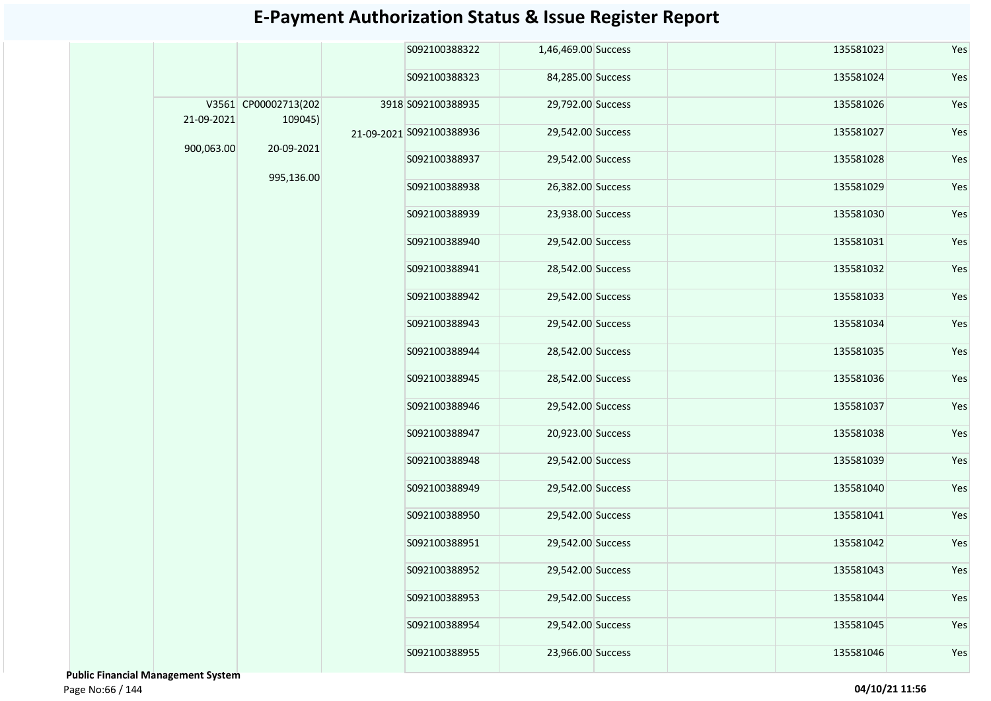|            |                                 | S092100388322            | 1,46,469.00 Success |  | 135581023 | Yes |
|------------|---------------------------------|--------------------------|---------------------|--|-----------|-----|
|            |                                 | S092100388323            | 84,285.00 Success   |  | 135581024 | Yes |
| 21-09-2021 | V3561 CP00002713(202<br>109045) | 3918 S092100388935       | 29,792.00 Success   |  | 135581026 | Yes |
|            | 20-09-2021                      | 21-09-2021 S092100388936 | 29,542.00 Success   |  | 135581027 | Yes |
| 900,063.00 |                                 | S092100388937            | 29,542.00 Success   |  | 135581028 | Yes |
|            | 995,136.00                      | S092100388938            | 26,382.00 Success   |  | 135581029 | Yes |
|            |                                 | S092100388939            | 23,938.00 Success   |  | 135581030 | Yes |
|            |                                 | S092100388940            | 29,542.00 Success   |  | 135581031 | Yes |
|            |                                 | S092100388941            | 28,542.00 Success   |  | 135581032 | Yes |
|            |                                 | S092100388942            | 29,542.00 Success   |  | 135581033 | Yes |
|            |                                 | S092100388943            | 29,542.00 Success   |  | 135581034 | Yes |
|            |                                 | S092100388944            | 28,542.00 Success   |  | 135581035 | Yes |
|            |                                 | S092100388945            | 28,542.00 Success   |  | 135581036 | Yes |
|            |                                 | S092100388946            | 29,542.00 Success   |  | 135581037 | Yes |
|            |                                 | S092100388947            | 20,923.00 Success   |  | 135581038 | Yes |
|            |                                 | S092100388948            | 29,542.00 Success   |  | 135581039 | Yes |
|            |                                 | S092100388949            | 29,542.00 Success   |  | 135581040 | Yes |
|            |                                 | S092100388950            | 29,542.00 Success   |  | 135581041 | Yes |
|            |                                 | S092100388951            | 29,542.00 Success   |  | 135581042 | Yes |
|            |                                 | S092100388952            | 29,542.00 Success   |  | 135581043 | Yes |
|            |                                 | S092100388953            | 29,542.00 Success   |  | 135581044 | Yes |
|            |                                 | S092100388954            | 29,542.00 Success   |  | 135581045 | Yes |
|            |                                 | S092100388955            | 23,966.00 Success   |  | 135581046 | Yes |
|            |                                 |                          |                     |  |           |     |

 **Public Financial Management System**  Page No:66 / 144 **04/10/21 11:56**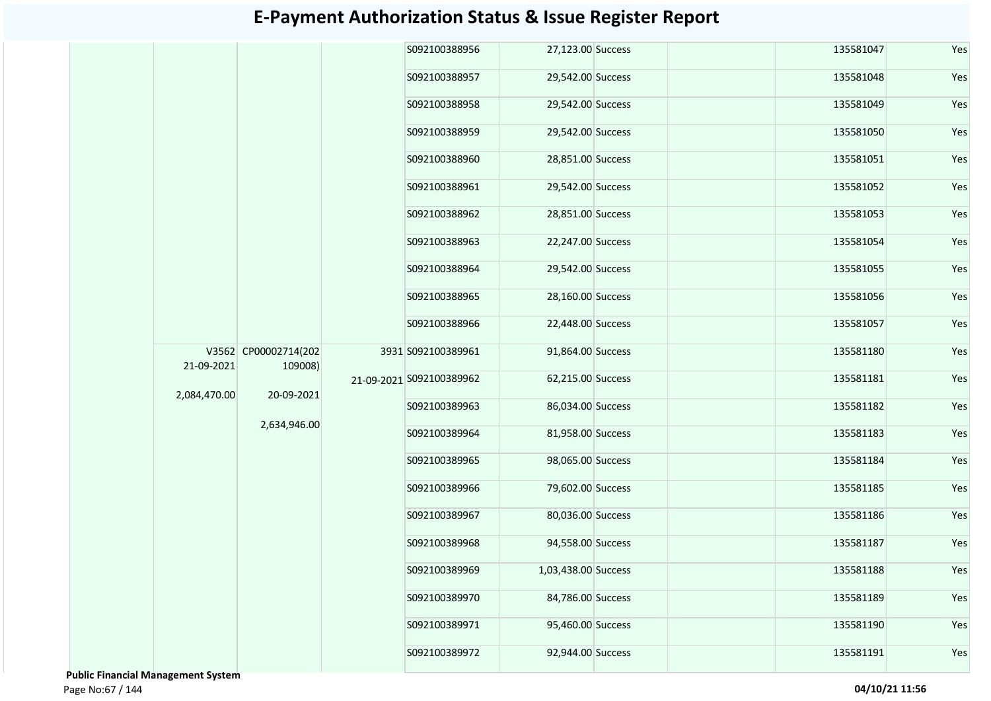|              |                                 | S092100388956            | 27,123.00 Success   |  | 135581047 | Yes |
|--------------|---------------------------------|--------------------------|---------------------|--|-----------|-----|
|              |                                 | S092100388957            | 29,542.00 Success   |  | 135581048 | Yes |
|              |                                 | S092100388958            | 29,542.00 Success   |  | 135581049 | Yes |
|              |                                 | S092100388959            | 29,542.00 Success   |  | 135581050 | Yes |
|              |                                 | S092100388960            | 28,851.00 Success   |  | 135581051 | Yes |
|              |                                 | S092100388961            | 29,542.00 Success   |  | 135581052 | Yes |
|              |                                 | S092100388962            | 28,851.00 Success   |  | 135581053 | Yes |
|              |                                 | S092100388963            | 22,247.00 Success   |  | 135581054 | Yes |
|              |                                 | S092100388964            | 29,542.00 Success   |  | 135581055 | Yes |
|              |                                 | S092100388965            | 28,160.00 Success   |  | 135581056 | Yes |
|              |                                 | S092100388966            | 22,448.00 Success   |  | 135581057 | Yes |
| 21-09-2021   | V3562 CP00002714(202<br>109008) | 3931 S092100389961       | 91,864.00 Success   |  | 135581180 | Yes |
| 2,084,470.00 | 20-09-2021                      | 21-09-2021 S092100389962 | 62,215.00 Success   |  | 135581181 | Yes |
|              |                                 | S092100389963            | 86,034.00 Success   |  | 135581182 | Yes |
|              | 2,634,946.00                    | S092100389964            | 81,958.00 Success   |  | 135581183 | Yes |
|              |                                 | S092100389965            | 98,065.00 Success   |  | 135581184 | Yes |
|              |                                 | S092100389966            | 79,602.00 Success   |  | 135581185 | Yes |
|              |                                 | S092100389967            | 80,036.00 Success   |  | 135581186 | Yes |
|              |                                 | S092100389968            | 94,558.00 Success   |  | 135581187 | Yes |
|              |                                 | \$092100389969           | 1,03,438.00 Success |  | 135581188 | Yes |
|              |                                 | S092100389970            | 84,786.00 Success   |  | 135581189 | Yes |
|              |                                 | S092100389971            | 95,460.00 Success   |  | 135581190 | Yes |
|              |                                 | S092100389972            | 92,944.00 Success   |  | 135581191 | Yes |
|              |                                 |                          |                     |  |           |     |

 **Public Financial Management System**  Page No:67 / 144 **04/10/21 11:56**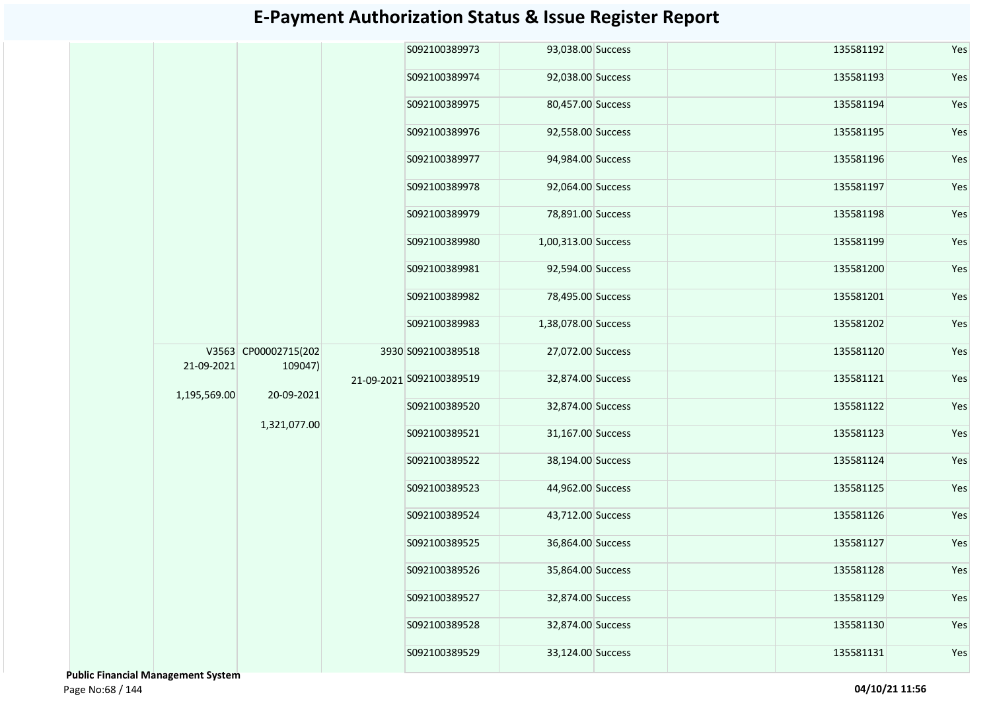|              |                                 | S092100389973            | 93,038.00 Success   |  | 135581192 | Yes |
|--------------|---------------------------------|--------------------------|---------------------|--|-----------|-----|
|              |                                 | S092100389974            | 92,038.00 Success   |  | 135581193 | Yes |
|              |                                 | S092100389975            | 80,457.00 Success   |  | 135581194 | Yes |
|              |                                 | S092100389976            | 92,558.00 Success   |  | 135581195 | Yes |
|              |                                 | S092100389977            | 94,984.00 Success   |  | 135581196 | Yes |
|              |                                 | S092100389978            | 92,064.00 Success   |  | 135581197 | Yes |
|              |                                 | S092100389979            | 78,891.00 Success   |  | 135581198 | Yes |
|              |                                 | S092100389980            | 1,00,313.00 Success |  | 135581199 | Yes |
|              |                                 | S092100389981            | 92,594.00 Success   |  | 135581200 | Yes |
|              |                                 | S092100389982            | 78,495.00 Success   |  | 135581201 | Yes |
|              |                                 | S092100389983            | 1,38,078.00 Success |  | 135581202 | Yes |
| 21-09-2021   | V3563 CP00002715(202<br>109047) | 3930 S092100389518       | 27,072.00 Success   |  | 135581120 | Yes |
| 1,195,569.00 | 20-09-2021                      | 21-09-2021 S092100389519 | 32,874.00 Success   |  | 135581121 | Yes |
|              |                                 | S092100389520            | 32,874.00 Success   |  | 135581122 | Yes |
|              | 1,321,077.00                    | S092100389521            | 31,167.00 Success   |  | 135581123 | Yes |
|              |                                 | S092100389522            | 38,194.00 Success   |  | 135581124 | Yes |
|              |                                 | S092100389523            | 44,962.00 Success   |  | 135581125 | Yes |
|              |                                 | S092100389524            | 43,712.00 Success   |  | 135581126 | Yes |
|              |                                 | S092100389525            | 36,864.00 Success   |  | 135581127 | Yes |
|              |                                 | \$092100389526           | 35,864.00 Success   |  | 135581128 | Yes |
|              |                                 | S092100389527            | 32,874.00 Success   |  | 135581129 | Yes |
|              |                                 | S092100389528            | 32,874.00 Success   |  | 135581130 | Yes |
|              |                                 | S092100389529            | 33,124.00 Success   |  | 135581131 | Yes |
|              |                                 |                          |                     |  |           |     |

 **Public Financial Management System**  Page No:68 / 144 **04/10/21 11:56**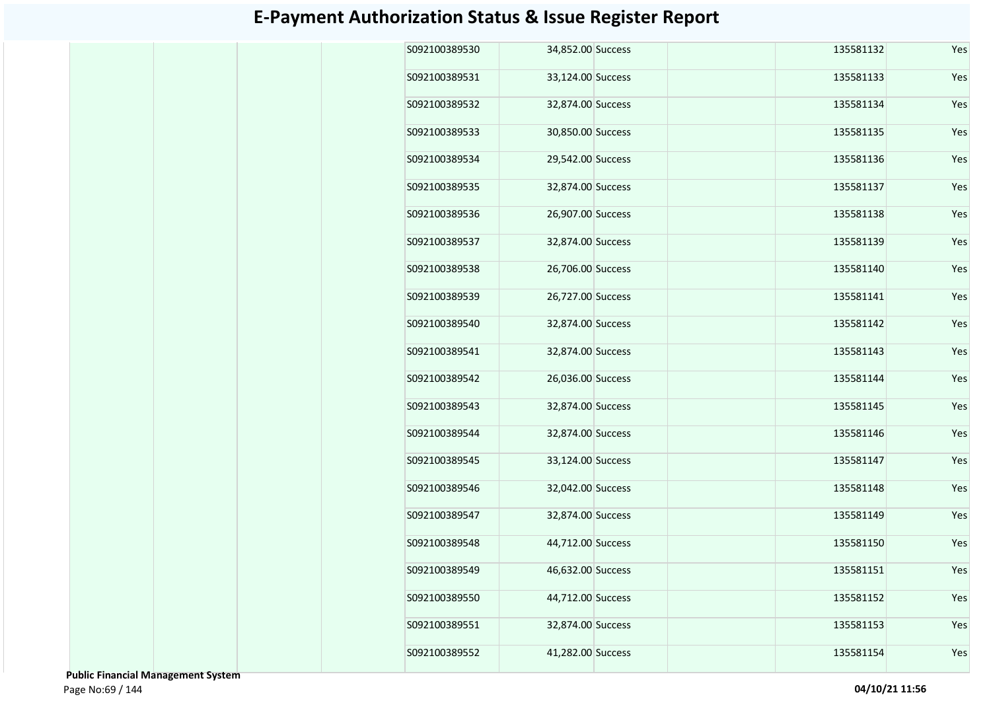| S092100389530 | 34,852.00 Success |  | 135581132 | Yes |
|---------------|-------------------|--|-----------|-----|
| S092100389531 | 33,124.00 Success |  | 135581133 | Yes |
| S092100389532 | 32,874.00 Success |  | 135581134 | Yes |
| S092100389533 | 30,850.00 Success |  | 135581135 | Yes |
| S092100389534 | 29,542.00 Success |  | 135581136 | Yes |
| S092100389535 | 32,874.00 Success |  | 135581137 | Yes |
| S092100389536 | 26,907.00 Success |  | 135581138 | Yes |
| S092100389537 | 32,874.00 Success |  | 135581139 | Yes |
| S092100389538 | 26,706.00 Success |  | 135581140 | Yes |
| S092100389539 | 26,727.00 Success |  | 135581141 | Yes |
| S092100389540 | 32,874.00 Success |  | 135581142 | Yes |
| S092100389541 | 32,874.00 Success |  | 135581143 | Yes |
| S092100389542 | 26,036.00 Success |  | 135581144 | Yes |
| S092100389543 | 32,874.00 Success |  | 135581145 | Yes |
| S092100389544 | 32,874.00 Success |  | 135581146 | Yes |
| S092100389545 | 33,124.00 Success |  | 135581147 | Yes |
| S092100389546 | 32,042.00 Success |  | 135581148 | Yes |
| S092100389547 | 32,874.00 Success |  | 135581149 | Yes |
| S092100389548 | 44,712.00 Success |  | 135581150 | Yes |
| S092100389549 | 46,632.00 Success |  | 135581151 | Yes |
| S092100389550 | 44,712.00 Success |  | 135581152 | Yes |
| S092100389551 | 32,874.00 Success |  | 135581153 | Yes |
| S092100389552 | 41,282.00 Success |  | 135581154 | Yes |

 **Public Financial Management System**  Page No:69 / 144 **04/10/21 11:56**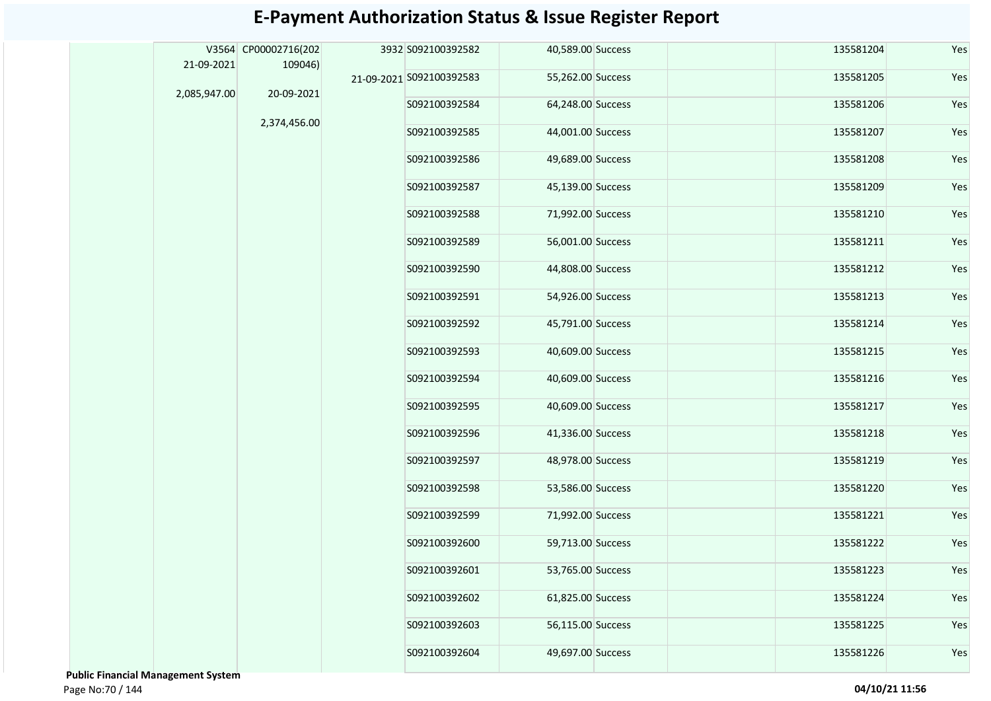|              | V3564 CP00002716(202 | 3932 S092100392582       | 40,589.00 Success |  | 135581204 | Yes |
|--------------|----------------------|--------------------------|-------------------|--|-----------|-----|
| 21-09-2021   | 109046)              |                          |                   |  |           |     |
|              | 20-09-2021           | 21-09-2021 S092100392583 | 55,262.00 Success |  | 135581205 | Yes |
| 2,085,947.00 |                      | S092100392584            | 64,248.00 Success |  | 135581206 | Yes |
|              | 2,374,456.00         | S092100392585            | 44,001.00 Success |  | 135581207 | Yes |
|              |                      | S092100392586            | 49,689.00 Success |  | 135581208 | Yes |
|              |                      | S092100392587            | 45,139.00 Success |  | 135581209 | Yes |
|              |                      | S092100392588            | 71,992.00 Success |  | 135581210 | Yes |
|              |                      | S092100392589            | 56,001.00 Success |  | 135581211 | Yes |
|              |                      | S092100392590            | 44,808.00 Success |  | 135581212 | Yes |
|              |                      | S092100392591            | 54,926.00 Success |  | 135581213 | Yes |
|              |                      | S092100392592            | 45,791.00 Success |  | 135581214 | Yes |
|              |                      | S092100392593            | 40,609.00 Success |  | 135581215 | Yes |
|              |                      | S092100392594            | 40,609.00 Success |  | 135581216 | Yes |
|              |                      | S092100392595            | 40,609.00 Success |  | 135581217 | Yes |
|              |                      | S092100392596            | 41,336.00 Success |  | 135581218 | Yes |
|              |                      | S092100392597            | 48,978.00 Success |  | 135581219 | Yes |
|              |                      | S092100392598            | 53,586.00 Success |  | 135581220 | Yes |
|              |                      | S092100392599            | 71,992.00 Success |  | 135581221 | Yes |
|              |                      | S092100392600            | 59,713.00 Success |  | 135581222 | Yes |
|              |                      | S092100392601            | 53,765.00 Success |  | 135581223 | Yes |
|              |                      | S092100392602            | 61,825.00 Success |  | 135581224 | Yes |
|              |                      | S092100392603            | 56,115.00 Success |  | 135581225 | Yes |
|              |                      | S092100392604            | 49,697.00 Success |  | 135581226 | Yes |

 **Public Financial Management System**  Page No:70 / 144 **04/10/21 11:56**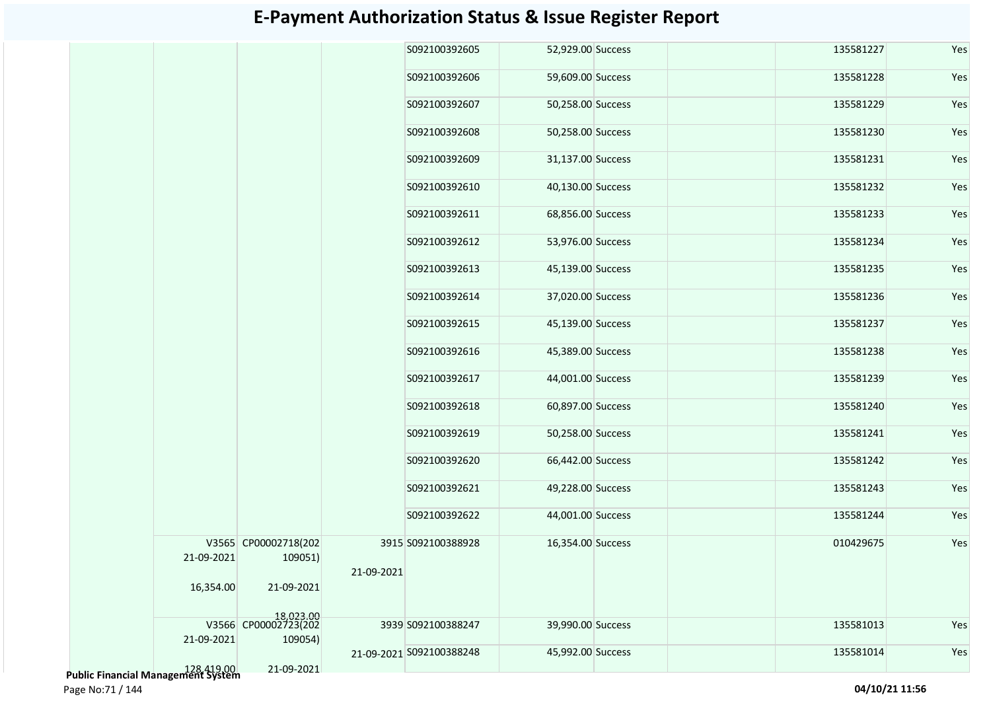| S092100392605<br>52,929.00 Success<br>135581227<br>S092100392606<br>59,609.00 Success<br>135581228<br>S092100392607<br>50,258.00 Success<br>135581229<br>S092100392608<br>50,258.00 Success<br>135581230<br>S092100392609<br>31,137.00 Success<br>135581231<br>S092100392610<br>40,130.00 Success<br>135581232<br>S092100392611<br>68,856.00 Success<br>135581233<br>S092100392612<br>53,976.00 Success<br>135581234<br>S092100392613<br>45,139.00 Success<br>135581235<br>S092100392614<br>37,020.00 Success<br>135581236<br>S092100392615<br>135581237<br>45,139.00 Success<br>S092100392616<br>135581238<br>45,389.00 Success<br>S092100392617<br>44,001.00 Success<br>135581239<br>S092100392618<br>60,897.00 Success<br>135581240<br>S092100392619<br>50,258.00 Success<br>135581241<br>S092100392620<br>66,442.00 Success<br>135581242<br>S092100392621<br>49,228.00 Success<br>135581243<br>S092100392622<br>44,001.00 Success<br>135581244<br>V3565 CP00002718(202<br>3915 S092100388928<br>010429675<br>16,354.00 Success<br>21-09-2021<br>109051)<br>21-09-2021<br>16,354.00<br>21-09-2021<br>18,023.00<br>V3566 CP00002723(202<br>39,990.00 Success<br>135581013<br>3939 S092100388247<br>21-09-2021<br>109054)<br>45,992.00 Success<br>135581014<br>21-09-2021 S092100388248 |  |            |  |  |  |     |
|------------------------------------------------------------------------------------------------------------------------------------------------------------------------------------------------------------------------------------------------------------------------------------------------------------------------------------------------------------------------------------------------------------------------------------------------------------------------------------------------------------------------------------------------------------------------------------------------------------------------------------------------------------------------------------------------------------------------------------------------------------------------------------------------------------------------------------------------------------------------------------------------------------------------------------------------------------------------------------------------------------------------------------------------------------------------------------------------------------------------------------------------------------------------------------------------------------------------------------------------------------------------------------------|--|------------|--|--|--|-----|
|                                                                                                                                                                                                                                                                                                                                                                                                                                                                                                                                                                                                                                                                                                                                                                                                                                                                                                                                                                                                                                                                                                                                                                                                                                                                                          |  |            |  |  |  | Yes |
|                                                                                                                                                                                                                                                                                                                                                                                                                                                                                                                                                                                                                                                                                                                                                                                                                                                                                                                                                                                                                                                                                                                                                                                                                                                                                          |  |            |  |  |  | Yes |
|                                                                                                                                                                                                                                                                                                                                                                                                                                                                                                                                                                                                                                                                                                                                                                                                                                                                                                                                                                                                                                                                                                                                                                                                                                                                                          |  |            |  |  |  | Yes |
|                                                                                                                                                                                                                                                                                                                                                                                                                                                                                                                                                                                                                                                                                                                                                                                                                                                                                                                                                                                                                                                                                                                                                                                                                                                                                          |  |            |  |  |  | Yes |
|                                                                                                                                                                                                                                                                                                                                                                                                                                                                                                                                                                                                                                                                                                                                                                                                                                                                                                                                                                                                                                                                                                                                                                                                                                                                                          |  |            |  |  |  | Yes |
|                                                                                                                                                                                                                                                                                                                                                                                                                                                                                                                                                                                                                                                                                                                                                                                                                                                                                                                                                                                                                                                                                                                                                                                                                                                                                          |  |            |  |  |  | Yes |
|                                                                                                                                                                                                                                                                                                                                                                                                                                                                                                                                                                                                                                                                                                                                                                                                                                                                                                                                                                                                                                                                                                                                                                                                                                                                                          |  |            |  |  |  | Yes |
|                                                                                                                                                                                                                                                                                                                                                                                                                                                                                                                                                                                                                                                                                                                                                                                                                                                                                                                                                                                                                                                                                                                                                                                                                                                                                          |  |            |  |  |  | Yes |
|                                                                                                                                                                                                                                                                                                                                                                                                                                                                                                                                                                                                                                                                                                                                                                                                                                                                                                                                                                                                                                                                                                                                                                                                                                                                                          |  |            |  |  |  | Yes |
|                                                                                                                                                                                                                                                                                                                                                                                                                                                                                                                                                                                                                                                                                                                                                                                                                                                                                                                                                                                                                                                                                                                                                                                                                                                                                          |  |            |  |  |  | Yes |
|                                                                                                                                                                                                                                                                                                                                                                                                                                                                                                                                                                                                                                                                                                                                                                                                                                                                                                                                                                                                                                                                                                                                                                                                                                                                                          |  |            |  |  |  | Yes |
|                                                                                                                                                                                                                                                                                                                                                                                                                                                                                                                                                                                                                                                                                                                                                                                                                                                                                                                                                                                                                                                                                                                                                                                                                                                                                          |  |            |  |  |  | Yes |
|                                                                                                                                                                                                                                                                                                                                                                                                                                                                                                                                                                                                                                                                                                                                                                                                                                                                                                                                                                                                                                                                                                                                                                                                                                                                                          |  |            |  |  |  | Yes |
|                                                                                                                                                                                                                                                                                                                                                                                                                                                                                                                                                                                                                                                                                                                                                                                                                                                                                                                                                                                                                                                                                                                                                                                                                                                                                          |  |            |  |  |  | Yes |
|                                                                                                                                                                                                                                                                                                                                                                                                                                                                                                                                                                                                                                                                                                                                                                                                                                                                                                                                                                                                                                                                                                                                                                                                                                                                                          |  |            |  |  |  | Yes |
|                                                                                                                                                                                                                                                                                                                                                                                                                                                                                                                                                                                                                                                                                                                                                                                                                                                                                                                                                                                                                                                                                                                                                                                                                                                                                          |  |            |  |  |  | Yes |
|                                                                                                                                                                                                                                                                                                                                                                                                                                                                                                                                                                                                                                                                                                                                                                                                                                                                                                                                                                                                                                                                                                                                                                                                                                                                                          |  |            |  |  |  | Yes |
|                                                                                                                                                                                                                                                                                                                                                                                                                                                                                                                                                                                                                                                                                                                                                                                                                                                                                                                                                                                                                                                                                                                                                                                                                                                                                          |  |            |  |  |  | Yes |
|                                                                                                                                                                                                                                                                                                                                                                                                                                                                                                                                                                                                                                                                                                                                                                                                                                                                                                                                                                                                                                                                                                                                                                                                                                                                                          |  |            |  |  |  | Yes |
|                                                                                                                                                                                                                                                                                                                                                                                                                                                                                                                                                                                                                                                                                                                                                                                                                                                                                                                                                                                                                                                                                                                                                                                                                                                                                          |  |            |  |  |  |     |
|                                                                                                                                                                                                                                                                                                                                                                                                                                                                                                                                                                                                                                                                                                                                                                                                                                                                                                                                                                                                                                                                                                                                                                                                                                                                                          |  |            |  |  |  | Yes |
|                                                                                                                                                                                                                                                                                                                                                                                                                                                                                                                                                                                                                                                                                                                                                                                                                                                                                                                                                                                                                                                                                                                                                                                                                                                                                          |  | 21-09-2021 |  |  |  | Yes |

128,419.00  **Public Financial Management System** 

Page No:71 / 144 **04/10/21 11:56**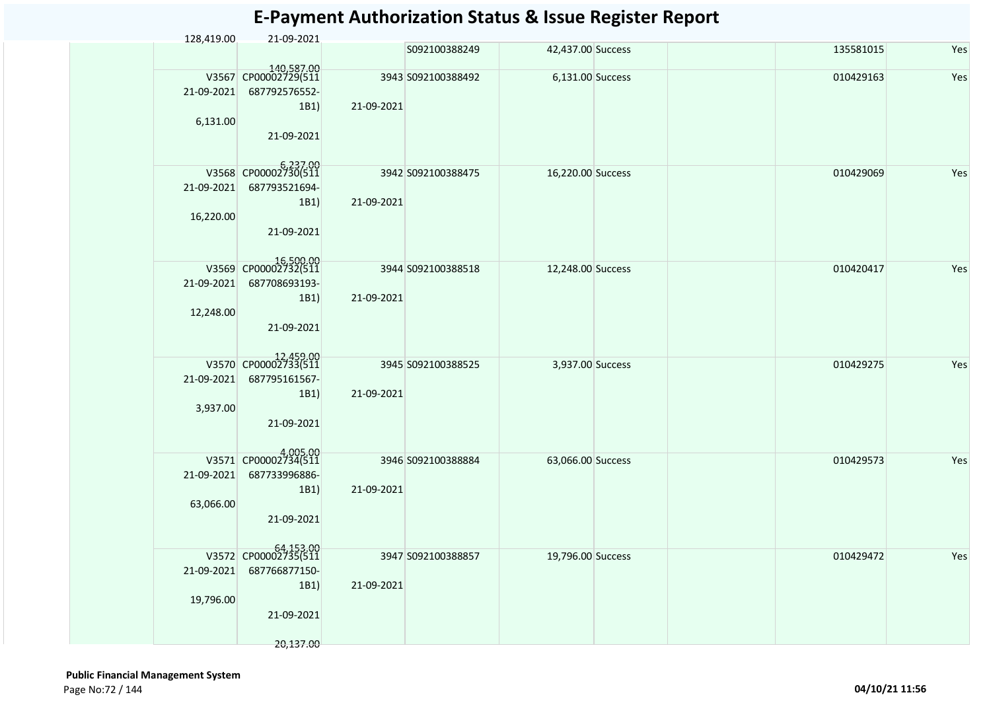| 128,419.00 | 21-09-2021                         |            |                    |                   |           |     |
|------------|------------------------------------|------------|--------------------|-------------------|-----------|-----|
|            |                                    |            | S092100388249      | 42,437.00 Success | 135581015 | Yes |
|            | 140,587.00<br>V3567 CP00002729(511 |            | 3943 S092100388492 | 6,131.00 Success  | 010429163 | Yes |
|            |                                    |            |                    |                   |           |     |
| 21-09-2021 | 687792576552-                      |            |                    |                   |           |     |
|            | 1B1)                               | 21-09-2021 |                    |                   |           |     |
| 6,131.00   |                                    |            |                    |                   |           |     |
|            | 21-09-2021                         |            |                    |                   |           |     |
|            |                                    |            |                    |                   |           |     |
|            | V3568 CP00002730(511               |            | 3942 S092100388475 | 16,220.00 Success | 010429069 | Yes |
| 21-09-2021 | 687793521694-                      |            |                    |                   |           |     |
|            |                                    |            |                    |                   |           |     |
|            | 1B1)                               | 21-09-2021 |                    |                   |           |     |
| 16,220.00  |                                    |            |                    |                   |           |     |
|            | 21-09-2021                         |            |                    |                   |           |     |
|            |                                    |            |                    |                   |           |     |
|            | 16,500.00<br>V3569 CP00002732(511  |            | 3944 S092100388518 | 12,248.00 Success | 010420417 | Yes |
| 21-09-2021 | 687708693193-                      |            |                    |                   |           |     |
|            | 1B1)                               | 21-09-2021 |                    |                   |           |     |
|            |                                    |            |                    |                   |           |     |
| 12,248.00  |                                    |            |                    |                   |           |     |
|            | 21-09-2021                         |            |                    |                   |           |     |
|            |                                    |            |                    |                   |           |     |
|            | V3570 CP00002733(511               |            | 3945 S092100388525 | 3,937.00 Success  | 010429275 | Yes |
| 21-09-2021 | 687795161567-                      |            |                    |                   |           |     |
|            | 1B1)                               | 21-09-2021 |                    |                   |           |     |
| 3,937.00   |                                    |            |                    |                   |           |     |
|            | 21-09-2021                         |            |                    |                   |           |     |
|            |                                    |            |                    |                   |           |     |
|            |                                    |            |                    |                   |           |     |
|            | V3571 CP00002734(511               |            | 3946 S092100388884 | 63,066.00 Success | 010429573 | Yes |
| 21-09-2021 | 687733996886-                      |            |                    |                   |           |     |
|            | 1B1)                               | 21-09-2021 |                    |                   |           |     |
| 63,066.00  |                                    |            |                    |                   |           |     |
|            | 21-09-2021                         |            |                    |                   |           |     |
|            |                                    |            |                    |                   |           |     |
|            |                                    |            |                    |                   |           |     |
|            | V3572 CP00002735(511               |            | 3947 S092100388857 | 19,796.00 Success | 010429472 | Yes |
| 21-09-2021 | 687766877150-                      |            |                    |                   |           |     |
|            | 1B1)                               | 21-09-2021 |                    |                   |           |     |
| 19,796.00  |                                    |            |                    |                   |           |     |
|            | 21-09-2021                         |            |                    |                   |           |     |
|            |                                    |            |                    |                   |           |     |
|            | 20,137.00                          |            |                    |                   |           |     |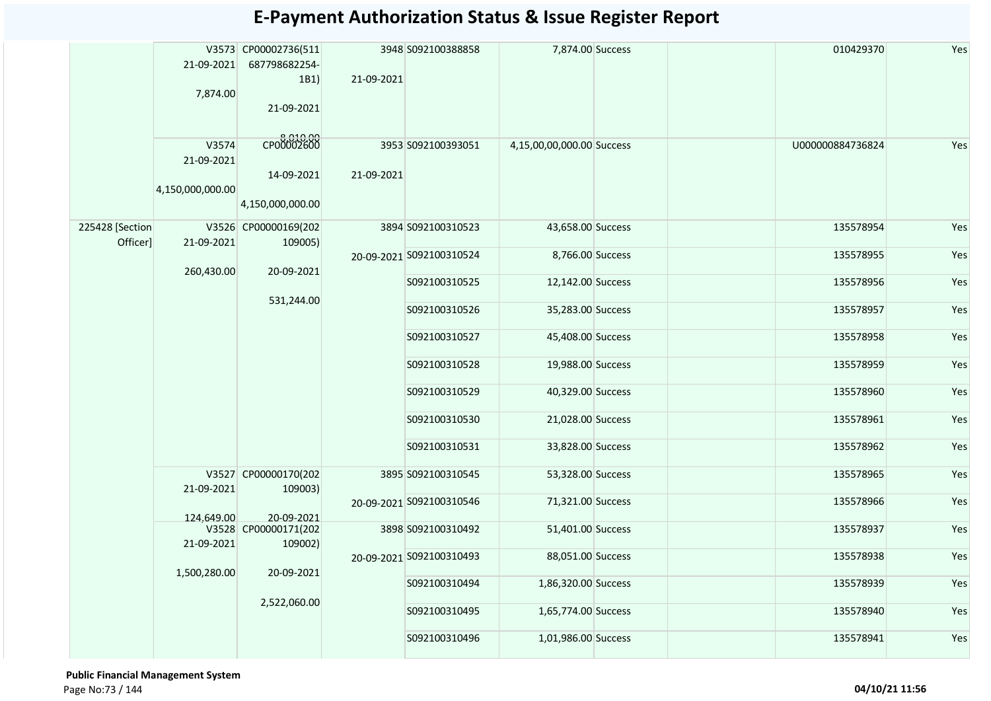|                             | 21-09-2021<br>7,874.00                  | V3573 CP00002736(511<br>687798682254-<br>1B1)<br>21-09-2021 | 21-09-2021    | 3948 S092100388858       | 7,874.00 Success          |                   | 010429370        | Yes       |     |
|-----------------------------|-----------------------------------------|-------------------------------------------------------------|---------------|--------------------------|---------------------------|-------------------|------------------|-----------|-----|
|                             | V3574<br>21-09-2021<br>4,150,000,000.00 | 6,010.00<br>14-09-2021<br>4,150,000,000.00                  | 21-09-2021    | 3953 S092100393051       | 4,15,00,00,000.00 Success |                   | U000000884736824 | Yes       |     |
| 225428 [Section<br>Officer] | V3526<br>21-09-2021                     | CP00000169(202<br>109005)                                   |               | 3894 S092100310523       | 43,658.00 Success         |                   | 135578954        | Yes       |     |
|                             | 260,430.00                              | 20-09-2021                                                  |               | 20-09-2021 S092100310524 | 8,766.00 Success          |                   | 135578955        | Yes       |     |
|                             | 531,244.00                              |                                                             |               | S092100310525            | 12,142.00 Success         |                   | 135578956        | Yes       |     |
|                             |                                         |                                                             | S092100310526 | 35,283.00 Success        |                           | 135578957         | Yes              |           |     |
|                             |                                         |                                                             |               | S092100310527            | 45,408.00 Success         |                   | 135578958        | Yes       |     |
|                             |                                         |                                                             |               | S092100310528            | 19,988.00 Success         |                   | 135578959        | Yes       |     |
|                             |                                         |                                                             |               | S092100310529            | 40,329.00 Success         |                   | 135578960        | Yes       |     |
|                             |                                         |                                                             |               |                          | S092100310530             | 21,028.00 Success |                  | 135578961 | Yes |
|                             |                                         |                                                             |               | S092100310531            | 33,828.00 Success         |                   | 135578962        | Yes       |     |
|                             |                                         | V3527 CP00000170(202<br>109003)                             |               | 3895 S092100310545       | 53,328.00 Success         |                   | 135578965        | Yes       |     |
|                             | 21-09-2021                              |                                                             |               | 20-09-2021 S092100310546 | 71,321.00 Success         |                   | 135578966        | Yes       |     |
|                             | 124,649.00                              | 20-09-2021<br>V3528 CP00000171(202                          |               | 3898 S092100310492       | 51,401.00 Success         |                   | 135578937        | Yes       |     |
|                             | 21-09-2021                              | 109002)                                                     |               | 20-09-2021 S092100310493 | 88,051.00 Success         |                   | 135578938        | Yes       |     |
|                             |                                         | 1,500,280.00<br>20-09-2021<br>2,522,060.00                  |               | S092100310494            | 1,86,320.00 Success       |                   | 135578939        | Yes       |     |
|                             |                                         |                                                             | S092100310495 | 1,65,774.00 Success      |                           | 135578940         | Yes              |           |     |
|                             |                                         |                                                             | S092100310496 | 1,01,986.00 Success      |                           | 135578941         | Yes              |           |     |

 **Public Financial Management System**  Page No:73 / 144 **04/10/21 11:56**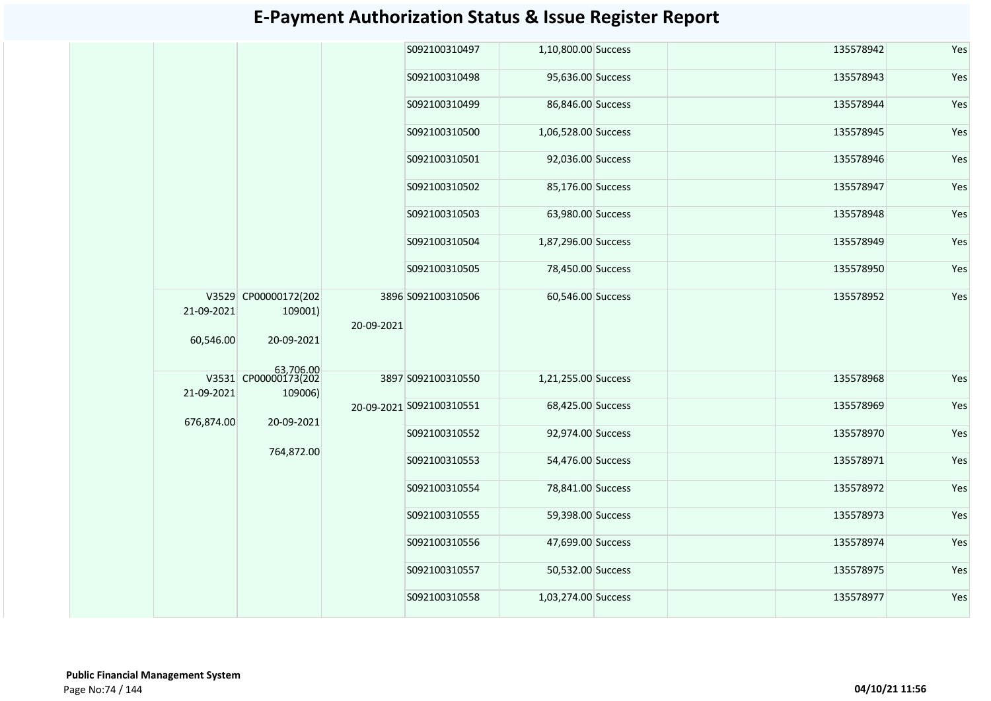|                         |                       |                                                                | S092100310497                                                                                           |                                                                                    |                                                                                                                                                                                                                                                                                                                                                                                                                       | 135578942 | Yes                    |     |  |           |     |  |
|-------------------------|-----------------------|----------------------------------------------------------------|---------------------------------------------------------------------------------------------------------|------------------------------------------------------------------------------------|-----------------------------------------------------------------------------------------------------------------------------------------------------------------------------------------------------------------------------------------------------------------------------------------------------------------------------------------------------------------------------------------------------------------------|-----------|------------------------|-----|--|-----------|-----|--|
|                         |                       |                                                                | S092100310498                                                                                           |                                                                                    |                                                                                                                                                                                                                                                                                                                                                                                                                       | 135578943 | Yes                    |     |  |           |     |  |
|                         |                       |                                                                | S092100310499                                                                                           |                                                                                    |                                                                                                                                                                                                                                                                                                                                                                                                                       | 135578944 | Yes                    |     |  |           |     |  |
|                         |                       |                                                                | S092100310500                                                                                           |                                                                                    |                                                                                                                                                                                                                                                                                                                                                                                                                       | 135578945 | Yes                    |     |  |           |     |  |
|                         |                       |                                                                | S092100310501                                                                                           |                                                                                    |                                                                                                                                                                                                                                                                                                                                                                                                                       | 135578946 | Yes                    |     |  |           |     |  |
|                         |                       |                                                                |                                                                                                         |                                                                                    |                                                                                                                                                                                                                                                                                                                                                                                                                       |           | S092100310502          |     |  | 135578947 | Yes |  |
|                         |                       |                                                                | S092100310503                                                                                           |                                                                                    |                                                                                                                                                                                                                                                                                                                                                                                                                       | 135578948 | Yes                    |     |  |           |     |  |
|                         | 109001)<br>20-09-2021 |                                                                |                                                                                                         | S092100310504                                                                      |                                                                                                                                                                                                                                                                                                                                                                                                                       |           | 135578949              | Yes |  |           |     |  |
|                         |                       |                                                                | S092100310505                                                                                           |                                                                                    |                                                                                                                                                                                                                                                                                                                                                                                                                       | 135578950 | Yes                    |     |  |           |     |  |
| 21-09-2021<br>60,546.00 |                       |                                                                |                                                                                                         |                                                                                    |                                                                                                                                                                                                                                                                                                                                                                                                                       | 135578952 | Yes                    |     |  |           |     |  |
|                         |                       |                                                                |                                                                                                         |                                                                                    |                                                                                                                                                                                                                                                                                                                                                                                                                       |           |                        |     |  |           |     |  |
| 21-09-2021              | 109006)               |                                                                |                                                                                                         |                                                                                    |                                                                                                                                                                                                                                                                                                                                                                                                                       |           | Yes                    |     |  |           |     |  |
|                         |                       |                                                                |                                                                                                         |                                                                                    |                                                                                                                                                                                                                                                                                                                                                                                                                       |           | Yes                    |     |  |           |     |  |
|                         |                       |                                                                | S092100310552                                                                                           |                                                                                    |                                                                                                                                                                                                                                                                                                                                                                                                                       | 135578970 | Yes                    |     |  |           |     |  |
|                         |                       |                                                                | S092100310553                                                                                           |                                                                                    |                                                                                                                                                                                                                                                                                                                                                                                                                       | 135578971 | Yes                    |     |  |           |     |  |
|                         |                       |                                                                | S092100310554                                                                                           |                                                                                    |                                                                                                                                                                                                                                                                                                                                                                                                                       | 135578972 | Yes                    |     |  |           |     |  |
|                         |                       |                                                                | S092100310555                                                                                           |                                                                                    |                                                                                                                                                                                                                                                                                                                                                                                                                       | 135578973 | Yes                    |     |  |           |     |  |
|                         |                       |                                                                | S092100310556                                                                                           |                                                                                    |                                                                                                                                                                                                                                                                                                                                                                                                                       | 135578974 | Yes                    |     |  |           |     |  |
|                         |                       |                                                                | S092100310557                                                                                           |                                                                                    |                                                                                                                                                                                                                                                                                                                                                                                                                       | 135578975 | Yes                    |     |  |           |     |  |
|                         |                       |                                                                | S092100310558                                                                                           |                                                                                    |                                                                                                                                                                                                                                                                                                                                                                                                                       | 135578977 | Yes                    |     |  |           |     |  |
|                         |                       | V3529 CP00000172(202<br>676,874.00<br>20-09-2021<br>764,872.00 | $\begin{array}{r l}\n & 63,706.00 \\ \hline\n\text{V3531} & \text{CP00000173} \text{Q202}\n\end{array}$ | 3896 S092100310506<br>20-09-2021<br>3897 S092100310550<br>20-09-2021 S092100310551 | 1,10,800.00 Success<br>95,636.00 Success<br>86,846.00 Success<br>1,06,528.00 Success<br>92,036.00 Success<br>85,176.00 Success<br>63,980.00 Success<br>1,87,296.00 Success<br>78,450.00 Success<br>60,546.00 Success<br>1,21,255.00 Success<br>68,425.00 Success<br>92,974.00 Success<br>54,476.00 Success<br>78,841.00 Success<br>59,398.00 Success<br>47,699.00 Success<br>50,532.00 Success<br>1,03,274.00 Success |           | 135578968<br>135578969 |     |  |           |     |  |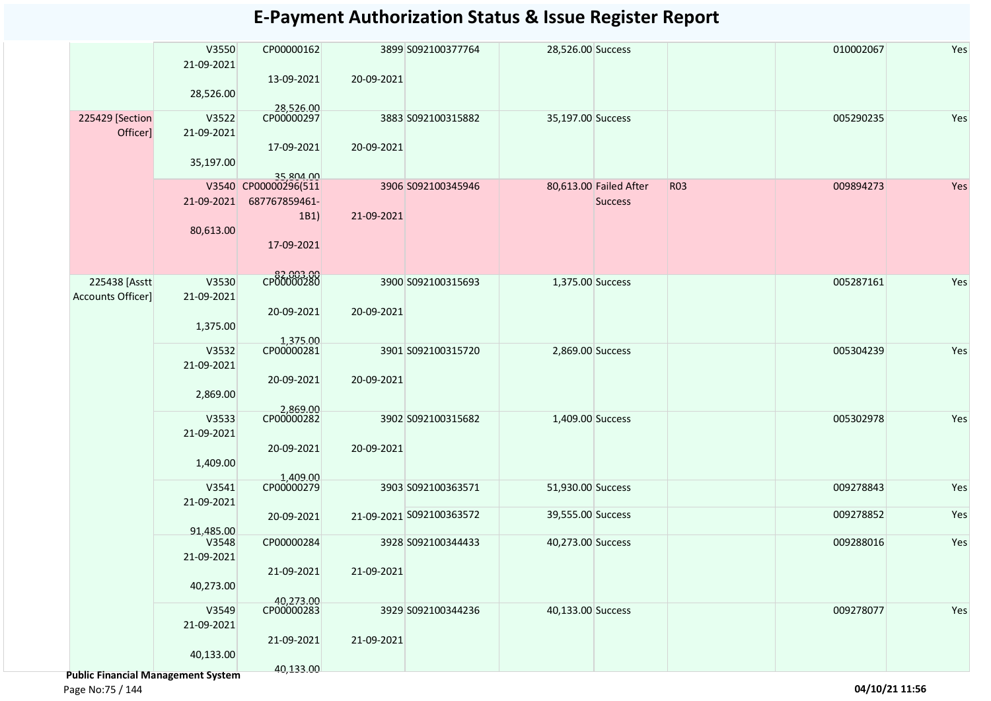|                                           | V3550<br>21-09-2021<br>28,526.00 | CP00000162<br>13-09-2021                                                 | 20-09-2021 | 3899 S092100377764                             | 28,526.00 Success                      |                                          |            | 010002067              | Yes        |
|-------------------------------------------|----------------------------------|--------------------------------------------------------------------------|------------|------------------------------------------------|----------------------------------------|------------------------------------------|------------|------------------------|------------|
| 225429 [Section<br>Officer]               | V3522<br>21-09-2021<br>35,197.00 | 28,526.00<br>CP00000297<br>17-09-2021                                    | 20-09-2021 | 3883 S092100315882                             | 35,197.00 Success                      |                                          |            | 005290235              | Yes        |
|                                           | 21-09-2021<br>80,613.00          | 35.804.00<br>V3540 CP00000296(511<br>687767859461-<br>1B1)<br>17-09-2021 | 21-09-2021 | 3906 S092100345946                             |                                        | 80,613.00 Failed After<br><b>Success</b> | <b>R03</b> | 009894273              | Yes        |
| 225438 [Asstt<br><b>Accounts Officer]</b> | V3530<br>21-09-2021<br>1,375.00  | CP00000280<br>20-09-2021                                                 | 20-09-2021 | 3900 S092100315693                             | 1,375.00 Success                       |                                          |            | 005287161              | Yes        |
|                                           | V3532<br>21-09-2021<br>2,869.00  | 1,375.00<br>CP00000281<br>20-09-2021                                     | 20-09-2021 | 3901 S092100315720                             | 2,869.00 Success                       |                                          |            | 005304239              | Yes        |
|                                           | V3533<br>21-09-2021<br>1,409.00  | 2,869.00<br>CP00000282<br>20-09-2021                                     | 20-09-2021 | 3902 S092100315682                             | 1,409.00 Success                       |                                          |            | 005302978              | Yes        |
|                                           | V3541<br>21-09-2021              | 1,409.00<br>CP00000279                                                   |            | 3903 S092100363571<br>21-09-2021 S092100363572 | 51,930.00 Success<br>39,555.00 Success |                                          |            | 009278843<br>009278852 | Yes<br>Yes |
|                                           | 91,485.00<br>V3548               | 20-09-2021<br>CP00000284                                                 |            | 3928 S092100344433                             | 40,273.00 Success                      |                                          |            | 009288016              | Yes        |
|                                           | 21-09-2021<br>40,273.00          | 21-09-2021                                                               | 21-09-2021 |                                                |                                        |                                          |            |                        |            |
|                                           | V3549<br>21-09-2021<br>40,133.00 | 40,273.00<br>CP00000283<br>21-09-2021                                    | 21-09-2021 | 3929 S092100344236                             | 40,133.00 Success                      |                                          |            | 009278077              | Yes        |
| Dublic Einancial Managament System        |                                  | 40,133.00                                                                |            |                                                |                                        |                                          |            |                        |            |

 **Public Financial Management System**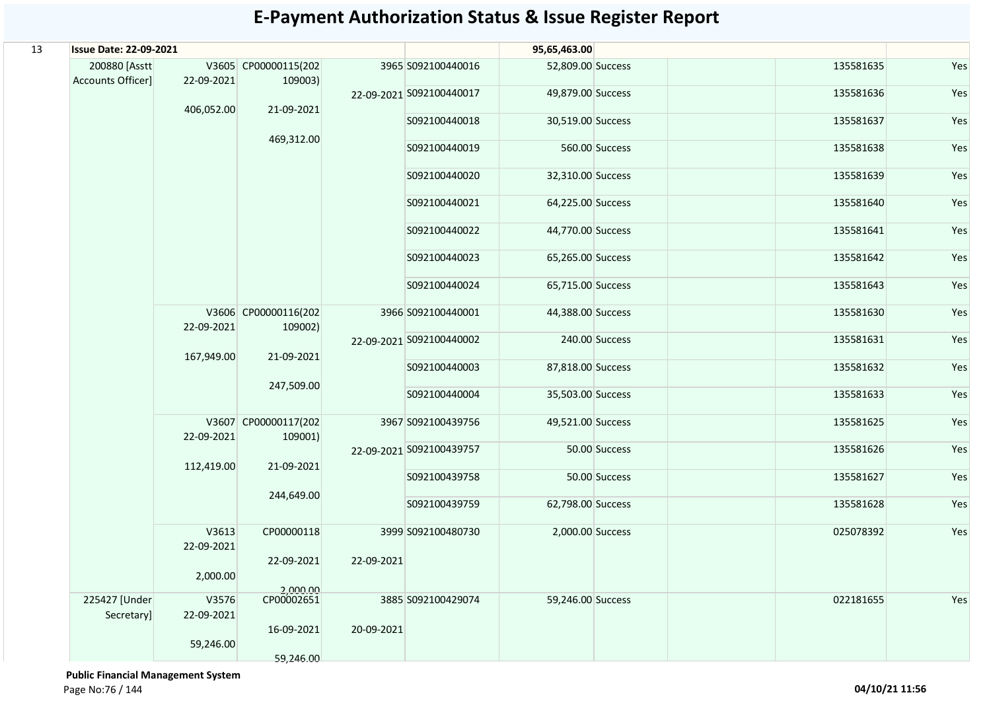| 13 | <b>Issue Date: 22-09-2021</b>      |                     |                                 |                          |                          |                   | 95,65,463.00   |           |     |  |
|----|------------------------------------|---------------------|---------------------------------|--------------------------|--------------------------|-------------------|----------------|-----------|-----|--|
|    | 200880 [Asstt<br>Accounts Officer] | 22-09-2021          | V3605 CP00000115(202<br>109003) |                          | 3965 S092100440016       | 52,809.00 Success |                | 135581635 | Yes |  |
|    |                                    | 406,052.00          | 21-09-2021                      |                          | 22-09-2021 S092100440017 | 49,879.00 Success |                | 135581636 | Yes |  |
|    |                                    |                     |                                 |                          | S092100440018            | 30,519.00 Success |                | 135581637 | Yes |  |
|    |                                    |                     | 469,312.00                      |                          | S092100440019            |                   | 560.00 Success | 135581638 | Yes |  |
|    |                                    |                     |                                 |                          | S092100440020            | 32,310.00 Success |                | 135581639 | Yes |  |
|    |                                    |                     |                                 |                          | S092100440021            | 64,225.00 Success |                | 135581640 | Yes |  |
|    |                                    |                     |                                 |                          | S092100440022            | 44,770.00 Success |                | 135581641 | Yes |  |
|    |                                    |                     |                                 |                          | S092100440023            | 65,265.00 Success |                | 135581642 | Yes |  |
|    |                                    |                     |                                 |                          | S092100440024            | 65,715.00 Success |                | 135581643 | Yes |  |
|    |                                    | 22-09-2021          | V3606 CP00000116(202<br>109002) |                          | 3966 S092100440001       | 44,388.00 Success |                | 135581630 | Yes |  |
|    |                                    | 167,949.00          | 21-09-2021                      | 22-09-2021 S092100440002 |                          | 240.00 Success    | 135581631      | Yes       |     |  |
|    |                                    | 247,509.00          | S092100440003                   | 87,818.00 Success        |                          | 135581632         | Yes            |           |     |  |
|    |                                    |                     |                                 |                          | S092100440004            | 35,503.00 Success |                | 135581633 | Yes |  |
|    |                                    | 22-09-2021          | V3607 CP00000117(202<br>109001) |                          | 3967 S092100439756       | 49,521.00 Success |                | 135581625 | Yes |  |
|    |                                    | 112,419.00          | 21-09-2021                      |                          | 22-09-2021 S092100439757 |                   | 50.00 Success  | 135581626 | Yes |  |
|    |                                    |                     | 244,649.00                      |                          | S092100439758            |                   | 50.00 Success  | 135581627 | Yes |  |
|    |                                    |                     |                                 |                          | S092100439759            | 62,798.00 Success |                | 135581628 | Yes |  |
|    |                                    | V3613<br>22-09-2021 | CP00000118<br>22-09-2021        | 22-09-2021               | 3999 S092100480730       | 2,000.00 Success  |                | 025078392 | Yes |  |
|    |                                    | 2,000.00            | 2,000.00                        |                          |                          |                   |                |           |     |  |
|    | 225427 [Under<br>Secretary]        | V3576<br>22-09-2021 | CP00002651                      |                          | 3885 S092100429074       | 59,246.00 Success |                | 022181655 | Yes |  |
|    |                                    | 59,246.00           | 16-09-2021                      | 20-09-2021               |                          |                   |                |           |     |  |
|    |                                    |                     | 59,246.00                       |                          |                          |                   |                |           |     |  |

 **Public Financial Management System**  Page No:76 / 144 **04/10/21 11:56**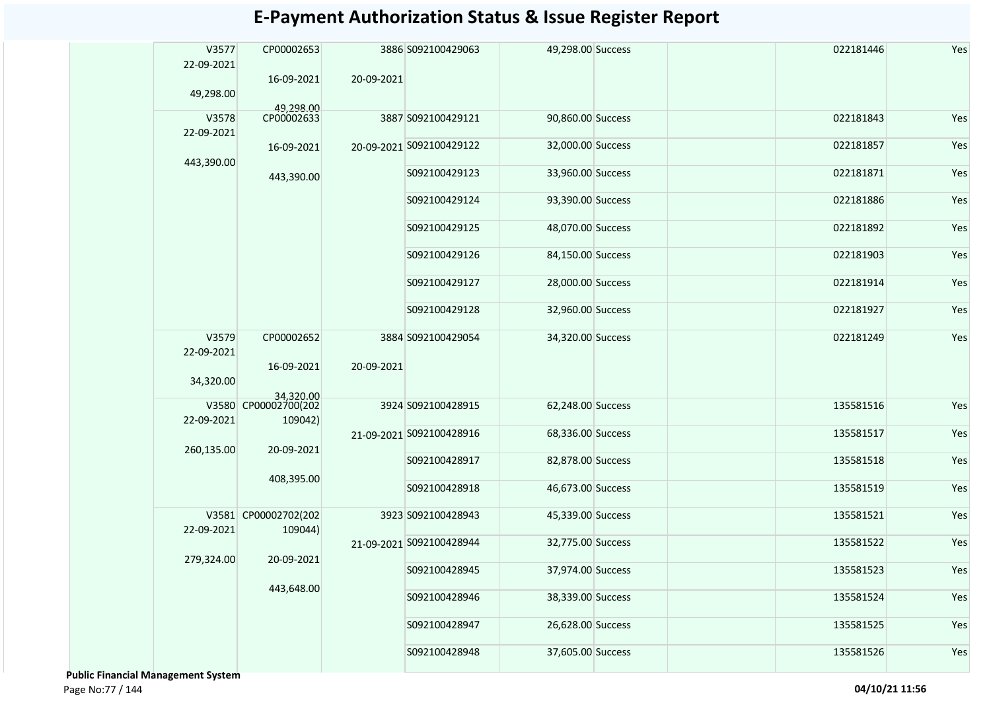| V3577<br>22-09-2021 | CP00002653<br>16-09-2021        | 20-09-2021    | 3886 S092100429063       | 49,298.00 Success |           | 022181446 | Yes |  |  |  |  |  |  |  |  |  |  |  |  |  |  |               |                   |  |           |     |
|---------------------|---------------------------------|---------------|--------------------------|-------------------|-----------|-----------|-----|--|--|--|--|--|--|--|--|--|--|--|--|--|--|---------------|-------------------|--|-----------|-----|
| 49,298.00           | 49.298.00                       |               |                          |                   |           |           |     |  |  |  |  |  |  |  |  |  |  |  |  |  |  |               |                   |  |           |     |
| V3578<br>22-09-2021 | CP00002633                      |               | 3887 S092100429121       | 90,860.00 Success |           | 022181843 | Yes |  |  |  |  |  |  |  |  |  |  |  |  |  |  |               |                   |  |           |     |
| 443,390.00          | 16-09-2021                      |               | 20-09-2021 S092100429122 | 32,000.00 Success |           | 022181857 | Yes |  |  |  |  |  |  |  |  |  |  |  |  |  |  |               |                   |  |           |     |
|                     | 443,390.00                      |               | S092100429123            | 33,960.00 Success |           | 022181871 | Yes |  |  |  |  |  |  |  |  |  |  |  |  |  |  |               |                   |  |           |     |
|                     |                                 |               | S092100429124            | 93,390.00 Success |           | 022181886 | Yes |  |  |  |  |  |  |  |  |  |  |  |  |  |  |               |                   |  |           |     |
|                     |                                 |               | S092100429125            | 48,070.00 Success |           | 022181892 | Yes |  |  |  |  |  |  |  |  |  |  |  |  |  |  |               |                   |  |           |     |
|                     |                                 |               | S092100429126            | 84,150.00 Success |           | 022181903 | Yes |  |  |  |  |  |  |  |  |  |  |  |  |  |  |               |                   |  |           |     |
|                     |                                 |               | S092100429127            | 28,000.00 Success |           | 022181914 | Yes |  |  |  |  |  |  |  |  |  |  |  |  |  |  |               |                   |  |           |     |
|                     |                                 |               | S092100429128            | 32,960.00 Success |           | 022181927 | Yes |  |  |  |  |  |  |  |  |  |  |  |  |  |  |               |                   |  |           |     |
| V3579<br>22-09-2021 | CP00002652<br>16-09-2021        | 20-09-2021    | 3884 S092100429054       | 34,320.00 Success |           | 022181249 | Yes |  |  |  |  |  |  |  |  |  |  |  |  |  |  |               |                   |  |           |     |
| 34,320.00           | 34,320.00                       |               |                          |                   |           |           |     |  |  |  |  |  |  |  |  |  |  |  |  |  |  |               |                   |  |           |     |
| 22-09-2021          | V3580 CP00002700(202<br>109042) |               | 3924 S092100428915       | 62,248.00 Success |           | 135581516 | Yes |  |  |  |  |  |  |  |  |  |  |  |  |  |  |               |                   |  |           |     |
| 260,135.00          | 20-09-2021                      |               | 21-09-2021 S092100428916 | 68,336.00 Success |           | 135581517 | Yes |  |  |  |  |  |  |  |  |  |  |  |  |  |  |               |                   |  |           |     |
|                     | 408,395.00                      |               |                          |                   |           |           |     |  |  |  |  |  |  |  |  |  |  |  |  |  |  | S092100428917 | 82,878.00 Success |  | 135581518 | Yes |
|                     |                                 |               | S092100428918            | 46,673.00 Success |           | 135581519 | Yes |  |  |  |  |  |  |  |  |  |  |  |  |  |  |               |                   |  |           |     |
| 22-09-2021          | V3581 CP00002702(202<br>109044) |               | 3923 S092100428943       | 45,339.00 Success |           | 135581521 | Yes |  |  |  |  |  |  |  |  |  |  |  |  |  |  |               |                   |  |           |     |
|                     | 20-09-2021                      |               | 21-09-2021 S092100428944 | 32,775.00 Success |           | 135581522 | Yes |  |  |  |  |  |  |  |  |  |  |  |  |  |  |               |                   |  |           |     |
| 279,324.00          |                                 |               | S092100428945            | 37,974.00 Success |           | 135581523 | Yes |  |  |  |  |  |  |  |  |  |  |  |  |  |  |               |                   |  |           |     |
|                     | 443,648.00                      |               | S092100428946            | 38,339.00 Success |           | 135581524 | Yes |  |  |  |  |  |  |  |  |  |  |  |  |  |  |               |                   |  |           |     |
|                     |                                 | S092100428947 | 26,628.00 Success        |                   | 135581525 | Yes       |     |  |  |  |  |  |  |  |  |  |  |  |  |  |  |               |                   |  |           |     |
|                     |                                 |               | S092100428948            | 37,605.00 Success |           | 135581526 | Yes |  |  |  |  |  |  |  |  |  |  |  |  |  |  |               |                   |  |           |     |

 **Public Financial Management System**  Page No:77 / 144 **04/10/21 11:56**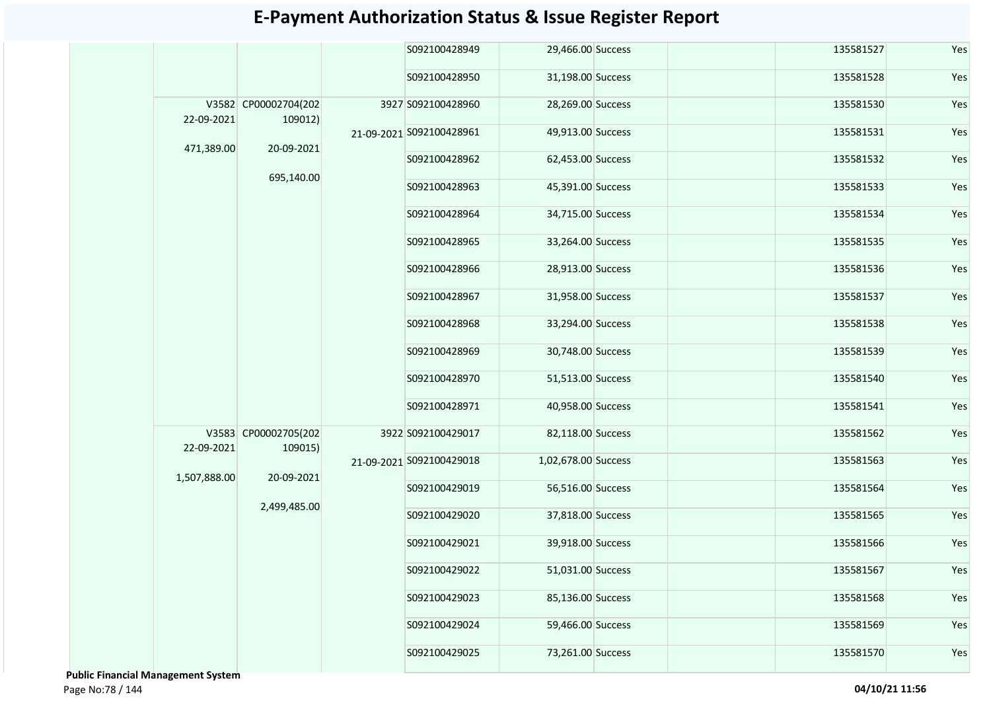|  |                                                        |                                                                                                                              | S092100428949 |                                                                                                                                                     |                                                                                                                                                                                                                                                                                                                                                                                                                                                                                                   | 135581527 | Yes           |     |  |           |     |  |  |  |           |     |  |  |  |  |  |  |  |  |  |  |               |  |  |           |     |
|--|--------------------------------------------------------|------------------------------------------------------------------------------------------------------------------------------|---------------|-----------------------------------------------------------------------------------------------------------------------------------------------------|---------------------------------------------------------------------------------------------------------------------------------------------------------------------------------------------------------------------------------------------------------------------------------------------------------------------------------------------------------------------------------------------------------------------------------------------------------------------------------------------------|-----------|---------------|-----|--|-----------|-----|--|--|--|-----------|-----|--|--|--|--|--|--|--|--|--|--|---------------|--|--|-----------|-----|
|  |                                                        |                                                                                                                              | S092100428950 |                                                                                                                                                     |                                                                                                                                                                                                                                                                                                                                                                                                                                                                                                   | 135581528 | Yes           |     |  |           |     |  |  |  |           |     |  |  |  |  |  |  |  |  |  |  |               |  |  |           |     |
|  |                                                        |                                                                                                                              |               |                                                                                                                                                     |                                                                                                                                                                                                                                                                                                                                                                                                                                                                                                   | 135581530 | Yes           |     |  |           |     |  |  |  |           |     |  |  |  |  |  |  |  |  |  |  |               |  |  |           |     |
|  |                                                        |                                                                                                                              |               |                                                                                                                                                     |                                                                                                                                                                                                                                                                                                                                                                                                                                                                                                   | 135581531 | Yes           |     |  |           |     |  |  |  |           |     |  |  |  |  |  |  |  |  |  |  |               |  |  |           |     |
|  |                                                        |                                                                                                                              | S092100428962 |                                                                                                                                                     |                                                                                                                                                                                                                                                                                                                                                                                                                                                                                                   | 135581532 | Yes           |     |  |           |     |  |  |  |           |     |  |  |  |  |  |  |  |  |  |  |               |  |  |           |     |
|  |                                                        |                                                                                                                              | S092100428963 |                                                                                                                                                     |                                                                                                                                                                                                                                                                                                                                                                                                                                                                                                   | 135581533 | Yes           |     |  |           |     |  |  |  |           |     |  |  |  |  |  |  |  |  |  |  |               |  |  |           |     |
|  |                                                        |                                                                                                                              |               |                                                                                                                                                     |                                                                                                                                                                                                                                                                                                                                                                                                                                                                                                   |           | S092100428964 |     |  | 135581534 | Yes |  |  |  |           |     |  |  |  |  |  |  |  |  |  |  |               |  |  |           |     |
|  |                                                        |                                                                                                                              |               |                                                                                                                                                     |                                                                                                                                                                                                                                                                                                                                                                                                                                                                                                   |           | S092100428965 |     |  | 135581535 | Yes |  |  |  |           |     |  |  |  |  |  |  |  |  |  |  |               |  |  |           |     |
|  |                                                        |                                                                                                                              |               |                                                                                                                                                     |                                                                                                                                                                                                                                                                                                                                                                                                                                                                                                   |           | S092100428966 |     |  | 135581536 | Yes |  |  |  |           |     |  |  |  |  |  |  |  |  |  |  |               |  |  |           |     |
|  |                                                        |                                                                                                                              |               |                                                                                                                                                     |                                                                                                                                                                                                                                                                                                                                                                                                                                                                                                   |           |               |     |  |           |     |  |  |  | 135581537 | Yes |  |  |  |  |  |  |  |  |  |  |               |  |  |           |     |
|  |                                                        |                                                                                                                              |               |                                                                                                                                                     |                                                                                                                                                                                                                                                                                                                                                                                                                                                                                                   |           |               |     |  |           |     |  |  |  | 135581538 | Yes |  |  |  |  |  |  |  |  |  |  |               |  |  |           |     |
|  |                                                        |                                                                                                                              |               |                                                                                                                                                     |                                                                                                                                                                                                                                                                                                                                                                                                                                                                                                   | 135581539 | Yes           |     |  |           |     |  |  |  |           |     |  |  |  |  |  |  |  |  |  |  |               |  |  |           |     |
|  |                                                        |                                                                                                                              | S092100428970 |                                                                                                                                                     |                                                                                                                                                                                                                                                                                                                                                                                                                                                                                                   | 135581540 | Yes           |     |  |           |     |  |  |  |           |     |  |  |  |  |  |  |  |  |  |  |               |  |  |           |     |
|  |                                                        |                                                                                                                              | S092100428971 |                                                                                                                                                     |                                                                                                                                                                                                                                                                                                                                                                                                                                                                                                   | 135581541 | Yes           |     |  |           |     |  |  |  |           |     |  |  |  |  |  |  |  |  |  |  |               |  |  |           |     |
|  |                                                        |                                                                                                                              |               |                                                                                                                                                     |                                                                                                                                                                                                                                                                                                                                                                                                                                                                                                   | 135581562 | Yes           |     |  |           |     |  |  |  |           |     |  |  |  |  |  |  |  |  |  |  |               |  |  |           |     |
|  |                                                        |                                                                                                                              |               |                                                                                                                                                     |                                                                                                                                                                                                                                                                                                                                                                                                                                                                                                   | 135581563 | Yes           |     |  |           |     |  |  |  |           |     |  |  |  |  |  |  |  |  |  |  |               |  |  |           |     |
|  |                                                        |                                                                                                                              |               | S092100429019                                                                                                                                       |                                                                                                                                                                                                                                                                                                                                                                                                                                                                                                   |           | 135581564     | Yes |  |           |     |  |  |  |           |     |  |  |  |  |  |  |  |  |  |  |               |  |  |           |     |
|  |                                                        |                                                                                                                              | S092100429020 |                                                                                                                                                     |                                                                                                                                                                                                                                                                                                                                                                                                                                                                                                   | 135581565 | Yes           |     |  |           |     |  |  |  |           |     |  |  |  |  |  |  |  |  |  |  |               |  |  |           |     |
|  |                                                        |                                                                                                                              |               |                                                                                                                                                     |                                                                                                                                                                                                                                                                                                                                                                                                                                                                                                   |           |               |     |  |           |     |  |  |  |           |     |  |  |  |  |  |  |  |  |  |  | S092100429021 |  |  | 135581566 | Yes |
|  |                                                        |                                                                                                                              | S092100429022 |                                                                                                                                                     |                                                                                                                                                                                                                                                                                                                                                                                                                                                                                                   | 135581567 | Yes           |     |  |           |     |  |  |  |           |     |  |  |  |  |  |  |  |  |  |  |               |  |  |           |     |
|  |                                                        |                                                                                                                              | S092100429023 |                                                                                                                                                     |                                                                                                                                                                                                                                                                                                                                                                                                                                                                                                   | 135581568 | Yes           |     |  |           |     |  |  |  |           |     |  |  |  |  |  |  |  |  |  |  |               |  |  |           |     |
|  |                                                        |                                                                                                                              | S092100429024 |                                                                                                                                                     |                                                                                                                                                                                                                                                                                                                                                                                                                                                                                                   | 135581569 | Yes           |     |  |           |     |  |  |  |           |     |  |  |  |  |  |  |  |  |  |  |               |  |  |           |     |
|  |                                                        |                                                                                                                              | S092100429025 |                                                                                                                                                     |                                                                                                                                                                                                                                                                                                                                                                                                                                                                                                   | 135581570 | Yes           |     |  |           |     |  |  |  |           |     |  |  |  |  |  |  |  |  |  |  |               |  |  |           |     |
|  | 22-09-2021<br>471,389.00<br>22-09-2021<br>1,507,888.00 | V3582 CP00002704(202<br>109012)<br>20-09-2021<br>695,140.00<br>V3583 CP00002705(202<br>109015)<br>20-09-2021<br>2,499,485.00 |               | 3927 S092100428960<br>21-09-2021 S092100428961<br>S092100428967<br>S092100428968<br>S092100428969<br>3922 S092100429017<br>21-09-2021 S092100429018 | 29,466.00 Success<br>31,198.00 Success<br>28,269.00 Success<br>49,913.00 Success<br>62,453.00 Success<br>45,391.00 Success<br>34,715.00 Success<br>33,264.00 Success<br>28,913.00 Success<br>31,958.00 Success<br>33,294.00 Success<br>30,748.00 Success<br>51,513.00 Success<br>40,958.00 Success<br>82,118.00 Success<br>1,02,678.00 Success<br>56,516.00 Success<br>37,818.00 Success<br>39,918.00 Success<br>51,031.00 Success<br>85,136.00 Success<br>59,466.00 Success<br>73,261.00 Success |           |               |     |  |           |     |  |  |  |           |     |  |  |  |  |  |  |  |  |  |  |               |  |  |           |     |

 **Public Financial Management System**  Page No:78 / 144 **04/10/21 11:56**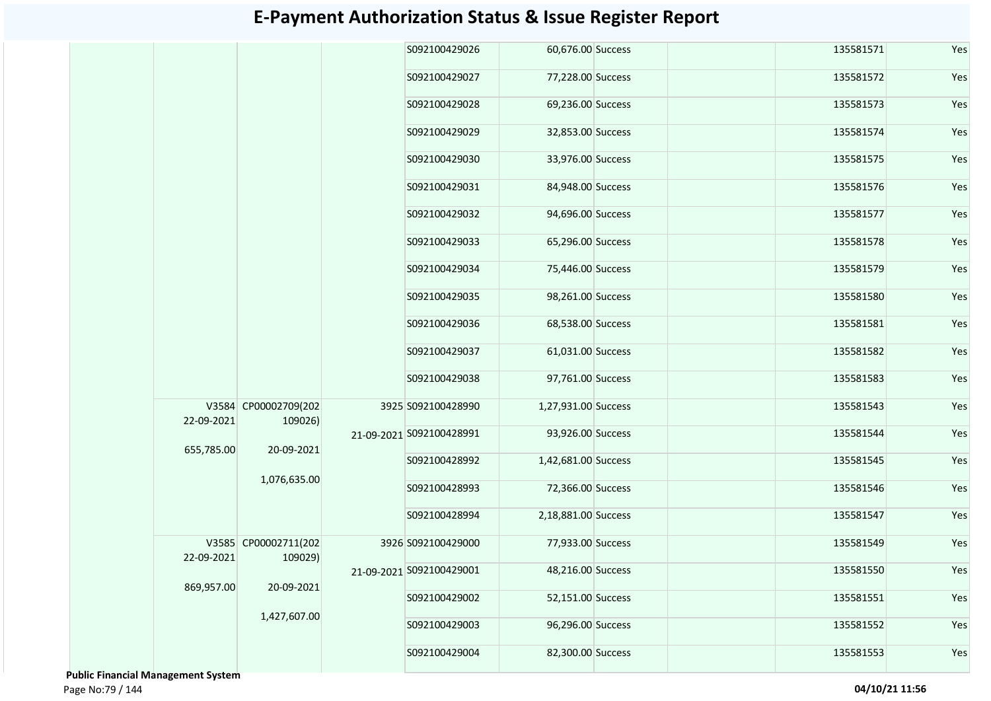|            |                                 | S092100429026            | 60,676.00 Success   |  | 135581571 | Yes |
|------------|---------------------------------|--------------------------|---------------------|--|-----------|-----|
|            |                                 | S092100429027            | 77,228.00 Success   |  | 135581572 | Yes |
|            |                                 | S092100429028            | 69,236.00 Success   |  | 135581573 | Yes |
|            |                                 | S092100429029            | 32,853.00 Success   |  | 135581574 | Yes |
|            |                                 | S092100429030            | 33,976.00 Success   |  | 135581575 | Yes |
|            |                                 | S092100429031            | 84,948.00 Success   |  | 135581576 | Yes |
|            |                                 | S092100429032            | 94,696.00 Success   |  | 135581577 | Yes |
|            |                                 | S092100429033            | 65,296.00 Success   |  | 135581578 | Yes |
|            |                                 | S092100429034            | 75,446.00 Success   |  | 135581579 | Yes |
|            |                                 | S092100429035            | 98,261.00 Success   |  | 135581580 | Yes |
|            |                                 | S092100429036            | 68,538.00 Success   |  | 135581581 | Yes |
|            |                                 | S092100429037            | 61,031.00 Success   |  | 135581582 | Yes |
|            |                                 | S092100429038            | 97,761.00 Success   |  | 135581583 | Yes |
| 22-09-2021 | V3584 CP00002709(202<br>109026) | 3925 S092100428990       | 1,27,931.00 Success |  | 135581543 | Yes |
| 655,785.00 | 20-09-2021                      | 21-09-2021 S092100428991 | 93,926.00 Success   |  | 135581544 | Yes |
|            |                                 | S092100428992            | 1,42,681.00 Success |  | 135581545 | Yes |
|            | 1,076,635.00                    | S092100428993            | 72,366.00 Success   |  | 135581546 | Yes |
|            |                                 | S092100428994            | 2,18,881.00 Success |  | 135581547 | Yes |
| 22-09-2021 | V3585 CP00002711(202<br>109029) | 3926 S092100429000       | 77,933.00 Success   |  | 135581549 | Yes |
| 869,957.00 | 20-09-2021                      | 21-09-2021 S092100429001 | 48,216.00 Success   |  | 135581550 | Yes |
|            |                                 | S092100429002            | 52,151.00 Success   |  | 135581551 | Yes |
|            | 1,427,607.00                    | S092100429003            | 96,296.00 Success   |  | 135581552 | Yes |
|            |                                 | S092100429004            | 82,300.00 Success   |  | 135581553 | Yes |

 **Public Financial Management System**  Page No:79 / 144 **04/10/21 11:56**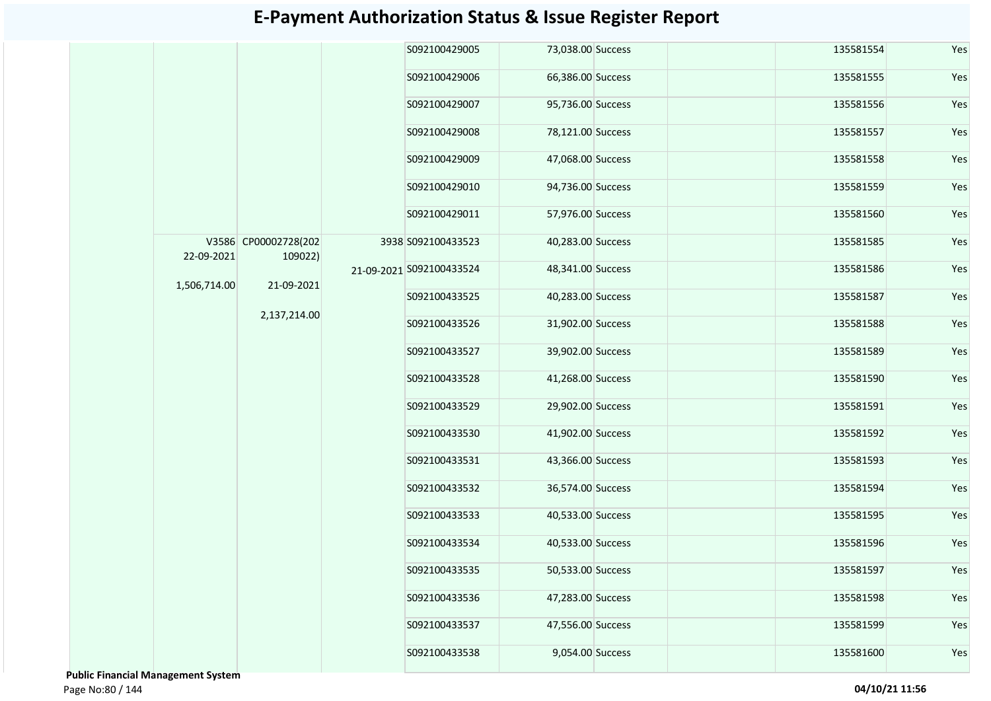|              |                                               |              | S092100429005      | 73,038.00 Success        |                   | 135581554     | Yes               |     |           |               |                   |               |                   |     |           |     |  |  |  |  |  |               |                   |  |           |     |  |               |                   |  |           |     |
|--------------|-----------------------------------------------|--------------|--------------------|--------------------------|-------------------|---------------|-------------------|-----|-----------|---------------|-------------------|---------------|-------------------|-----|-----------|-----|--|--|--|--|--|---------------|-------------------|--|-----------|-----|--|---------------|-------------------|--|-----------|-----|
|              |                                               |              | S092100429006      | 66,386.00 Success        |                   | 135581555     | Yes               |     |           |               |                   |               |                   |     |           |     |  |  |  |  |  |               |                   |  |           |     |  |               |                   |  |           |     |
|              |                                               |              | S092100429007      | 95,736.00 Success        |                   | 135581556     | Yes               |     |           |               |                   |               |                   |     |           |     |  |  |  |  |  |               |                   |  |           |     |  |               |                   |  |           |     |
|              |                                               |              | S092100429008      | 78,121.00 Success        |                   | 135581557     | Yes               |     |           |               |                   |               |                   |     |           |     |  |  |  |  |  |               |                   |  |           |     |  |               |                   |  |           |     |
|              |                                               |              | S092100429009      | 47,068.00 Success        |                   | 135581558     | Yes               |     |           |               |                   |               |                   |     |           |     |  |  |  |  |  |               |                   |  |           |     |  |               |                   |  |           |     |
|              |                                               |              | S092100429010      | 94,736.00 Success        |                   | 135581559     | Yes               |     |           |               |                   |               |                   |     |           |     |  |  |  |  |  |               |                   |  |           |     |  |               |                   |  |           |     |
|              | V3586 CP00002728(202<br>109022)<br>21-09-2021 |              | S092100429011      | 57,976.00 Success        |                   | 135581560     | Yes               |     |           |               |                   |               |                   |     |           |     |  |  |  |  |  |               |                   |  |           |     |  |               |                   |  |           |     |
| 22-09-2021   |                                               |              | 3938 S092100433523 | 40,283.00 Success        |                   | 135581585     | Yes               |     |           |               |                   |               |                   |     |           |     |  |  |  |  |  |               |                   |  |           |     |  |               |                   |  |           |     |
|              |                                               | 2,137,214.00 |                    | 21-09-2021 S092100433524 | 48,341.00 Success |               | 135581586         | Yes |           |               |                   |               |                   |     |           |     |  |  |  |  |  |               |                   |  |           |     |  |               |                   |  |           |     |
| 1,506,714.00 |                                               |              | S092100433525      | 40,283.00 Success        |                   | 135581587     | Yes               |     |           |               |                   |               |                   |     |           |     |  |  |  |  |  |               |                   |  |           |     |  |               |                   |  |           |     |
|              |                                               |              | S092100433526      | 31,902.00 Success        |                   | 135581588     | Yes               |     |           |               |                   |               |                   |     |           |     |  |  |  |  |  |               |                   |  |           |     |  |               |                   |  |           |     |
|              |                                               |              | S092100433527      | 39,902.00 Success        |                   | 135581589     | Yes               |     |           |               |                   |               |                   |     |           |     |  |  |  |  |  |               |                   |  |           |     |  |               |                   |  |           |     |
|              |                                               |              | S092100433528      | 41,268.00 Success        |                   | 135581590     | Yes               |     |           |               |                   |               |                   |     |           |     |  |  |  |  |  |               |                   |  |           |     |  |               |                   |  |           |     |
|              |                                               |              | S092100433529      | 29,902.00 Success        |                   | 135581591     | Yes               |     |           |               |                   |               |                   |     |           |     |  |  |  |  |  |               |                   |  |           |     |  |               |                   |  |           |     |
|              |                                               |              | S092100433530      | 41,902.00 Success        |                   | 135581592     | Yes               |     |           |               |                   |               |                   |     |           |     |  |  |  |  |  |               |                   |  |           |     |  |               |                   |  |           |     |
|              |                                               |              |                    |                          |                   |               |                   |     |           |               |                   | S092100433531 | 43,366.00 Success |     | 135581593 | Yes |  |  |  |  |  |               |                   |  |           |     |  |               |                   |  |           |     |
|              |                                               |              |                    |                          |                   |               |                   |     |           | S092100433532 | 36,574.00 Success |               | 135581594         | Yes |           |     |  |  |  |  |  |               |                   |  |           |     |  |               |                   |  |           |     |
|              |                                               |              |                    |                          |                   |               |                   |     |           |               |                   |               |                   |     |           |     |  |  |  |  |  | S092100433533 | 40,533.00 Success |  | 135581595 | Yes |  |               |                   |  |           |     |
|              |                                               |              | S092100433534      | 40,533.00 Success        |                   | 135581596     | Yes               |     |           |               |                   |               |                   |     |           |     |  |  |  |  |  |               |                   |  |           |     |  |               |                   |  |           |     |
|              |                                               |              | S092100433535      | 50,533.00 Success        |                   | 135581597     | Yes               |     |           |               |                   |               |                   |     |           |     |  |  |  |  |  |               |                   |  |           |     |  |               |                   |  |           |     |
|              |                                               |              |                    |                          |                   |               |                   |     |           |               |                   |               |                   |     |           |     |  |  |  |  |  |               |                   |  |           |     |  | S092100433536 | 47,283.00 Success |  | 135581598 | Yes |
|              |                                               |              |                    |                          |                   | S092100433537 | 47,556.00 Success |     | 135581599 | Yes           |                   |               |                   |     |           |     |  |  |  |  |  |               |                   |  |           |     |  |               |                   |  |           |     |
|              |                                               |              | S092100433538      | 9,054.00 Success         |                   | 135581600     | Yes               |     |           |               |                   |               |                   |     |           |     |  |  |  |  |  |               |                   |  |           |     |  |               |                   |  |           |     |
|              |                                               |              |                    |                          |                   |               |                   |     |           |               |                   |               |                   |     |           |     |  |  |  |  |  |               |                   |  |           |     |  |               |                   |  |           |     |

 **Public Financial Management System**  Page No:80 / 144 **04/10/21 11:56**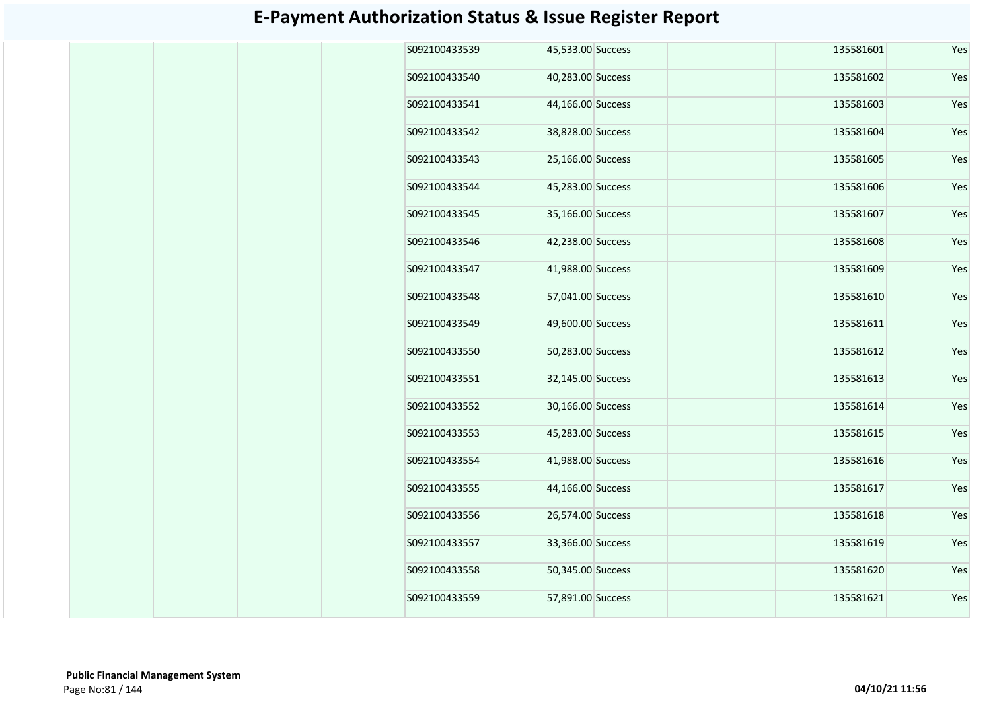| S092100433539 | 45,533.00 Success | 135581601 | Yes |
|---------------|-------------------|-----------|-----|
| S092100433540 | 40,283.00 Success | 135581602 | Yes |
| S092100433541 | 44,166.00 Success | 135581603 | Yes |
| S092100433542 | 38,828.00 Success | 135581604 | Yes |
| S092100433543 | 25,166.00 Success | 135581605 | Yes |
| S092100433544 | 45,283.00 Success | 135581606 | Yes |
| S092100433545 | 35,166.00 Success | 135581607 | Yes |
| S092100433546 | 42,238.00 Success | 135581608 | Yes |
| S092100433547 | 41,988.00 Success | 135581609 | Yes |
| S092100433548 | 57,041.00 Success | 135581610 | Yes |
| S092100433549 | 49,600.00 Success | 135581611 | Yes |
| S092100433550 | 50,283.00 Success | 135581612 | Yes |
| S092100433551 | 32,145.00 Success | 135581613 | Yes |
| S092100433552 | 30,166.00 Success | 135581614 | Yes |
| S092100433553 | 45,283.00 Success | 135581615 | Yes |
| S092100433554 | 41,988.00 Success | 135581616 | Yes |
| S092100433555 | 44,166.00 Success | 135581617 | Yes |
| S092100433556 | 26,574.00 Success | 135581618 | Yes |
| S092100433557 | 33,366.00 Success | 135581619 | Yes |
| S092100433558 | 50,345.00 Success | 135581620 | Yes |
| S092100433559 | 57,891.00 Success | 135581621 | Yes |
|               |                   |           |     |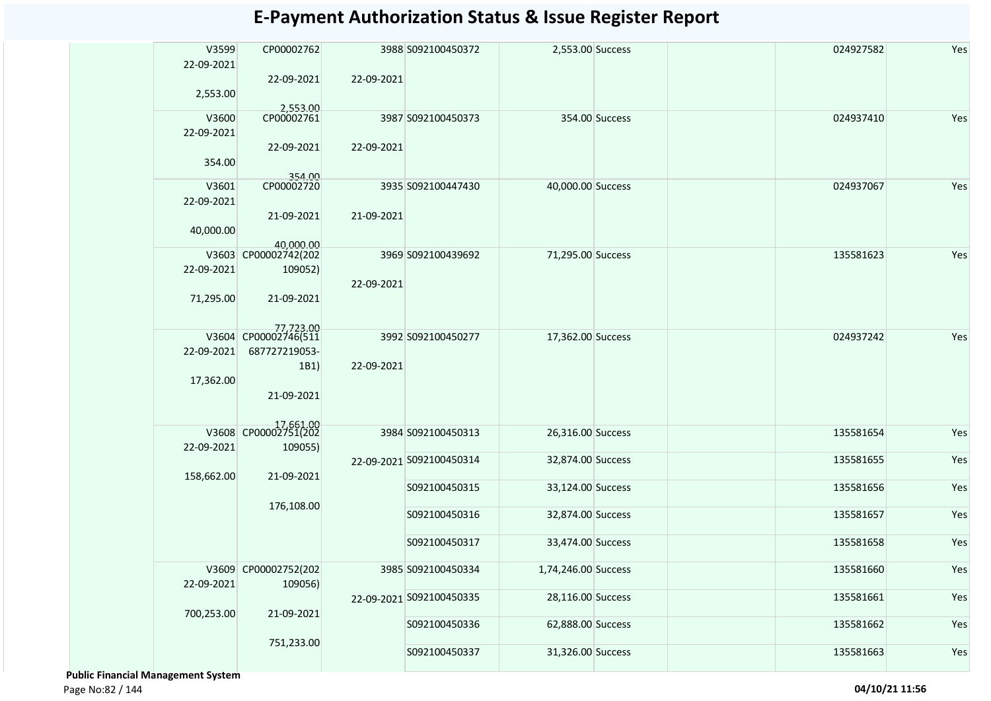| V3599<br>22-09-2021<br>2,553.00 | CP00002762<br>22-09-2021                           | 22-09-2021               | 3988 S092100450372       | 2,553.00 Success    |                | 024927582 | Yes |
|---------------------------------|----------------------------------------------------|--------------------------|--------------------------|---------------------|----------------|-----------|-----|
| V3600<br>22-09-2021             | 2,553.00<br>CP00002761                             |                          | 3987 S092100450373       |                     | 354.00 Success | 024937410 | Yes |
| 354.00                          | 22-09-2021<br>354.00                               | 22-09-2021               |                          |                     |                |           |     |
| V3601<br>22-09-2021             | CP00002720                                         |                          | 3935 S092100447430       | 40,000.00 Success   |                | 024937067 | Yes |
| 40,000.00                       | 21-09-2021<br>40,000.00                            | 21-09-2021               |                          |                     |                |           |     |
| V3603<br>22-09-2021             | CP00002742(202<br>109052)                          | 22-09-2021               | 3969 S092100439692       | 71,295.00 Success   |                | 135581623 | Yes |
| 71,295.00                       | 21-09-2021                                         |                          |                          |                     |                |           |     |
| 22-09-2021                      | 77.723.00<br>V3604 CP00002746(511<br>687727219053- |                          | 3992 S092100450277       | 17,362.00 Success   |                | 024937242 | Yes |
| 17,362.00                       | 1B1)<br>21-09-2021                                 | 22-09-2021               |                          |                     |                |           |     |
|                                 | 17,661.00<br>V3608 CP00002751(202                  |                          | 3984 S092100450313       | 26,316.00 Success   |                | 135581654 | Yes |
| 22-09-2021                      | 109055)                                            |                          | 22-09-2021 S092100450314 | 32,874.00 Success   |                | 135581655 | Yes |
| 158,662.00                      | 21-09-2021                                         |                          | S092100450315            | 33,124.00 Success   |                | 135581656 | Yes |
|                                 | 176,108.00                                         |                          |                          |                     |                |           |     |
|                                 |                                                    |                          | S092100450316            | 32,874.00 Success   |                | 135581657 | Yes |
|                                 |                                                    |                          | S092100450317            | 33,474.00 Success   |                | 135581658 | Yes |
| 22-09-2021                      | V3609 CP00002752(202<br>109056)                    |                          | 3985 S092100450334       | 1,74,246.00 Success |                | 135581660 | Yes |
| 700,253.00                      | 21-09-2021                                         | 22-09-2021 S092100450335 | 28,116.00 Success        |                     | 135581661      | Yes       |     |
|                                 |                                                    |                          | S092100450336            | 62,888.00 Success   |                | 135581662 | Yes |
|                                 | 751,233.00                                         |                          | S092100450337            | 31,326.00 Success   |                | 135581663 | Yes |

 **Public Financial Management System** 

Page No:82 / 144 **04/10/21 11:56**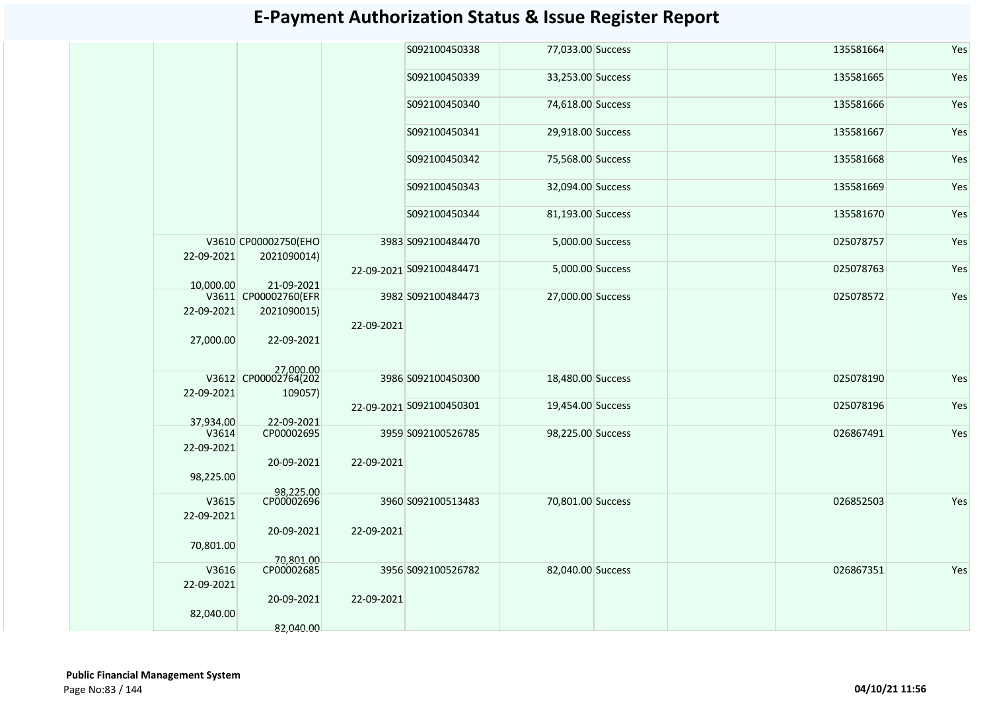|                    |                                     |            | S092100450338            | 77,033.00 Success | 135581664 | Yes |
|--------------------|-------------------------------------|------------|--------------------------|-------------------|-----------|-----|
|                    |                                     |            | S092100450339            | 33,253.00 Success | 135581665 | Yes |
|                    |                                     |            | S092100450340            | 74,618.00 Success | 135581666 | Yes |
|                    |                                     |            | S092100450341            | 29,918.00 Success | 135581667 | Yes |
|                    |                                     |            | S092100450342            | 75,568.00 Success | 135581668 | Yes |
|                    |                                     |            | S092100450343            | 32,094.00 Success | 135581669 | Yes |
|                    |                                     |            | S092100450344            | 81,193.00 Success | 135581670 | Yes |
| 22-09-2021         | V3610 CP00002750(EHO<br>2021090014) |            | 3983 S092100484470       | 5,000.00 Success  | 025078757 | Yes |
| 10.000.00          | 21-09-2021                          |            | 22-09-2021 S092100484471 | 5,000.00 Success  | 025078763 | Yes |
|                    | V3611 CP00002760(EFR                |            | 3982 S092100484473       | 27,000.00 Success | 025078572 | Yes |
| 22-09-2021         |                                     |            |                          |                   |           |     |
|                    | 2021090015)                         |            |                          |                   |           |     |
| 27,000.00          | 22-09-2021                          | 22-09-2021 |                          |                   |           |     |
|                    | 27,000.00<br>V3612 CP00002764(202   |            |                          |                   |           |     |
|                    |                                     |            | 3986 S092100450300       | 18,480.00 Success | 025078190 | Yes |
| 22-09-2021         | 109057)                             |            |                          |                   |           |     |
|                    |                                     |            | 22-09-2021 S092100450301 | 19,454.00 Success | 025078196 | Yes |
|                    |                                     |            |                          |                   |           |     |
| 37,934.00<br>V3614 | 22-09-2021<br>CP00002695            |            | 3959 S092100526785       | 98,225.00 Success | 026867491 | Yes |
| 22-09-2021         |                                     |            |                          |                   |           |     |
|                    | 20-09-2021                          | 22-09-2021 |                          |                   |           |     |
| 98,225.00          |                                     |            |                          |                   |           |     |
|                    | 98,225.00                           |            |                          |                   |           |     |
| V3615              | CP00002696                          |            | 3960 S092100513483       | 70,801.00 Success | 026852503 | Yes |
| 22-09-2021         |                                     |            |                          |                   |           |     |
|                    | 20-09-2021                          | 22-09-2021 |                          |                   |           |     |
|                    |                                     |            |                          |                   |           |     |
| 70,801.00          |                                     |            |                          |                   |           |     |
|                    | 70,801.00                           |            |                          |                   |           |     |
| V3616              | CP00002685                          |            | 3956 S092100526782       | 82,040.00 Success | 026867351 | Yes |
| 22-09-2021         |                                     |            |                          |                   |           |     |
|                    | 20-09-2021                          | 22-09-2021 |                          |                   |           |     |
| 82,040.00          |                                     |            |                          |                   |           |     |
|                    | 82,040.00                           |            |                          |                   |           |     |
|                    |                                     |            |                          |                   |           |     |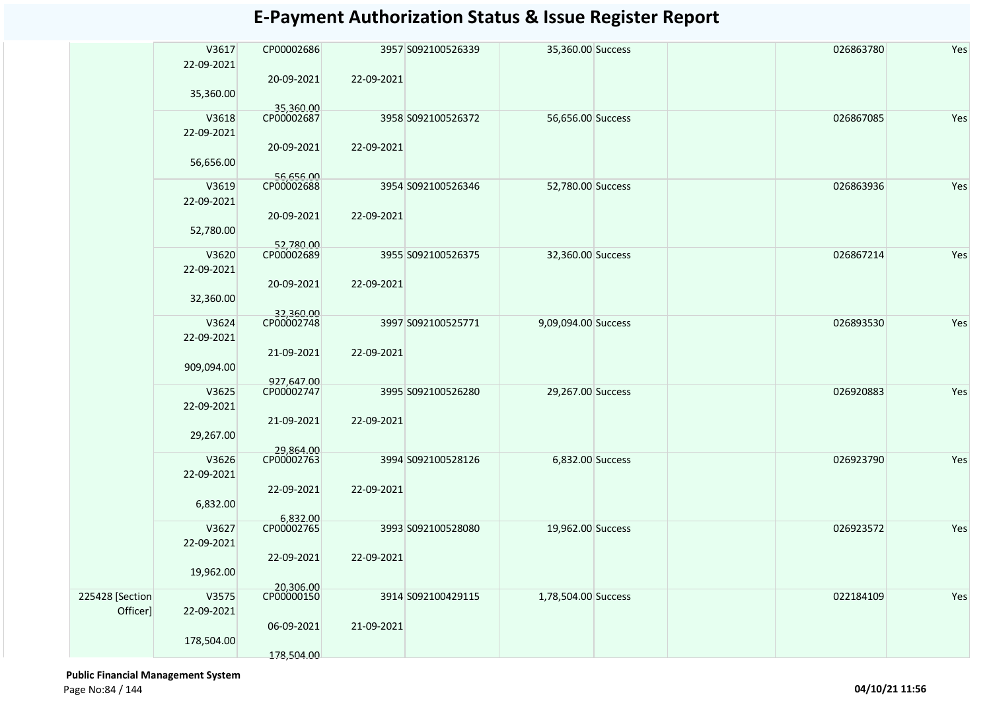|                 | V3617      | CP00002686              |            | 3957 S092100526339 | 35,360.00 Success   | 026863780 | Yes |
|-----------------|------------|-------------------------|------------|--------------------|---------------------|-----------|-----|
|                 | 22-09-2021 |                         |            |                    |                     |           |     |
|                 |            | 20-09-2021              | 22-09-2021 |                    |                     |           |     |
|                 | 35,360.00  |                         |            |                    |                     |           |     |
|                 |            | 35,360.00               |            |                    |                     |           |     |
|                 | V3618      | CP00002687              |            | 3958 S092100526372 | 56,656.00 Success   | 026867085 | Yes |
|                 | 22-09-2021 |                         |            |                    |                     |           |     |
|                 |            | 20-09-2021              | 22-09-2021 |                    |                     |           |     |
|                 | 56,656.00  |                         |            |                    |                     |           |     |
|                 |            | 56,656.00               |            |                    |                     |           |     |
|                 | V3619      | CP00002688              |            | 3954 S092100526346 | 52,780.00 Success   | 026863936 | Yes |
|                 | 22-09-2021 |                         |            |                    |                     |           |     |
|                 |            | 20-09-2021              | 22-09-2021 |                    |                     |           |     |
|                 | 52,780.00  |                         |            |                    |                     |           |     |
|                 | V3620      | 52,780.00<br>CP00002689 |            | 3955 S092100526375 | 32,360.00 Success   | 026867214 | Yes |
|                 | 22-09-2021 |                         |            |                    |                     |           |     |
|                 |            | 20-09-2021              | 22-09-2021 |                    |                     |           |     |
|                 |            |                         |            |                    |                     |           |     |
|                 | 32,360.00  |                         |            |                    |                     |           |     |
|                 | V3624      | 32,360.00<br>CP00002748 |            | 3997 S092100525771 | 9,09,094.00 Success | 026893530 | Yes |
|                 | 22-09-2021 |                         |            |                    |                     |           |     |
|                 |            | 21-09-2021              | 22-09-2021 |                    |                     |           |     |
|                 | 909,094.00 |                         |            |                    |                     |           |     |
|                 |            | 927,647.00              |            |                    |                     |           |     |
|                 | V3625      | CP00002747              |            | 3995 S092100526280 | 29,267.00 Success   | 026920883 | Yes |
|                 | 22-09-2021 |                         |            |                    |                     |           |     |
|                 |            | 21-09-2021              | 22-09-2021 |                    |                     |           |     |
|                 | 29,267.00  |                         |            |                    |                     |           |     |
|                 |            |                         |            |                    |                     |           |     |
|                 | V3626      | 29,864.00<br>CP00002763 |            | 3994 S092100528126 | 6,832.00 Success    | 026923790 | Yes |
|                 | 22-09-2021 |                         |            |                    |                     |           |     |
|                 |            | 22-09-2021              | 22-09-2021 |                    |                     |           |     |
|                 | 6,832.00   |                         |            |                    |                     |           |     |
|                 |            | 6,832.00                |            |                    |                     |           |     |
|                 | V3627      | CP00002765              |            | 3993 S092100528080 | 19,962.00 Success   | 026923572 | Yes |
|                 | 22-09-2021 |                         |            |                    |                     |           |     |
|                 |            | 22-09-2021              | 22-09-2021 |                    |                     |           |     |
|                 | 19,962.00  |                         |            |                    |                     |           |     |
|                 |            | 20,306.00<br>CP00000150 |            |                    |                     |           |     |
| 225428 [Section | V3575      |                         |            | 3914 S092100429115 | 1,78,504.00 Success | 022184109 | Yes |
| Officer]        | 22-09-2021 |                         |            |                    |                     |           |     |
|                 |            | 06-09-2021              | 21-09-2021 |                    |                     |           |     |
|                 | 178,504.00 |                         |            |                    |                     |           |     |
|                 |            | 178,504.00              |            |                    |                     |           |     |

 **Public Financial Management System**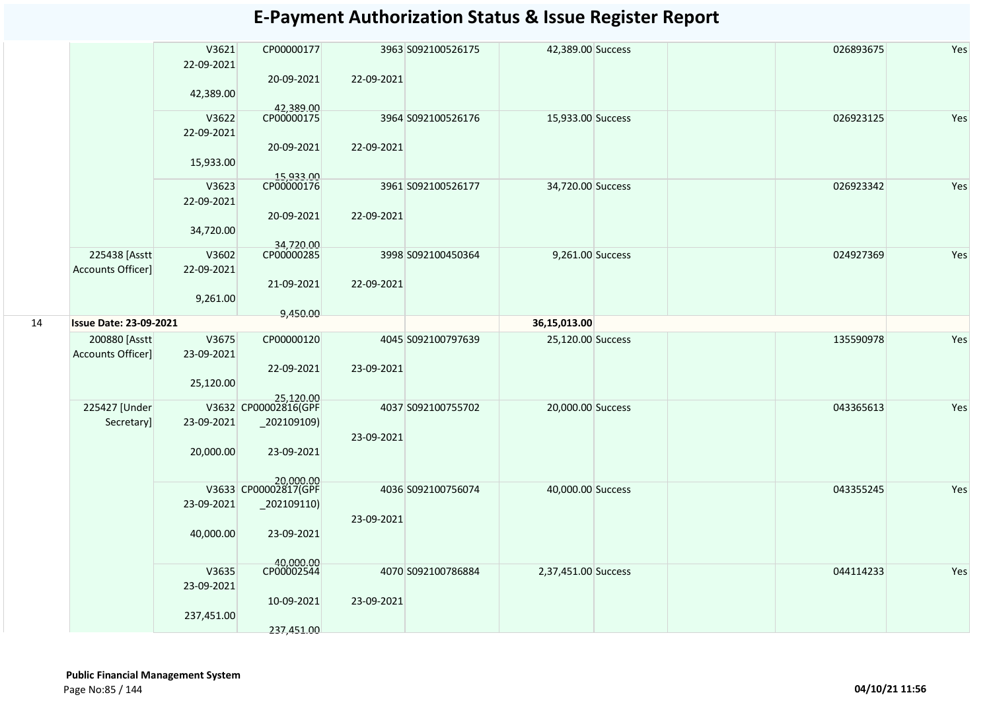|    |                                           | V3621<br>22-09-2021<br>42,389.00 | CP00000177<br>20-09-2021          | 22-09-2021 | 3963 S092100526175 | 42,389.00 Success   |  | 026893675 | Yes |
|----|-------------------------------------------|----------------------------------|-----------------------------------|------------|--------------------|---------------------|--|-----------|-----|
|    |                                           | V3622<br>22-09-2021              | 42,389.00<br>CP00000175           | 22-09-2021 | 3964 S092100526176 | 15,933.00 Success   |  | 026923125 | Yes |
|    |                                           | 15,933.00                        | 20-09-2021<br>15,933.00           |            |                    |                     |  |           |     |
|    |                                           | V3623<br>22-09-2021              | CP00000176                        |            | 3961 S092100526177 | 34,720.00 Success   |  | 026923342 | Yes |
|    |                                           | 34,720.00                        | 20-09-2021<br>34,720.00           | 22-09-2021 |                    |                     |  |           |     |
|    | 225438 [Asstt<br><b>Accounts Officer]</b> | V3602<br>22-09-2021              | CP00000285                        |            | 3998 S092100450364 | 9,261.00 Success    |  | 024927369 | Yes |
|    |                                           | 9,261.00                         | 21-09-2021                        | 22-09-2021 |                    |                     |  |           |     |
| 14 | <b>Issue Date: 23-09-2021</b>             |                                  | 9,450.00                          |            |                    | 36,15,013.00        |  |           |     |
|    |                                           |                                  |                                   |            |                    |                     |  |           |     |
|    | 200880 [Asstt]                            | V3675                            | CP00000120                        |            | 4045 S092100797639 | 25,120.00 Success   |  | 135590978 | Yes |
|    | Accounts Officer]                         | 23-09-2021                       |                                   |            |                    |                     |  |           |     |
|    |                                           |                                  | 22-09-2021                        | 23-09-2021 |                    |                     |  |           |     |
|    |                                           | 25,120.00                        |                                   |            |                    |                     |  |           |     |
|    |                                           |                                  | 25,120.00                         |            |                    |                     |  |           |     |
|    | 225427 [Under                             |                                  | V3632 CP00002816(GPF              |            | 4037 S092100755702 | 20,000.00 Success   |  | 043365613 | Yes |
|    | Secretary]                                | 23-09-2021                       | _202109109)                       |            |                    |                     |  |           |     |
|    |                                           |                                  |                                   | 23-09-2021 |                    |                     |  |           |     |
|    |                                           | 20,000.00                        | 23-09-2021                        |            |                    |                     |  |           |     |
|    |                                           |                                  | 20,000.00<br>V3633 CP00002817(GPF |            |                    |                     |  |           |     |
|    |                                           |                                  |                                   |            | 4036 S092100756074 | 40,000.00 Success   |  | 043355245 | Yes |
|    |                                           | 23-09-2021                       | $_2$ 02109110)                    |            |                    |                     |  |           |     |
|    |                                           |                                  |                                   | 23-09-2021 |                    |                     |  |           |     |
|    |                                           | 40,000.00                        | 23-09-2021                        |            |                    |                     |  |           |     |
|    |                                           |                                  | 40,000.00<br>CP00002544           |            |                    |                     |  |           |     |
|    |                                           | V3635                            |                                   |            | 4070 S092100786884 | 2,37,451.00 Success |  | 044114233 | Yes |
|    |                                           | 23-09-2021                       |                                   |            |                    |                     |  |           |     |
|    |                                           |                                  | 10-09-2021                        | 23-09-2021 |                    |                     |  |           |     |
|    |                                           | 237,451.00                       |                                   |            |                    |                     |  |           |     |
|    |                                           |                                  | 237,451.00                        |            |                    |                     |  |           |     |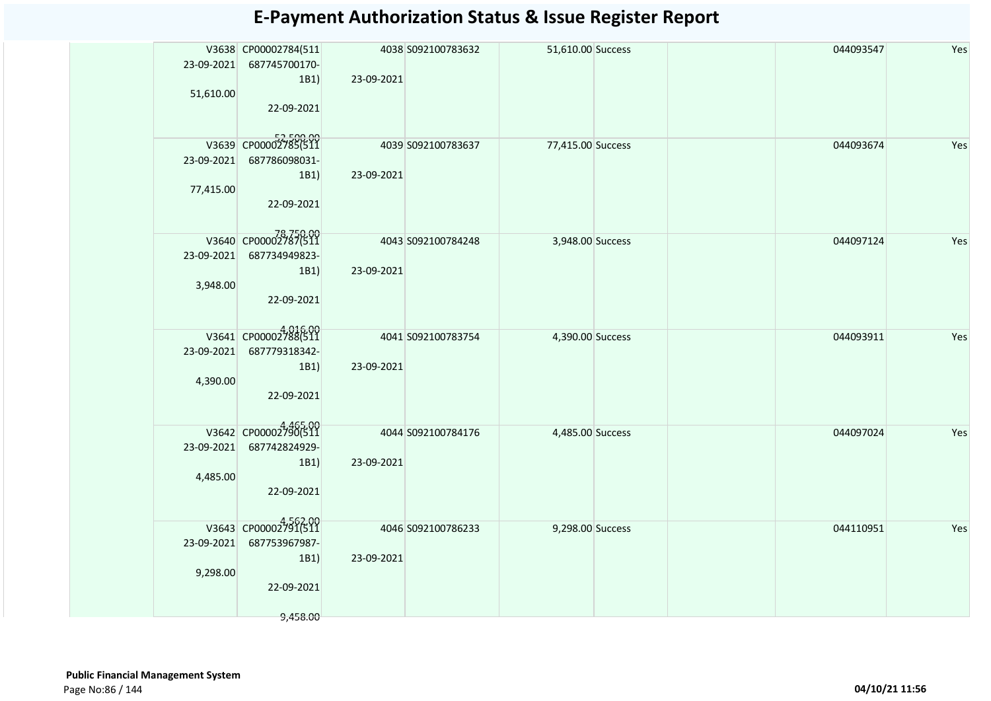| 23-09-2021 | V3638 CP00002784(511<br>687745700170- |            | 4038 S092100783632 | 51,610.00 Success |  | 044093547 | Yes |
|------------|---------------------------------------|------------|--------------------|-------------------|--|-----------|-----|
|            | 1B1)                                  | 23-09-2021 |                    |                   |  |           |     |
| 51,610.00  |                                       |            |                    |                   |  |           |     |
|            | 22-09-2021                            |            |                    |                   |  |           |     |
|            |                                       |            |                    |                   |  |           |     |
|            | V3639 CP00002785(511                  |            | 4039 S092100783637 | 77,415.00 Success |  | 044093674 | Yes |
| 23-09-2021 | 687786098031-                         |            |                    |                   |  |           |     |
|            | 1B1)                                  | 23-09-2021 |                    |                   |  |           |     |
| 77,415.00  | 22-09-2021                            |            |                    |                   |  |           |     |
|            |                                       |            |                    |                   |  |           |     |
|            | 78,750.00<br>V3640 CP00002787(511     |            | 4043 S092100784248 | 3,948.00 Success  |  | 044097124 | Yes |
| 23-09-2021 | 687734949823-                         |            |                    |                   |  |           |     |
|            | 1B1)                                  | 23-09-2021 |                    |                   |  |           |     |
|            | 3,948.00                              |            |                    |                   |  |           |     |
|            | 22-09-2021                            |            |                    |                   |  |           |     |
|            |                                       |            |                    |                   |  |           |     |
|            | V3641 CP00002788(511                  |            | 4041 S092100783754 | 4,390.00 Success  |  | 044093911 | Yes |
| 23-09-2021 | 687779318342-                         |            |                    |                   |  |           |     |
|            | 1B1)                                  | 23-09-2021 |                    |                   |  |           |     |
|            | 4,390.00                              |            |                    |                   |  |           |     |
|            | 22-09-2021                            |            |                    |                   |  |           |     |
|            | V3642 CP00002790(511                  |            | 4044 S092100784176 | 4,485.00 Success  |  | 044097024 | Yes |
| 23-09-2021 | 687742824929-                         |            |                    |                   |  |           |     |
|            | 1B1)                                  | 23-09-2021 |                    |                   |  |           |     |
|            | 4,485.00                              |            |                    |                   |  |           |     |
|            | 22-09-2021                            |            |                    |                   |  |           |     |
|            |                                       |            |                    |                   |  |           |     |
|            | V3643 CP00002791(511                  |            | 4046 S092100786233 | 9,298.00 Success  |  | 044110951 | Yes |
| 23-09-2021 | 687753967987-                         |            |                    |                   |  |           |     |
|            | 1B1)                                  | 23-09-2021 |                    |                   |  |           |     |
|            | 9,298.00<br>22-09-2021                |            |                    |                   |  |           |     |
|            |                                       |            |                    |                   |  |           |     |
|            | 9,458.00                              |            |                    |                   |  |           |     |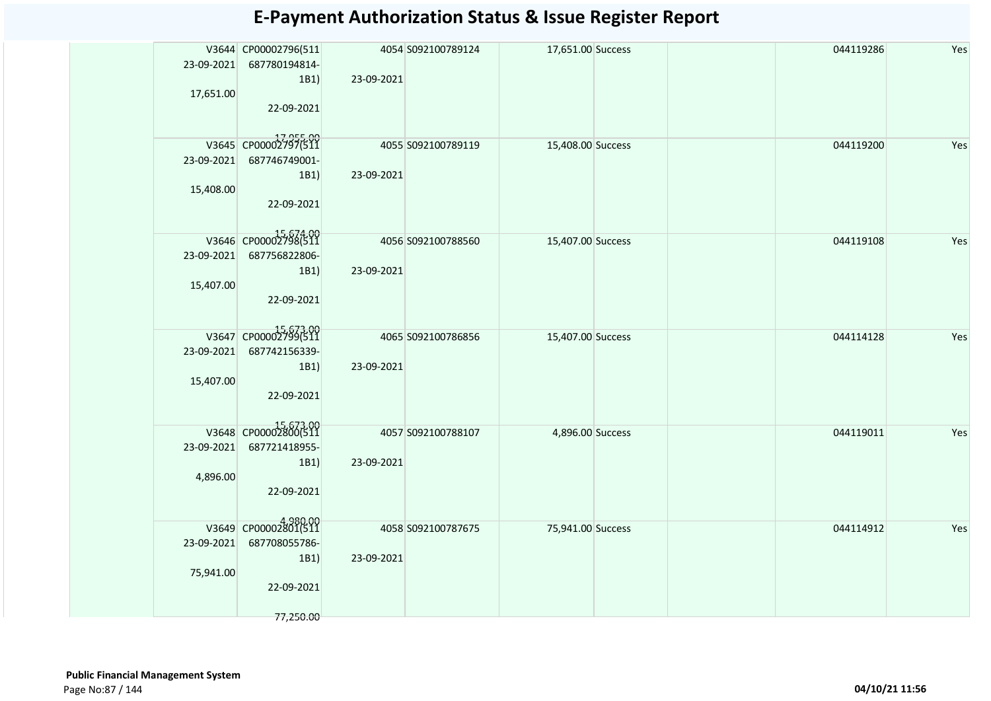|            | V3644 CP00002796(511 |            | 4054 S092100789124 | 17,651.00 Success |  | 044119286 | Yes |
|------------|----------------------|------------|--------------------|-------------------|--|-----------|-----|
| 23-09-2021 | 687780194814-        |            |                    |                   |  |           |     |
|            | 1B1)                 | 23-09-2021 |                    |                   |  |           |     |
| 17,651.00  |                      |            |                    |                   |  |           |     |
|            | 22-09-2021           |            |                    |                   |  |           |     |
|            |                      |            |                    |                   |  |           |     |
|            | V3645 CP00002797(511 |            | 4055 S092100789119 | 15,408.00 Success |  | 044119200 | Yes |
| 23-09-2021 | 687746749001-        |            |                    |                   |  |           |     |
|            | 1B1)                 | 23-09-2021 |                    |                   |  |           |     |
| 15,408.00  |                      |            |                    |                   |  |           |     |
|            | 22-09-2021           |            |                    |                   |  |           |     |
|            |                      |            |                    |                   |  |           |     |
|            | V3646 CP00002798(511 |            |                    |                   |  |           |     |
|            |                      |            | 4056 S092100788560 | 15,407.00 Success |  | 044119108 | Yes |
| 23-09-2021 | 687756822806-        |            |                    |                   |  |           |     |
| 15,407.00  | 1B1)                 | 23-09-2021 |                    |                   |  |           |     |
|            | 22-09-2021           |            |                    |                   |  |           |     |
|            |                      |            |                    |                   |  |           |     |
|            |                      |            |                    |                   |  |           |     |
|            | V3647 CP00002799(511 |            | 4065 S092100786856 | 15,407.00 Success |  | 044114128 | Yes |
| 23-09-2021 | 687742156339-        |            |                    |                   |  |           |     |
|            | 1B1)                 | 23-09-2021 |                    |                   |  |           |     |
| 15,407.00  |                      |            |                    |                   |  |           |     |
|            | 22-09-2021           |            |                    |                   |  |           |     |
|            |                      |            |                    |                   |  |           |     |
|            | V3648 CP00002800(511 |            | 4057 S092100788107 | 4,896.00 Success  |  | 044119011 | Yes |
| 23-09-2021 | 687721418955-        |            |                    |                   |  |           |     |
|            | 1B1)                 | 23-09-2021 |                    |                   |  |           |     |
| 4,896.00   |                      |            |                    |                   |  |           |     |
|            | 22-09-2021           |            |                    |                   |  |           |     |
|            |                      |            |                    |                   |  |           |     |
|            | V3649 CP00002801(511 |            | 4058 S092100787675 | 75,941.00 Success |  | 044114912 | Yes |
| 23-09-2021 | 687708055786-        |            |                    |                   |  |           |     |
|            | 1B1)                 | 23-09-2021 |                    |                   |  |           |     |
| 75,941.00  |                      |            |                    |                   |  |           |     |
|            | 22-09-2021           |            |                    |                   |  |           |     |
|            |                      |            |                    |                   |  |           |     |
|            | 77,250.00            |            |                    |                   |  |           |     |
|            |                      |            |                    |                   |  |           |     |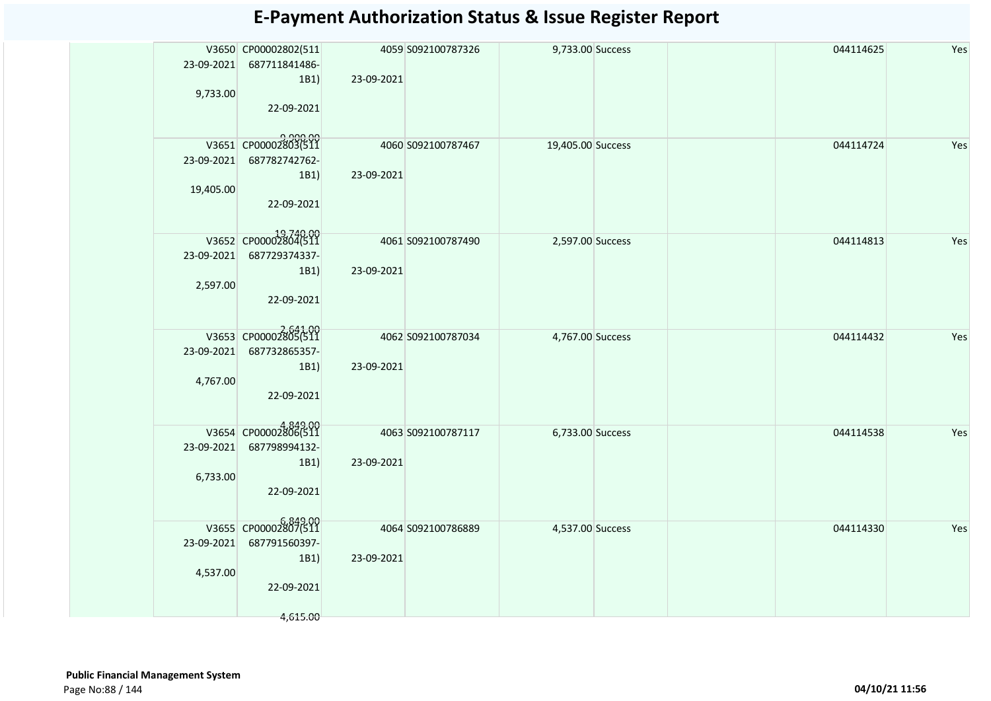|            | V3650 CP00002802(511             |            | 4059 S092100787326 | 9,733.00 Success  |  | 044114625 | Yes |
|------------|----------------------------------|------------|--------------------|-------------------|--|-----------|-----|
| 23-09-2021 | 687711841486-                    |            |                    |                   |  |           |     |
| 9,733.00   | 1B1)                             | 23-09-2021 |                    |                   |  |           |     |
|            | 22-09-2021                       |            |                    |                   |  |           |     |
|            |                                  |            |                    |                   |  |           |     |
|            |                                  |            |                    |                   |  |           |     |
|            | 9,900.00<br>V3651 CP00002803(511 |            | 4060 S092100787467 | 19,405.00 Success |  | 044114724 | Yes |
| 23-09-2021 | 687782742762-                    |            |                    |                   |  |           |     |
| 19,405.00  | 1B1)                             | 23-09-2021 |                    |                   |  |           |     |
|            | 22-09-2021                       |            |                    |                   |  |           |     |
|            |                                  |            |                    |                   |  |           |     |
|            | V3652 CP00002804(511             |            |                    |                   |  |           |     |
|            |                                  |            | 4061 S092100787490 | 2,597.00 Success  |  | 044114813 | Yes |
| 23-09-2021 | 687729374337-<br>1B1)            | 23-09-2021 |                    |                   |  |           |     |
| 2,597.00   |                                  |            |                    |                   |  |           |     |
|            | 22-09-2021                       |            |                    |                   |  |           |     |
|            |                                  |            |                    |                   |  |           |     |
|            | V3653 CP00002805(511             |            |                    |                   |  |           |     |
| 23-09-2021 | 687732865357-                    |            | 4062 S092100787034 | 4,767.00 Success  |  | 044114432 | Yes |
|            | 1B1)                             | 23-09-2021 |                    |                   |  |           |     |
| 4,767.00   |                                  |            |                    |                   |  |           |     |
|            | 22-09-2021                       |            |                    |                   |  |           |     |
|            |                                  |            |                    |                   |  |           |     |
|            | V3654 CP00002806(511             |            | 4063 S092100787117 | 6,733.00 Success  |  | 044114538 | Yes |
| 23-09-2021 | 687798994132-                    |            |                    |                   |  |           |     |
|            | 1B1)                             | 23-09-2021 |                    |                   |  |           |     |
| 6,733.00   |                                  |            |                    |                   |  |           |     |
|            | 22-09-2021                       |            |                    |                   |  |           |     |
|            |                                  |            |                    |                   |  |           |     |
|            | V3655 CP00002807(511             |            | 4064 S092100786889 | 4,537.00 Success  |  | 044114330 | Yes |
| 23-09-2021 | 687791560397-                    |            |                    |                   |  |           |     |
|            | 1B1)                             | 23-09-2021 |                    |                   |  |           |     |
| 4,537.00   |                                  |            |                    |                   |  |           |     |
|            | 22-09-2021                       |            |                    |                   |  |           |     |
|            |                                  |            |                    |                   |  |           |     |
|            | 4,615.00                         |            |                    |                   |  |           |     |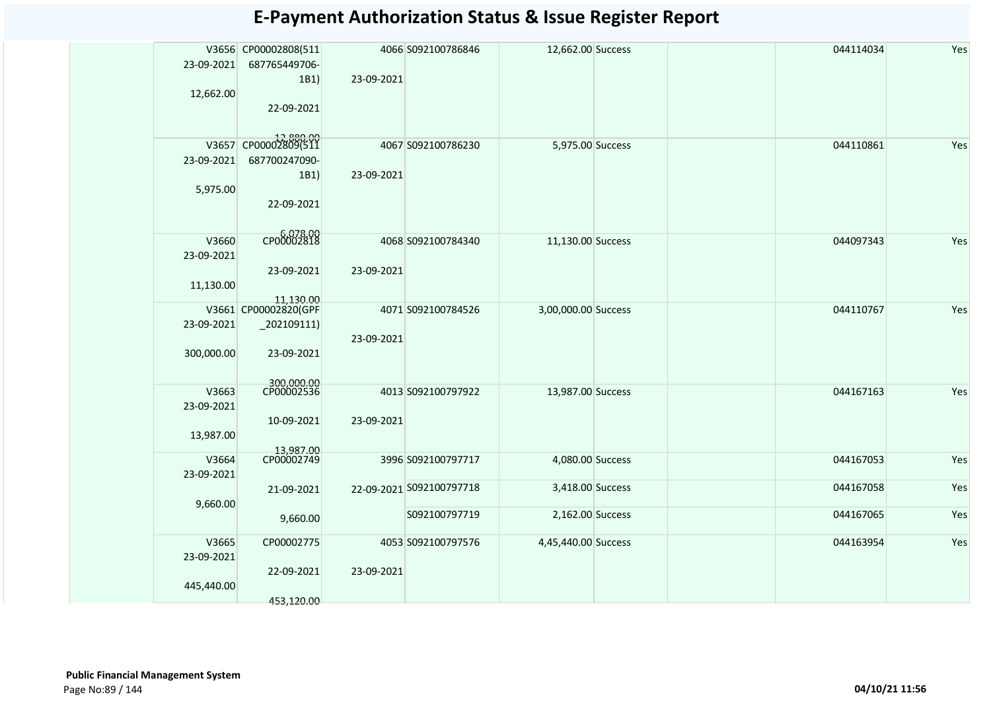|            | V3656 CP00002808(511              |            | 4066 S092100786846       | 12,662.00 Success   | 044114034 | Yes |
|------------|-----------------------------------|------------|--------------------------|---------------------|-----------|-----|
| 23-09-2021 | 687765449706-                     |            |                          |                     |           |     |
|            | 1B1)                              | 23-09-2021 |                          |                     |           |     |
| 12,662.00  |                                   |            |                          |                     |           |     |
|            |                                   |            |                          |                     |           |     |
|            | 22-09-2021                        |            |                          |                     |           |     |
|            |                                   |            |                          |                     |           |     |
|            | 12,880.00<br>V3657 CP00002809(511 |            | 4067 S092100786230       | 5,975.00 Success    | 044110861 | Yes |
|            |                                   |            |                          |                     |           |     |
| 23-09-2021 | 687700247090-                     |            |                          |                     |           |     |
|            | 1B1)                              | 23-09-2021 |                          |                     |           |     |
| 5,975.00   |                                   |            |                          |                     |           |     |
|            | 22-09-2021                        |            |                          |                     |           |     |
|            |                                   |            |                          |                     |           |     |
|            |                                   |            |                          |                     |           |     |
| V3660      | CP00002818                        |            | 4068 S092100784340       | 11,130.00 Success   | 044097343 | Yes |
| 23-09-2021 |                                   |            |                          |                     |           |     |
|            | 23-09-2021                        | 23-09-2021 |                          |                     |           |     |
| 11,130.00  |                                   |            |                          |                     |           |     |
|            |                                   |            |                          |                     |           |     |
|            | 11,130.00<br>V3661 CP00002820(GPF |            | 4071 S092100784526       | 3,00,000.00 Success | 044110767 | Yes |
| 23-09-2021 | $_2$ 02109111)                    |            |                          |                     |           |     |
|            |                                   | 23-09-2021 |                          |                     |           |     |
|            |                                   |            |                          |                     |           |     |
| 300,000.00 | 23-09-2021                        |            |                          |                     |           |     |
|            |                                   |            |                          |                     |           |     |
| V3663      | 300,000.00<br>CP00002536          |            |                          |                     |           |     |
|            |                                   |            | 4013 S092100797922       | 13,987.00 Success   | 044167163 | Yes |
| 23-09-2021 |                                   |            |                          |                     |           |     |
|            | 10-09-2021                        | 23-09-2021 |                          |                     |           |     |
| 13,987.00  |                                   |            |                          |                     |           |     |
|            | 13,987.00<br>CP00002749           |            |                          |                     |           |     |
| V3664      |                                   |            | 3996 S092100797717       | 4,080.00 Success    | 044167053 | Yes |
| 23-09-2021 |                                   |            |                          |                     |           |     |
|            | 21-09-2021                        |            | 22-09-2021 S092100797718 | 3,418.00 Success    | 044167058 | Yes |
| 9,660.00   |                                   |            |                          |                     |           |     |
|            | 9,660.00                          |            | S092100797719            | 2,162.00 Success    | 044167065 | Yes |
|            |                                   |            |                          |                     |           |     |
| V3665      | CP00002775                        |            | 4053 S092100797576       | 4,45,440.00 Success | 044163954 | Yes |
| 23-09-2021 |                                   |            |                          |                     |           |     |
|            |                                   |            |                          |                     |           |     |
|            | 22-09-2021                        | 23-09-2021 |                          |                     |           |     |
| 445,440.00 |                                   |            |                          |                     |           |     |
|            | 453,120.00                        |            |                          |                     |           |     |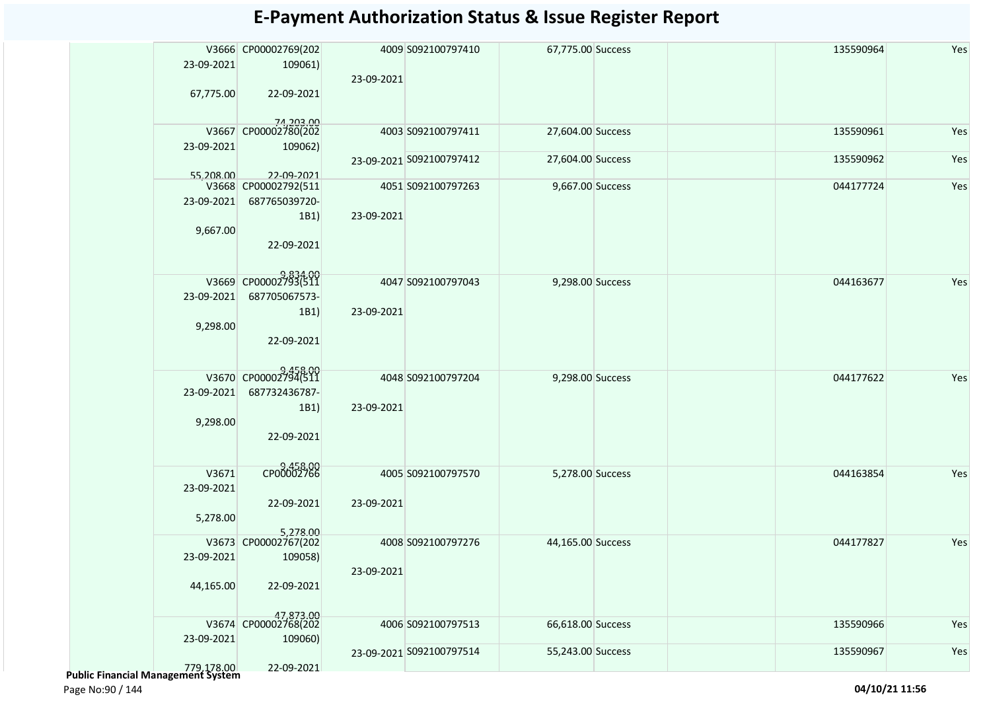|            | V3666 CP00002769(202               |            | 4009 S092100797410       | 67,775.00 Success | 135590964 | Yes |
|------------|------------------------------------|------------|--------------------------|-------------------|-----------|-----|
| 23-09-2021 | 109061)                            |            |                          |                   |           |     |
|            |                                    | 23-09-2021 |                          |                   |           |     |
| 67,775.00  | 22-09-2021                         |            |                          |                   |           |     |
|            |                                    |            |                          |                   |           |     |
|            | 74,203.00<br>V3667 CP00002780(202  |            |                          |                   |           |     |
|            |                                    |            | 4003 S092100797411       | 27,604.00 Success | 135590961 | Yes |
| 23-09-2021 | 109062)                            |            | 23-09-2021 S092100797412 | 27,604.00 Success | 135590962 | Yes |
|            |                                    |            |                          |                   |           |     |
| 55,208.00  | 22-09-2021<br>V3668 CP00002792(511 |            | 4051 S092100797263       | 9,667.00 Success  | 044177724 | Yes |
| 23-09-2021 | 687765039720-                      |            |                          |                   |           |     |
|            | 1B1)                               | 23-09-2021 |                          |                   |           |     |
| 9,667.00   |                                    |            |                          |                   |           |     |
|            | 22-09-2021                         |            |                          |                   |           |     |
|            |                                    |            |                          |                   |           |     |
|            |                                    |            |                          |                   |           |     |
|            | V3669 CP00002793(511               |            | 4047 S092100797043       | 9,298.00 Success  | 044163677 | Yes |
| 23-09-2021 | 687705067573-                      |            |                          |                   |           |     |
|            | 1B1)                               | 23-09-2021 |                          |                   |           |     |
| 9,298.00   |                                    |            |                          |                   |           |     |
|            | 22-09-2021                         |            |                          |                   |           |     |
|            |                                    |            |                          |                   |           |     |
|            |                                    |            |                          |                   |           |     |
|            | V3670 CP0000279458.00              |            | 4048 S092100797204       | 9,298.00 Success  | 044177622 | Yes |
| 23-09-2021 | 687732436787-                      |            |                          |                   |           |     |
|            | 1B1)                               | 23-09-2021 |                          |                   |           |     |
| 9,298.00   |                                    |            |                          |                   |           |     |
|            | 22-09-2021                         |            |                          |                   |           |     |
|            |                                    |            |                          |                   |           |     |
| V3671      | 9,458.00<br>CP00002766             |            | 4005 S092100797570       | 5,278.00 Success  | 044163854 | Yes |
| 23-09-2021 |                                    |            |                          |                   |           |     |
|            | 22-09-2021                         | 23-09-2021 |                          |                   |           |     |
| 5,278.00   |                                    |            |                          |                   |           |     |
|            | 5,278.00                           |            |                          |                   |           |     |
|            | V3673 CP00002767(202               |            | 4008 S092100797276       | 44,165.00 Success | 044177827 | Yes |
| 23-09-2021 | 109058)                            |            |                          |                   |           |     |
|            |                                    | 23-09-2021 |                          |                   |           |     |
| 44,165.00  | 22-09-2021                         |            |                          |                   |           |     |
|            |                                    |            |                          |                   |           |     |
|            | 47,873.00<br>V3674 CP00002768(202  |            |                          |                   |           |     |
|            |                                    |            | 4006 S092100797513       | 66,618.00 Success | 135590966 | Yes |
| 23-09-2021 | 109060)                            |            |                          | 55,243.00 Success | 135590967 | Yes |
|            |                                    |            | 23-09-2021 S092100797514 |                   |           |     |
| 779,178.00 | 22-09-2021                         |            |                          |                   |           |     |

Page No:90 / 144 **04/10/21 11:56**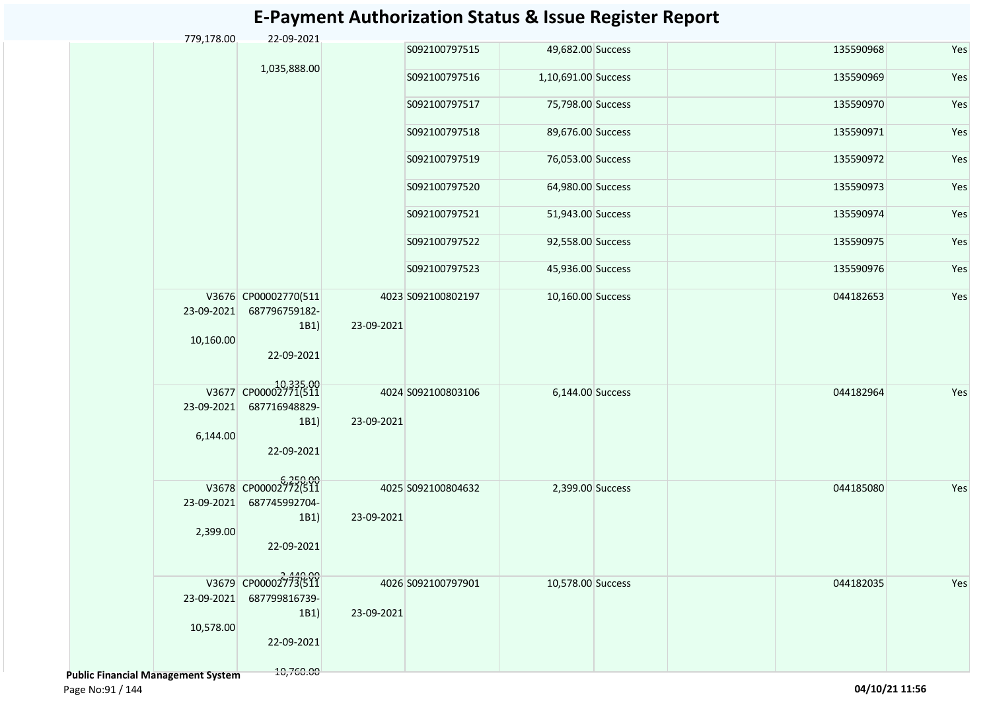#### S092100797515 49,682.00 Success 135590968 Yes S092100797516 1,10,691.00 Success 135590969 Yes S092100797517 75,798.00 Success 135590970 Yes S092100797518 89,676.00 Success 135590971 Yes S092100797519 76,053.00 Success 135590972 Yes S092100797520 64,980.00 Success 135590973 Yes S092100797521 51,943.00 Success 135590974 Yes S092100797522 92,558.00 Success 135590975 Yes S092100797523 45,936.00 Success 135590976 Yes V3676 CP00002770(511 23-09-2021 687796759182- 10,160.00 1B1) 22-09-2021 10,335.00 V3677 CP00002771(511 S092100802197 10,160.00 Success 044182653 Yes 23-09-2021 6,144.00 687716948829- 1B1) 22-09-2021 6,250.00 V3678 CP00002772(511 S092100803106 6,144.00 Success 044182964 Yes 23-09-2021 2,399.00 687745992704- 1B1) 22-09-2021 2,440.00 V3679 CP00002773(511 S092100804632 2,399.00 Success 044185080 Yes 23-09-2021 10,578.00 687799816739- 1B1) 22-09-2021 S092100797901 10,578.00 Success 044182035 Yes 4025 S092100804632 23-09-2021 4026 S092100797901 23-09-2021 4023 S092100802197 23-09-2021 4024 S092100803106 23-09-2021 779,178.00 22-09-2021 1,035,888.00

#### **E-Payment Authorization Status & Issue Register Report**

 **Public Financial Management System** 

10,760.00

Page No:91 / 144 **04/10/21 11:56**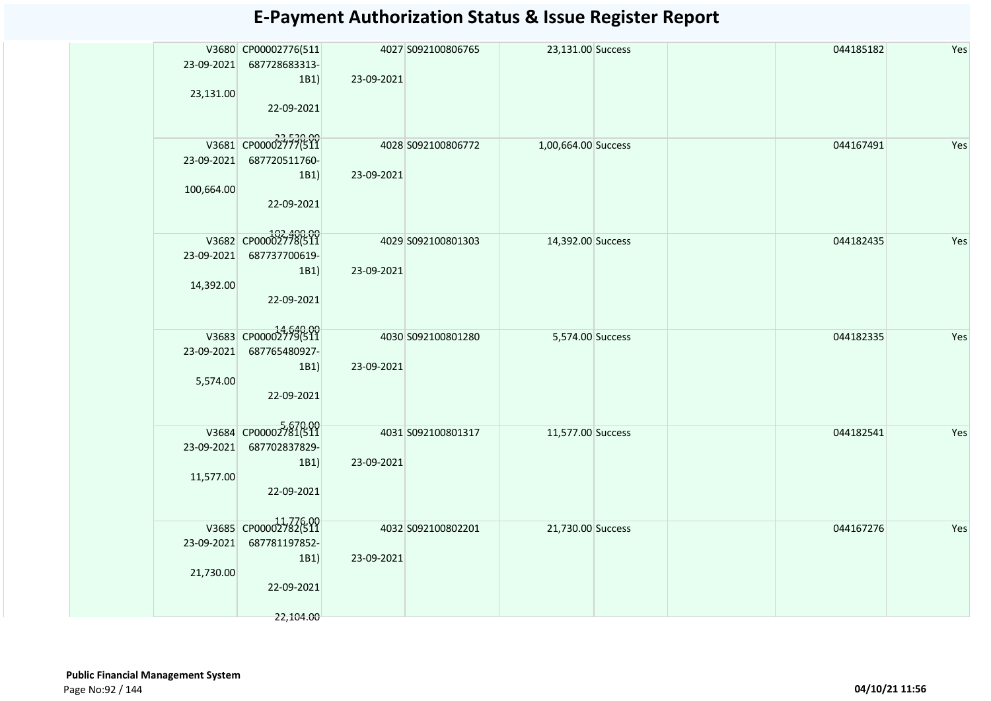|            | V3680 CP00002776(511 |            | 4027 S092100806765 | 23,131.00 Success   |  | 044185182 | Yes |
|------------|----------------------|------------|--------------------|---------------------|--|-----------|-----|
| 23-09-2021 | 687728683313-        |            |                    |                     |  |           |     |
|            | 1B1)                 | 23-09-2021 |                    |                     |  |           |     |
| 23,131.00  |                      |            |                    |                     |  |           |     |
|            | 22-09-2021           |            |                    |                     |  |           |     |
|            |                      |            |                    |                     |  |           |     |
|            |                      |            |                    |                     |  |           |     |
|            | V3681 CP00002777(511 |            | 4028 S092100806772 |                     |  | 044167491 | Yes |
|            |                      |            |                    | 1,00,664.00 Success |  |           |     |
| 23-09-2021 | 687720511760-        |            |                    |                     |  |           |     |
|            | 1B1)                 | 23-09-2021 |                    |                     |  |           |     |
| 100,664.00 |                      |            |                    |                     |  |           |     |
|            | 22-09-2021           |            |                    |                     |  |           |     |
|            |                      |            |                    |                     |  |           |     |
|            |                      |            |                    |                     |  |           |     |
|            | V3682 CP00002778(511 |            | 4029 S092100801303 | 14,392.00 Success   |  | 044182435 | Yes |
| 23-09-2021 | 687737700619-        |            |                    |                     |  |           |     |
|            | 1B1)                 | 23-09-2021 |                    |                     |  |           |     |
| 14,392.00  |                      |            |                    |                     |  |           |     |
|            |                      |            |                    |                     |  |           |     |
|            | 22-09-2021           |            |                    |                     |  |           |     |
|            |                      |            |                    |                     |  |           |     |
|            | V3683 CP00002779(511 |            | 4030 S092100801280 | 5,574.00 Success    |  | 044182335 | Yes |
| 23-09-2021 | 687765480927-        |            |                    |                     |  |           |     |
|            |                      |            |                    |                     |  |           |     |
|            | 1B1)                 | 23-09-2021 |                    |                     |  |           |     |
| 5,574.00   |                      |            |                    |                     |  |           |     |
|            | 22-09-2021           |            |                    |                     |  |           |     |
|            |                      |            |                    |                     |  |           |     |
|            | V3684 CP00002781(511 |            |                    |                     |  |           |     |
|            |                      |            | 4031 S092100801317 | 11,577.00 Success   |  | 044182541 | Yes |
| 23-09-2021 | 687702837829-        |            |                    |                     |  |           |     |
|            | 1B1)                 | 23-09-2021 |                    |                     |  |           |     |
| 11,577.00  |                      |            |                    |                     |  |           |     |
|            | 22-09-2021           |            |                    |                     |  |           |     |
|            |                      |            |                    |                     |  |           |     |
|            |                      |            |                    |                     |  |           |     |
|            | V3685 CP00002782(511 |            | 4032 S092100802201 | 21,730.00 Success   |  | 044167276 | Yes |
| 23-09-2021 | 687781197852-        |            |                    |                     |  |           |     |
|            | 1B1)                 | 23-09-2021 |                    |                     |  |           |     |
| 21,730.00  |                      |            |                    |                     |  |           |     |
|            | 22-09-2021           |            |                    |                     |  |           |     |
|            |                      |            |                    |                     |  |           |     |
|            |                      |            |                    |                     |  |           |     |
|            | 22,104.00            |            |                    |                     |  |           |     |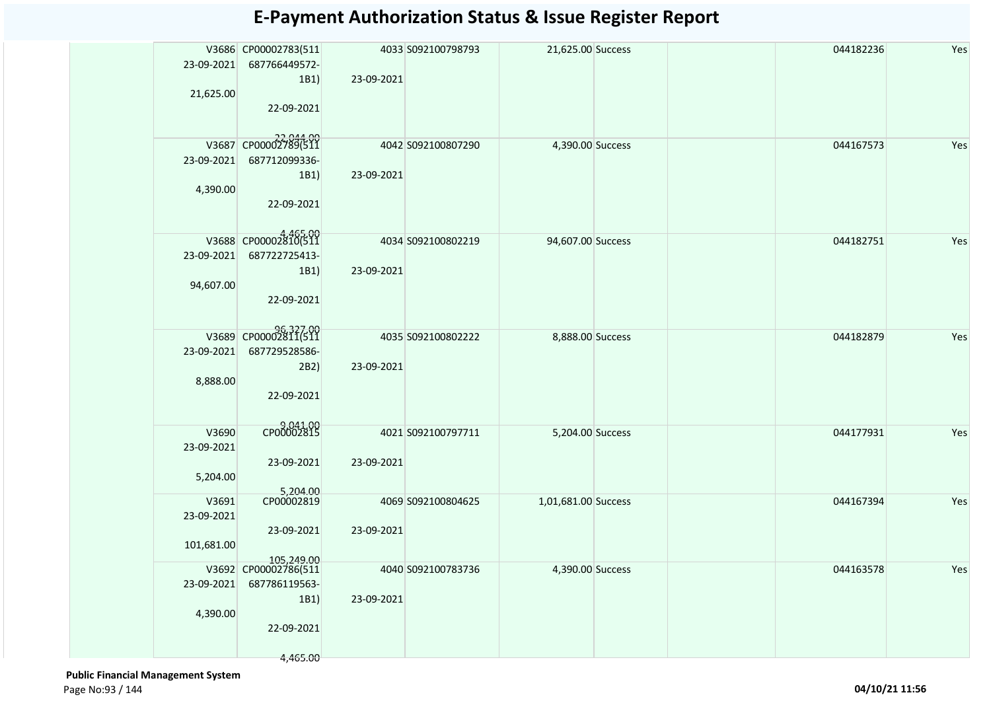| 23-09-2021 | V3686 CP00002783(511<br>687766449572-<br>1B1) | 23-09-2021 | 4033 S092100798793 | 21,625.00 Success   |  | 044182236 | Yes |
|------------|-----------------------------------------------|------------|--------------------|---------------------|--|-----------|-----|
| 21,625.00  | 22-09-2021                                    |            |                    |                     |  |           |     |
|            | 044.00 22,044.00<br>V3687 CP00002789(511      |            | 4042 S092100807290 | 4,390.00 Success    |  | 044167573 | Yes |
| 23-09-2021 | 687712099336-                                 |            |                    |                     |  |           |     |
| 4,390.00   | 1B1)                                          | 23-09-2021 |                    |                     |  |           |     |
|            | 22-09-2021                                    |            |                    |                     |  |           |     |
|            | V3688 CP00002810(511                          |            | 4034 S092100802219 | 94,607.00 Success   |  | 044182751 | Yes |
| 23-09-2021 | 687722725413-                                 |            |                    |                     |  |           |     |
|            | 1B1)                                          | 23-09-2021 |                    |                     |  |           |     |
| 94,607.00  | 22-09-2021                                    |            |                    |                     |  |           |     |
|            | 96,327.00                                     |            | 4035 S092100802222 | 8,888.00 Success    |  | 044182879 | Yes |
| 23-09-2021 | 687729528586-                                 |            |                    |                     |  |           |     |
| 8,888.00   | 2B2)                                          | 23-09-2021 |                    |                     |  |           |     |
|            | 22-09-2021                                    |            |                    |                     |  |           |     |
| V3690      | CP00002815                                    |            | 4021 S092100797711 | 5,204.00 Success    |  | 044177931 | Yes |
| 23-09-2021 |                                               |            |                    |                     |  |           |     |
|            | 23-09-2021                                    | 23-09-2021 |                    |                     |  |           |     |
| 5,204.00   |                                               |            |                    |                     |  |           |     |
| V3691      | 5,204.00                                      |            | 4069 S092100804625 | 1,01,681.00 Success |  | 044167394 | Yes |
| 23-09-2021 | 23-09-2021                                    | 23-09-2021 |                    |                     |  |           |     |
| 101,681.00 |                                               |            |                    |                     |  |           |     |
|            | 105,249.00                                    |            |                    |                     |  |           |     |
| 23-09-2021 | V3692 CP00002786(511<br>687786119563-         |            | 4040 S092100783736 | 4,390.00 Success    |  | 044163578 | Yes |
|            | 1B1)                                          | 23-09-2021 |                    |                     |  |           |     |
| 4,390.00   |                                               |            |                    |                     |  |           |     |
|            | 22-09-2021                                    |            |                    |                     |  |           |     |
|            | 4,465.00                                      |            |                    |                     |  |           |     |
|            |                                               |            |                    |                     |  |           |     |

 **Public Financial Management System**  Page No:93 / 144 **04/10/21 11:56**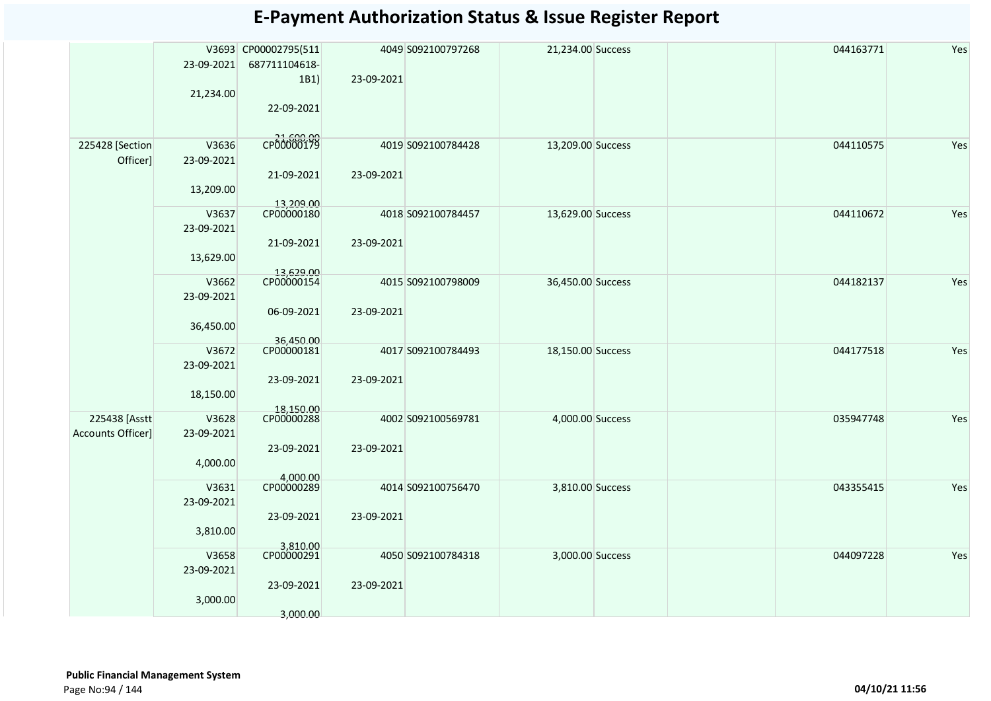|                   |                     | V3693 CP00002795(511    |            | 4049 S092100797268 | 21,234.00 Success | 044163771 | Yes |
|-------------------|---------------------|-------------------------|------------|--------------------|-------------------|-----------|-----|
|                   | 23-09-2021          | 687711104618-           |            |                    |                   |           |     |
|                   | 21,234.00           | 1B1)                    | 23-09-2021 |                    |                   |           |     |
|                   |                     | 22-09-2021              |            |                    |                   |           |     |
|                   |                     |                         |            |                    |                   |           |     |
| 225428 [Section   | V3636               | CP00000179              |            | 4019 S092100784428 | 13,209.00 Success | 044110575 | Yes |
| Officer]          | 23-09-2021          |                         |            |                    |                   |           |     |
|                   |                     | 21-09-2021              | 23-09-2021 |                    |                   |           |     |
|                   | 13,209.00           |                         |            |                    |                   |           |     |
|                   | V3637               | 13,209.00<br>CP00000180 |            | 4018 S092100784457 | 13,629.00 Success | 044110672 | Yes |
|                   | 23-09-2021          |                         |            |                    |                   |           |     |
|                   |                     | 21-09-2021              | 23-09-2021 |                    |                   |           |     |
|                   | 13,629.00           |                         |            |                    |                   |           |     |
|                   | V3662               | 13,629.00<br>CP00000154 |            | 4015 S092100798009 | 36,450.00 Success | 044182137 | Yes |
|                   | 23-09-2021          |                         |            |                    |                   |           |     |
|                   |                     | 06-09-2021              | 23-09-2021 |                    |                   |           |     |
|                   | 36,450.00           |                         |            |                    |                   |           |     |
|                   | V3672               | 36,450.00               |            | 4017 S092100784493 | 18,150.00 Success | 044177518 | Yes |
|                   | 23-09-2021          |                         |            |                    |                   |           |     |
|                   | 18,150.00           | 23-09-2021              | 23-09-2021 |                    |                   |           |     |
|                   |                     |                         |            |                    |                   |           |     |
| 225438 [Asstt     | V3628               | 18,150.00<br>CP00000288 |            | 4002 S092100569781 | 4,000.00 Success  | 035947748 | Yes |
| Accounts Officer] | 23-09-2021          | 23-09-2021              | 23-09-2021 |                    |                   |           |     |
|                   | 4,000.00            |                         |            |                    |                   |           |     |
|                   |                     | 4,000.00<br>CP00000289  |            |                    |                   |           |     |
|                   | V3631               |                         |            | 4014 S092100756470 | 3,810.00 Success  | 043355415 | Yes |
|                   | 23-09-2021          | 23-09-2021              | 23-09-2021 |                    |                   |           |     |
|                   | 3,810.00            |                         |            |                    |                   |           |     |
|                   |                     | 3,810.00<br>CP00000291  |            |                    |                   |           |     |
|                   | V3658<br>23-09-2021 |                         |            | 4050 S092100784318 | 3,000.00 Success  | 044097228 | Yes |
|                   |                     | 23-09-2021              | 23-09-2021 |                    |                   |           |     |
|                   | 3,000.00            |                         |            |                    |                   |           |     |
|                   |                     | 3,000.00                |            |                    |                   |           |     |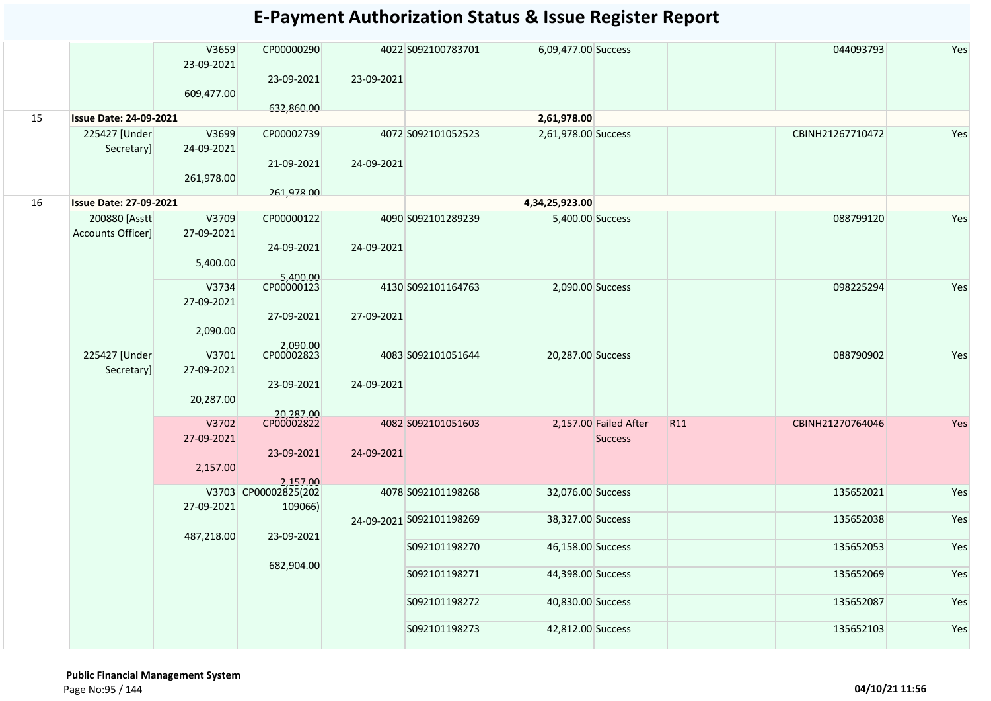|    |                               | V3659<br>23-09-2021 | CP00000290<br>23-09-2021           | 23-09-2021 | 4022 S092100783701       | 6,09,477.00 Success |                       |     | 044093793        | Yes |
|----|-------------------------------|---------------------|------------------------------------|------------|--------------------------|---------------------|-----------------------|-----|------------------|-----|
|    |                               | 609,477.00          |                                    |            |                          |                     |                       |     |                  |     |
| 15 | <b>Issue Date: 24-09-2021</b> |                     | 632,860.00                         |            |                          | 2,61,978.00         |                       |     |                  |     |
|    | 225427 [Under                 | V3699               | CP00002739                         |            | 4072 S092101052523       | 2,61,978.00 Success |                       |     | CBINH21267710472 | Yes |
|    | Secretary]                    | 24-09-2021          |                                    |            |                          |                     |                       |     |                  |     |
|    |                               | 261,978.00          | 21-09-2021                         | 24-09-2021 |                          |                     |                       |     |                  |     |
| 16 | <b>Issue Date: 27-09-2021</b> |                     | 261,978.00                         |            |                          | 4,34,25,923.00      |                       |     |                  |     |
|    | 200880 [Asstt                 | V3709               | CP00000122                         |            | 4090 S092101289239       | 5,400.00 Success    |                       |     | 088799120        | Yes |
|    | <b>Accounts Officer]</b>      | 27-09-2021          |                                    |            |                          |                     |                       |     |                  |     |
|    |                               |                     | 24-09-2021                         | 24-09-2021 |                          |                     |                       |     |                  |     |
|    |                               | 5,400.00            |                                    |            |                          |                     |                       |     |                  |     |
|    |                               | V3734               | 5,400.00                           |            | 4130 S092101164763       | 2,090.00 Success    |                       |     | 098225294        | Yes |
|    |                               | 27-09-2021          |                                    |            |                          |                     |                       |     |                  |     |
|    |                               |                     | 27-09-2021                         | 27-09-2021 |                          |                     |                       |     |                  |     |
|    |                               | 2,090.00            |                                    |            |                          |                     |                       |     |                  |     |
|    |                               |                     | 2,090.00<br>CP00002823             |            |                          |                     |                       |     |                  |     |
|    | 225427 [Under                 | V3701               |                                    |            | 4083 S092101051644       | 20,287.00 Success   |                       |     | 088790902        | Yes |
|    | Secretary]                    | 27-09-2021          |                                    |            |                          |                     |                       |     |                  |     |
|    |                               |                     | 23-09-2021                         | 24-09-2021 |                          |                     |                       |     |                  |     |
|    |                               | 20,287.00           |                                    |            |                          |                     |                       |     |                  |     |
|    |                               | V3702               | 20,287.00                          |            | 4082 S092101051603       |                     | 2,157.00 Failed After | R11 | CBINH21270764046 | Yes |
|    |                               | 27-09-2021          |                                    |            |                          |                     | <b>Success</b>        |     |                  |     |
|    |                               |                     | 23-09-2021                         | 24-09-2021 |                          |                     |                       |     |                  |     |
|    |                               | 2,157.00            |                                    |            |                          |                     |                       |     |                  |     |
|    |                               |                     | 2,157.00<br>  V3703 CP00002825(202 |            | 4078 S092101198268       | 32,076.00 Success   |                       |     | 135652021        | Yes |
|    |                               | 27-09-2021          | 109066)                            |            |                          |                     |                       |     |                  |     |
|    |                               |                     |                                    |            | 24-09-2021 S092101198269 | 38,327.00 Success   |                       |     | 135652038        | Yes |
|    |                               | 487,218.00          | 23-09-2021                         |            |                          |                     |                       |     |                  |     |
|    |                               |                     |                                    |            | S092101198270            | 46,158.00 Success   |                       |     | 135652053        | Yes |
|    |                               |                     | 682,904.00                         |            |                          |                     |                       |     |                  |     |
|    |                               |                     |                                    |            | S092101198271            | 44,398.00 Success   |                       |     | 135652069        | Yes |
|    |                               |                     |                                    |            | S092101198272            | 40,830.00 Success   |                       |     | 135652087        | Yes |
|    |                               |                     |                                    |            | S092101198273            | 42,812.00 Success   |                       |     | 135652103        | Yes |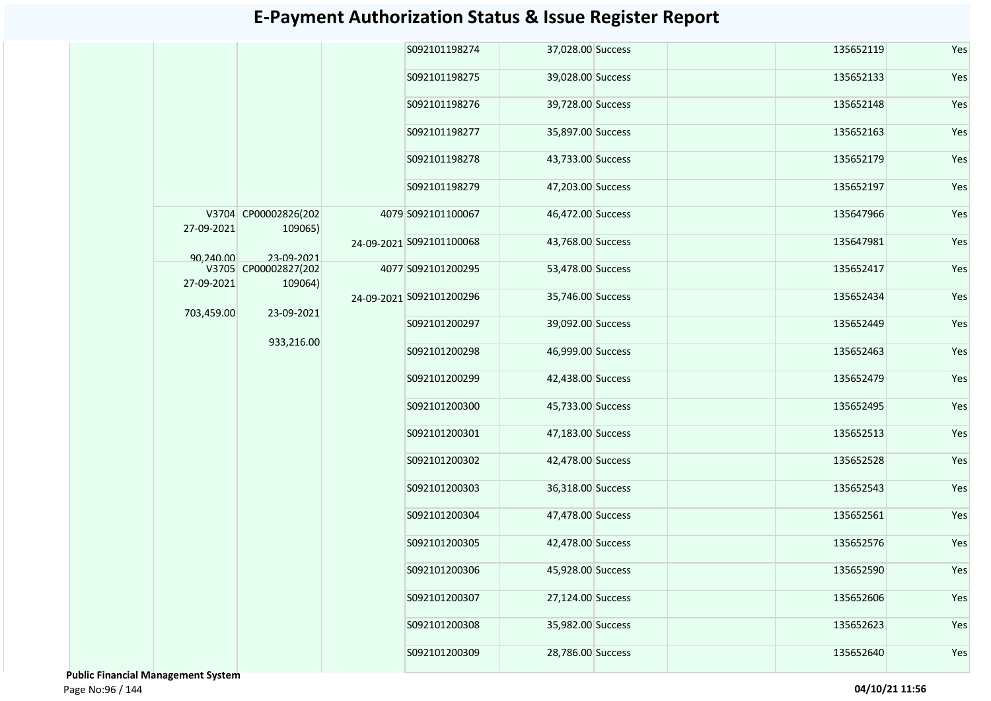|            |                                 |  | S092101198274            | 37,028.00 Success |  | 135652119 | Yes |  |  |  |  |  |  |  |  |  |  |  |  |  |  |  |  |  |  |               |                   |  |           |     |
|------------|---------------------------------|--|--------------------------|-------------------|--|-----------|-----|--|--|--|--|--|--|--|--|--|--|--|--|--|--|--|--|--|--|---------------|-------------------|--|-----------|-----|
|            |                                 |  | S092101198275            | 39,028.00 Success |  | 135652133 | Yes |  |  |  |  |  |  |  |  |  |  |  |  |  |  |  |  |  |  |               |                   |  |           |     |
|            |                                 |  | S092101198276            | 39,728.00 Success |  | 135652148 | Yes |  |  |  |  |  |  |  |  |  |  |  |  |  |  |  |  |  |  |               |                   |  |           |     |
|            |                                 |  | S092101198277            | 35,897.00 Success |  | 135652163 | Yes |  |  |  |  |  |  |  |  |  |  |  |  |  |  |  |  |  |  |               |                   |  |           |     |
|            |                                 |  | S092101198278            | 43,733.00 Success |  | 135652179 | Yes |  |  |  |  |  |  |  |  |  |  |  |  |  |  |  |  |  |  |               |                   |  |           |     |
|            |                                 |  | S092101198279            | 47,203.00 Success |  | 135652197 | Yes |  |  |  |  |  |  |  |  |  |  |  |  |  |  |  |  |  |  |               |                   |  |           |     |
| 27-09-2021 | V3704 CP00002826(202<br>109065) |  | 4079 S092101100067       | 46,472.00 Success |  | 135647966 | Yes |  |  |  |  |  |  |  |  |  |  |  |  |  |  |  |  |  |  |               |                   |  |           |     |
| 90,240.00  | 23-09-2021                      |  | 24-09-2021 S092101100068 | 43,768.00 Success |  | 135647981 | Yes |  |  |  |  |  |  |  |  |  |  |  |  |  |  |  |  |  |  |               |                   |  |           |     |
| 27-09-2021 | V3705 CP00002827(202<br>109064) |  | 4077 S092101200295       | 53,478.00 Success |  | 135652417 | Yes |  |  |  |  |  |  |  |  |  |  |  |  |  |  |  |  |  |  |               |                   |  |           |     |
| 703,459.00 | 23-09-2021                      |  | 24-09-2021 S092101200296 | 35,746.00 Success |  | 135652434 | Yes |  |  |  |  |  |  |  |  |  |  |  |  |  |  |  |  |  |  |               |                   |  |           |     |
|            |                                 |  | S092101200297            | 39,092.00 Success |  | 135652449 | Yes |  |  |  |  |  |  |  |  |  |  |  |  |  |  |  |  |  |  |               |                   |  |           |     |
|            | 933,216.00                      |  | S092101200298            | 46,999.00 Success |  | 135652463 | Yes |  |  |  |  |  |  |  |  |  |  |  |  |  |  |  |  |  |  |               |                   |  |           |     |
|            |                                 |  | S092101200299            | 42,438.00 Success |  | 135652479 | Yes |  |  |  |  |  |  |  |  |  |  |  |  |  |  |  |  |  |  |               |                   |  |           |     |
|            |                                 |  | S092101200300            | 45,733.00 Success |  | 135652495 | Yes |  |  |  |  |  |  |  |  |  |  |  |  |  |  |  |  |  |  |               |                   |  |           |     |
|            |                                 |  | S092101200301            | 47,183.00 Success |  | 135652513 | Yes |  |  |  |  |  |  |  |  |  |  |  |  |  |  |  |  |  |  |               |                   |  |           |     |
|            |                                 |  |                          |                   |  |           |     |  |  |  |  |  |  |  |  |  |  |  |  |  |  |  |  |  |  | S092101200302 | 42,478.00 Success |  | 135652528 | Yes |
|            |                                 |  | S092101200303            | 36,318.00 Success |  | 135652543 | Yes |  |  |  |  |  |  |  |  |  |  |  |  |  |  |  |  |  |  |               |                   |  |           |     |
|            |                                 |  | S092101200304            | 47,478.00 Success |  | 135652561 | Yes |  |  |  |  |  |  |  |  |  |  |  |  |  |  |  |  |  |  |               |                   |  |           |     |
|            |                                 |  | S092101200305            | 42,478.00 Success |  | 135652576 | Yes |  |  |  |  |  |  |  |  |  |  |  |  |  |  |  |  |  |  |               |                   |  |           |     |
|            |                                 |  | S092101200306            | 45,928.00 Success |  | 135652590 | Yes |  |  |  |  |  |  |  |  |  |  |  |  |  |  |  |  |  |  |               |                   |  |           |     |
|            |                                 |  | S092101200307            | 27,124.00 Success |  | 135652606 | Yes |  |  |  |  |  |  |  |  |  |  |  |  |  |  |  |  |  |  |               |                   |  |           |     |
|            |                                 |  | S092101200308            | 35,982.00 Success |  | 135652623 | Yes |  |  |  |  |  |  |  |  |  |  |  |  |  |  |  |  |  |  |               |                   |  |           |     |
|            |                                 |  | S092101200309            | 28,786.00 Success |  | 135652640 | Yes |  |  |  |  |  |  |  |  |  |  |  |  |  |  |  |  |  |  |               |                   |  |           |     |

 **Public Financial Management System**  Page No:96 / 144 **04/10/21 11:56**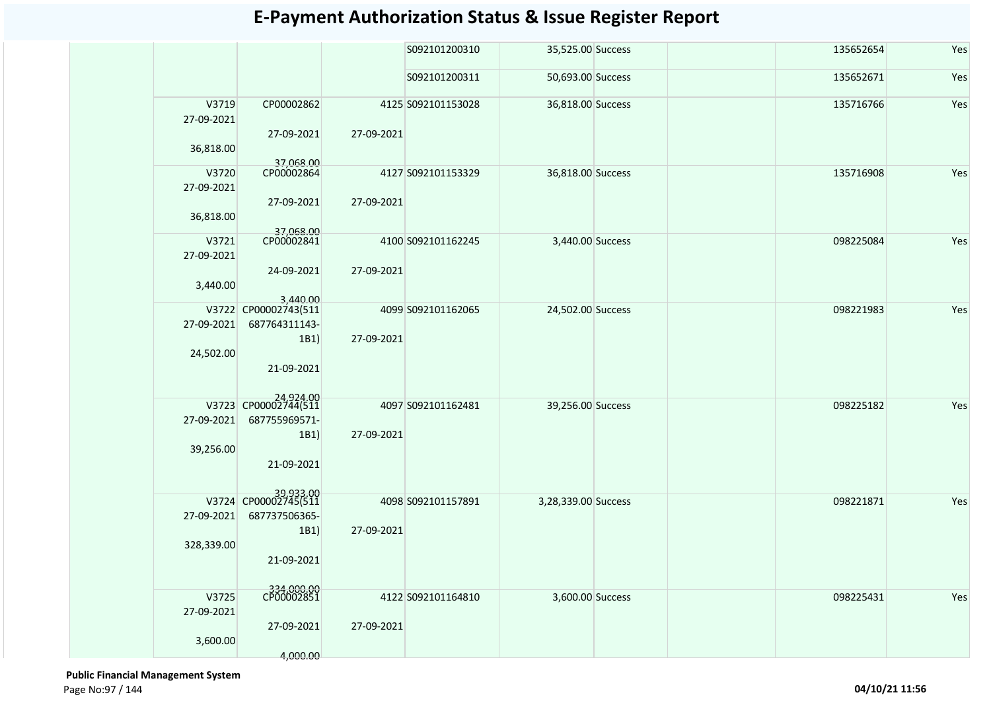|                     |                         |            | S092101200310      | 35,525.00 Success   | 135652654 | Yes |
|---------------------|-------------------------|------------|--------------------|---------------------|-----------|-----|
|                     |                         |            | S092101200311      | 50,693.00 Success   | 135652671 | Yes |
| V3719<br>27-09-2021 | CP00002862              |            | 4125 S092101153028 | 36,818.00 Success   | 135716766 | Yes |
| 36,818.00           | 27-09-2021              | 27-09-2021 |                    |                     |           |     |
| V3720               | 37,068.00<br>CP00002864 |            | 4127 S092101153329 | 36,818.00 Success   | 135716908 | Yes |
| 27-09-2021          |                         |            |                    |                     |           |     |
|                     | 27-09-2021              | 27-09-2021 |                    |                     |           |     |
| 36,818.00           |                         |            |                    |                     |           |     |
|                     | 37,068.00<br>CP00002841 |            |                    |                     |           |     |
| V3721<br>27-09-2021 |                         |            | 4100 S092101162245 | 3,440.00 Success    | 098225084 | Yes |
|                     | 24-09-2021              | 27-09-2021 |                    |                     |           |     |
| 3,440.00            |                         |            |                    |                     |           |     |
|                     | 3,440.00                |            |                    |                     |           |     |
|                     | V3722 CP00002743(511    |            | 4099 S092101162065 | 24,502.00 Success   | 098221983 | Yes |
| 27-09-2021          | 687764311143-           |            |                    |                     |           |     |
|                     | 1B1)                    | 27-09-2021 |                    |                     |           |     |
| 24,502.00           |                         |            |                    |                     |           |     |
|                     | 21-09-2021              |            |                    |                     |           |     |
|                     |                         |            |                    |                     |           |     |
|                     | 24,924.00               |            | 4097 S092101162481 | 39,256.00 Success   | 098225182 | Yes |
| 27-09-2021          | 687755969571-           |            |                    |                     |           |     |
|                     | 1B1)                    | 27-09-2021 |                    |                     |           |     |
| 39,256.00           |                         |            |                    |                     |           |     |
|                     | 21-09-2021              |            |                    |                     |           |     |
|                     |                         |            |                    |                     |           |     |
|                     | V3724 CP00002745(511    |            | 4098 S092101157891 | 3,28,339.00 Success | 098221871 | Yes |
| 27-09-2021          | 687737506365-           |            |                    |                     |           |     |
|                     | 1B1)                    | 27-09-2021 |                    |                     |           |     |
| 328,339.00          |                         |            |                    |                     |           |     |
|                     | 21-09-2021              |            |                    |                     |           |     |
|                     |                         |            |                    |                     |           |     |
| V3725               | 334,000.00              |            | 4122 S092101164810 | 3,600.00 Success    | 098225431 | Yes |
| 27-09-2021          |                         |            |                    |                     |           |     |
|                     | 27-09-2021              | 27-09-2021 |                    |                     |           |     |
| 3,600.00            |                         |            |                    |                     |           |     |
|                     | 4,000.00                |            |                    |                     |           |     |

 **Public Financial Management System**  Page No:97 / 144 **04/10/21 11:56**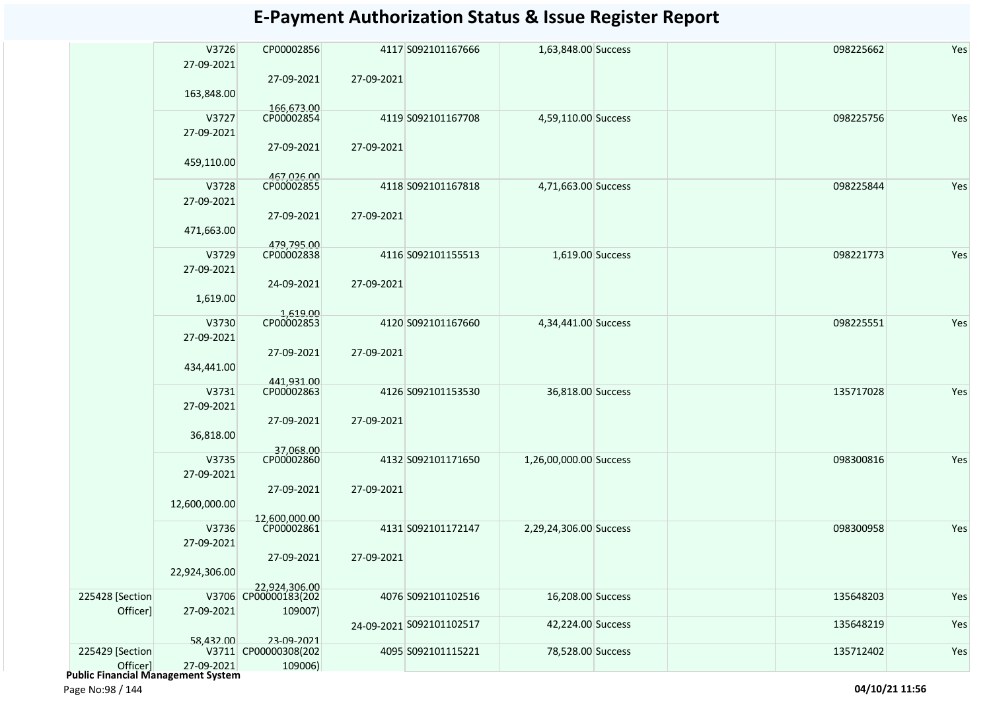|                 | V3726         | CP00002856                            |            | 4117 S092101167666       | 1,63,848.00 Success    | 098225662 | Yes |
|-----------------|---------------|---------------------------------------|------------|--------------------------|------------------------|-----------|-----|
|                 | 27-09-2021    |                                       |            |                          |                        |           |     |
|                 |               | 27-09-2021                            | 27-09-2021 |                          |                        |           |     |
|                 | 163,848.00    |                                       |            |                          |                        |           |     |
|                 |               | 166,673.00                            |            |                          |                        |           |     |
|                 | V3727         | CP00002854                            |            | 4119 S092101167708       | 4,59,110.00 Success    | 098225756 | Yes |
|                 | 27-09-2021    |                                       |            |                          |                        |           |     |
|                 |               | 27-09-2021                            | 27-09-2021 |                          |                        |           |     |
|                 |               |                                       |            |                          |                        |           |     |
|                 | 459,110.00    |                                       |            |                          |                        |           |     |
|                 | V3728         | 467,026.00<br>CP00002855              |            | 4118 S092101167818       | 4,71,663.00 Success    | 098225844 | Yes |
|                 |               |                                       |            |                          |                        |           |     |
|                 | 27-09-2021    |                                       |            |                          |                        |           |     |
|                 |               | 27-09-2021                            | 27-09-2021 |                          |                        |           |     |
|                 | 471,663.00    |                                       |            |                          |                        |           |     |
|                 |               | 479,795.00                            |            |                          |                        |           |     |
|                 | V3729         | CP00002838                            |            | 4116 S092101155513       | 1,619.00 Success       | 098221773 | Yes |
|                 | 27-09-2021    |                                       |            |                          |                        |           |     |
|                 |               | 24-09-2021                            | 27-09-2021 |                          |                        |           |     |
|                 | 1,619.00      |                                       |            |                          |                        |           |     |
|                 |               | 1,619.00                              |            |                          |                        |           |     |
|                 | V3730         | CP00002853                            |            | 4120 S092101167660       | 4,34,441.00 Success    | 098225551 | Yes |
|                 | 27-09-2021    |                                       |            |                          |                        |           |     |
|                 |               | 27-09-2021                            | 27-09-2021 |                          |                        |           |     |
|                 |               |                                       |            |                          |                        |           |     |
|                 | 434,441.00    |                                       |            |                          |                        |           |     |
|                 | V3731         | 441,931.00<br>CP00002863              |            | 4126 S092101153530       |                        | 135717028 | Yes |
|                 |               |                                       |            |                          | 36,818.00 Success      |           |     |
|                 | 27-09-2021    |                                       |            |                          |                        |           |     |
|                 |               | 27-09-2021                            | 27-09-2021 |                          |                        |           |     |
|                 | 36,818.00     |                                       |            |                          |                        |           |     |
|                 |               | 37,068.00<br>CP00002860               |            |                          |                        |           |     |
|                 | V3735         |                                       |            | 4132 S092101171650       | 1,26,00,000.00 Success | 098300816 | Yes |
|                 | 27-09-2021    |                                       |            |                          |                        |           |     |
|                 |               | 27-09-2021                            | 27-09-2021 |                          |                        |           |     |
|                 | 12,600,000.00 |                                       |            |                          |                        |           |     |
|                 |               | 12,600,000,00                         |            |                          |                        |           |     |
|                 | V3736         | CP00002861                            |            | 4131 S092101172147       | 2,29,24,306.00 Success | 098300958 | Yes |
|                 | 27-09-2021    |                                       |            |                          |                        |           |     |
|                 |               | 27-09-2021                            | 27-09-2021 |                          |                        |           |     |
|                 | 22,924,306.00 |                                       |            |                          |                        |           |     |
|                 |               |                                       |            |                          |                        |           |     |
| 225428 [Section |               | 22,924,306.00<br>V3706 CP00000183(202 |            | 4076 S092101102516       | 16,208.00 Success      | 135648203 | Yes |
| Officer]        | 27-09-2021    | 109007)                               |            |                          |                        |           |     |
|                 |               |                                       |            | 24-09-2021 S092101102517 | 42,224.00 Success      | 135648219 | Yes |
|                 |               |                                       |            |                          |                        |           |     |
|                 | 58,432.00     | 23-09-2021                            |            |                          |                        |           |     |
| 225429 [Section |               | V3711 CP00000308(202                  |            | 4095 S092101115221       | 78,528.00 Success      | 135712402 | Yes |
| Officer]        | 27-09-2021    | 109006)                               |            |                          |                        |           |     |

Officer] 27-09-2021  **Public Financial Management System** 

Page No:98 / 144 **04/10/21 11:56**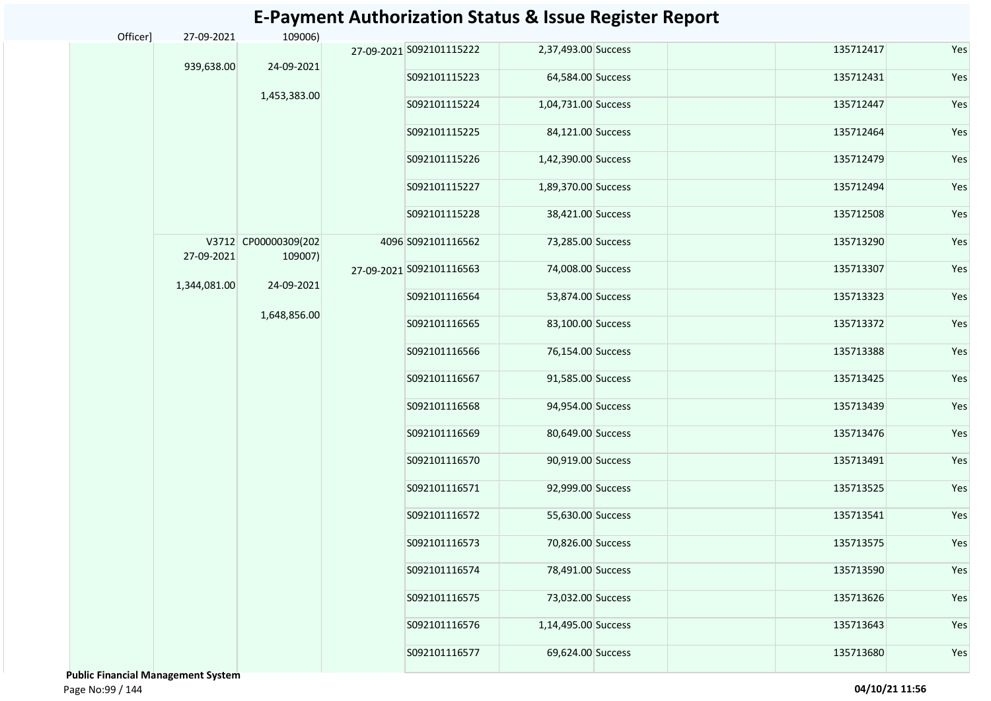| Officer] | 27-09-2021   | 109006)              |                          |                     |  |           |     |
|----------|--------------|----------------------|--------------------------|---------------------|--|-----------|-----|
|          |              |                      | 27-09-2021 S092101115222 | 2,37,493.00 Success |  | 135712417 | Yes |
|          | 939,638.00   | 24-09-2021           | S092101115223            | 64,584.00 Success   |  | 135712431 | Yes |
|          |              | 1,453,383.00         | S092101115224            | 1,04,731.00 Success |  | 135712447 | Yes |
|          |              |                      | S092101115225            |                     |  | 135712464 | Yes |
|          |              |                      |                          | 84,121.00 Success   |  |           |     |
|          |              |                      | S092101115226            | 1,42,390.00 Success |  | 135712479 | Yes |
|          |              |                      | S092101115227            | 1,89,370.00 Success |  | 135712494 | Yes |
|          |              |                      | S092101115228            | 38,421.00 Success   |  | 135712508 | Yes |
|          |              | V3712 CP00000309(202 | 4096 S092101116562       | 73,285.00 Success   |  | 135713290 | Yes |
|          | 27-09-2021   | 109007)              | 27-09-2021 S092101116563 | 74,008.00 Success   |  | 135713307 | Yes |
|          | 1,344,081.00 | 24-09-2021           | S092101116564            | 53,874.00 Success   |  | 135713323 | Yes |
|          |              | 1,648,856.00         | S092101116565            | 83,100.00 Success   |  | 135713372 | Yes |
|          |              |                      | S092101116566            | 76,154.00 Success   |  | 135713388 | Yes |
|          |              |                      | S092101116567            | 91,585.00 Success   |  | 135713425 | Yes |
|          |              |                      | S092101116568            | 94,954.00 Success   |  | 135713439 | Yes |
|          |              |                      |                          |                     |  |           |     |
|          |              |                      | S092101116569            | 80,649.00 Success   |  | 135713476 | Yes |
|          |              |                      | S092101116570            | 90,919.00 Success   |  | 135713491 | Yes |
|          |              |                      | S092101116571            | 92,999.00 Success   |  | 135713525 | Yes |
|          |              |                      | S092101116572            | 55,630.00 Success   |  | 135713541 | Yes |
|          |              |                      | S092101116573            | 70,826.00 Success   |  | 135713575 | Yes |
|          |              |                      | S092101116574            | 78,491.00 Success   |  | 135713590 | Yes |
|          |              |                      | S092101116575            | 73,032.00 Success   |  | 135713626 | Yes |
|          |              |                      | S092101116576            | 1,14,495.00 Success |  | 135713643 | Yes |
|          |              |                      | S092101116577            | 69,624.00 Success   |  | 135713680 | Yes |

 **Public Financial Management System**  Page No:99 / 144 **04/10/21 11:56**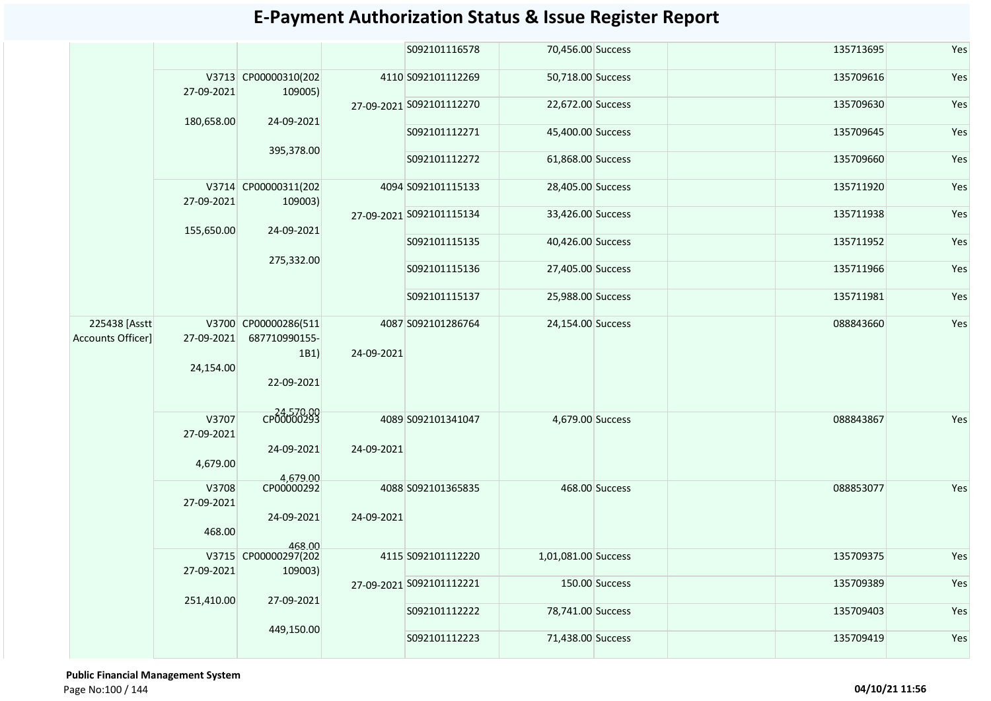|                                    |                         |                                               |            | S092101116578            | 70,456.00 Success   |                | 135713695 | Yes |
|------------------------------------|-------------------------|-----------------------------------------------|------------|--------------------------|---------------------|----------------|-----------|-----|
|                                    | 27-09-2021              | V3713 CP00000310(202<br>109005)               |            | 4110 S092101112269       | 50,718.00 Success   |                | 135709616 | Yes |
|                                    | 180,658.00              | 24-09-2021                                    |            | 27-09-2021 S092101112270 | 22,672.00 Success   |                | 135709630 | Yes |
|                                    |                         |                                               |            | S092101112271            | 45,400.00 Success   |                | 135709645 | Yes |
|                                    |                         | 395,378.00                                    |            | S092101112272            | 61,868.00 Success   |                | 135709660 | Yes |
|                                    | 27-09-2021              | V3714 CP00000311(202<br>109003)               |            | 4094 S092101115133       | 28,405.00 Success   |                | 135711920 | Yes |
|                                    | 155,650.00              | 24-09-2021                                    |            | 27-09-2021 S092101115134 | 33,426.00 Success   |                | 135711938 | Yes |
|                                    |                         |                                               |            | S092101115135            | 40,426.00 Success   |                | 135711952 | Yes |
|                                    |                         | 275,332.00                                    |            | S092101115136            | 27,405.00 Success   |                | 135711966 | Yes |
|                                    |                         |                                               |            | S092101115137            | 25,988.00 Success   |                | 135711981 | Yes |
| 225438 [Asstt<br>Accounts Officer] | 27-09-2021<br>24,154.00 | V3700 CP00000286(511<br>687710990155-<br>1B1) | 24-09-2021 | 4087 S092101286764       | 24,154.00 Success   |                | 088843660 | Yes |
|                                    |                         | 22-09-2021                                    |            |                          |                     |                |           |     |
|                                    | V3707<br>27-09-2021     | 24,570.00                                     |            | 4089 S092101341047       | 4,679.00 Success    |                | 088843867 | Yes |
|                                    | 4,679.00                | 24-09-2021                                    | 24-09-2021 |                          |                     |                |           |     |
|                                    | V3708                   | 4,679.00<br>CP00000292                        |            | 4088 S092101365835       |                     | 468.00 Success | 088853077 | Yes |
|                                    | 27-09-2021              |                                               |            |                          |                     |                |           |     |
|                                    | 468.00                  | 24-09-2021                                    | 24-09-2021 |                          |                     |                |           |     |
|                                    |                         | 468.00<br>V3715 CP00000297(202                |            |                          |                     |                |           |     |
|                                    | 27-09-2021              | 109003)                                       |            | 4115 S092101112220       | 1,01,081.00 Success |                | 135709375 | Yes |
|                                    | 251,410.00              | 27-09-2021                                    |            | 27-09-2021 S092101112221 |                     | 150.00 Success | 135709389 | Yes |
|                                    |                         |                                               |            | S092101112222            | 78,741.00 Success   |                | 135709403 | Yes |
|                                    |                         | 449,150.00                                    |            | S092101112223            | 71,438.00 Success   |                | 135709419 | Yes |

 **Public Financial Management System**  Page No:100 / 144 **04/10/21 11:56**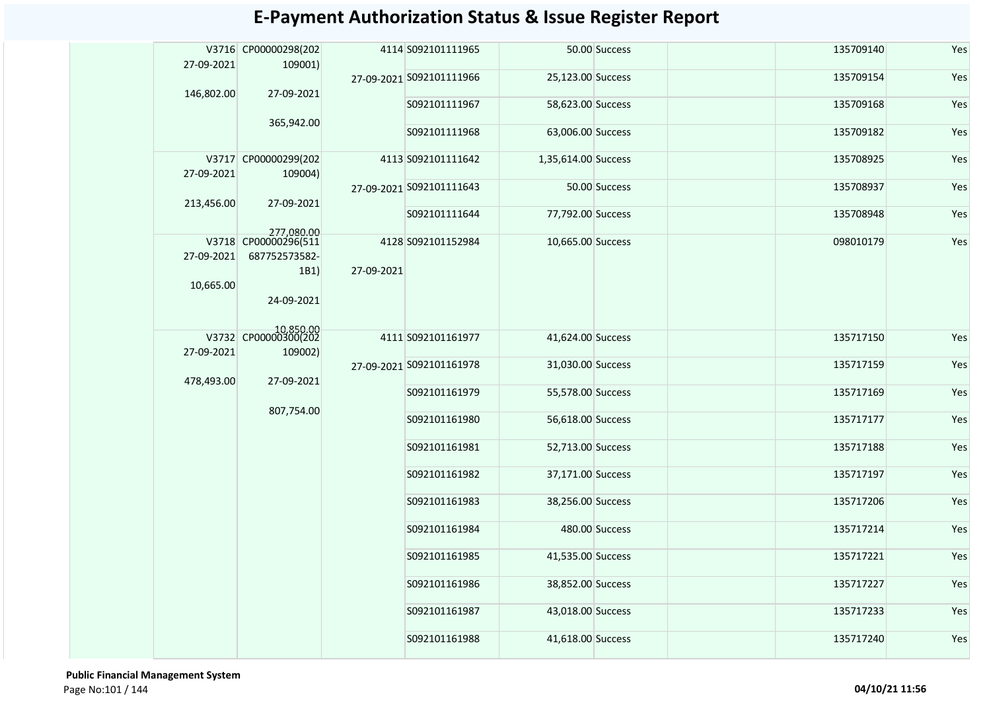| 27-09-2021              | V3716 CP00000298(202<br>109001)                   |            | 4114 S092101111965       |                     | 50.00 Success  | 135709140 | Yes |
|-------------------------|---------------------------------------------------|------------|--------------------------|---------------------|----------------|-----------|-----|
|                         |                                                   |            | 27-09-2021 S092101111966 | 25,123.00 Success   |                | 135709154 | Yes |
| 146,802.00              | 27-09-2021<br>365,942.00                          |            | S092101111967            | 58,623.00 Success   |                | 135709168 | Yes |
|                         |                                                   |            | S092101111968            | 63,006.00 Success   |                | 135709182 | Yes |
| 27-09-2021              | V3717 CP00000299(202                              |            | 4113 S092101111642       | 1,35,614.00 Success |                | 135708925 | Yes |
|                         | 109004)                                           |            | 27-09-2021 S092101111643 |                     | 50.00 Success  | 135708937 | Yes |
| 213,456.00              | 27-09-2021                                        |            | S092101111644            | 77,792.00 Success   |                | 135708948 | Yes |
| 27-09-2021<br>10,665.00 | 277,080.00<br>687752573582-<br>1B1)<br>24-09-2021 | 27-09-2021 | 4128 S092101152984       | 10,665.00 Success   |                | 098010179 | Yes |
| 27-09-2021              | 10,850.00<br>V3732 CP00000300(202                 |            | 4111 S092101161977       | 41,624.00 Success   |                | 135717150 | Yes |
|                         | 109002)<br>27-09-2021                             | 807,754.00 | 27-09-2021 S092101161978 | 31,030.00 Success   |                | 135717159 | Yes |
| 478,493.00              |                                                   |            | S092101161979            | 55,578.00 Success   |                | 135717169 | Yes |
|                         |                                                   |            | S092101161980            | 56,618.00 Success   |                | 135717177 | Yes |
|                         |                                                   |            | S092101161981            | 52,713.00 Success   |                | 135717188 | Yes |
|                         |                                                   |            | S092101161982            | 37,171.00 Success   |                | 135717197 | Yes |
|                         |                                                   |            | S092101161983            | 38,256.00 Success   |                | 135717206 | Yes |
|                         |                                                   |            | S092101161984            |                     | 480.00 Success | 135717214 | Yes |
|                         |                                                   |            | S092101161985            | 41,535.00 Success   |                | 135717221 | Yes |
|                         |                                                   |            | S092101161986            | 38,852.00 Success   |                | 135717227 | Yes |
|                         |                                                   |            | S092101161987            | 43,018.00 Success   |                | 135717233 | Yes |
|                         |                                                   |            | S092101161988            | 41,618.00 Success   |                | 135717240 | Yes |

 **Public Financial Management System**  Page No:101 / 144 **04/10/21 11:56**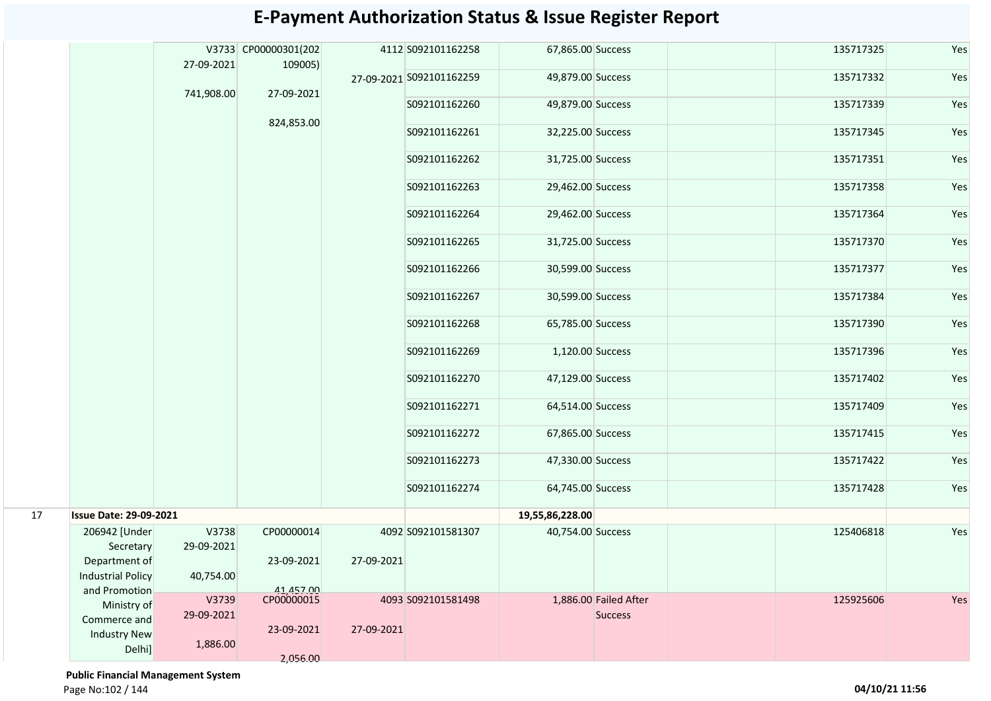#### 67,865.00 Success 125717325 Yes A09,879.00 Success 2002 135717332 Yes S092101162260 49,879.00 Success 135717339 Yes S092101162261 32,225.00 Success 135717345 Yes S092101162262 31,725.00 Success 135717351 Yes S092101162263 29,462.00 Success 135717358 Yes S092101162264 29,462.00 Success 135717364 Yes S092101162265 31,725.00 Success 135717370 Yes S092101162266 30,599.00 Success 135717377 Yes S092101162267 30,599.00 Success 135717384 Yes S092101162268 65,785.00 Success 135717390 Yes S092101162269 1,120.00 Success 135717396 Yes S092101162270 47,129.00 Success 135717402 Yes S092101162271 64,514.00 Success 135717409 Yes S092101162272 67,865.00 Success 135717415 Yes S092101162273 47,330.00 Success 135717422 Yes S092101162274 64,745.00 Success 135717428 Yes **19,55,86,228.00** V3738 29-09-2021 40,754.00 CP00000014 23-09-2021 41,457.00 A0,754.00 Success 125406818 Yes V3739 29-09-2021 1,886.00 CP00000015 23-09-2021 2,056.00 1,886.00 Failed After **Success** 125925606 Yes 17 **Issue Date: 29-09-2021** 206942 [Under Secretary Department of Industrial Policy and Promotion Ministry of Commerce and Industry New Delhi] 4092 S092101581307 27-09-2021 4093 S092101581498 27-09-2021 V3733 CP00000301(202 27-09-2021 741,908.00 109005) 27-09-2021 824,853.00 4112 S092101162258 27-09-2021 S092101162259

#### **E-Payment Authorization Status & Issue Register Report**

 **Public Financial Management System** 

Page No:102 / 144 **04/10/21 11:56**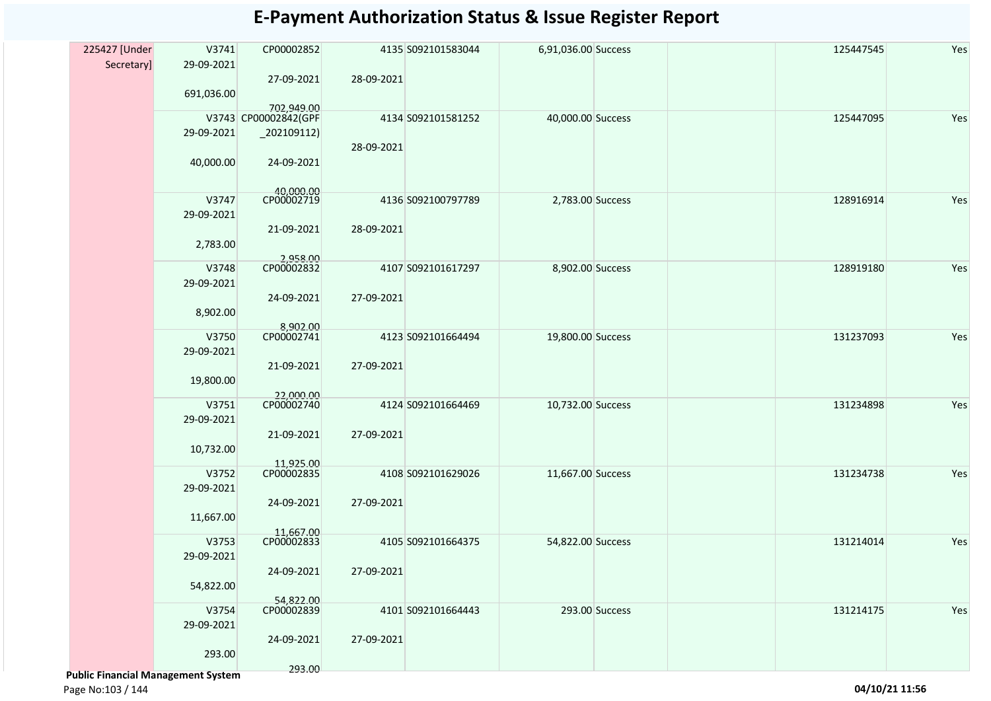| 225427 [Under                             | V3741      | CP00002852              |            | 4135 S092101583044 | 6,91,036.00 Success |                | 125447545 | Yes |
|-------------------------------------------|------------|-------------------------|------------|--------------------|---------------------|----------------|-----------|-----|
| Secretary]                                | 29-09-2021 |                         |            |                    |                     |                |           |     |
|                                           |            | 27-09-2021              | 28-09-2021 |                    |                     |                |           |     |
|                                           | 691,036.00 |                         |            |                    |                     |                |           |     |
|                                           |            | 702,949.00              |            |                    |                     |                |           |     |
|                                           |            | V3743 CP00002842(GPF    |            | 4134 S092101581252 | 40,000.00 Success   |                | 125447095 | Yes |
|                                           | 29-09-2021 | $_2$ 02109112)          |            |                    |                     |                |           |     |
|                                           |            |                         | 28-09-2021 |                    |                     |                |           |     |
|                                           | 40,000.00  | 24-09-2021              |            |                    |                     |                |           |     |
|                                           |            |                         |            |                    |                     |                |           |     |
|                                           | V3747      | 40,000.00<br>CP00002719 |            | 4136 S092100797789 | 2,783.00 Success    |                | 128916914 | Yes |
|                                           | 29-09-2021 |                         |            |                    |                     |                |           |     |
|                                           |            | 21-09-2021              | 28-09-2021 |                    |                     |                |           |     |
|                                           | 2,783.00   |                         |            |                    |                     |                |           |     |
|                                           |            | 2,958.00                |            |                    |                     |                |           |     |
|                                           | V3748      | CP00002832              |            | 4107 S092101617297 | 8,902.00 Success    |                | 128919180 | Yes |
|                                           | 29-09-2021 |                         |            |                    |                     |                |           |     |
|                                           | 8,902.00   | 24-09-2021              | 27-09-2021 |                    |                     |                |           |     |
|                                           |            |                         |            |                    |                     |                |           |     |
|                                           | V3750      | 8,902.00<br>CP00002741  |            | 4123 S092101664494 | 19,800.00 Success   |                | 131237093 | Yes |
|                                           | 29-09-2021 |                         |            |                    |                     |                |           |     |
|                                           |            | 21-09-2021              | 27-09-2021 |                    |                     |                |           |     |
|                                           | 19,800.00  |                         |            |                    |                     |                |           |     |
|                                           |            | 22,000.00               |            |                    |                     |                |           |     |
|                                           | V3751      | CP00002740              |            | 4124 S092101664469 | 10,732.00 Success   |                | 131234898 | Yes |
|                                           | 29-09-2021 |                         |            |                    |                     |                |           |     |
|                                           |            | 21-09-2021              | 27-09-2021 |                    |                     |                |           |     |
|                                           | 10,732.00  | 11,925.00               |            |                    |                     |                |           |     |
|                                           | V3752      | CP00002835              |            | 4108 S092101629026 | 11,667.00 Success   |                | 131234738 | Yes |
|                                           | 29-09-2021 |                         |            |                    |                     |                |           |     |
|                                           |            | 24-09-2021              | 27-09-2021 |                    |                     |                |           |     |
|                                           | 11,667.00  |                         |            |                    |                     |                |           |     |
|                                           |            | 11,667.00<br>CP00002833 |            |                    |                     |                |           |     |
|                                           | V3753      |                         |            | 4105 S092101664375 | 54,822.00 Success   |                | 131214014 | Yes |
|                                           | 29-09-2021 |                         |            |                    |                     |                |           |     |
|                                           |            | 24-09-2021              | 27-09-2021 |                    |                     |                |           |     |
|                                           | 54,822.00  |                         |            |                    |                     |                |           |     |
|                                           | V3754      | 54,822.00<br>CP00002839 |            | 4101 S092101664443 |                     | 293.00 Success | 131214175 | Yes |
|                                           | 29-09-2021 |                         |            |                    |                     |                |           |     |
|                                           |            | 24-09-2021              | 27-09-2021 |                    |                     |                |           |     |
|                                           | 293.00     |                         |            |                    |                     |                |           |     |
|                                           |            | 293.00                  |            |                    |                     |                |           |     |
| <b>Public Financial Management System</b> |            |                         |            |                    |                     |                |           |     |

Page No:103 / 144 **04/10/21 11:56**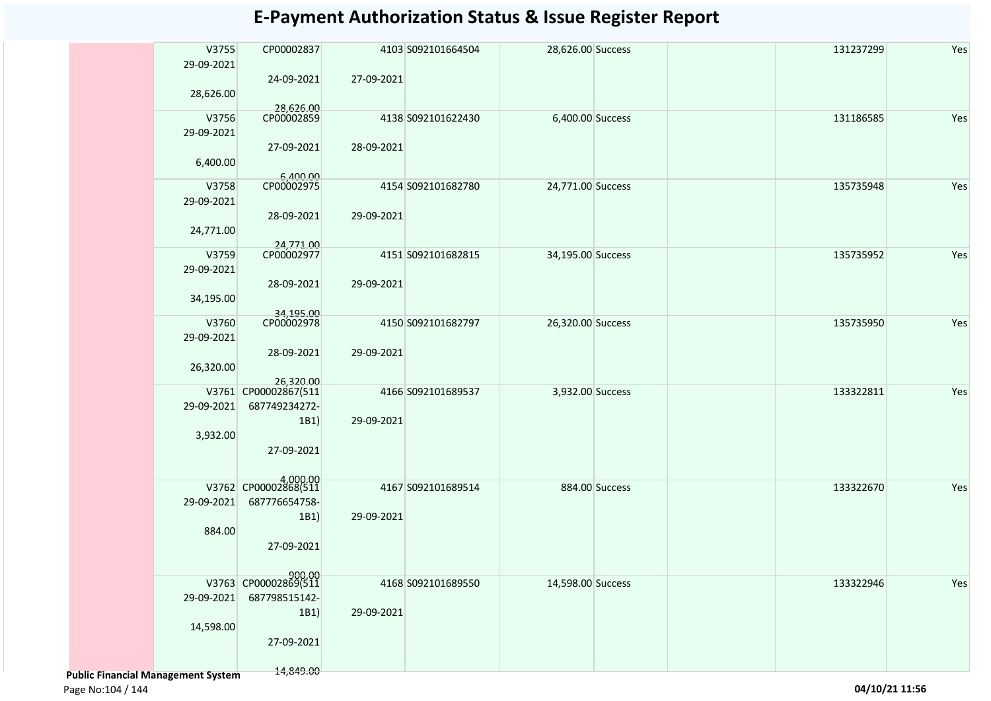|                                           | V3755      | CP00002837                            |            | 4103 S092101664504 | 28,626.00 Success |                | 131237299 | Yes |
|-------------------------------------------|------------|---------------------------------------|------------|--------------------|-------------------|----------------|-----------|-----|
|                                           | 29-09-2021 |                                       |            |                    |                   |                |           |     |
|                                           |            | 24-09-2021                            | 27-09-2021 |                    |                   |                |           |     |
|                                           | 28,626.00  | 28,626.00                             |            |                    |                   |                |           |     |
|                                           | V3756      | CP00002859                            |            | 4138 S092101622430 | 6,400.00 Success  |                | 131186585 | Yes |
|                                           | 29-09-2021 |                                       |            |                    |                   |                |           |     |
|                                           |            | 27-09-2021                            | 28-09-2021 |                    |                   |                |           |     |
|                                           | 6,400.00   |                                       |            |                    |                   |                |           |     |
|                                           | V3758      | 6,400.00<br>CP00002975                |            |                    |                   |                | 135735948 | Yes |
|                                           | 29-09-2021 |                                       |            | 4154 S092101682780 | 24,771.00 Success |                |           |     |
|                                           |            | 28-09-2021                            | 29-09-2021 |                    |                   |                |           |     |
|                                           | 24,771.00  |                                       |            |                    |                   |                |           |     |
|                                           |            |                                       |            |                    |                   |                |           |     |
|                                           | V3759      | 24,771.00<br>CP00002977               |            | 4151 S092101682815 | 34,195.00 Success |                | 135735952 | Yes |
|                                           | 29-09-2021 |                                       |            |                    |                   |                |           |     |
|                                           |            | 28-09-2021                            | 29-09-2021 |                    |                   |                |           |     |
|                                           | 34,195.00  |                                       |            |                    |                   |                |           |     |
|                                           | V3760      | 34,195.00<br>CP00002978               |            | 4150 S092101682797 | 26,320.00 Success |                | 135735950 | Yes |
|                                           | 29-09-2021 |                                       |            |                    |                   |                |           |     |
|                                           |            | 28-09-2021                            | 29-09-2021 |                    |                   |                |           |     |
|                                           | 26,320.00  |                                       |            |                    |                   |                |           |     |
|                                           |            | 26,320.00                             |            |                    |                   |                |           |     |
|                                           | 29-09-2021 | V3761 CP00002867(511<br>687749234272- |            | 4166 S092101689537 | 3,932.00 Success  |                | 133322811 | Yes |
|                                           |            | 1B1)                                  | 29-09-2021 |                    |                   |                |           |     |
|                                           | 3,932.00   |                                       |            |                    |                   |                |           |     |
|                                           |            | 27-09-2021                            |            |                    |                   |                |           |     |
|                                           |            |                                       |            |                    |                   |                |           |     |
|                                           |            | 4,000.00<br>V3762 CP00002868(511      |            |                    |                   |                |           | Yes |
|                                           | 29-09-2021 | 687776654758-                         |            | 4167 S092101689514 |                   | 884.00 Success | 133322670 |     |
|                                           |            | 1B1)                                  | 29-09-2021 |                    |                   |                |           |     |
|                                           | 884.00     |                                       |            |                    |                   |                |           |     |
|                                           |            | 27-09-2021                            |            |                    |                   |                |           |     |
|                                           |            |                                       |            |                    |                   |                |           |     |
|                                           |            | 900.00<br>V3763 CP00002869(511        |            |                    | 14,598.00 Success |                | 133322946 |     |
|                                           | 29-09-2021 | 687798515142-                         |            | 4168 S092101689550 |                   |                |           | Yes |
|                                           |            | 1B1)                                  | 29-09-2021 |                    |                   |                |           |     |
|                                           | 14,598.00  |                                       |            |                    |                   |                |           |     |
|                                           |            | 27-09-2021                            |            |                    |                   |                |           |     |
|                                           |            |                                       |            |                    |                   |                |           |     |
| <b>Public Financial Management System</b> |            | 14,849.00                             |            |                    |                   |                |           |     |

Page No:104 / 144 **04/10/21 11:56**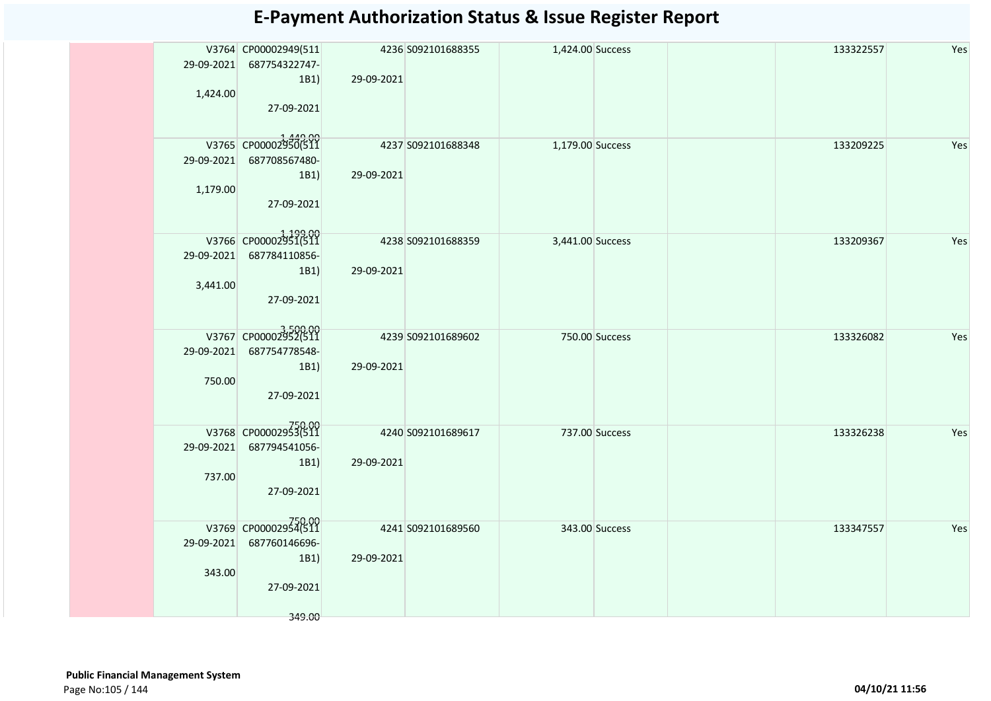|          | V3764 CP00002949(511           |            | 4236 S092101688355  | 1,424.00 Success |                | 133322557 | Yes |
|----------|--------------------------------|------------|---------------------|------------------|----------------|-----------|-----|
|          | 29-09-2021 687754322747-       |            |                     |                  |                |           |     |
|          | 1B1)                           | 29-09-2021 |                     |                  |                |           |     |
| 1,424.00 |                                |            |                     |                  |                |           |     |
|          | 27-09-2021                     |            |                     |                  |                |           |     |
|          |                                |            |                     |                  |                |           |     |
|          |                                |            |                     |                  |                |           |     |
|          | V3765 CP00002950(511           |            | 4237 S092101688348  | 1,179.00 Success |                | 133209225 | Yes |
|          | 29-09-2021 687708567480-       |            |                     |                  |                |           |     |
|          | 1B1)                           | 29-09-2021 |                     |                  |                |           |     |
| 1,179.00 |                                |            |                     |                  |                |           |     |
|          | 27-09-2021                     |            |                     |                  |                |           |     |
|          |                                |            |                     |                  |                |           |     |
|          | V3766 CP00002951(511           |            |                     |                  |                |           | Yes |
|          |                                |            | 4238 \$092101688359 | 3,441.00 Success |                | 133209367 |     |
|          | 29-09-2021 687784110856-       |            |                     |                  |                |           |     |
|          | 1B1)                           | 29-09-2021 |                     |                  |                |           |     |
| 3,441.00 |                                |            |                     |                  |                |           |     |
|          | 27-09-2021                     |            |                     |                  |                |           |     |
|          |                                |            |                     |                  |                |           |     |
|          | V3767 CP00002952(511           |            | 4239 S092101689602  | 750.00 Success   |                | 133326082 | Yes |
|          | 29-09-2021 687754778548-       |            |                     |                  |                |           |     |
|          | 1B1)                           | 29-09-2021 |                     |                  |                |           |     |
| 750.00   |                                |            |                     |                  |                |           |     |
|          | 27-09-2021                     |            |                     |                  |                |           |     |
|          |                                |            |                     |                  |                |           |     |
|          |                                |            |                     |                  |                |           |     |
|          | V3768 CP00002953(511           |            | 4240 S092101689617  | 737.00 Success   |                | 133326238 | Yes |
|          | 29-09-2021 687794541056-       |            |                     |                  |                |           |     |
|          | 1B1)                           | 29-09-2021 |                     |                  |                |           |     |
| 737.00   |                                |            |                     |                  |                |           |     |
|          | 27-09-2021                     |            |                     |                  |                |           |     |
|          |                                |            |                     |                  |                |           |     |
|          |                                |            |                     |                  |                |           |     |
|          | 750.00<br>V3769 CP00002954(511 |            | 4241 S092101689560  |                  | 343.00 Success | 133347557 | Yes |
|          | 29-09-2021 687760146696-       |            |                     |                  |                |           |     |
|          | 1B1)                           | 29-09-2021 |                     |                  |                |           |     |
| 343.00   |                                |            |                     |                  |                |           |     |
|          | 27-09-2021                     |            |                     |                  |                |           |     |
|          |                                |            |                     |                  |                |           |     |
|          | 349.00                         |            |                     |                  |                |           |     |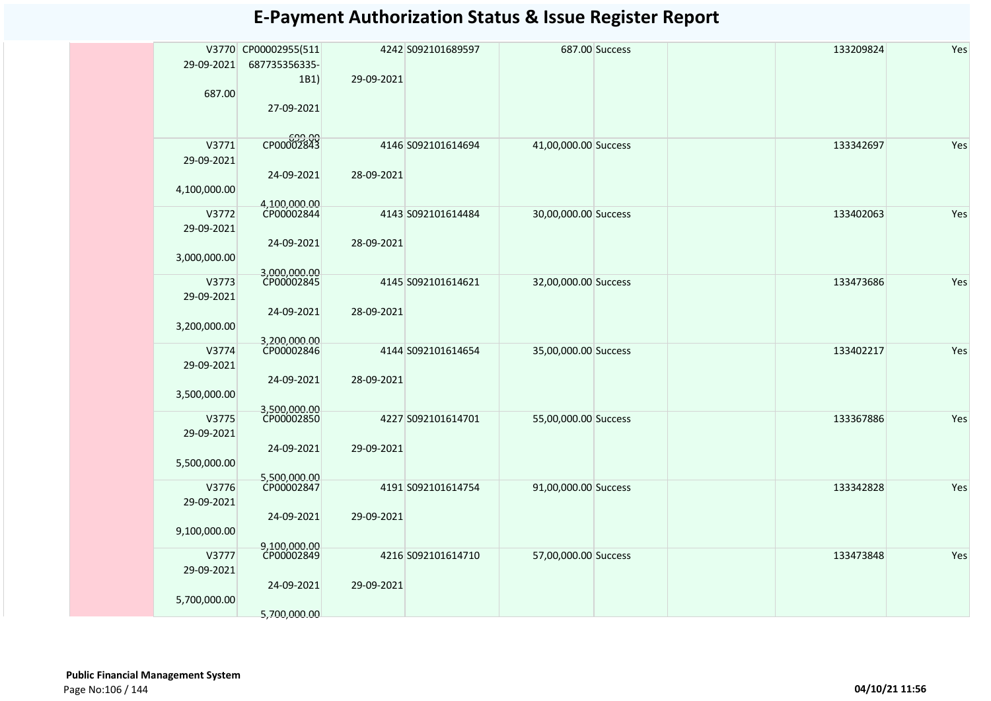|              | V3770 CP00002955(511       |            | 4242 S092101689597 |                      | 687.00 Success | 133209824 | Yes |
|--------------|----------------------------|------------|--------------------|----------------------|----------------|-----------|-----|
| 29-09-2021   | 687735356335-              |            |                    |                      |                |           |     |
|              | 1B1)                       | 29-09-2021 |                    |                      |                |           |     |
| 687.00       |                            |            |                    |                      |                |           |     |
|              | 27-09-2021                 |            |                    |                      |                |           |     |
|              |                            |            |                    |                      |                |           |     |
|              | 699.00<br>CP00002843       |            |                    |                      |                |           |     |
| V3771        |                            |            | 4146 S092101614694 | 41,00,000.00 Success |                | 133342697 | Yes |
| 29-09-2021   |                            |            |                    |                      |                |           |     |
|              | 24-09-2021                 | 28-09-2021 |                    |                      |                |           |     |
| 4,100,000.00 |                            |            |                    |                      |                |           |     |
| V3772        | 4,100,000.00<br>CP00002844 |            | 4143 S092101614484 | 30,00,000.00 Success |                | 133402063 | Yes |
| 29-09-2021   |                            |            |                    |                      |                |           |     |
|              | 24-09-2021                 | 28-09-2021 |                    |                      |                |           |     |
| 3,000,000.00 |                            |            |                    |                      |                |           |     |
|              | 3,000,000.00               |            |                    |                      |                |           |     |
| V3773        | CP00002845                 |            | 4145 S092101614621 | 32,00,000.00 Success |                | 133473686 | Yes |
| 29-09-2021   |                            |            |                    |                      |                |           |     |
|              | 24-09-2021                 | 28-09-2021 |                    |                      |                |           |     |
| 3,200,000.00 |                            |            |                    |                      |                |           |     |
|              | 3,200,000.00               |            |                    |                      |                |           |     |
| V3774        |                            |            | 4144 S092101614654 | 35,00,000.00 Success |                | 133402217 | Yes |
| 29-09-2021   |                            |            |                    |                      |                |           |     |
|              | 24-09-2021                 | 28-09-2021 |                    |                      |                |           |     |
| 3,500,000.00 |                            |            |                    |                      |                |           |     |
| V3775        | 3,500,000.00<br>CP00002850 |            | 4227 S092101614701 | 55,00,000.00 Success |                | 133367886 | Yes |
| 29-09-2021   |                            |            |                    |                      |                |           |     |
|              | 24-09-2021                 | 29-09-2021 |                    |                      |                |           |     |
|              |                            |            |                    |                      |                |           |     |
| 5,500,000.00 | 5,500,000.00               |            |                    |                      |                |           |     |
| V3776        | CP00002847                 |            | 4191 S092101614754 | 91,00,000.00 Success |                | 133342828 | Yes |
| 29-09-2021   |                            |            |                    |                      |                |           |     |
|              | 24-09-2021                 | 29-09-2021 |                    |                      |                |           |     |
| 9,100,000.00 |                            |            |                    |                      |                |           |     |
|              | 9.100.000.00               |            |                    |                      |                |           |     |
| V3777        | CP00002849                 |            | 4216 S092101614710 | 57,00,000.00 Success |                | 133473848 | Yes |
| 29-09-2021   |                            |            |                    |                      |                |           |     |
|              | 24-09-2021                 | 29-09-2021 |                    |                      |                |           |     |
| 5,700,000.00 |                            |            |                    |                      |                |           |     |
|              | 5.700.000.00               |            |                    |                      |                |           |     |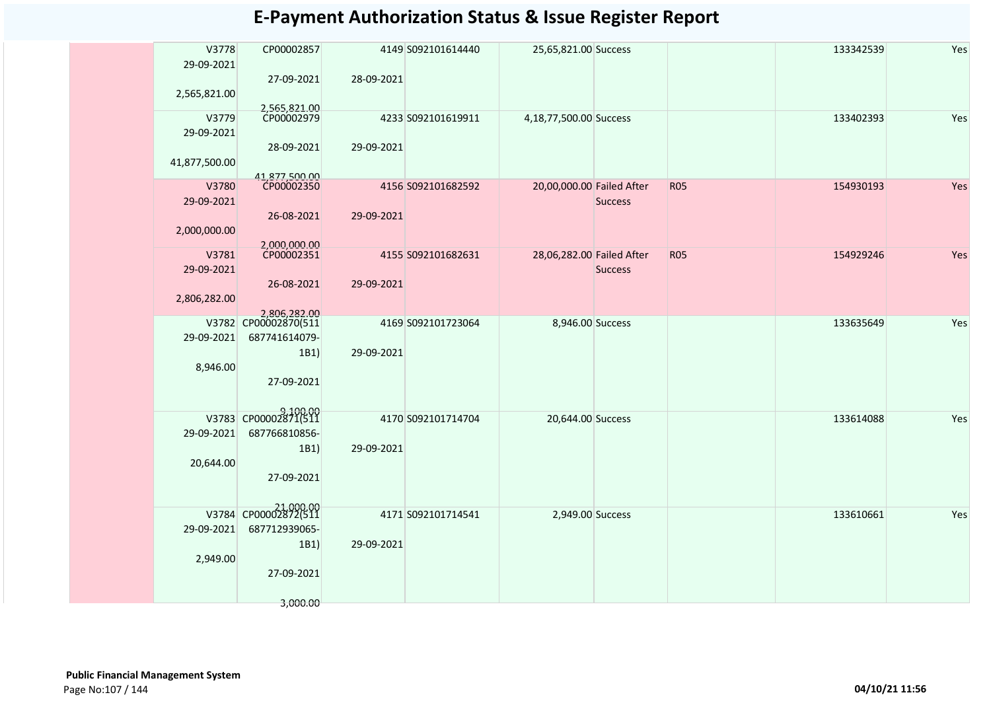| V3778         | CP00002857                           |            | 4149 S092101614440 | 25,65,821.00 Success      |                |            | 133342539 | Yes |
|---------------|--------------------------------------|------------|--------------------|---------------------------|----------------|------------|-----------|-----|
| 29-09-2021    |                                      | 28-09-2021 |                    |                           |                |            |           |     |
| 2,565,821.00  | 27-09-2021                           |            |                    |                           |                |            |           |     |
|               |                                      |            |                    |                           |                |            |           |     |
| V3779         | 2,565,821.00<br>CP00002979           |            | 4233 S092101619911 | 4,18,77,500.00 Success    |                |            | 133402393 | Yes |
| 29-09-2021    |                                      |            |                    |                           |                |            |           |     |
|               | 28-09-2021                           | 29-09-2021 |                    |                           |                |            |           |     |
| 41,877,500.00 |                                      |            |                    |                           |                |            |           |     |
| V3780         | 41,877,500.00<br>CP00002350          |            | 4156 S092101682592 | 20,00,000.00 Failed After |                | <b>R05</b> | 154930193 | Yes |
| 29-09-2021    |                                      |            |                    |                           | <b>Success</b> |            |           |     |
|               | 26-08-2021                           | 29-09-2021 |                    |                           |                |            |           |     |
| 2,000,000.00  |                                      |            |                    |                           |                |            |           |     |
|               |                                      |            |                    |                           |                |            |           |     |
| V3781         | 2,000,000.00<br>CP00002351           |            | 4155 S092101682631 | 28,06,282.00 Failed After |                | <b>R05</b> | 154929246 | Yes |
| 29-09-2021    |                                      |            |                    |                           | <b>Success</b> |            |           |     |
|               | 26-08-2021                           | 29-09-2021 |                    |                           |                |            |           |     |
| 2,806,282.00  |                                      |            |                    |                           |                |            |           |     |
|               | 2,806,282.00<br>V3782 CP00002870(511 |            | 4169 S092101723064 | 8,946.00 Success          |                |            | 133635649 | Yes |
| 29-09-2021    | 687741614079-                        |            |                    |                           |                |            |           |     |
|               | 1B1)                                 | 29-09-2021 |                    |                           |                |            |           |     |
| 8,946.00      |                                      |            |                    |                           |                |            |           |     |
|               | 27-09-2021                           |            |                    |                           |                |            |           |     |
|               |                                      |            |                    |                           |                |            |           |     |
|               | 9,100.00<br>V3783 CP00002871(511     |            | 4170 S092101714704 | 20,644.00 Success         |                |            | 133614088 | Yes |
| 29-09-2021    | 687766810856-                        |            |                    |                           |                |            |           |     |
|               | 1B1)                                 | 29-09-2021 |                    |                           |                |            |           |     |
| 20,644.00     |                                      |            |                    |                           |                |            |           |     |
|               | 27-09-2021                           |            |                    |                           |                |            |           |     |
|               |                                      |            |                    |                           |                |            |           |     |
| V3784         | CP00002872(511                       |            | 4171 S092101714541 | 2,949.00 Success          |                |            | 133610661 | Yes |
| 29-09-2021    | 687712939065-                        |            |                    |                           |                |            |           |     |
|               | 1B1)                                 | 29-09-2021 |                    |                           |                |            |           |     |
| 2,949.00      |                                      |            |                    |                           |                |            |           |     |
|               | 27-09-2021                           |            |                    |                           |                |            |           |     |
|               |                                      |            |                    |                           |                |            |           |     |
|               | 3,000.00                             |            |                    |                           |                |            |           |     |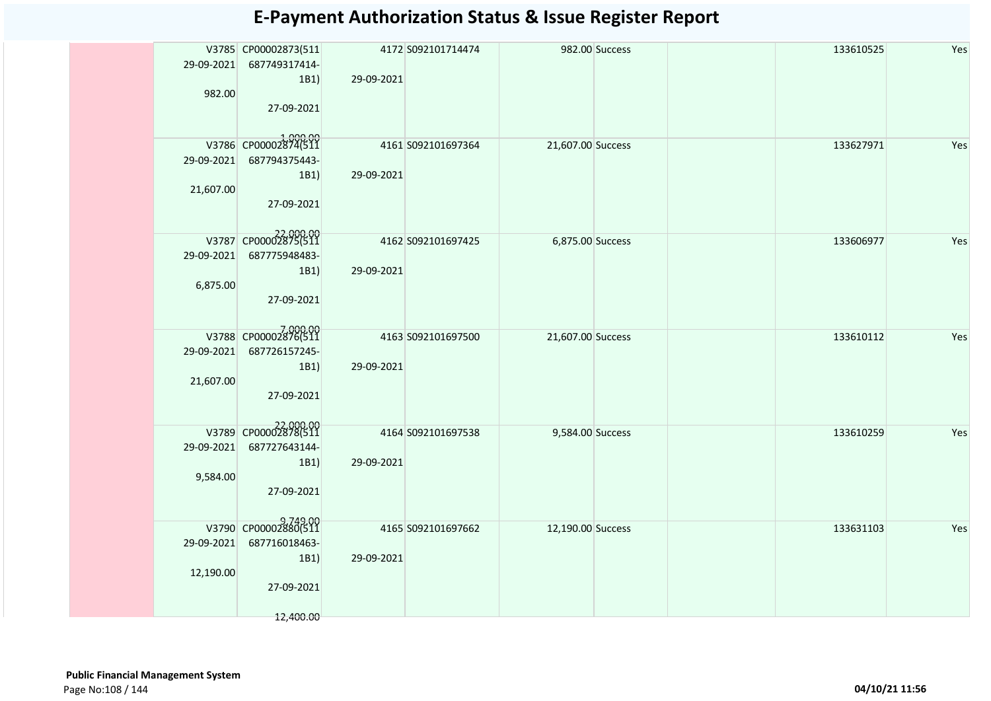|            | V3785 CP00002873(511              |            | 4172 S092101714474 |                   | 982.00 Success | 133610525 | Yes |
|------------|-----------------------------------|------------|--------------------|-------------------|----------------|-----------|-----|
|            | 29-09-2021 687749317414-          |            |                    |                   |                |           |     |
|            | 1B1)                              | 29-09-2021 |                    |                   |                |           |     |
| 982.00     |                                   |            |                    |                   |                |           |     |
|            |                                   |            |                    |                   |                |           |     |
|            | 27-09-2021                        |            |                    |                   |                |           |     |
|            |                                   |            |                    |                   |                |           |     |
|            | 1,000.00<br>V3786 CP00002874(511  |            | 4161 S092101697364 | 21,607.00 Success |                | 133627971 | Yes |
|            |                                   |            |                    |                   |                |           |     |
|            | 29-09-2021 687794375443-          |            |                    |                   |                |           |     |
|            | 1B1)                              | 29-09-2021 |                    |                   |                |           |     |
| 21,607.00  |                                   |            |                    |                   |                |           |     |
|            | 27-09-2021                        |            |                    |                   |                |           |     |
|            |                                   |            |                    |                   |                |           |     |
|            |                                   |            |                    |                   |                |           |     |
|            | 22,000.00<br>V3787 CP00002875(511 |            | 4162 S092101697425 | 6,875.00 Success  |                | 133606977 | Yes |
| 29-09-2021 | 687775948483-                     |            |                    |                   |                |           |     |
|            | 1B1)                              | 29-09-2021 |                    |                   |                |           |     |
| 6,875.00   |                                   |            |                    |                   |                |           |     |
|            | 27-09-2021                        |            |                    |                   |                |           |     |
|            |                                   |            |                    |                   |                |           |     |
|            |                                   |            |                    |                   |                |           |     |
|            | 7,000.00<br>V3788 CP00002876(511  |            | 4163 S092101697500 | 21,607.00 Success |                | 133610112 | Yes |
| 29-09-2021 | 687726157245-                     |            |                    |                   |                |           |     |
|            |                                   |            |                    |                   |                |           |     |
|            | 1B1)                              | 29-09-2021 |                    |                   |                |           |     |
| 21,607.00  |                                   |            |                    |                   |                |           |     |
|            | 27-09-2021                        |            |                    |                   |                |           |     |
|            |                                   |            |                    |                   |                |           |     |
|            | 22,000.00<br>V3789 CP00002878(511 |            | 4164 S092101697538 |                   |                | 133610259 | Yes |
|            |                                   |            |                    | 9,584.00 Success  |                |           |     |
| 29-09-2021 | 687727643144-                     |            |                    |                   |                |           |     |
|            | 1B1)                              | 29-09-2021 |                    |                   |                |           |     |
| 9,584.00   |                                   |            |                    |                   |                |           |     |
|            | 27-09-2021                        |            |                    |                   |                |           |     |
|            |                                   |            |                    |                   |                |           |     |
|            |                                   |            |                    |                   |                |           |     |
|            | 9,749.00<br>V3790 CP00002880(511  |            | 4165 S092101697662 | 12,190.00 Success |                | 133631103 | Yes |
| 29-09-2021 | 687716018463-                     |            |                    |                   |                |           |     |
|            | 1B1)                              | 29-09-2021 |                    |                   |                |           |     |
| 12,190.00  |                                   |            |                    |                   |                |           |     |
|            | 27-09-2021                        |            |                    |                   |                |           |     |
|            |                                   |            |                    |                   |                |           |     |
|            |                                   |            |                    |                   |                |           |     |
|            | 12,400.00                         |            |                    |                   |                |           |     |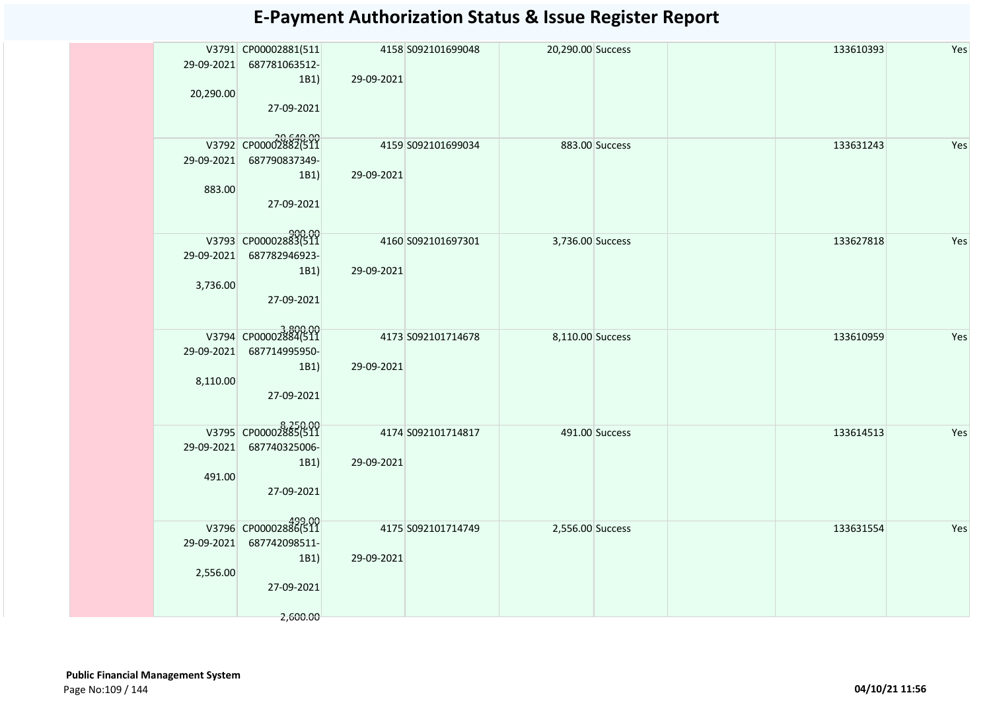|            | V3791 CP00002881(511              |            | 4158 S092101699048  | 20,290.00 Success |                | 133610393 | Yes |
|------------|-----------------------------------|------------|---------------------|-------------------|----------------|-----------|-----|
|            | 29-09-2021 687781063512-          |            |                     |                   |                |           |     |
|            | 1B1                               | 29-09-2021 |                     |                   |                |           |     |
| 20,290.00  |                                   |            |                     |                   |                |           |     |
|            | 27-09-2021                        |            |                     |                   |                |           |     |
|            |                                   |            |                     |                   |                |           |     |
|            | 20,640.00<br>V3792 CP00002882(511 |            | 4159 \$092101699034 |                   | 883.00 Success | 133631243 | Yes |
|            | 29-09-2021 687790837349-          |            |                     |                   |                |           |     |
|            | 1B1)                              | 29-09-2021 |                     |                   |                |           |     |
| 883.00     |                                   |            |                     |                   |                |           |     |
|            | 27-09-2021                        |            |                     |                   |                |           |     |
|            |                                   |            |                     |                   |                |           |     |
|            |                                   |            |                     |                   |                |           |     |
|            | 900.00<br>V3793 CP00002883(511    |            | 4160 S092101697301  | 3,736.00 Success  |                | 133627818 | Yes |
|            | 29-09-2021 687782946923-          |            |                     |                   |                |           |     |
|            | 1B1)                              | 29-09-2021 |                     |                   |                |           |     |
| 3,736.00   |                                   |            |                     |                   |                |           |     |
|            | 27-09-2021                        |            |                     |                   |                |           |     |
|            |                                   |            |                     |                   |                |           |     |
|            | V3794 CP00002884(511              |            | 4173 S092101714678  | 8,110.00 Success  |                | 133610959 | Yes |
| 29-09-2021 | 687714995950-                     |            |                     |                   |                |           |     |
|            | 1B1)                              | 29-09-2021 |                     |                   |                |           |     |
| 8,110.00   |                                   |            |                     |                   |                |           |     |
|            | 27-09-2021                        |            |                     |                   |                |           |     |
|            |                                   |            |                     |                   |                |           |     |
|            | V3795 CP00002885(511              |            | 4174 S092101714817  |                   | 491.00 Success | 133614513 | Yes |
|            | 29-09-2021 687740325006-          |            |                     |                   |                |           |     |
|            | 1B1                               | 29-09-2021 |                     |                   |                |           |     |
| 491.00     |                                   |            |                     |                   |                |           |     |
|            | 27-09-2021                        |            |                     |                   |                |           |     |
|            |                                   |            |                     |                   |                |           |     |
|            | V3796 CP00002886(511              |            |                     |                   |                |           |     |
|            |                                   |            | 4175 S092101714749  | 2,556.00 Success  |                | 133631554 | Yes |
| 29-09-2021 | 687742098511-                     | 29-09-2021 |                     |                   |                |           |     |
|            | 1B1                               |            |                     |                   |                |           |     |
| 2,556.00   | 27-09-2021                        |            |                     |                   |                |           |     |
|            |                                   |            |                     |                   |                |           |     |
|            | 2,600.00                          |            |                     |                   |                |           |     |
|            |                                   |            |                     |                   |                |           |     |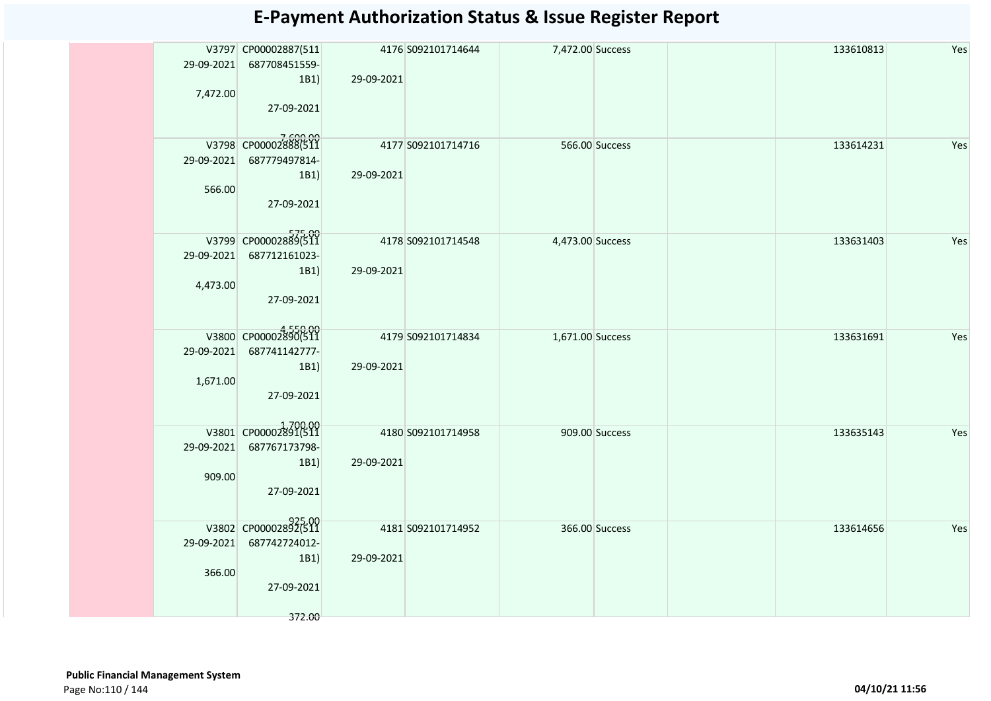|          | V3797 CP00002887(511           |            | 4176 S092101714644  | 7,472.00 Success |                | 133610813 | Yes |
|----------|--------------------------------|------------|---------------------|------------------|----------------|-----------|-----|
|          | 29-09-2021 687708451559-       |            |                     |                  |                |           |     |
|          | 1B1)                           | 29-09-2021 |                     |                  |                |           |     |
| 7,472.00 |                                |            |                     |                  |                |           |     |
|          | 27-09-2021                     |            |                     |                  |                |           |     |
|          |                                |            |                     |                  |                |           |     |
|          |                                |            |                     |                  |                |           |     |
|          | V3798 CP00002888(511           |            | 4177 S092101714716  |                  | 566.00 Success | 133614231 | Yes |
|          | 29-09-2021 687779497814-       |            |                     |                  |                |           |     |
|          | 1B1)                           | 29-09-2021 |                     |                  |                |           |     |
| 566.00   |                                |            |                     |                  |                |           |     |
|          | 27-09-2021                     |            |                     |                  |                |           |     |
|          |                                |            |                     |                  |                |           |     |
|          |                                |            |                     |                  |                |           |     |
|          | V3799 CP00002889(511           |            | 4178 \$092101714548 | 4,473.00 Success |                | 133631403 | Yes |
|          | 29-09-2021 687712161023-       |            |                     |                  |                |           |     |
|          | 1B1)                           | 29-09-2021 |                     |                  |                |           |     |
| 4,473.00 |                                |            |                     |                  |                |           |     |
|          | 27-09-2021                     |            |                     |                  |                |           |     |
|          |                                |            |                     |                  |                |           |     |
|          |                                |            |                     |                  |                |           |     |
|          | V3800 CP00002890(511           |            | 4179 S092101714834  | 1,671.00 Success |                | 133631691 | Yes |
|          | 29-09-2021 687741142777-       |            |                     |                  |                |           |     |
|          | 1B1)                           | 29-09-2021 |                     |                  |                |           |     |
| 1,671.00 |                                |            |                     |                  |                |           |     |
|          | 27-09-2021                     |            |                     |                  |                |           |     |
|          |                                |            |                     |                  |                |           |     |
|          |                                |            |                     |                  |                |           |     |
|          | V3801 CP00002891(511           |            | 4180 S092101714958  |                  | 909.00 Success | 133635143 | Yes |
|          | 29-09-2021 687767173798-       |            |                     |                  |                |           |     |
|          | 1B1)                           | 29-09-2021 |                     |                  |                |           |     |
| 909.00   |                                |            |                     |                  |                |           |     |
|          | 27-09-2021                     |            |                     |                  |                |           |     |
|          |                                |            |                     |                  |                |           |     |
|          |                                |            |                     |                  |                |           |     |
|          | 925.00<br>V3802 CP00002892(511 |            | 4181 S092101714952  |                  | 366.00 Success | 133614656 | Yes |
|          | 29-09-2021 687742724012-       |            |                     |                  |                |           |     |
|          | 1B1)                           | 29-09-2021 |                     |                  |                |           |     |
| 366.00   |                                |            |                     |                  |                |           |     |
|          | 27-09-2021                     |            |                     |                  |                |           |     |
|          |                                |            |                     |                  |                |           |     |
|          | 372.00                         |            |                     |                  |                |           |     |
|          |                                |            |                     |                  |                |           |     |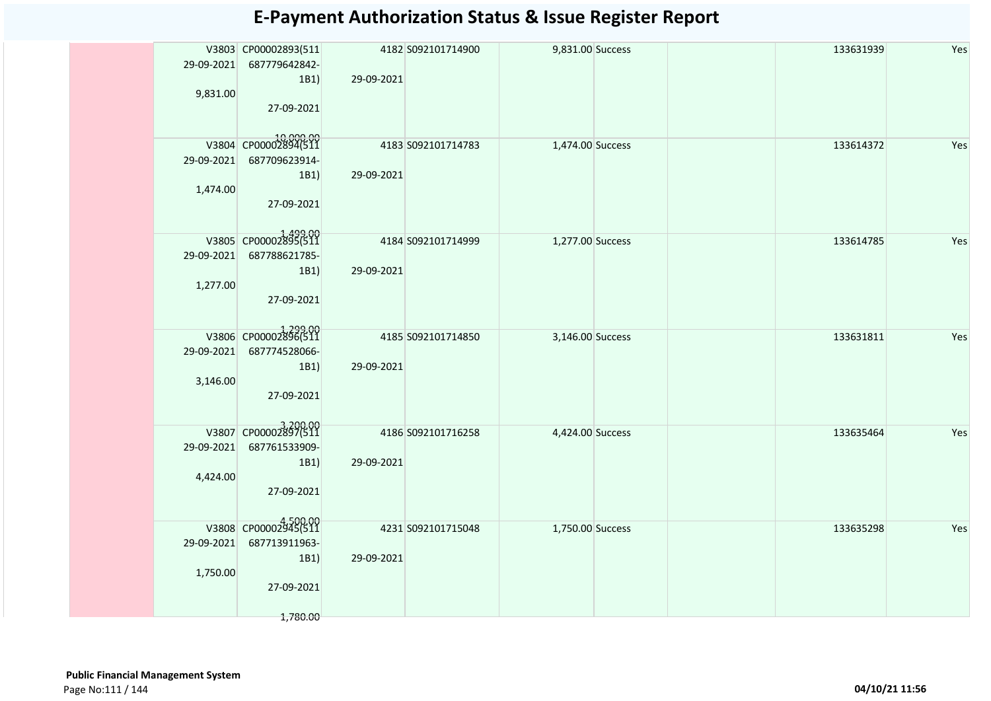|            | V3803 CP00002893(511              |            | 4182 S092101714900  | 9,831.00 Success |  | 133631939 | Yes |
|------------|-----------------------------------|------------|---------------------|------------------|--|-----------|-----|
|            | 29-09-2021 687779642842-          |            |                     |                  |  |           |     |
|            | 1B1)                              | 29-09-2021 |                     |                  |  |           |     |
| 9,831.00   |                                   |            |                     |                  |  |           |     |
|            | 27-09-2021                        |            |                     |                  |  |           |     |
|            |                                   |            |                     |                  |  |           |     |
|            | 10,000.00<br>V3804 CP00002894(511 |            | 4183 S092101714783  | 1,474.00 Success |  | 133614372 | Yes |
| 29-09-2021 | 687709623914-                     |            |                     |                  |  |           |     |
|            | 1B1)                              | 29-09-2021 |                     |                  |  |           |     |
|            |                                   |            |                     |                  |  |           |     |
| 1,474.00   | 27-09-2021                        |            |                     |                  |  |           |     |
|            |                                   |            |                     |                  |  |           |     |
|            |                                   |            |                     |                  |  |           |     |
|            | V3805 CP00002895(511              |            | 4184 S092101714999  | 1,277.00 Success |  | 133614785 | Yes |
|            | 29-09-2021 687788621785-          |            |                     |                  |  |           |     |
|            | 1B1)                              | 29-09-2021 |                     |                  |  |           |     |
| 1,277.00   |                                   |            |                     |                  |  |           |     |
|            | 27-09-2021                        |            |                     |                  |  |           |     |
|            |                                   |            |                     |                  |  |           |     |
|            | V3806 CP00002896(511              |            | 4185 \$092101714850 | 3,146.00 Success |  | 133631811 | Yes |
| 29-09-2021 | 687774528066-                     |            |                     |                  |  |           |     |
|            | 1B1)                              | 29-09-2021 |                     |                  |  |           |     |
| 3,146.00   |                                   |            |                     |                  |  |           |     |
|            | 27-09-2021                        |            |                     |                  |  |           |     |
|            |                                   |            |                     |                  |  |           |     |
|            |                                   |            |                     |                  |  |           |     |
|            | V3807 CP00002897(511              |            | 4186 S092101716258  | 4,424.00 Success |  | 133635464 | Yes |
| 29-09-2021 | 687761533909-                     |            |                     |                  |  |           |     |
|            | 1B1)                              | 29-09-2021 |                     |                  |  |           |     |
| 4,424.00   |                                   |            |                     |                  |  |           |     |
|            | 27-09-2021                        |            |                     |                  |  |           |     |
|            |                                   |            |                     |                  |  |           |     |
|            | V3808 CP00002945(511              |            | 4231 S092101715048  | 1,750.00 Success |  | 133635298 | Yes |
| 29-09-2021 | 687713911963-                     |            |                     |                  |  |           |     |
|            | 1B1)                              | 29-09-2021 |                     |                  |  |           |     |
| 1,750.00   |                                   |            |                     |                  |  |           |     |
|            | 27-09-2021                        |            |                     |                  |  |           |     |
|            |                                   |            |                     |                  |  |           |     |
|            | 1,780.00                          |            |                     |                  |  |           |     |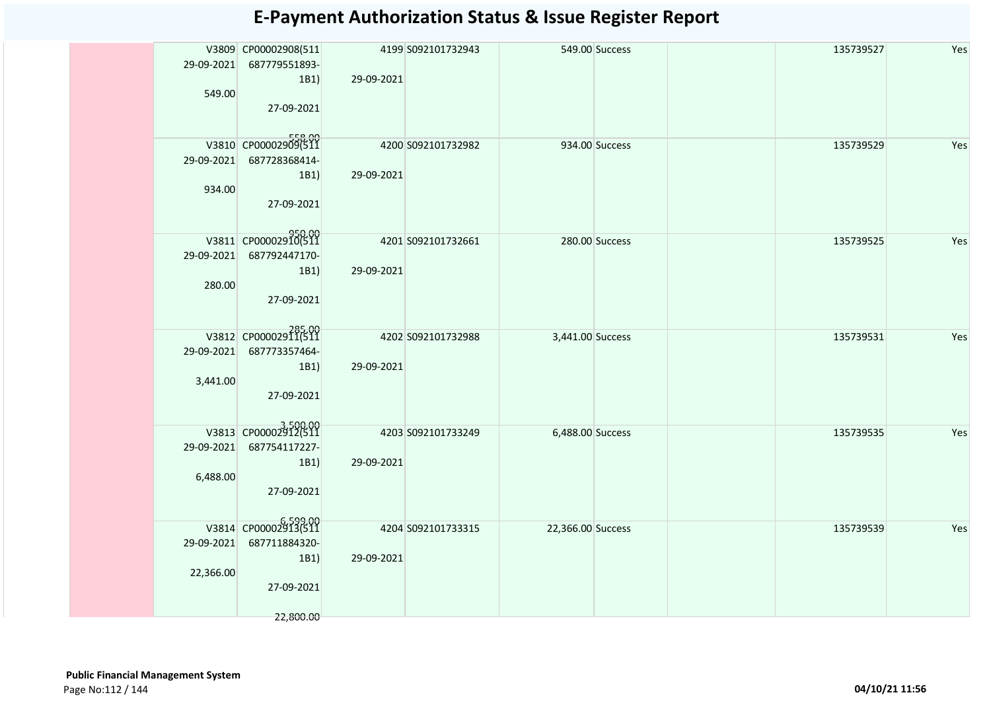|           | V3809 CP00002908(511           |            | 4199 S092101732943 |                   | 549.00 Success | 135739527 | Yes |
|-----------|--------------------------------|------------|--------------------|-------------------|----------------|-----------|-----|
|           | 29-09-2021 687779551893-       |            |                    |                   |                |           |     |
|           | 1B1)                           | 29-09-2021 |                    |                   |                |           |     |
| 549.00    |                                |            |                    |                   |                |           |     |
|           | 27-09-2021                     |            |                    |                   |                |           |     |
|           |                                |            |                    |                   |                |           |     |
|           |                                |            |                    |                   |                |           |     |
|           | V3810 CP00002909(511           |            | 4200 S092101732982 |                   | 934.00 Success | 135739529 | Yes |
|           | 29-09-2021 687728368414-       |            |                    |                   |                |           |     |
|           | 1B1)                           | 29-09-2021 |                    |                   |                |           |     |
| 934.00    |                                |            |                    |                   |                |           |     |
|           | 27-09-2021                     |            |                    |                   |                |           |     |
|           |                                |            |                    |                   |                |           |     |
|           |                                |            |                    |                   |                |           |     |
|           | 950.00<br>V3811 CP00002910(511 |            | 4201 S092101732661 | 280.00 Success    |                | 135739525 | Yes |
|           | 29-09-2021 687792447170-       |            |                    |                   |                |           |     |
|           | 1B1)                           | 29-09-2021 |                    |                   |                |           |     |
| 280.00    |                                |            |                    |                   |                |           |     |
|           | 27-09-2021                     |            |                    |                   |                |           |     |
|           |                                |            |                    |                   |                |           |     |
|           | 285.00<br>V3812 CP00002911(511 |            | 4202 S092101732988 | 3,441.00 Success  |                | 135739531 | Yes |
|           | 29-09-2021 687773357464-       |            |                    |                   |                |           |     |
|           | 1B1)                           | 29-09-2021 |                    |                   |                |           |     |
| 3,441.00  |                                |            |                    |                   |                |           |     |
|           | 27-09-2021                     |            |                    |                   |                |           |     |
|           |                                |            |                    |                   |                |           |     |
|           | V3813 CP00002912(511           |            |                    |                   |                |           |     |
|           |                                |            | 4203 S092101733249 | 6,488.00 Success  |                | 135739535 | Yes |
|           | 29-09-2021 687754117227-       |            |                    |                   |                |           |     |
|           | 1B1)                           | 29-09-2021 |                    |                   |                |           |     |
| 6,488.00  |                                |            |                    |                   |                |           |     |
|           | 27-09-2021                     |            |                    |                   |                |           |     |
|           |                                |            |                    |                   |                |           |     |
|           | V3814 CP00002913(511           |            | 4204 S092101733315 | 22,366.00 Success |                | 135739539 | Yes |
|           | 29-09-2021 687711884320-       |            |                    |                   |                |           |     |
|           | 1B1)                           | 29-09-2021 |                    |                   |                |           |     |
| 22,366.00 |                                |            |                    |                   |                |           |     |
|           | 27-09-2021                     |            |                    |                   |                |           |     |
|           |                                |            |                    |                   |                |           |     |
|           | 22,800.00                      |            |                    |                   |                |           |     |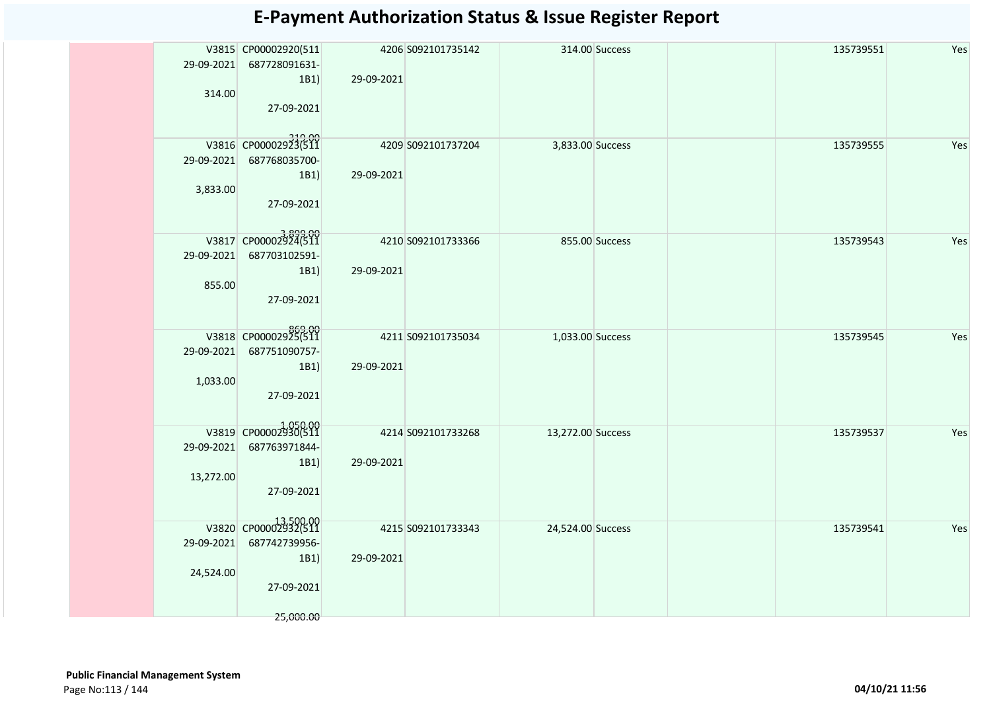|           |                                  |                    |                       |                   |                |           | Yes |
|-----------|----------------------------------|--------------------|-----------------------|-------------------|----------------|-----------|-----|
|           | V3815 CP00002920(511             |                    | 4206 S092101735142    |                   | 314.00 Success | 135739551 |     |
|           | 29-09-2021 687728091631-         |                    |                       |                   |                |           |     |
|           | 1B1)                             | 29-09-2021         |                       |                   |                |           |     |
| 314.00    |                                  |                    |                       |                   |                |           |     |
|           | 27-09-2021                       |                    |                       |                   |                |           |     |
|           |                                  |                    |                       |                   |                |           |     |
|           | 319.00<br>V3816 CP00002923(511   |                    | 4209 \$092101737204   |                   |                | 135739555 | Yes |
|           |                                  |                    |                       | 3,833.00 Success  |                |           |     |
|           | 29-09-2021 687768035700-         |                    |                       |                   |                |           |     |
|           | 1B1)                             | 29-09-2021         |                       |                   |                |           |     |
| 3,833.00  |                                  |                    |                       |                   |                |           |     |
|           | 27-09-2021                       |                    |                       |                   |                |           |     |
|           |                                  |                    |                       |                   |                |           |     |
|           | 3,899.00<br>V3817 CP00002924(511 | 4210 S092101733366 |                       | 855.00 Success    |                | 135739543 | Yes |
|           | 29-09-2021 687703102591-         |                    |                       |                   |                |           |     |
|           | 1B1)                             | 29-09-2021         |                       |                   |                |           |     |
| 855.00    |                                  |                    |                       |                   |                |           |     |
|           |                                  |                    |                       |                   |                |           |     |
|           | 27-09-2021                       |                    |                       |                   |                |           |     |
|           |                                  |                    |                       |                   |                |           |     |
|           | 00.09.98<br>V3818 CP00002925(511 |                    | 4211 509 210 1735 034 | 1,033.00 Success  |                | 135739545 | Yes |
|           | 29-09-2021 687751090757-         |                    |                       |                   |                |           |     |
|           | 1B1)                             | 29-09-2021         |                       |                   |                |           |     |
| 1,033.00  |                                  |                    |                       |                   |                |           |     |
|           | 27-09-2021                       |                    |                       |                   |                |           |     |
|           |                                  |                    |                       |                   |                |           |     |
|           |                                  |                    |                       |                   |                |           |     |
|           | V3819 CP00002930(511             |                    | 4214 S092101733268    | 13,272.00 Success |                | 135739537 | Yes |
|           | 29-09-2021 687763971844-         |                    |                       |                   |                |           |     |
|           | 1B1)                             | 29-09-2021         |                       |                   |                |           |     |
| 13,272.00 |                                  |                    |                       |                   |                |           |     |
|           | 27-09-2021                       |                    |                       |                   |                |           |     |
|           |                                  |                    |                       |                   |                |           |     |
|           |                                  |                    |                       |                   |                |           |     |
|           | V3820 CP00002932(511             |                    | 4215 S092101733343    | 24,524.00 Success |                | 135739541 | Yes |
|           | 29-09-2021 687742739956-         |                    |                       |                   |                |           |     |
|           | 1B1)                             | 29-09-2021         |                       |                   |                |           |     |
| 24,524.00 |                                  |                    |                       |                   |                |           |     |
|           | 27-09-2021                       |                    |                       |                   |                |           |     |
|           |                                  |                    |                       |                   |                |           |     |
|           | 25,000.00                        |                    |                       |                   |                |           |     |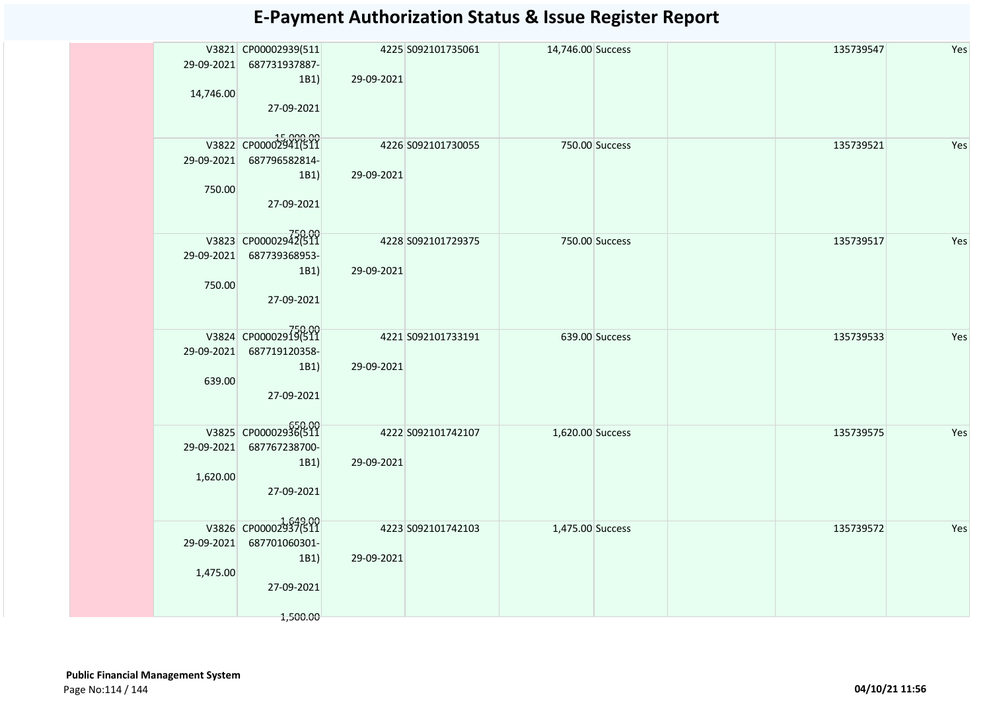|            |                                   |            | 4225 S092101735061 |                   |  | 135739547 | Yes |
|------------|-----------------------------------|------------|--------------------|-------------------|--|-----------|-----|
|            | V3821 CP00002939(511              |            |                    | 14,746.00 Success |  |           |     |
| 29-09-2021 | 687731937887-                     |            |                    |                   |  |           |     |
|            | 1B1)                              | 29-09-2021 |                    |                   |  |           |     |
| 14,746.00  |                                   |            |                    |                   |  |           |     |
|            | 27-09-2021                        |            |                    |                   |  |           |     |
|            |                                   |            |                    |                   |  |           |     |
|            |                                   |            |                    |                   |  |           |     |
|            | 15,000.00<br>V3822 CP00002941(511 |            | 4226 S092101730055 | 750.00 Success    |  | 135739521 | Yes |
|            | 29-09-2021 687796582814-          |            |                    |                   |  |           |     |
|            | 1B1)                              | 29-09-2021 |                    |                   |  |           |     |
| 750.00     |                                   |            |                    |                   |  |           |     |
|            | 27-09-2021                        |            |                    |                   |  |           |     |
|            |                                   |            |                    |                   |  |           |     |
|            |                                   |            |                    |                   |  |           |     |
|            | 750.00<br>V3823 CP00002942(511    |            | 4228 S092101729375 | 750.00 Success    |  | 135739517 | Yes |
|            | 29-09-2021 687739368953-          |            |                    |                   |  |           |     |
|            |                                   |            |                    |                   |  |           |     |
|            | 1B1)                              | 29-09-2021 |                    |                   |  |           |     |
| 750.00     |                                   |            |                    |                   |  |           |     |
|            | 27-09-2021                        |            |                    |                   |  |           |     |
|            |                                   |            |                    |                   |  |           |     |
|            | V3824 CP00002919(511              |            |                    |                   |  |           |     |
|            |                                   |            | 4221 5092101733191 | 639.00 Success    |  | 135739533 | Yes |
|            | 29-09-2021 687719120358-          |            |                    |                   |  |           |     |
|            | 1B1)                              | 29-09-2021 |                    |                   |  |           |     |
| 639.00     |                                   |            |                    |                   |  |           |     |
|            | 27-09-2021                        |            |                    |                   |  |           |     |
|            |                                   |            |                    |                   |  |           |     |
|            | V3825 CP00002936(511              |            |                    |                   |  |           |     |
|            |                                   |            | 4222 S092101742107 | 1,620.00 Success  |  | 135739575 | Yes |
| 29-09-2021 | 687767238700-                     |            |                    |                   |  |           |     |
|            | 1B1)                              | 29-09-2021 |                    |                   |  |           |     |
| 1,620.00   |                                   |            |                    |                   |  |           |     |
|            | 27-09-2021                        |            |                    |                   |  |           |     |
|            |                                   |            |                    |                   |  |           |     |
|            |                                   |            |                    |                   |  |           |     |
|            | V3826 CP00002937(511              |            | 4223 S092101742103 | 1,475.00 Success  |  | 135739572 | Yes |
|            | 29-09-2021 687701060301-          |            |                    |                   |  |           |     |
|            | 1B1)                              | 29-09-2021 |                    |                   |  |           |     |
| 1,475.00   |                                   |            |                    |                   |  |           |     |
|            | 27-09-2021                        |            |                    |                   |  |           |     |
|            |                                   |            |                    |                   |  |           |     |
|            |                                   |            |                    |                   |  |           |     |
|            | 1,500.00                          |            |                    |                   |  |           |     |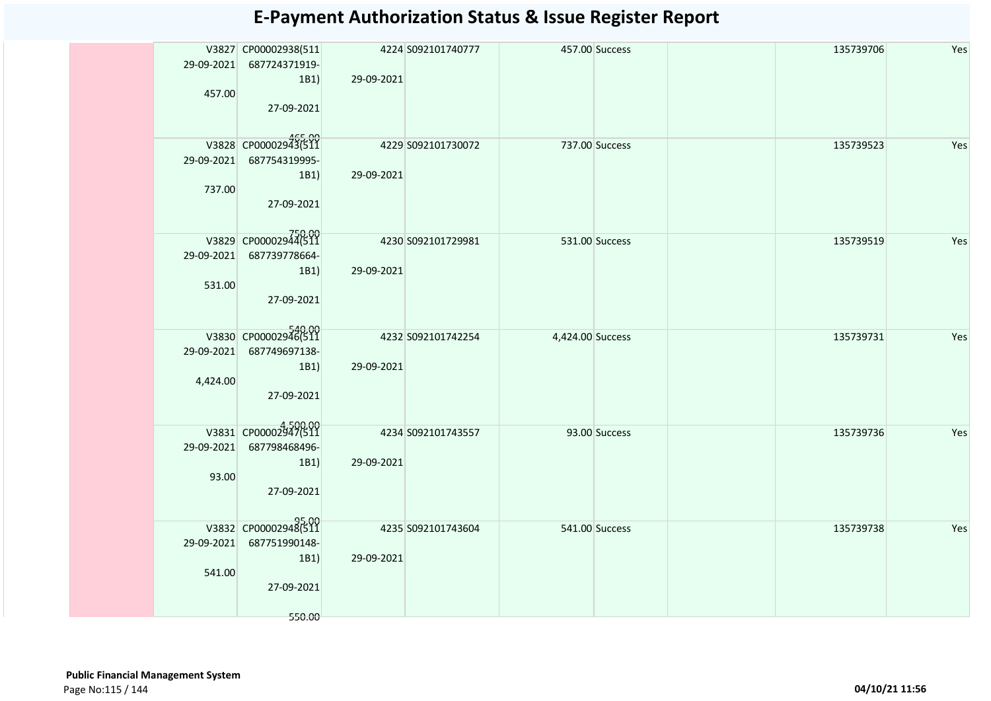|          | V3827 CP00002938(511                   |            | 4224 S092101740777 |                  | 457.00 Success | 135739706 | Yes |
|----------|----------------------------------------|------------|--------------------|------------------|----------------|-----------|-----|
|          | 29-09-2021 687724371919-<br>1B1        | 29-09-2021 |                    |                  |                |           |     |
| 457.00   |                                        |            |                    |                  |                |           |     |
|          | 27-09-2021                             |            |                    |                  |                |           |     |
|          | 465.00<br>V3828 CP00002943(511         |            | 4229 S092101730072 |                  |                |           |     |
|          | 29-09-2021 687754319995-               |            |                    |                  | 737.00 Success | 135739523 | Yes |
|          | 1B1                                    | 29-09-2021 |                    |                  |                |           |     |
| 737.00   |                                        |            |                    |                  |                |           |     |
|          | 27-09-2021                             |            |                    |                  |                |           |     |
|          | 750.00<br> 26.0012944 V3829 CP00002944 |            | 4230 S092101729981 |                  | 531.00 Success | 135739519 | Yes |
|          | 29-09-2021 687739778664-               |            |                    |                  |                |           |     |
|          | 1B1)                                   | 29-09-2021 |                    |                  |                |           |     |
| 531.00   | 27-09-2021                             |            |                    |                  |                |           |     |
|          |                                        |            |                    |                  |                |           |     |
|          | V3830 CP00002946(511                   |            | 4232 S092101742254 | 4,424.00 Success |                | 135739731 | Yes |
|          | 29-09-2021 687749697138-               |            |                    |                  |                |           |     |
|          | 1B1)                                   | 29-09-2021 |                    |                  |                |           |     |
| 4,424.00 | 27-09-2021                             |            |                    |                  |                |           |     |
|          |                                        |            |                    |                  |                |           |     |
|          | V3831 CP00002947(511                   |            | 4234 S092101743557 |                  | 93.00 Success  | 135739736 | Yes |
|          | 29-09-2021 687798468496-               |            |                    |                  |                |           |     |
| 93.00    | 1B1                                    | 29-09-2021 |                    |                  |                |           |     |
|          | 27-09-2021                             |            |                    |                  |                |           |     |
|          |                                        |            |                    |                  |                |           |     |
|          | 95.00<br>V3832 CP00002948(511          |            | 4235 S092101743604 |                  | 541.00 Success | 135739738 | Yes |
|          | 29-09-2021 687751990148-               |            |                    |                  |                |           |     |
| 541.00   | 1B1)                                   | 29-09-2021 |                    |                  |                |           |     |
|          | 27-09-2021                             |            |                    |                  |                |           |     |
|          |                                        |            |                    |                  |                |           |     |
|          | 550.00                                 |            |                    |                  |                |           |     |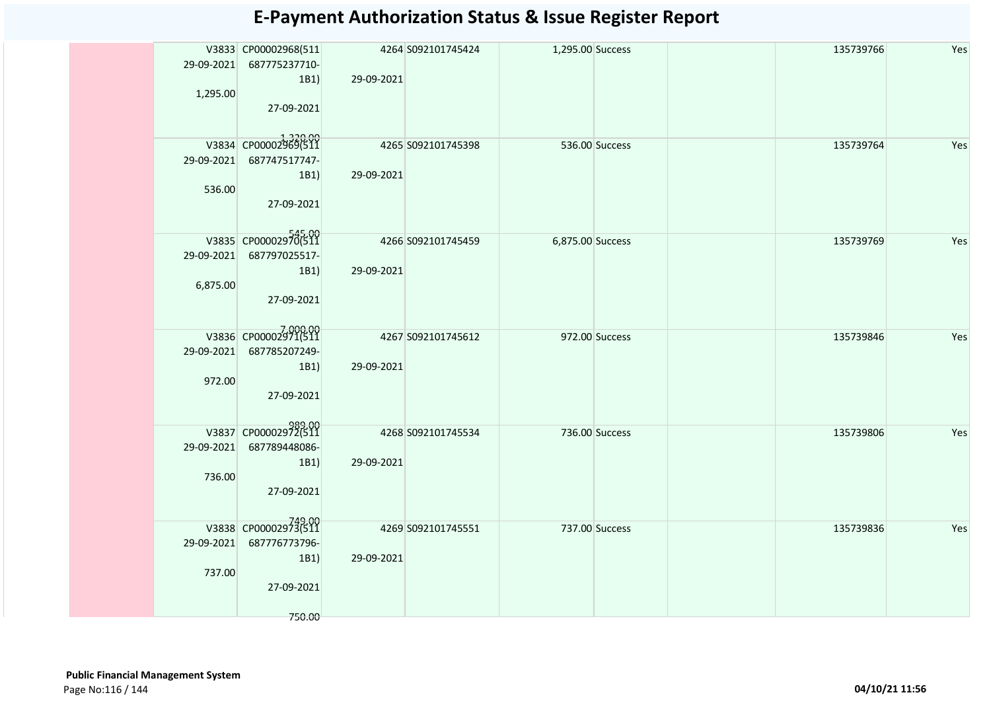|          | V3833 CP00002968(511           | 4264 S092101745424 |                     | 1,295.00 Success |  | 135739766 | Yes |
|----------|--------------------------------|--------------------|---------------------|------------------|--|-----------|-----|
|          | 29-09-2021 687775237710-       |                    |                     |                  |  |           |     |
|          | 1B1)                           | 29-09-2021         |                     |                  |  |           |     |
| 1,295.00 |                                |                    |                     |                  |  |           |     |
|          | 27-09-2021                     |                    |                     |                  |  |           |     |
|          |                                |                    |                     |                  |  |           |     |
|          |                                |                    |                     |                  |  |           |     |
|          | V3834 CP00002969(511           |                    | 4265 \$092101745398 | 536.00 Success   |  | 135739764 | Yes |
|          | 29-09-2021 687747517747-       |                    |                     |                  |  |           |     |
|          |                                |                    |                     |                  |  |           |     |
|          | 1B1)                           | 29-09-2021         |                     |                  |  |           |     |
| 536.00   |                                |                    |                     |                  |  |           |     |
|          | 27-09-2021                     |                    |                     |                  |  |           |     |
|          |                                |                    |                     |                  |  |           |     |
|          | V3835 CP00002970(511           |                    |                     |                  |  |           |     |
|          |                                | 4266 S092101745459 |                     | 6,875.00 Success |  | 135739769 | Yes |
|          | 29-09-2021 687797025517-       |                    |                     |                  |  |           |     |
|          | 1B1)                           | 29-09-2021         |                     |                  |  |           |     |
| 6,875.00 |                                |                    |                     |                  |  |           |     |
|          | 27-09-2021                     |                    |                     |                  |  |           |     |
|          |                                |                    |                     |                  |  |           |     |
|          |                                |                    |                     |                  |  |           |     |
|          | V3836 CP00002971(511           |                    | 4267 S092101745612  | 972.00 Success   |  | 135739846 | Yes |
|          | 29-09-2021 687785207249-       |                    |                     |                  |  |           |     |
|          | 1B1)                           | 29-09-2021         |                     |                  |  |           |     |
| 972.00   |                                |                    |                     |                  |  |           |     |
|          | 27-09-2021                     |                    |                     |                  |  |           |     |
|          |                                |                    |                     |                  |  |           |     |
|          |                                |                    |                     |                  |  |           |     |
|          | 989.00<br>V3837 CP00002972(511 |                    | 4268 S092101745534  | 736.00 Success   |  | 135739806 | Yes |
|          | 29-09-2021 687789448086-       |                    |                     |                  |  |           |     |
|          | 1B1)                           | 29-09-2021         |                     |                  |  |           |     |
| 736.00   |                                |                    |                     |                  |  |           |     |
|          | 27-09-2021                     |                    |                     |                  |  |           |     |
|          |                                |                    |                     |                  |  |           |     |
|          |                                |                    |                     |                  |  |           |     |
|          | 749.00<br>V3838 CP00002973(511 |                    | 4269 S092101745551  | 737.00 Success   |  | 135739836 | Yes |
|          | 29-09-2021 687776773796-       |                    |                     |                  |  |           |     |
|          |                                | 29-09-2021         |                     |                  |  |           |     |
|          | 1B1)                           |                    |                     |                  |  |           |     |
| 737.00   |                                |                    |                     |                  |  |           |     |
|          | 27-09-2021                     |                    |                     |                  |  |           |     |
|          |                                |                    |                     |                  |  |           |     |
|          | 750.00                         |                    |                     |                  |  |           |     |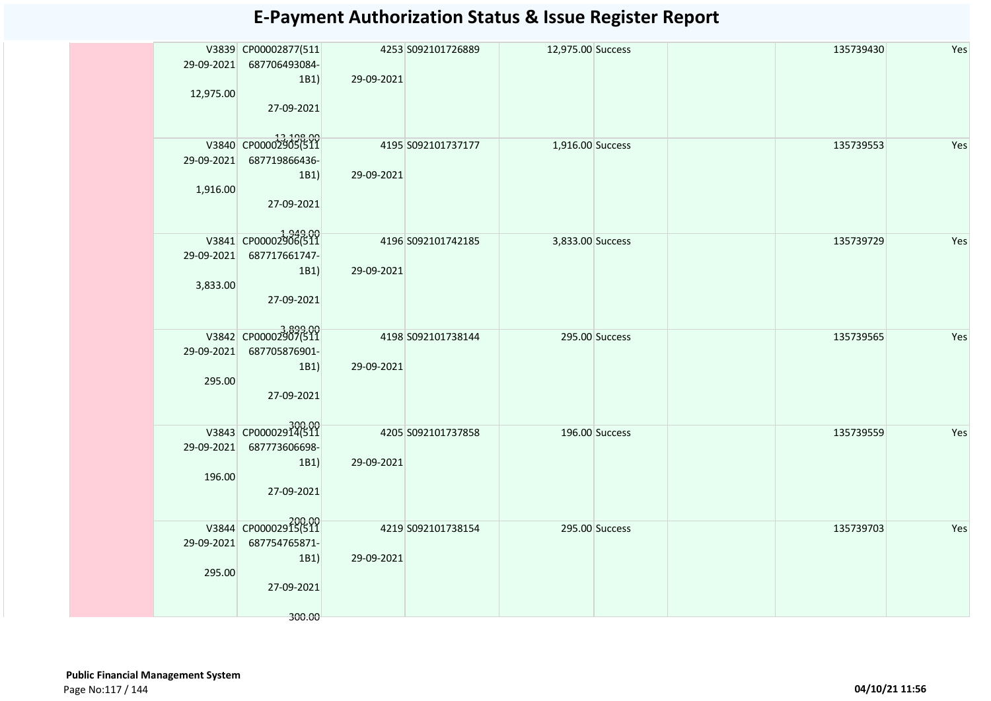|            | V3839 CP00002877(511              |            | 4253 S092101726889  | 12,975.00 Success |                | 135739430 | Yes |
|------------|-----------------------------------|------------|---------------------|-------------------|----------------|-----------|-----|
|            | 29-09-2021 687706493084-          |            |                     |                   |                |           |     |
|            | 1B1)                              | 29-09-2021 |                     |                   |                |           |     |
| 12,975.00  |                                   |            |                     |                   |                |           |     |
|            |                                   |            |                     |                   |                |           |     |
|            | 27-09-2021                        |            |                     |                   |                |           |     |
|            |                                   |            |                     |                   |                |           |     |
|            | 13,198.00<br>V3840 CP00002905(511 |            | 4195 \$092101737177 |                   |                |           |     |
|            |                                   |            |                     | 1,916.00 Success  |                | 135739553 | Yes |
| 29-09-2021 | 687719866436-                     |            |                     |                   |                |           |     |
|            | 1B1)                              | 29-09-2021 |                     |                   |                |           |     |
| 1,916.00   |                                   |            |                     |                   |                |           |     |
|            | 27-09-2021                        |            |                     |                   |                |           |     |
|            |                                   |            |                     |                   |                |           |     |
|            |                                   |            |                     |                   |                |           |     |
|            | 1,949.00<br>V3841 CP00002906(511  |            | 4196 S092101742185  | 3,833.00 Success  |                | 135739729 | Yes |
|            | 29-09-2021 687717661747-          |            |                     |                   |                |           |     |
|            | 1B1)                              | 29-09-2021 |                     |                   |                |           |     |
| 3,833.00   |                                   |            |                     |                   |                |           |     |
|            | 27-09-2021                        |            |                     |                   |                |           |     |
|            |                                   |            |                     |                   |                |           |     |
|            |                                   |            |                     |                   |                |           |     |
|            | V3842 CP00002907(511              |            | 4198 \$092101738144 |                   | 295.00 Success | 135739565 | Yes |
| 29-09-2021 | 687705876901-                     |            |                     |                   |                |           |     |
|            |                                   |            |                     |                   |                |           |     |
|            | 1B1)                              | 29-09-2021 |                     |                   |                |           |     |
| 295.00     |                                   |            |                     |                   |                |           |     |
|            | 27-09-2021                        |            |                     |                   |                |           |     |
|            |                                   |            |                     |                   |                |           |     |
|            | 300.00<br>V3843 CP00002914(511    |            |                     |                   |                |           |     |
|            |                                   |            | 4205 \$092101737858 |                   | 196.00 Success | 135739559 | Yes |
|            | 29-09-2021 687773606698-          |            |                     |                   |                |           |     |
|            | 1B1)                              | 29-09-2021 |                     |                   |                |           |     |
| 196.00     |                                   |            |                     |                   |                |           |     |
|            | 27-09-2021                        |            |                     |                   |                |           |     |
|            |                                   |            |                     |                   |                |           |     |
|            |                                   |            |                     |                   |                |           |     |
|            | V3844 CP00002915(511              |            | 4219 S092101738154  |                   | 295.00 Success | 135739703 | Yes |
|            | 29-09-2021 687754765871-          |            |                     |                   |                |           |     |
|            | 1B1)                              | 29-09-2021 |                     |                   |                |           |     |
| 295.00     |                                   |            |                     |                   |                |           |     |
|            | 27-09-2021                        |            |                     |                   |                |           |     |
|            |                                   |            |                     |                   |                |           |     |
|            |                                   |            |                     |                   |                |           |     |
|            | 300.00                            |            |                     |                   |                |           |     |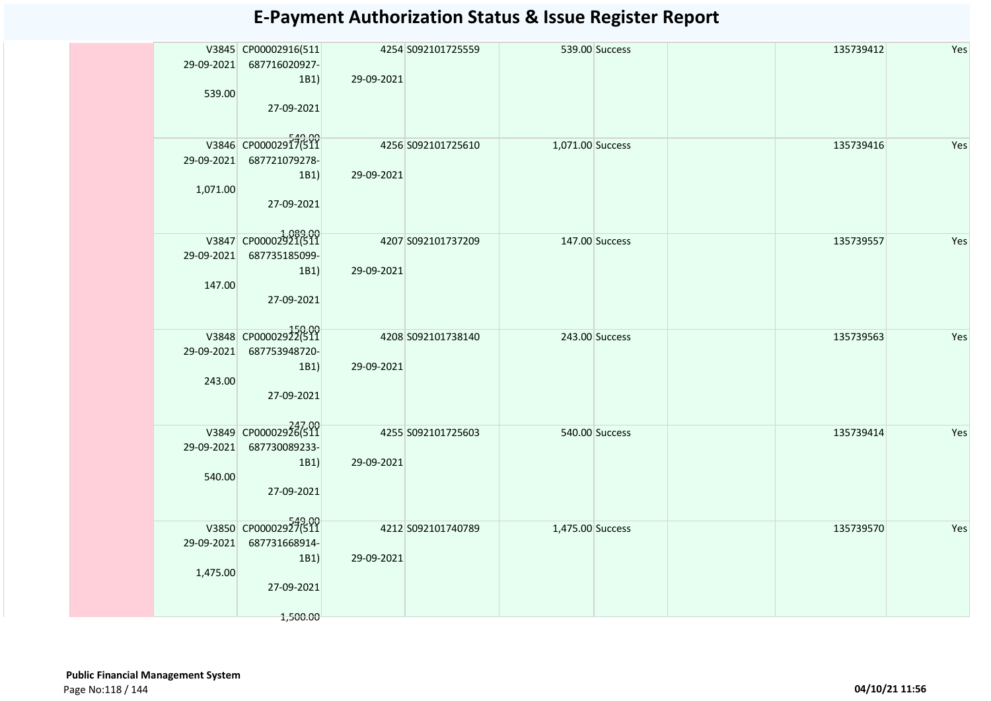|          | V3845 CP00002916(511           |                     | 4254 S092101725559  |                  | 539.00 Success | 135739412 | Yes |
|----------|--------------------------------|---------------------|---------------------|------------------|----------------|-----------|-----|
|          | 29-09-2021 687716020927-       |                     |                     |                  |                |           |     |
|          | 1B1)                           | 29-09-2021          |                     |                  |                |           |     |
| 539.00   |                                |                     |                     |                  |                |           |     |
|          |                                |                     |                     |                  |                |           |     |
|          | 27-09-2021                     |                     |                     |                  |                |           |     |
|          |                                |                     |                     |                  |                |           |     |
|          | V3846 CP00002917(511           |                     | 4256 S092101725610  |                  |                |           |     |
|          |                                |                     |                     | 1,071.00 Success |                | 135739416 | Yes |
|          | 29-09-2021 687721079278-       |                     |                     |                  |                |           |     |
|          | 1B1)                           | 29-09-2021          |                     |                  |                |           |     |
| 1,071.00 |                                |                     |                     |                  |                |           |     |
|          | 27-09-2021                     |                     |                     |                  |                |           |     |
|          |                                |                     |                     |                  |                |           |     |
|          |                                |                     |                     |                  |                |           |     |
|          | V3847 CP00002921(511           | 4207 S092101737209  |                     | 147.00 Success   |                | 135739557 | Yes |
|          | 29-09-2021 687735185099-       |                     |                     |                  |                |           |     |
|          | 1B1)                           | 29-09-2021          |                     |                  |                |           |     |
|          |                                |                     |                     |                  |                |           |     |
| 147.00   |                                |                     |                     |                  |                |           |     |
|          | 27-09-2021                     |                     |                     |                  |                |           |     |
|          |                                |                     |                     |                  |                |           |     |
|          | V3848 CP00002922(511           |                     |                     |                  |                |           |     |
|          |                                |                     | 4208 \$092101738140 |                  | 243.00 Success | 135739563 | Yes |
|          | 29-09-2021 687753948720-       |                     |                     |                  |                |           |     |
|          | 1B1)                           | 29-09-2021          |                     |                  |                |           |     |
| 243.00   |                                |                     |                     |                  |                |           |     |
|          | 27-09-2021                     |                     |                     |                  |                |           |     |
|          |                                |                     |                     |                  |                |           |     |
|          |                                |                     |                     |                  |                |           |     |
|          | V3849 CP00002926(511           | 4255 \$092101725603 |                     |                  | 540.00 Success | 135739414 | Yes |
|          | 29-09-2021 687730089233-       |                     |                     |                  |                |           |     |
|          | 1B1)                           | 29-09-2021          |                     |                  |                |           |     |
| 540.00   |                                |                     |                     |                  |                |           |     |
|          |                                |                     |                     |                  |                |           |     |
|          | 27-09-2021                     |                     |                     |                  |                |           |     |
|          |                                |                     |                     |                  |                |           |     |
|          | 549.00<br>V3850 CP00002927(511 |                     | 4212 5092101740789  | 1,475.00 Success |                | 135739570 | Yes |
|          | 29-09-2021 687731668914-       |                     |                     |                  |                |           |     |
|          |                                |                     |                     |                  |                |           |     |
|          | 1B1)                           | 29-09-2021          |                     |                  |                |           |     |
| 1,475.00 |                                |                     |                     |                  |                |           |     |
|          | 27-09-2021                     |                     |                     |                  |                |           |     |
|          |                                |                     |                     |                  |                |           |     |
|          | 1,500.00                       |                     |                     |                  |                |           |     |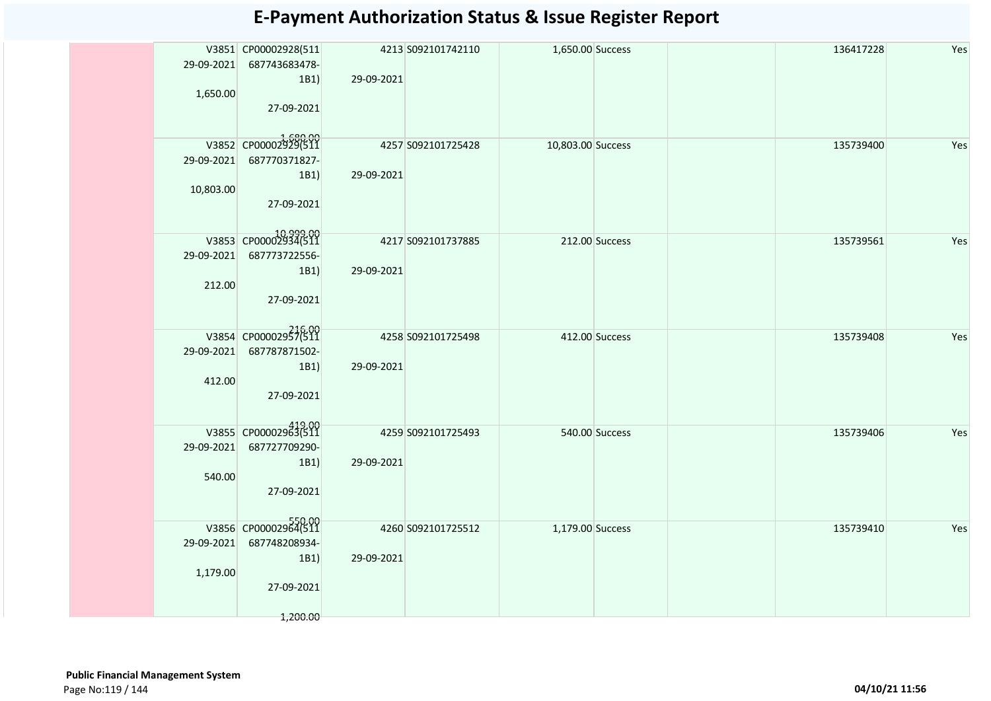| V3851 CP00002928(511<br>4213 S092101742110<br>136417228<br>Yes<br>1,650.00 Success<br>29-09-2021 687743683478-<br>1B1)<br>29-09-2021<br>1,650.00<br>27-09-2021<br>V3852 CP00002929(511<br>4257 S092101725428<br>10,803.00 Success<br>135739400<br>Yes<br>29-09-2021 687770371827-<br>1B1)<br>29-09-2021<br>10,803.00<br>27-09-2021<br>10,999.00<br>V3853 CP00002934(511<br>4217 S092101737885<br>135739561<br>Yes<br>212.00 Success<br>29-09-2021 687773722556-<br>1B1)<br>29-09-2021<br>212.00<br>27-09-2021<br>V3854 CP00002957(511<br>4258 S092101725498<br>412.00 Success<br>135739408<br>Yes<br>29-09-2021 687787871502-<br>29-09-2021<br>1B1)<br>412.00<br>27-09-2021<br>V3855 CP00002963(511<br>4259 S092101725493<br>540.00 Success<br>135739406<br>Yes<br>29-09-2021 687727709290-<br>29-09-2021<br>1B1)<br>540.00<br>27-09-2021<br>V3856 CP00002964(511<br>4260 S092101725512<br>1,179.00 Success<br>135739410<br>Yes<br>29-09-2021 687748208934-<br>1B1)<br>29-09-2021<br>1,179.00<br>27-09-2021 |  |          |  |  |  |  |
|-------------------------------------------------------------------------------------------------------------------------------------------------------------------------------------------------------------------------------------------------------------------------------------------------------------------------------------------------------------------------------------------------------------------------------------------------------------------------------------------------------------------------------------------------------------------------------------------------------------------------------------------------------------------------------------------------------------------------------------------------------------------------------------------------------------------------------------------------------------------------------------------------------------------------------------------------------------------------------------------------------------|--|----------|--|--|--|--|
|                                                                                                                                                                                                                                                                                                                                                                                                                                                                                                                                                                                                                                                                                                                                                                                                                                                                                                                                                                                                             |  |          |  |  |  |  |
|                                                                                                                                                                                                                                                                                                                                                                                                                                                                                                                                                                                                                                                                                                                                                                                                                                                                                                                                                                                                             |  |          |  |  |  |  |
|                                                                                                                                                                                                                                                                                                                                                                                                                                                                                                                                                                                                                                                                                                                                                                                                                                                                                                                                                                                                             |  |          |  |  |  |  |
|                                                                                                                                                                                                                                                                                                                                                                                                                                                                                                                                                                                                                                                                                                                                                                                                                                                                                                                                                                                                             |  |          |  |  |  |  |
|                                                                                                                                                                                                                                                                                                                                                                                                                                                                                                                                                                                                                                                                                                                                                                                                                                                                                                                                                                                                             |  |          |  |  |  |  |
|                                                                                                                                                                                                                                                                                                                                                                                                                                                                                                                                                                                                                                                                                                                                                                                                                                                                                                                                                                                                             |  |          |  |  |  |  |
|                                                                                                                                                                                                                                                                                                                                                                                                                                                                                                                                                                                                                                                                                                                                                                                                                                                                                                                                                                                                             |  |          |  |  |  |  |
|                                                                                                                                                                                                                                                                                                                                                                                                                                                                                                                                                                                                                                                                                                                                                                                                                                                                                                                                                                                                             |  |          |  |  |  |  |
|                                                                                                                                                                                                                                                                                                                                                                                                                                                                                                                                                                                                                                                                                                                                                                                                                                                                                                                                                                                                             |  |          |  |  |  |  |
|                                                                                                                                                                                                                                                                                                                                                                                                                                                                                                                                                                                                                                                                                                                                                                                                                                                                                                                                                                                                             |  |          |  |  |  |  |
|                                                                                                                                                                                                                                                                                                                                                                                                                                                                                                                                                                                                                                                                                                                                                                                                                                                                                                                                                                                                             |  |          |  |  |  |  |
|                                                                                                                                                                                                                                                                                                                                                                                                                                                                                                                                                                                                                                                                                                                                                                                                                                                                                                                                                                                                             |  |          |  |  |  |  |
|                                                                                                                                                                                                                                                                                                                                                                                                                                                                                                                                                                                                                                                                                                                                                                                                                                                                                                                                                                                                             |  |          |  |  |  |  |
|                                                                                                                                                                                                                                                                                                                                                                                                                                                                                                                                                                                                                                                                                                                                                                                                                                                                                                                                                                                                             |  |          |  |  |  |  |
|                                                                                                                                                                                                                                                                                                                                                                                                                                                                                                                                                                                                                                                                                                                                                                                                                                                                                                                                                                                                             |  |          |  |  |  |  |
|                                                                                                                                                                                                                                                                                                                                                                                                                                                                                                                                                                                                                                                                                                                                                                                                                                                                                                                                                                                                             |  |          |  |  |  |  |
|                                                                                                                                                                                                                                                                                                                                                                                                                                                                                                                                                                                                                                                                                                                                                                                                                                                                                                                                                                                                             |  |          |  |  |  |  |
|                                                                                                                                                                                                                                                                                                                                                                                                                                                                                                                                                                                                                                                                                                                                                                                                                                                                                                                                                                                                             |  |          |  |  |  |  |
|                                                                                                                                                                                                                                                                                                                                                                                                                                                                                                                                                                                                                                                                                                                                                                                                                                                                                                                                                                                                             |  |          |  |  |  |  |
|                                                                                                                                                                                                                                                                                                                                                                                                                                                                                                                                                                                                                                                                                                                                                                                                                                                                                                                                                                                                             |  |          |  |  |  |  |
|                                                                                                                                                                                                                                                                                                                                                                                                                                                                                                                                                                                                                                                                                                                                                                                                                                                                                                                                                                                                             |  |          |  |  |  |  |
|                                                                                                                                                                                                                                                                                                                                                                                                                                                                                                                                                                                                                                                                                                                                                                                                                                                                                                                                                                                                             |  |          |  |  |  |  |
|                                                                                                                                                                                                                                                                                                                                                                                                                                                                                                                                                                                                                                                                                                                                                                                                                                                                                                                                                                                                             |  |          |  |  |  |  |
|                                                                                                                                                                                                                                                                                                                                                                                                                                                                                                                                                                                                                                                                                                                                                                                                                                                                                                                                                                                                             |  |          |  |  |  |  |
|                                                                                                                                                                                                                                                                                                                                                                                                                                                                                                                                                                                                                                                                                                                                                                                                                                                                                                                                                                                                             |  |          |  |  |  |  |
|                                                                                                                                                                                                                                                                                                                                                                                                                                                                                                                                                                                                                                                                                                                                                                                                                                                                                                                                                                                                             |  |          |  |  |  |  |
|                                                                                                                                                                                                                                                                                                                                                                                                                                                                                                                                                                                                                                                                                                                                                                                                                                                                                                                                                                                                             |  |          |  |  |  |  |
|                                                                                                                                                                                                                                                                                                                                                                                                                                                                                                                                                                                                                                                                                                                                                                                                                                                                                                                                                                                                             |  |          |  |  |  |  |
|                                                                                                                                                                                                                                                                                                                                                                                                                                                                                                                                                                                                                                                                                                                                                                                                                                                                                                                                                                                                             |  |          |  |  |  |  |
|                                                                                                                                                                                                                                                                                                                                                                                                                                                                                                                                                                                                                                                                                                                                                                                                                                                                                                                                                                                                             |  |          |  |  |  |  |
|                                                                                                                                                                                                                                                                                                                                                                                                                                                                                                                                                                                                                                                                                                                                                                                                                                                                                                                                                                                                             |  |          |  |  |  |  |
|                                                                                                                                                                                                                                                                                                                                                                                                                                                                                                                                                                                                                                                                                                                                                                                                                                                                                                                                                                                                             |  |          |  |  |  |  |
|                                                                                                                                                                                                                                                                                                                                                                                                                                                                                                                                                                                                                                                                                                                                                                                                                                                                                                                                                                                                             |  |          |  |  |  |  |
|                                                                                                                                                                                                                                                                                                                                                                                                                                                                                                                                                                                                                                                                                                                                                                                                                                                                                                                                                                                                             |  |          |  |  |  |  |
|                                                                                                                                                                                                                                                                                                                                                                                                                                                                                                                                                                                                                                                                                                                                                                                                                                                                                                                                                                                                             |  |          |  |  |  |  |
|                                                                                                                                                                                                                                                                                                                                                                                                                                                                                                                                                                                                                                                                                                                                                                                                                                                                                                                                                                                                             |  |          |  |  |  |  |
|                                                                                                                                                                                                                                                                                                                                                                                                                                                                                                                                                                                                                                                                                                                                                                                                                                                                                                                                                                                                             |  |          |  |  |  |  |
|                                                                                                                                                                                                                                                                                                                                                                                                                                                                                                                                                                                                                                                                                                                                                                                                                                                                                                                                                                                                             |  |          |  |  |  |  |
|                                                                                                                                                                                                                                                                                                                                                                                                                                                                                                                                                                                                                                                                                                                                                                                                                                                                                                                                                                                                             |  |          |  |  |  |  |
|                                                                                                                                                                                                                                                                                                                                                                                                                                                                                                                                                                                                                                                                                                                                                                                                                                                                                                                                                                                                             |  |          |  |  |  |  |
|                                                                                                                                                                                                                                                                                                                                                                                                                                                                                                                                                                                                                                                                                                                                                                                                                                                                                                                                                                                                             |  | 1,200.00 |  |  |  |  |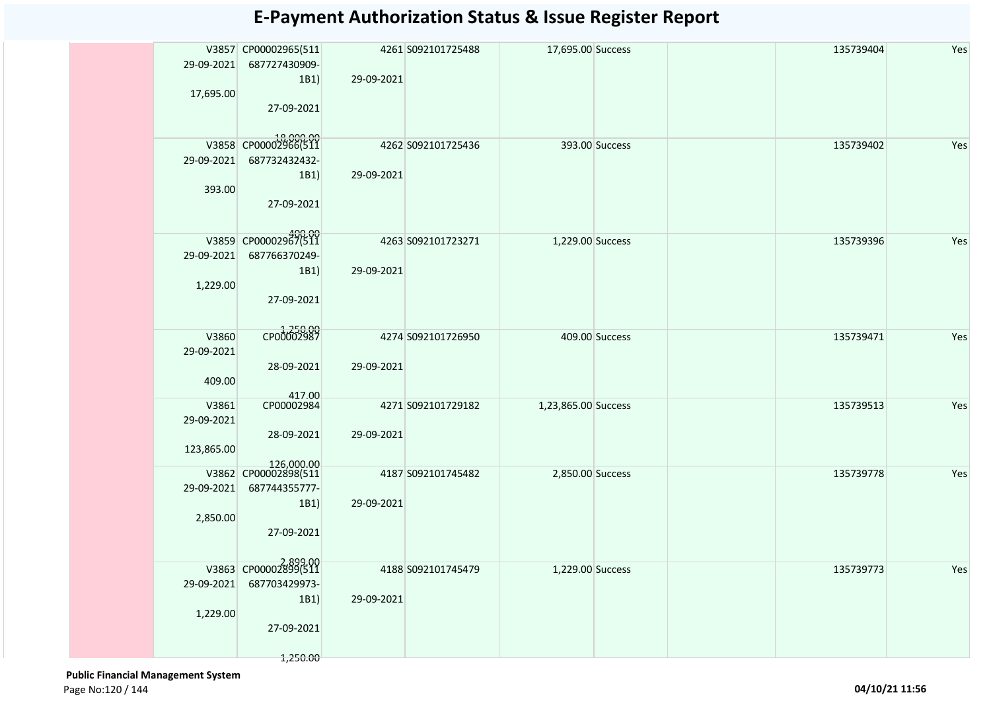| V3857 CP00002965(511<br>4261 S092101725488<br>17,695.00 Success<br>135739404<br>29-09-2021 687727430909-<br>29-09-2021<br>1B1)<br>17,695.00<br>27-09-2021<br>18,000.00<br>V3858 CP00002966(511<br>4262 S092101725436<br>393.00 Success<br>135739402<br>687732432432-<br>29-09-2021<br>1B1)<br>29-09-2021<br>393.00<br>27-09-2021 | Yes<br>Yes<br>Yes |
|----------------------------------------------------------------------------------------------------------------------------------------------------------------------------------------------------------------------------------------------------------------------------------------------------------------------------------|-------------------|
|                                                                                                                                                                                                                                                                                                                                  |                   |
|                                                                                                                                                                                                                                                                                                                                  |                   |
|                                                                                                                                                                                                                                                                                                                                  |                   |
|                                                                                                                                                                                                                                                                                                                                  |                   |
|                                                                                                                                                                                                                                                                                                                                  |                   |
| V3859 CP00002967(511<br>4263 S092101723271<br>1,229.00 Success<br>135739396                                                                                                                                                                                                                                                      |                   |
| 687766370249-<br>29-09-2021                                                                                                                                                                                                                                                                                                      |                   |
| 29-09-2021<br>1B1)<br>1,229.00                                                                                                                                                                                                                                                                                                   |                   |
| 27-09-2021                                                                                                                                                                                                                                                                                                                       |                   |
| CP00002987<br>V3860<br>4274 S092101726950<br>409.00 Success<br>135739471                                                                                                                                                                                                                                                         | Yes               |
| 29-09-2021                                                                                                                                                                                                                                                                                                                       |                   |
| 28-09-2021<br>29-09-2021<br>409.00                                                                                                                                                                                                                                                                                               |                   |
| 417.00<br>V3861<br>CP00002984<br>4271 S092101729182<br>135739513<br>1,23,865.00 Success                                                                                                                                                                                                                                          | Yes               |
| 29-09-2021                                                                                                                                                                                                                                                                                                                       |                   |
| 28-09-2021<br>29-09-2021                                                                                                                                                                                                                                                                                                         |                   |
| 123,865.00<br>126,000.00                                                                                                                                                                                                                                                                                                         |                   |
| V3862 CP00002898(511<br>4187 S092101745482<br>135739778<br>2,850.00 Success                                                                                                                                                                                                                                                      | Yes               |
| 29-09-2021<br>687744355777-                                                                                                                                                                                                                                                                                                      |                   |
| 29-09-2021<br>1B1)                                                                                                                                                                                                                                                                                                               |                   |
| 2,850.00<br>27-09-2021                                                                                                                                                                                                                                                                                                           |                   |
| 2,899.00<br>V3863 CP00002899(511                                                                                                                                                                                                                                                                                                 |                   |
| 1,229.00 Success<br>4188 5092101745479<br>135739773<br>29-09-2021<br>687703429973-                                                                                                                                                                                                                                               | Yes               |
| 1B1)<br>29-09-2021                                                                                                                                                                                                                                                                                                               |                   |
| 1,229.00                                                                                                                                                                                                                                                                                                                         |                   |
| 27-09-2021                                                                                                                                                                                                                                                                                                                       |                   |
| 1,250.00                                                                                                                                                                                                                                                                                                                         |                   |

 **Public Financial Management System**  Page No:120 / 144 **04/10/21 11:56**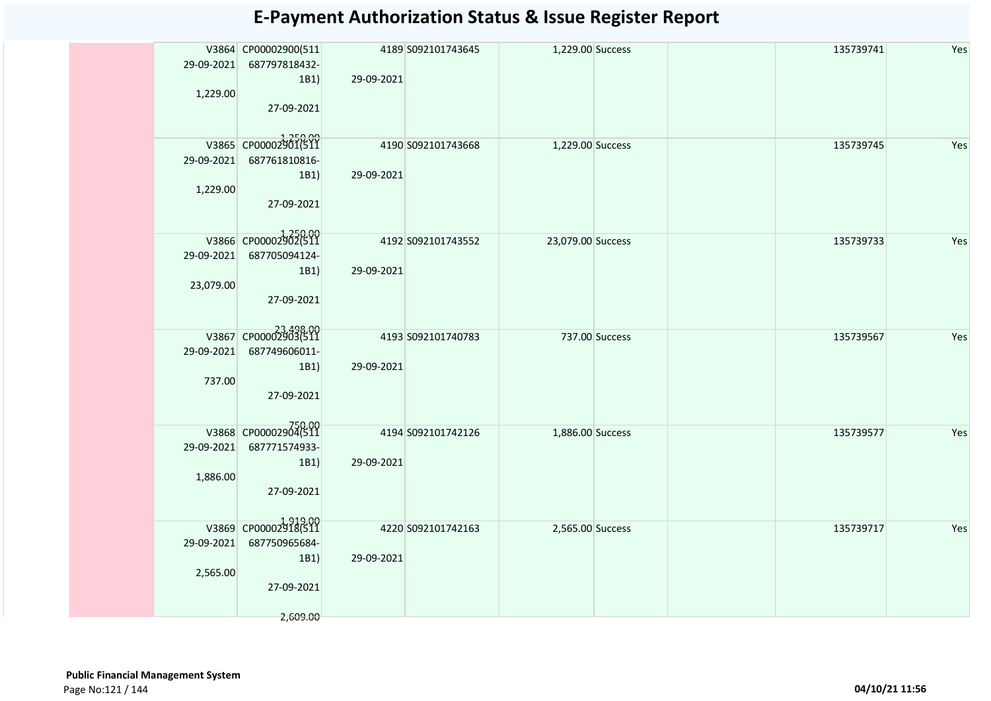|            | V3864 CP00002900(511<br>29-09-2021 687797818432- |                    | 4189 S092101743645 | 1,229.00 Success  |  | 135739741 | Yes |
|------------|--------------------------------------------------|--------------------|--------------------|-------------------|--|-----------|-----|
|            | 1B1)                                             | 29-09-2021         |                    |                   |  |           |     |
| 1,229.00   |                                                  |                    |                    |                   |  |           |     |
|            | 27-09-2021                                       |                    |                    |                   |  |           |     |
|            | V3865 CP00002901(511                             | 4190 S092101743668 |                    | 1,229.00 Success  |  | 135739745 | Yes |
|            | 29-09-2021 687761810816-                         |                    |                    |                   |  |           |     |
|            | 1B1)                                             | 29-09-2021         |                    |                   |  |           |     |
| 1,229.00   |                                                  |                    |                    |                   |  |           |     |
|            | 27-09-2021                                       |                    |                    |                   |  |           |     |
|            | V3866 CP00002902(511                             | 4192 S092101743552 |                    | 23,079.00 Success |  | 135739733 | Yes |
|            | 29-09-2021 687705094124-                         |                    |                    |                   |  |           |     |
|            | 1B1)                                             | 29-09-2021         |                    |                   |  |           |     |
| 23,079.00  |                                                  |                    |                    |                   |  |           |     |
|            | 27-09-2021                                       |                    |                    |                   |  |           |     |
|            |                                                  |                    |                    |                   |  |           |     |
|            | V3867 CP00002903(511                             |                    | 4193 S092101740783 | 737.00 Success    |  | 135739567 | Yes |
| 29-09-2021 | 687749606011-<br>1B1)                            | 29-09-2021         |                    |                   |  |           |     |
| 737.00     |                                                  |                    |                    |                   |  |           |     |
|            | 27-09-2021                                       |                    |                    |                   |  |           |     |
|            |                                                  |                    |                    |                   |  |           |     |
|            | V3868 CP00002904(511                             | 4194 S092101742126 |                    | 1,886.00 Success  |  | 135739577 | Yes |
|            | 29-09-2021 687771574933-                         |                    |                    |                   |  |           |     |
|            | 1B1)                                             | 29-09-2021         |                    |                   |  |           |     |
| 1,886.00   |                                                  |                    |                    |                   |  |           |     |
|            | 27-09-2021                                       |                    |                    |                   |  |           |     |
|            |                                                  |                    |                    |                   |  |           |     |
|            | V3869 CP00002918(511                             |                    | 4220 S092101742163 | 2,565.00 Success  |  | 135739717 | Yes |
|            | 29-09-2021 687750965684-                         |                    |                    |                   |  |           |     |
| 2,565.00   | 1B1)                                             | 29-09-2021         |                    |                   |  |           |     |
|            | 27-09-2021                                       |                    |                    |                   |  |           |     |
|            |                                                  |                    |                    |                   |  |           |     |
|            | 2,609.00                                         |                    |                    |                   |  |           |     |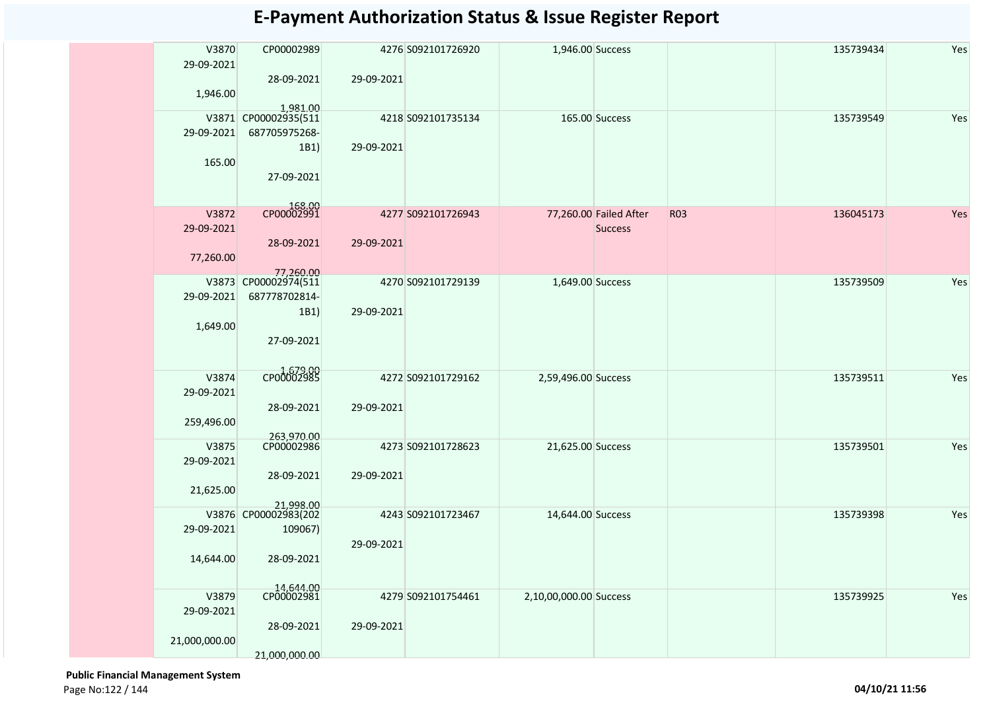| V3870<br>29-09-2021 | CP00002989<br>28-09-2021 | 29-09-2021 | 4276 S092101726920 | 1,946.00 Success       |                        |            | 135739434 | Yes |
|---------------------|--------------------------|------------|--------------------|------------------------|------------------------|------------|-----------|-----|
| 1,946.00            | 1.981.00                 |            |                    |                        |                        |            |           |     |
|                     | V3871 CP00002935(511     |            | 4218 S092101735134 |                        | 165.00 Success         |            | 135739549 | Yes |
| 29-09-2021          | 687705975268-<br>1B1)    | 29-09-2021 |                    |                        |                        |            |           |     |
| 165.00              |                          |            |                    |                        |                        |            |           |     |
|                     | 27-09-2021               |            |                    |                        |                        |            |           |     |
|                     |                          |            |                    |                        |                        |            |           |     |
| V3872               | 00.331<br>CP00002991     |            | 4277 S092101726943 |                        | 77,260.00 Failed After | <b>R03</b> | 136045173 | Yes |
| 29-09-2021          |                          |            |                    |                        | <b>Success</b>         |            |           |     |
|                     | 28-09-2021               | 29-09-2021 |                    |                        |                        |            |           |     |
| 77,260.00           | 77,260.00                |            |                    |                        |                        |            |           |     |
|                     | V3873 CP00002974(511     |            | 4270 S092101729139 | 1,649.00 Success       |                        |            | 135739509 | Yes |
| 29-09-2021          | 687778702814-            |            |                    |                        |                        |            |           |     |
| 1,649.00            | 1B1)                     | 29-09-2021 |                    |                        |                        |            |           |     |
|                     | 27-09-2021               |            |                    |                        |                        |            |           |     |
|                     |                          |            |                    |                        |                        |            |           |     |
| V3874               | CP00002985               |            | 4272 S092101729162 | 2,59,496.00 Success    |                        |            | 135739511 | Yes |
| 29-09-2021          |                          |            |                    |                        |                        |            |           |     |
|                     | 28-09-2021               | 29-09-2021 |                    |                        |                        |            |           |     |
| 259,496.00          | 263,970.00               |            |                    |                        |                        |            |           |     |
| V3875               | CP00002986               |            | 4273 S092101728623 | 21,625.00 Success      |                        |            | 135739501 | Yes |
| 29-09-2021          |                          |            |                    |                        |                        |            |           |     |
| 21,625.00           | 28-09-2021               | 29-09-2021 |                    |                        |                        |            |           |     |
|                     | 21,998.00                |            |                    |                        |                        |            |           |     |
|                     | V3876 CP00002983(202     |            | 4243 S092101723467 | 14,644.00 Success      |                        |            | 135739398 | Yes |
| 29-09-2021          | 109067)                  | 29-09-2021 |                    |                        |                        |            |           |     |
| 14,644.00           | 28-09-2021               |            |                    |                        |                        |            |           |     |
|                     |                          |            |                    |                        |                        |            |           |     |
| V3879               | 14,644.00<br>CP00002981  |            | 4279 S092101754461 | 2,10,00,000.00 Success |                        |            | 135739925 | Yes |
| 29-09-2021          |                          |            |                    |                        |                        |            |           |     |
|                     | 28-09-2021               | 29-09-2021 |                    |                        |                        |            |           |     |
| 21,000,000.00       |                          |            |                    |                        |                        |            |           |     |
|                     | 21,000,000.00            |            |                    |                        |                        |            |           |     |

 **Public Financial Management System**  Page No:122 / 144 **04/10/21 11:56**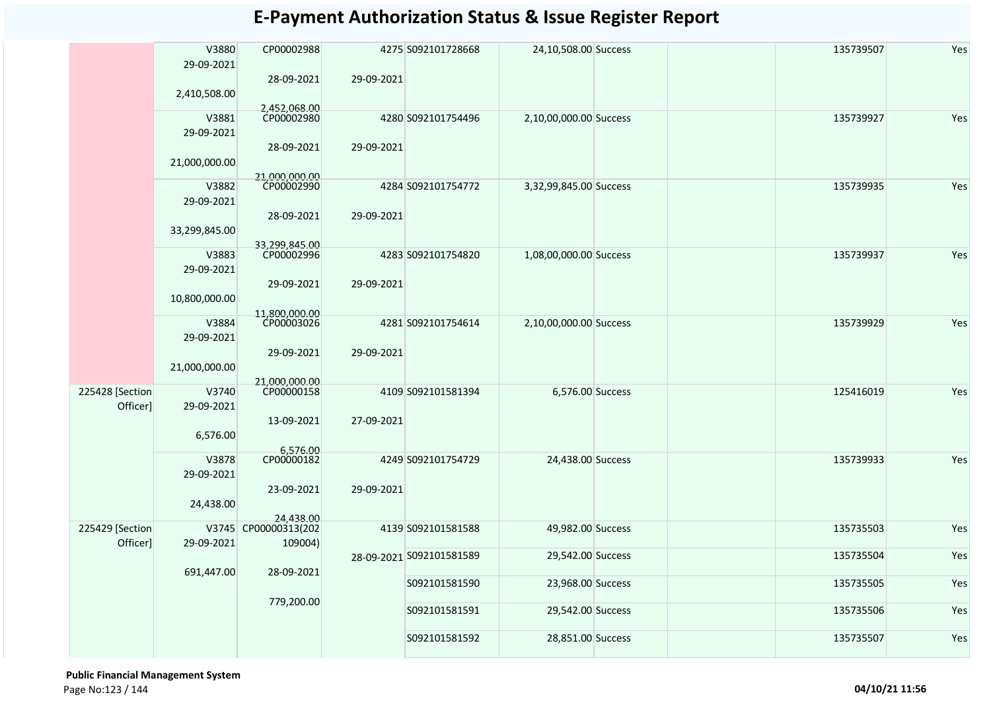|                             | V3880<br>29-09-2021 | CP00002988                                   |            | 4275 S092101728668       | 24,10,508.00 Success   |  | 135739507 | Yes |
|-----------------------------|---------------------|----------------------------------------------|------------|--------------------------|------------------------|--|-----------|-----|
|                             | 2,410,508.00        | 28-09-2021<br>2,452,068.00                   | 29-09-2021 |                          |                        |  |           |     |
|                             | V3881<br>29-09-2021 | CP00002980<br>28-09-2021                     | 29-09-2021 | 4280 S092101754496       | 2,10,00,000.00 Success |  | 135739927 | Yes |
|                             | 21,000,000.00       | 21.000.000.00                                |            |                          |                        |  |           |     |
|                             | V3882<br>29-09-2021 | CP00002990                                   |            | 4284 S092101754772       | 3,32,99,845.00 Success |  | 135739935 | Yes |
|                             | 33,299,845.00       | 28-09-2021                                   | 29-09-2021 |                          |                        |  |           |     |
|                             | V3883<br>29-09-2021 | 33,299,845.00<br>CP00002996                  |            | 4283 S092101754820       | 1,08,00,000.00 Success |  | 135739937 | Yes |
|                             | 10,800,000.00       | 29-09-2021<br>11,800,000.00                  | 29-09-2021 |                          |                        |  |           |     |
|                             | V3884<br>29-09-2021 | CP00003026                                   |            | 4281 S092101754614       | 2,10,00,000.00 Success |  | 135739929 | Yes |
|                             | 21,000,000.00       | 29-09-2021<br>21,000,000.00                  | 29-09-2021 |                          |                        |  |           |     |
| 225428 [Section<br>Officer] | V3740<br>29-09-2021 | CP00000158                                   |            | 4109 S092101581394       | 6,576.00 Success       |  | 125416019 | Yes |
|                             | 6,576.00            | 13-09-2021                                   | 27-09-2021 |                          |                        |  |           |     |
|                             | V3878<br>29-09-2021 | 6,576.00<br>CP00000182                       |            | 4249 S092101754729       | 24,438.00 Success      |  | 135739933 | Yes |
|                             | 24,438.00           | 23-09-2021                                   | 29-09-2021 |                          |                        |  |           |     |
| 225429 [Section<br>Officer] | 29-09-2021          | 24,438.00<br>V3745 CP00000313(202<br>109004) |            | 4139 S092101581588       | 49,982.00 Success      |  | 135735503 | Yes |
|                             | 691,447.00          | 28-09-2021                                   |            | 28-09-2021 S092101581589 | 29,542.00 Success      |  | 135735504 | Yes |
|                             |                     |                                              |            | S092101581590            | 23,968.00 Success      |  | 135735505 | Yes |
|                             |                     | 779,200.00                                   |            | S092101581591            | 29,542.00 Success      |  | 135735506 | Yes |
|                             |                     |                                              |            | S092101581592            | 28,851.00 Success      |  | 135735507 | Yes |

 **Public Financial Management System**  Page No:123 / 144 **04/10/21 11:56**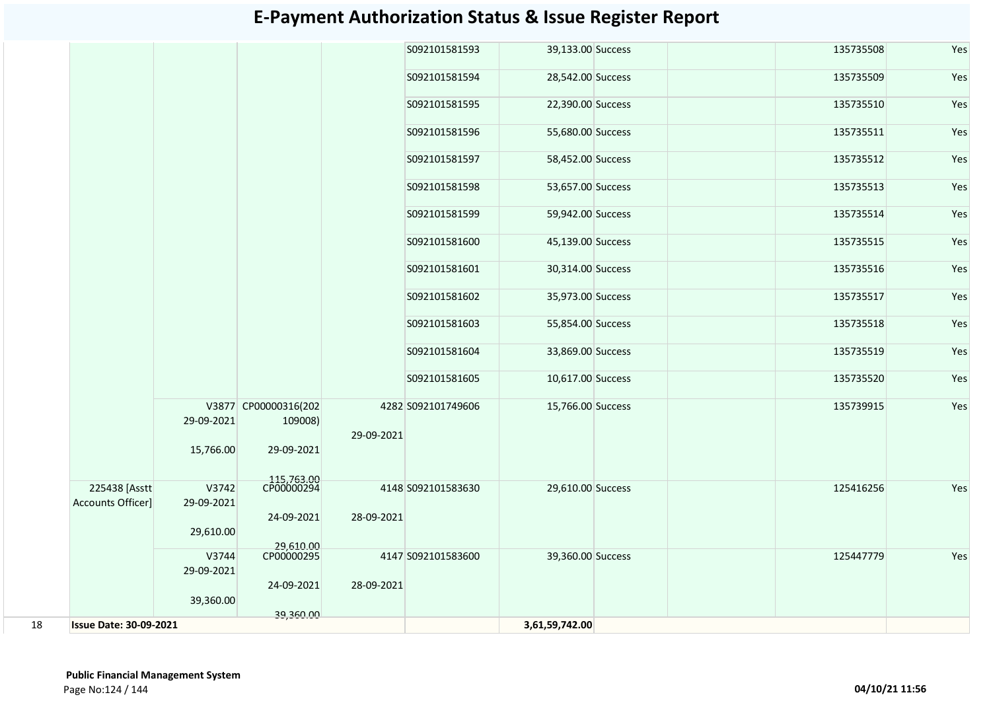|    |                                    |                     |                                 |            | S092101581593      | 39,133.00 Success | 135735508 | Yes |
|----|------------------------------------|---------------------|---------------------------------|------------|--------------------|-------------------|-----------|-----|
|    |                                    |                     |                                 |            | S092101581594      | 28,542.00 Success | 135735509 | Yes |
|    |                                    |                     |                                 |            | S092101581595      | 22,390.00 Success | 135735510 | Yes |
|    |                                    |                     |                                 |            | S092101581596      | 55,680.00 Success | 135735511 | Yes |
|    |                                    |                     |                                 |            | S092101581597      | 58,452.00 Success | 135735512 | Yes |
|    |                                    |                     |                                 |            | S092101581598      | 53,657.00 Success | 135735513 | Yes |
|    |                                    |                     |                                 |            | S092101581599      | 59,942.00 Success | 135735514 | Yes |
|    |                                    |                     |                                 |            | S092101581600      | 45,139.00 Success | 135735515 | Yes |
|    |                                    |                     |                                 |            | S092101581601      | 30,314.00 Success | 135735516 | Yes |
|    |                                    |                     |                                 |            | S092101581602      | 35,973.00 Success | 135735517 | Yes |
|    |                                    |                     |                                 |            | S092101581603      | 55,854.00 Success | 135735518 | Yes |
|    |                                    |                     |                                 |            | S092101581604      | 33,869.00 Success | 135735519 | Yes |
|    |                                    |                     |                                 |            | S092101581605      | 10,617.00 Success | 135735520 | Yes |
|    |                                    | 29-09-2021          | V3877 CP00000316(202<br>109008) | 29-09-2021 | 4282 S092101749606 | 15,766.00 Success | 135739915 | Yes |
|    |                                    | 15,766.00           | 29-09-2021                      |            |                    |                   |           |     |
|    | 225438 [Asstt<br>Accounts Officer] | V3742<br>29-09-2021 | 115,763.00<br>CP00000294        |            | 4148 S092101583630 | 29,610.00 Success | 125416256 | Yes |
|    |                                    | 29,610.00           | 24-09-2021<br>29,610.00         | 28-09-2021 |                    |                   |           |     |
|    |                                    | V3744<br>29-09-2021 | CP00000295                      |            | 4147 S092101583600 | 39,360.00 Success | 125447779 | Yes |
|    |                                    | 39,360.00           | 24-09-2021                      | 28-09-2021 |                    |                   |           |     |
| 18 | <b>Issue Date: 30-09-2021</b>      |                     | 39,360.00                       |            |                    | 3,61,59,742.00    |           |     |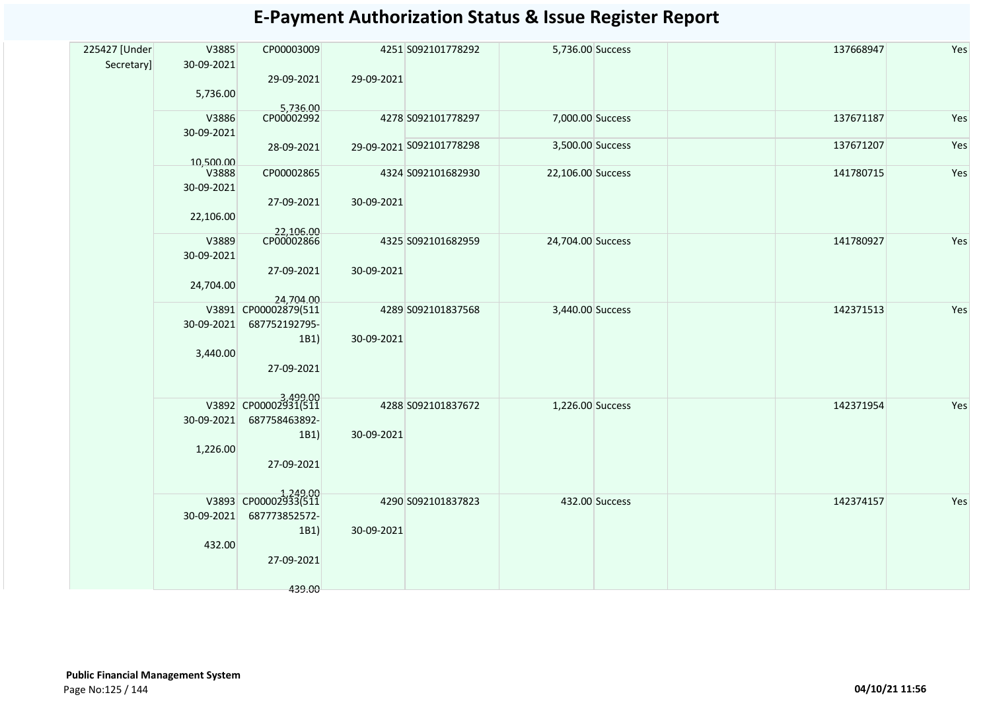| 225427 [Under | V3885      | CP00003009           |            | 4251 S092101778292       | 5,736.00 Success  |                | 137668947 | Yes |
|---------------|------------|----------------------|------------|--------------------------|-------------------|----------------|-----------|-----|
| Secretary]    | 30-09-2021 |                      |            |                          |                   |                |           |     |
|               |            | 29-09-2021           | 29-09-2021 |                          |                   |                |           |     |
|               | 5,736.00   |                      |            |                          |                   |                |           |     |
|               |            | 5,736.00             |            |                          |                   |                |           |     |
|               | V3886      |                      |            | 4278 S092101778297       | 7,000.00 Success  |                | 137671187 | Yes |
|               | 30-09-2021 | 28-09-2021           |            | 29-09-2021 S092101778298 | 3,500.00 Success  |                | 137671207 | Yes |
|               | 10,500.00  |                      |            |                          |                   |                |           |     |
|               | V3888      | CP00002865           |            | 4324 S092101682930       | 22,106.00 Success |                | 141780715 | Yes |
|               | 30-09-2021 |                      |            |                          |                   |                |           |     |
|               |            | 27-09-2021           | 30-09-2021 |                          |                   |                |           |     |
|               | 22,106.00  |                      |            |                          |                   |                |           |     |
|               | V3889      | 22,106.00            |            | 4325 S092101682959       | 24,704.00 Success |                | 141780927 | Yes |
|               | 30-09-2021 |                      |            |                          |                   |                |           |     |
|               |            | 27-09-2021           | 30-09-2021 |                          |                   |                |           |     |
|               | 24,704.00  |                      |            |                          |                   |                |           |     |
|               |            | 24,704.00            |            |                          |                   |                |           |     |
|               |            | V3891 CP00002879(511 |            | 4289 S092101837568       | 3,440.00 Success  |                | 142371513 | Yes |
|               | 30-09-2021 | 687752192795-        |            |                          |                   |                |           |     |
|               |            | 1B1)                 | 30-09-2021 |                          |                   |                |           |     |
|               | 3,440.00   |                      |            |                          |                   |                |           |     |
|               |            | 27-09-2021           |            |                          |                   |                |           |     |
|               |            |                      |            |                          |                   |                |           |     |
|               |            | V3892 CP00002931(511 |            | 4288 S092101837672       | 1,226.00 Success  |                | 142371954 | Yes |
|               | 30-09-2021 | 687758463892-        |            |                          |                   |                |           |     |
|               |            | 1B1)                 | 30-09-2021 |                          |                   |                |           |     |
|               | 1,226.00   |                      |            |                          |                   |                |           |     |
|               |            | 27-09-2021           |            |                          |                   |                |           |     |
|               |            |                      |            |                          |                   |                |           |     |
|               |            | V3893 CP00002933(511 |            | 4290 S092101837823       |                   | 432.00 Success | 142374157 | Yes |
|               | 30-09-2021 | 687773852572-        |            |                          |                   |                |           |     |
|               |            | 1B1)                 | 30-09-2021 |                          |                   |                |           |     |
|               | 432.00     |                      |            |                          |                   |                |           |     |
|               |            | 27-09-2021           |            |                          |                   |                |           |     |
|               |            |                      |            |                          |                   |                |           |     |
|               |            | 439.00               |            |                          |                   |                |           |     |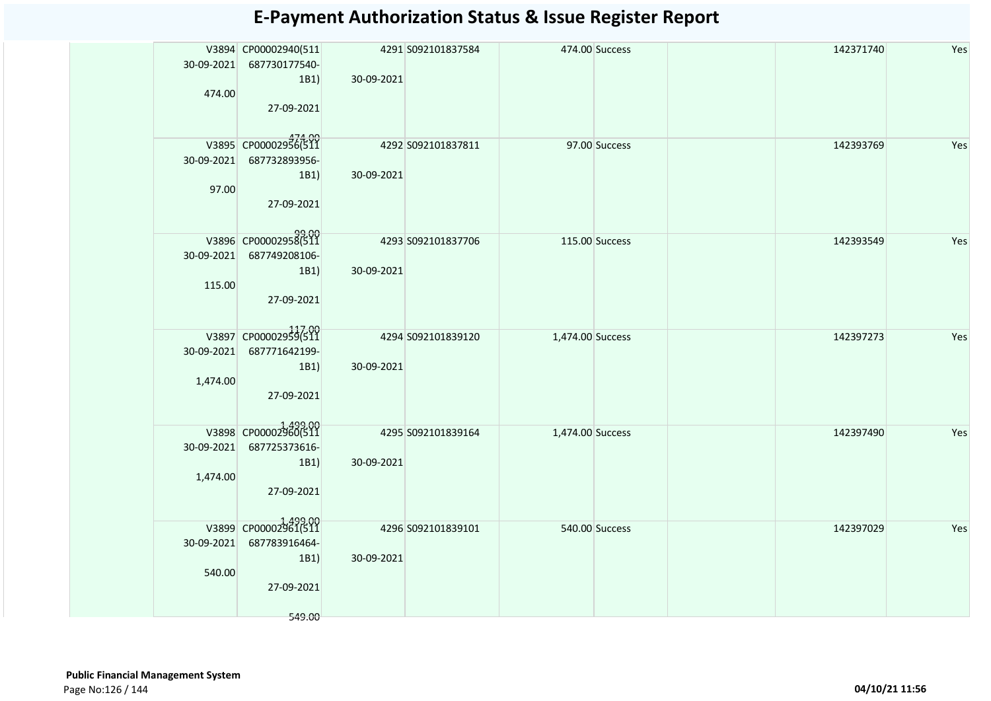|          | V3894 CP00002940(511             |                    | 4291 S092101837584 | 474.00 Success   |               | 142371740 | Yes |
|----------|----------------------------------|--------------------|--------------------|------------------|---------------|-----------|-----|
|          | 30-09-2021 687730177540-         |                    |                    |                  |               |           |     |
|          | 1B1)                             | 30-09-2021         |                    |                  |               |           |     |
| 474.00   |                                  |                    |                    |                  |               |           |     |
|          | 27-09-2021                       |                    |                    |                  |               |           |     |
|          |                                  |                    |                    |                  |               |           |     |
|          | V3895 CP00002956(511             | 4292 5092101837811 |                    |                  | 97.00 Success | 142393769 | Yes |
|          | 30-09-2021 687732893956-         |                    |                    |                  |               |           |     |
|          | 1B1)                             | 30-09-2021         |                    |                  |               |           |     |
| 97.00    |                                  |                    |                    |                  |               |           |     |
|          | 27-09-2021                       |                    |                    |                  |               |           |     |
|          |                                  |                    |                    |                  |               |           |     |
|          | 99.00<br>V3896 CP00002958(511    | 4293 S092101837706 |                    | 115.00 Success   |               | 142393549 | Yes |
|          | 30-09-2021 687749208106-         |                    |                    |                  |               |           |     |
|          | 1B1)                             | 30-09-2021         |                    |                  |               |           |     |
| 115.00   |                                  |                    |                    |                  |               |           |     |
|          | 27-09-2021                       |                    |                    |                  |               |           |     |
|          |                                  |                    |                    |                  |               |           |     |
|          | V3897 CP00002959(511             |                    | 4294 S092101839120 | 1,474.00 Success |               | 142397273 | Yes |
|          | 30-09-2021 687771642199-         |                    |                    |                  |               |           |     |
|          | 1B1)                             | 30-09-2021         |                    |                  |               |           |     |
| 1,474.00 |                                  |                    |                    |                  |               |           |     |
|          | 27-09-2021                       |                    |                    |                  |               |           |     |
|          |                                  |                    |                    |                  |               |           |     |
|          | V3898 CP00002960(511             |                    | 4295 S092101839164 | 1,474.00 Success |               | 142397490 | Yes |
|          | 30-09-2021 687725373616-         |                    |                    |                  |               |           |     |
|          | 1B1)                             | 30-09-2021         |                    |                  |               |           |     |
| 1,474.00 | 27-09-2021                       |                    |                    |                  |               |           |     |
|          |                                  |                    |                    |                  |               |           |     |
|          |                                  |                    |                    |                  |               |           |     |
|          | V3899 CP00002961(511             |                    | 4296 S092101839101 | 540.00 Success   |               | 142397029 | Yes |
|          | 30-09-2021 687783916464-<br>1B1) | 30-09-2021         |                    |                  |               |           |     |
| 540.00   |                                  |                    |                    |                  |               |           |     |
|          | 27-09-2021                       |                    |                    |                  |               |           |     |
|          |                                  |                    |                    |                  |               |           |     |
|          | 549.00                           |                    |                    |                  |               |           |     |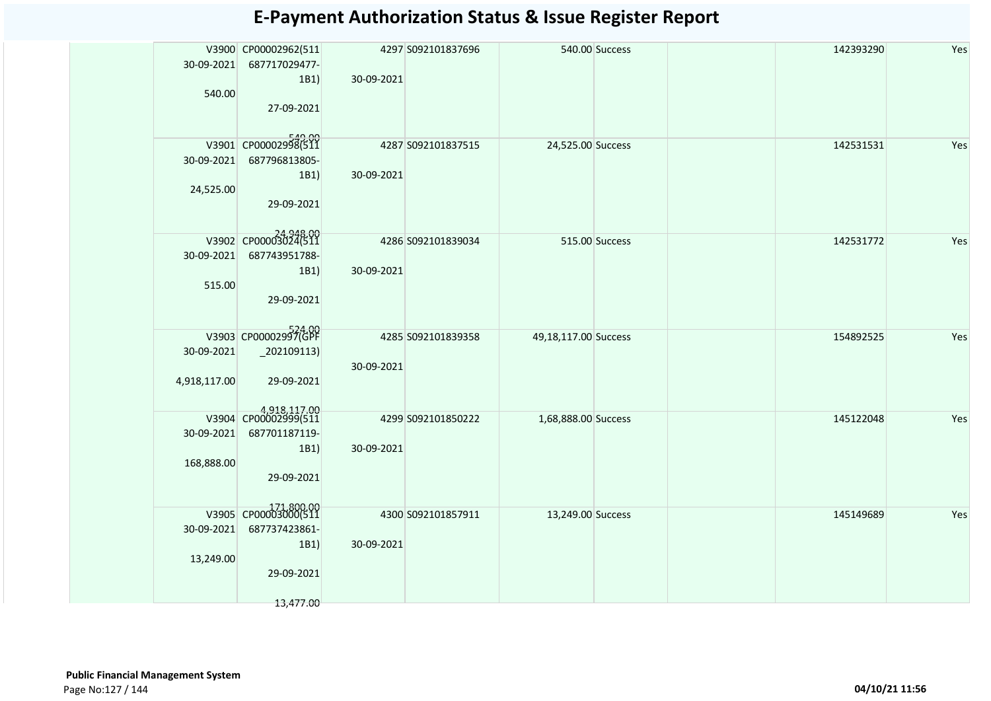| 30-09-2021<br>540.00       | V3900 CP00002962(511<br>687717029477-<br>1B1)<br>27-09-2021              | 30-09-2021 | 4297 S092101837696 |                      | 540.00 Success | 142393290 | Yes |
|----------------------------|--------------------------------------------------------------------------|------------|--------------------|----------------------|----------------|-----------|-----|
| 30-09-2021<br>24,525.00    | V3901 CP00002998(511<br>687796813805-<br>1B1)<br>29-09-2021              | 30-09-2021 | 4287 S092101837515 | 24,525.00 Success    |                | 142531531 | Yes |
| 30-09-2021<br>515.00       | 24948.00<br>V3902 CP00003024(511<br>687743951788-<br>1B1)<br>29-09-2021  | 30-09-2021 | 4286 S092101839034 |                      | 515.00 Success | 142531772 | Yes |
| 30-09-2021<br>4,918,117.00 | V3903 CP00002997(GPF<br>$\left[202109113\right)$<br>29-09-2021           | 30-09-2021 | 4285 S092101839358 | 49,18,117.00 Success |                | 154892525 | Yes |
| 30-09-2021<br>168,888.00   | 4,918,117.00<br>687701187119-<br>1B1)<br>29-09-2021                      | 30-09-2021 | 4299 S092101850222 | 1,68,888.00 Success  |                | 145122048 | Yes |
| 30-09-2021<br>13,249.00    | V3905 CP00003000(511<br>687737423861-<br>1B1)<br>29-09-2021<br>13,477.00 | 30-09-2021 | 4300 S092101857911 | 13,249.00 Success    |                | 145149689 | Yes |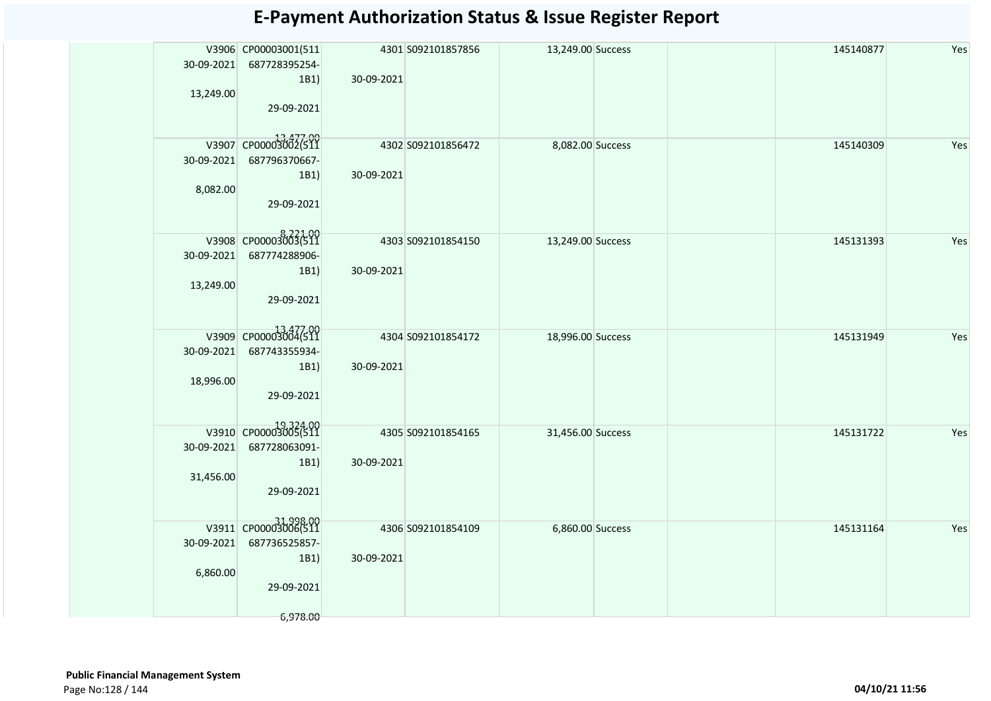| V3906 CP00003001(511<br>30-09-2021 687728395254- |                    | 4301 S092101857856 | 13,249.00 Success | 145140877 | Yes |
|--------------------------------------------------|--------------------|--------------------|-------------------|-----------|-----|
| 1B1)                                             | 30-09-2021         |                    |                   |           |     |
| 13,249.00                                        |                    |                    |                   |           |     |
| 29-09-2021                                       |                    |                    |                   |           |     |
|                                                  |                    |                    |                   |           |     |
| V3907 CP00003002(511                             |                    | 4302 S092101856472 | 8,082.00 Success  | 145140309 | Yes |
| 30-09-2021<br>687796370667-                      |                    |                    |                   |           |     |
| 1B1)                                             | 30-09-2021         |                    |                   |           |     |
| 8,082.00                                         |                    |                    |                   |           |     |
| 29-09-2021                                       |                    |                    |                   |           |     |
|                                                  |                    |                    |                   |           |     |
| V3908 CP00003003(511                             | 4303 S092101854150 |                    | 13,249.00 Success | 145131393 | Yes |
| 30-09-2021<br>687774288906-                      |                    |                    |                   |           |     |
| 1B1)<br>13,249.00                                | 30-09-2021         |                    |                   |           |     |
| 29-09-2021                                       |                    |                    |                   |           |     |
|                                                  |                    |                    |                   |           |     |
| V3909 CP00003004(511                             |                    |                    |                   | 145131949 | Yes |
| 30-09-2021<br>687743355934-                      |                    | 4304 S092101854172 | 18,996.00 Success |           |     |
| 1B1)                                             | 30-09-2021         |                    |                   |           |     |
| 18,996.00                                        |                    |                    |                   |           |     |
| 29-09-2021                                       |                    |                    |                   |           |     |
|                                                  |                    |                    |                   |           |     |
| V3910 CP00003005(511                             |                    | 4305 S092101854165 | 31,456.00 Success | 145131722 | Yes |
| 30-09-2021<br>687728063091-                      |                    |                    |                   |           |     |
| 1B1)                                             | 30-09-2021         |                    |                   |           |     |
| 31,456.00                                        |                    |                    |                   |           |     |
| 29-09-2021                                       |                    |                    |                   |           |     |
|                                                  |                    |                    |                   |           |     |
| 00-31-998<br> 2010 CP00003006(511                |                    | 4306 S092101854109 | 6,860.00 Success  | 145131164 | Yes |
| 687736525857-<br>30-09-2021<br>1B1)              | 30-09-2021         |                    |                   |           |     |
| 6,860.00                                         |                    |                    |                   |           |     |
| 29-09-2021                                       |                    |                    |                   |           |     |
|                                                  |                    |                    |                   |           |     |
| 6,978.00                                         |                    |                    |                   |           |     |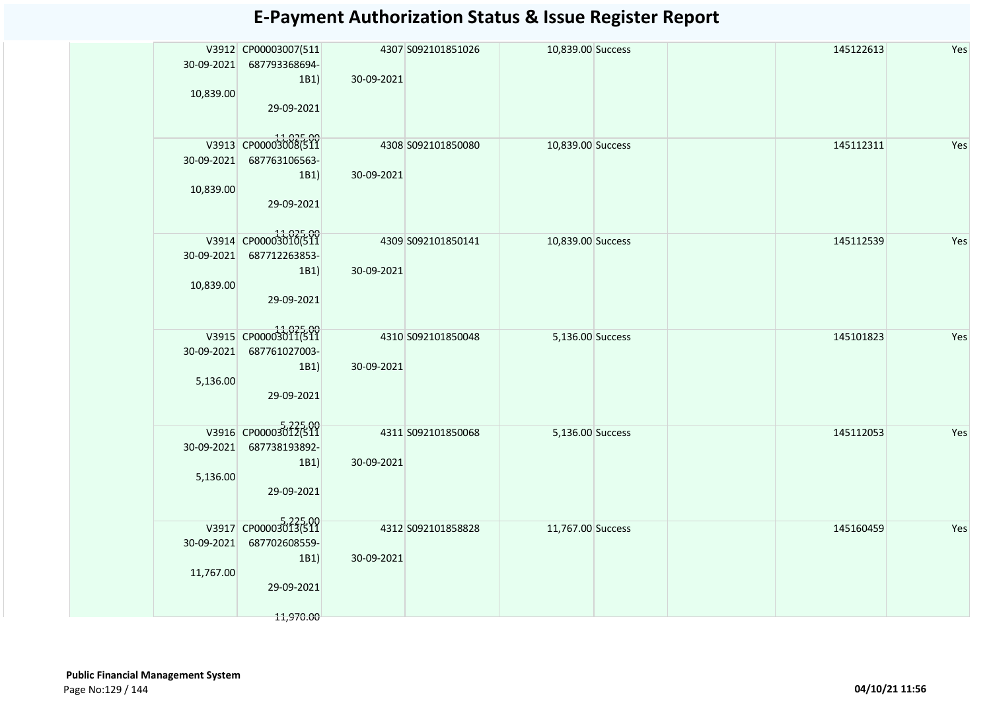| 30-09-2021 | V3912 CP00003007(511<br>687793368694- |            | 4307 S092101851026 | 10,839.00 Success | 145122613 | Yes |
|------------|---------------------------------------|------------|--------------------|-------------------|-----------|-----|
|            | 1B1)                                  | 30-09-2021 |                    |                   |           |     |
| 10,839.00  |                                       |            |                    |                   |           |     |
|            | 29-09-2021                            |            |                    |                   |           |     |
|            |                                       |            |                    |                   |           |     |
|            | V3913 CP00003008(511                  |            | 4308 S092101850080 | 10,839.00 Success | 145112311 | Yes |
| 30-09-2021 | 687763106563-                         |            |                    |                   |           |     |
|            | 1B1)                                  | 30-09-2021 |                    |                   |           |     |
| 10,839.00  |                                       |            |                    |                   |           |     |
|            | 29-09-2021                            |            |                    |                   |           |     |
|            |                                       |            |                    |                   |           |     |
|            | V3914 CP00003010(511                  |            | 4309 S092101850141 | 10,839.00 Success | 145112539 | Yes |
|            | 30-09-2021 687712263853-              |            |                    |                   |           |     |
|            | 1B1)                                  | 30-09-2021 |                    |                   |           |     |
| 10,839.00  |                                       |            |                    |                   |           |     |
|            | 29-09-2021                            |            |                    |                   |           |     |
|            |                                       |            |                    |                   |           |     |
|            | 11,025.00<br>V3915 CP00003011(511     |            | 4310 S092101850048 | 5,136.00 Success  | 145101823 | Yes |
| 30-09-2021 | 687761027003-                         |            |                    |                   |           |     |
|            | 1B1)                                  | 30-09-2021 |                    |                   |           |     |
| 5,136.00   |                                       |            |                    |                   |           |     |
|            | 29-09-2021                            |            |                    |                   |           |     |
|            |                                       |            |                    |                   |           |     |
|            | V3916 CP00003012(511                  |            | 4311 5092101850068 | 5,136.00 Success  | 145112053 | Yes |
| 30-09-2021 | 687738193892-                         |            |                    |                   |           |     |
|            | 1B1)                                  | 30-09-2021 |                    |                   |           |     |
| 5,136.00   |                                       |            |                    |                   |           |     |
|            | 29-09-2021                            |            |                    |                   |           |     |
|            |                                       |            |                    |                   |           |     |
|            | V3917 CP00003013(511                  |            | 4312 S092101858828 | 11,767.00 Success | 145160459 | Yes |
| 30-09-2021 | 687702608559-                         |            |                    |                   |           |     |
|            | 1B1)                                  | 30-09-2021 |                    |                   |           |     |
| 11,767.00  |                                       |            |                    |                   |           |     |
|            | 29-09-2021                            |            |                    |                   |           |     |
|            |                                       |            |                    |                   |           |     |
|            | 11,970.00                             |            |                    |                   |           |     |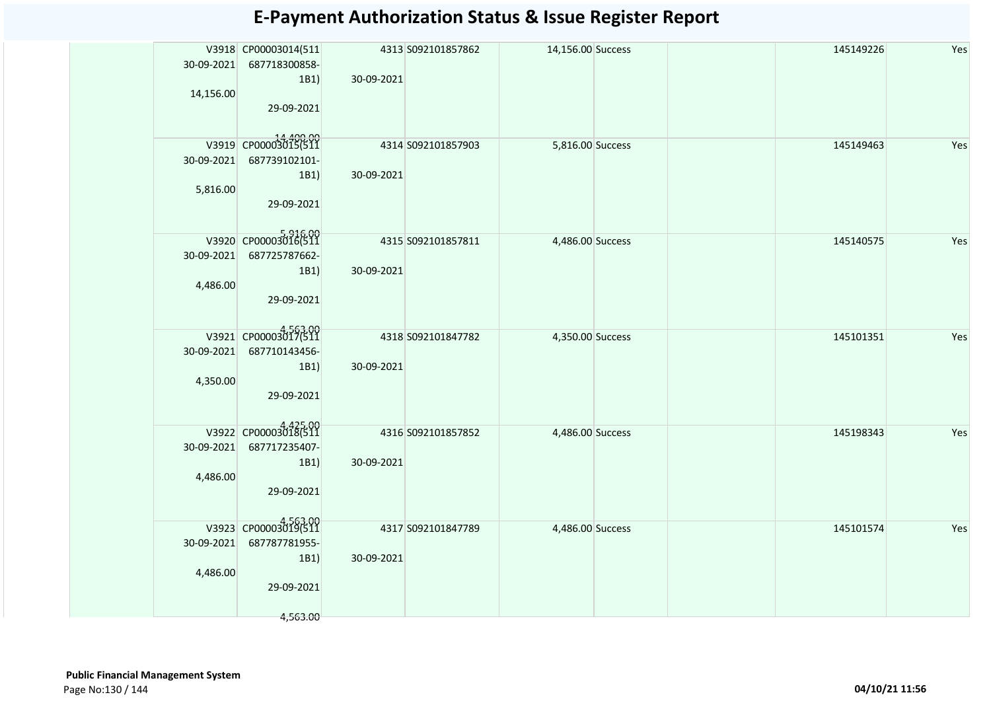|            | V3918 CP00003014(511 |            | 4313 S092101857862 | 14,156.00 Success |  | 145149226 | Yes |
|------------|----------------------|------------|--------------------|-------------------|--|-----------|-----|
| 30-09-2021 | 687718300858-        |            |                    |                   |  |           |     |
|            | 1B1)                 | 30-09-2021 |                    |                   |  |           |     |
| 14,156.00  | 29-09-2021           |            |                    |                   |  |           |     |
|            |                      |            |                    |                   |  |           |     |
|            |                      |            |                    |                   |  |           |     |
|            | V3919 CP00003015(511 |            | 4314 S092101857903 | 5,816.00 Success  |  | 145149463 | Yes |
| 30-09-2021 | 687739102101-        |            |                    |                   |  |           |     |
| 5,816.00   | 1B1)                 | 30-09-2021 |                    |                   |  |           |     |
|            | 29-09-2021           |            |                    |                   |  |           |     |
|            |                      |            |                    |                   |  |           |     |
|            | V3920 CP00003016(511 |            |                    |                   |  |           |     |
| 30-09-2021 | 687725787662-        |            | 4315 S092101857811 | 4,486.00 Success  |  | 145140575 | Yes |
|            | 1B1)                 | 30-09-2021 |                    |                   |  |           |     |
| 4,486.00   |                      |            |                    |                   |  |           |     |
|            | 29-09-2021           |            |                    |                   |  |           |     |
|            |                      |            |                    |                   |  |           |     |
|            | V3921 CP00003017(511 |            | 4318 S092101847782 |                   |  | 145101351 | Yes |
| 30-09-2021 | 687710143456-        |            |                    | 4,350.00 Success  |  |           |     |
|            | 1B1)                 | 30-09-2021 |                    |                   |  |           |     |
| 4,350.00   |                      |            |                    |                   |  |           |     |
|            | 29-09-2021           |            |                    |                   |  |           |     |
|            |                      |            |                    |                   |  |           |     |
|            | V3922 CP00003018(511 |            | 4316 S092101857852 | 4,486.00 Success  |  | 145198343 | Yes |
| 30-09-2021 | 687717235407-        |            |                    |                   |  |           |     |
|            | 1B1)                 | 30-09-2021 |                    |                   |  |           |     |
| 4,486.00   |                      |            |                    |                   |  |           |     |
|            | 29-09-2021           |            |                    |                   |  |           |     |
|            |                      |            |                    |                   |  |           |     |
|            | V3923 CP00003019(511 |            | 4317 S092101847789 | 4,486.00 Success  |  | 145101574 | Yes |
| 30-09-2021 | 687787781955-        |            |                    |                   |  |           |     |
|            | 1B1)                 | 30-09-2021 |                    |                   |  |           |     |
| 4,486.00   |                      |            |                    |                   |  |           |     |
|            | 29-09-2021           |            |                    |                   |  |           |     |
|            |                      |            |                    |                   |  |           |     |
|            | 4,563.00             |            |                    |                   |  |           |     |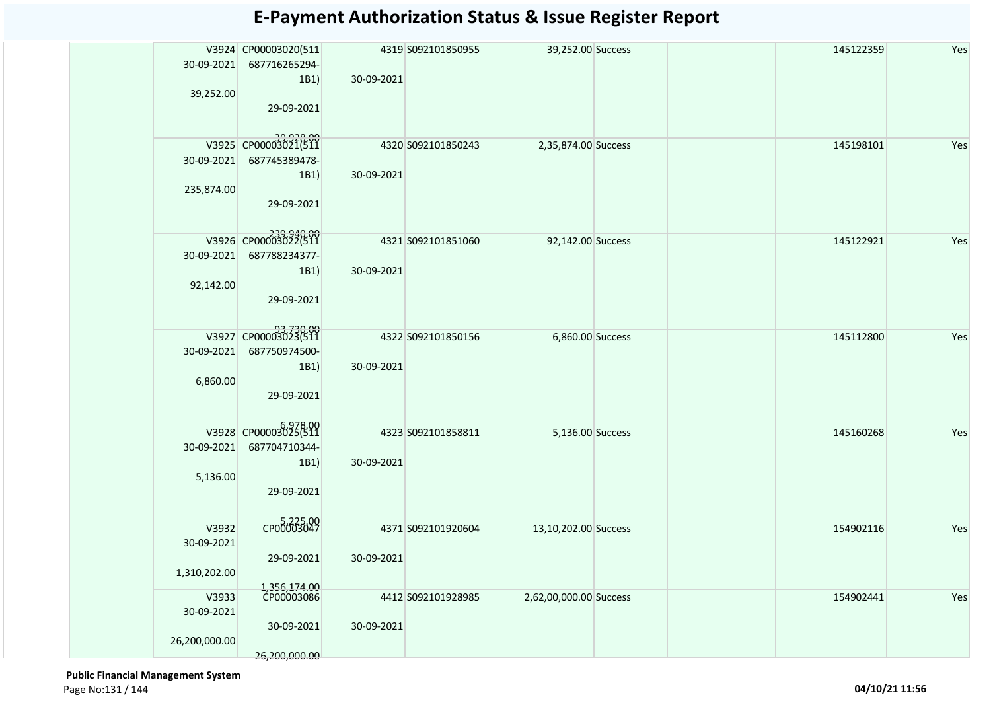| 30-09-2021<br>39,252.00              | V3924 CP00003020(511<br>687716265294-<br>1B1)<br>29-09-2021              | 30-09-2021 | 4319 S092101850955 | 39,252.00 Success      | 145122359 | Yes |
|--------------------------------------|--------------------------------------------------------------------------|------------|--------------------|------------------------|-----------|-----|
| 30-09-2021<br>235,874.00             | 39,928.00<br>V3925 CP00003021(511<br>687745389478-<br>1B1)<br>29-09-2021 | 30-09-2021 | 4320 S092101850243 | 2,35,874.00 Success    | 145198101 | Yes |
| 30-09-2021<br>92,142.00              | V3926 CP00003022(511<br>687788234377-<br>1B1)<br>29-09-2021              | 30-09-2021 | 4321 S092101851060 | 92,142.00 Success      | 145122921 | Yes |
| 30-09-2021<br>6,860.00               | 93,730.00<br>V3927 CP00003023(511<br>687750974500-<br>1B1)<br>29-09-2021 | 30-09-2021 | 4322 S092101850156 | 6,860.00 Success       | 145112800 | Yes |
| 30-09-2021<br>5,136.00               | V3928 CP00003025(511<br>687704710344-<br>1B1)<br>29-09-2021              | 30-09-2021 | 4323 S092101858811 | 5,136.00 Success       | 145160268 | Yes |
| V3932<br>30-09-2021<br>1,310,202.00  | CP00003047<br>29-09-2021                                                 | 30-09-2021 | 4371 S092101920604 | 13,10,202.00 Success   | 154902116 | Yes |
| V3933<br>30-09-2021<br>26,200,000.00 | 1,356,174.00<br>CP00003086<br>30-09-2021<br>26,200,000.00                | 30-09-2021 | 4412 S092101928985 | 2,62,00,000.00 Success | 154902441 | Yes |

 **Public Financial Management System**  Page No:131 / 144 **04/10/21 11:56**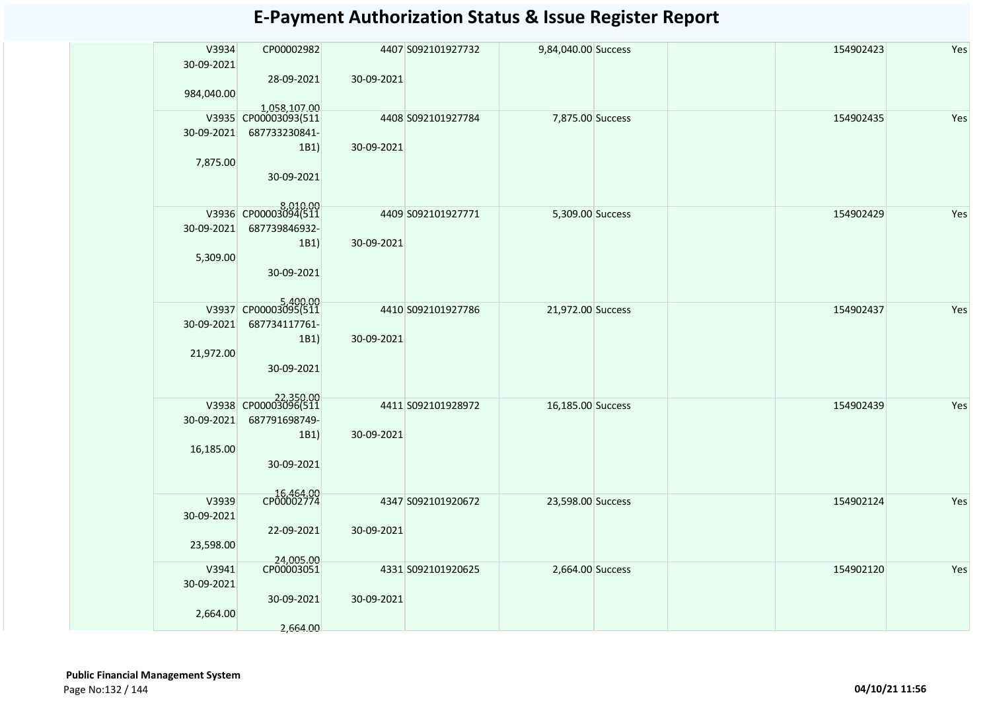| V3934      | CP00002982              |            | 4407 S092101927732 | 9,84,040.00 Success | 154902423 | Yes |
|------------|-------------------------|------------|--------------------|---------------------|-----------|-----|
| 30-09-2021 |                         |            |                    |                     |           |     |
|            | 28-09-2021              | 30-09-2021 |                    |                     |           |     |
| 984,040.00 |                         |            |                    |                     |           |     |
|            | 1,058,107.00            |            |                    |                     |           |     |
|            | V3935 CP00003093(511    |            | 4408 S092101927784 | 7,875.00 Success    | 154902435 | Yes |
| 30-09-2021 | 687733230841-           |            |                    |                     |           |     |
|            | 1B1)                    | 30-09-2021 |                    |                     |           |     |
| 7,875.00   |                         |            |                    |                     |           |     |
|            | 30-09-2021              |            |                    |                     |           |     |
|            |                         |            |                    |                     |           |     |
|            | V3936 CP00003094(511    |            | 4409 S092101927771 | 5,309.00 Success    | 154902429 | Yes |
| 30-09-2021 | 687739846932-           |            |                    |                     |           |     |
|            | 1B1)                    | 30-09-2021 |                    |                     |           |     |
| 5,309.00   |                         |            |                    |                     |           |     |
|            | 30-09-2021              |            |                    |                     |           |     |
|            |                         |            |                    |                     |           |     |
|            | V3937 CP00003095(511    |            |                    |                     |           |     |
|            |                         |            | 4410 S092101927786 | 21,972.00 Success   | 154902437 | Yes |
| 30-09-2021 | 687734117761-           |            |                    |                     |           |     |
|            | 1B1)                    | 30-09-2021 |                    |                     |           |     |
| 21,972.00  | 30-09-2021              |            |                    |                     |           |     |
|            |                         |            |                    |                     |           |     |
|            |                         |            |                    |                     |           |     |
|            | 22,350.00               |            | 4411 S092101928972 | 16,185.00 Success   | 154902439 | Yes |
| 30-09-2021 | 687791698749-           |            |                    |                     |           |     |
|            | 1B1)                    | 30-09-2021 |                    |                     |           |     |
| 16,185.00  |                         |            |                    |                     |           |     |
|            | 30-09-2021              |            |                    |                     |           |     |
|            |                         |            |                    |                     |           |     |
| V3939      | CP00002774              |            | 4347 S092101920672 | 23,598.00 Success   | 154902124 | Yes |
| 30-09-2021 |                         |            |                    |                     |           |     |
|            | 22-09-2021              | 30-09-2021 |                    |                     |           |     |
| 23,598.00  |                         |            |                    |                     |           |     |
|            | 24,005.00<br>CP00003051 |            |                    |                     |           |     |
| V3941      |                         |            | 4331 S092101920625 | 2,664.00 Success    | 154902120 | Yes |
| 30-09-2021 |                         |            |                    |                     |           |     |
|            | 30-09-2021              | 30-09-2021 |                    |                     |           |     |
| 2,664.00   |                         |            |                    |                     |           |     |
|            | 2,664.00                |            |                    |                     |           |     |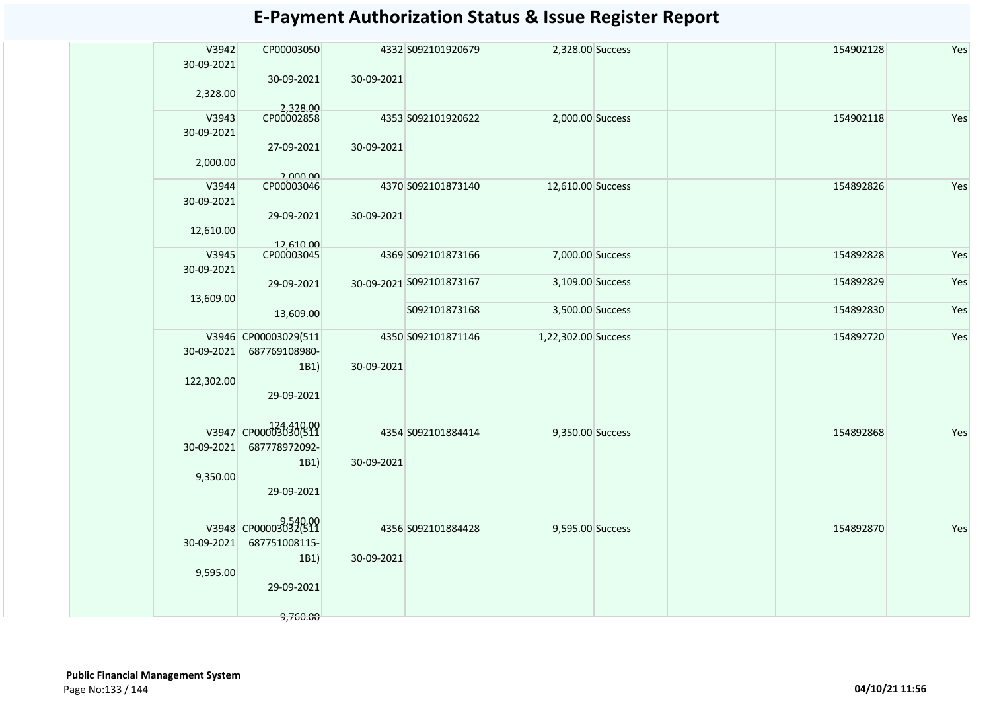| V3942<br>30-09-2021 | CP00003050<br>30-09-2021 | 30-09-2021 | 4332 S092101920679       | 2,328.00 Success    |  | 154902128 | Yes |
|---------------------|--------------------------|------------|--------------------------|---------------------|--|-----------|-----|
| 2,328.00            | 2,328.00                 |            |                          |                     |  |           |     |
| V3943               | CP00002858               |            | 4353 S092101920622       | 2,000.00 Success    |  | 154902118 | Yes |
| 30-09-2021          |                          |            |                          |                     |  |           |     |
| 2,000.00            | 27-09-2021               | 30-09-2021 |                          |                     |  |           |     |
| V3944               | 2,000.00<br>CP00003046   |            | 4370 S092101873140       | 12,610.00 Success   |  | 154892826 | Yes |
| 30-09-2021          |                          |            |                          |                     |  |           |     |
|                     | 29-09-2021               | 30-09-2021 |                          |                     |  |           |     |
| 12,610.00           |                          |            |                          |                     |  |           |     |
|                     |                          |            |                          |                     |  |           |     |
| V3945               | 12,610.00<br>CP00003045  |            | 4369 S092101873166       | 7,000.00 Success    |  | 154892828 | Yes |
| 30-09-2021          |                          |            |                          |                     |  |           |     |
|                     | 29-09-2021               |            | 30-09-2021 S092101873167 | 3,109.00 Success    |  | 154892829 | Yes |
| 13,609.00           |                          |            |                          |                     |  |           |     |
|                     | 13,609.00                |            | S092101873168            | 3,500.00 Success    |  | 154892830 | Yes |
|                     | V3946 CP00003029(511     |            | 4350 S092101871146       | 1,22,302.00 Success |  | 154892720 | Yes |
| 30-09-2021          | 687769108980-            |            |                          |                     |  |           |     |
|                     | 1B1)                     | 30-09-2021 |                          |                     |  |           |     |
| 122,302.00          |                          |            |                          |                     |  |           |     |
|                     | 29-09-2021               |            |                          |                     |  |           |     |
|                     |                          |            |                          |                     |  |           |     |
|                     | V3947 CP0000303030(511   |            |                          |                     |  |           |     |
|                     |                          |            | 4354 S092101884414       | 9,350.00 Success    |  | 154892868 | Yes |
| 30-09-2021          | 687778972092-            |            |                          |                     |  |           |     |
|                     | 1B1)                     | 30-09-2021 |                          |                     |  |           |     |
| 9,350.00            |                          |            |                          |                     |  |           |     |
|                     | 29-09-2021               |            |                          |                     |  |           |     |
|                     |                          |            |                          |                     |  |           |     |
|                     | V3948 CP00003032(511     |            | 4356 S092101884428       | 9,595.00 Success    |  | 154892870 | Yes |
| 30-09-2021          | 687751008115-            |            |                          |                     |  |           |     |
|                     | 1B1)                     | 30-09-2021 |                          |                     |  |           |     |
| 9,595.00            |                          |            |                          |                     |  |           |     |
|                     | 29-09-2021               |            |                          |                     |  |           |     |
|                     |                          |            |                          |                     |  |           |     |
|                     | 9,760.00                 |            |                          |                     |  |           |     |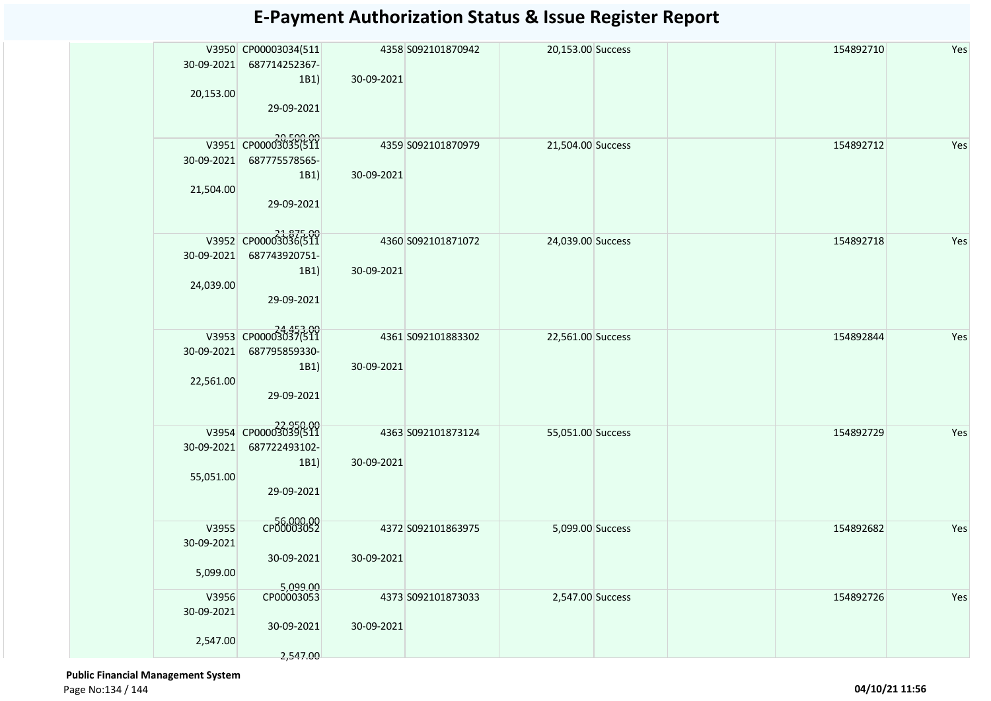| 30-09-2021<br>20,153.00         | V3950 CP00003034(511<br>687714252367-<br>1B1)<br>29-09-2021              | 4358 S092101870942<br>30-09-2021 | 20,153.00 Success | Yes<br>154892710 |
|---------------------------------|--------------------------------------------------------------------------|----------------------------------|-------------------|------------------|
| 30-09-2021<br>21,504.00         | 20,500.00<br>V3951 CP00003035(511<br>687775578565-<br>1B1)<br>29-09-2021 | 4359 S092101870979<br>30-09-2021 | 21,504.00 Success | 154892712<br>Yes |
| 30-09-2021<br>24,039.00         | 21,875.00<br>V3952 CP00003036(511<br>687743920751-<br>1B1)<br>29-09-2021 | 4360 S092101871072<br>30-09-2021 | 24,039.00 Success | 154892718<br>Yes |
| 30-09-2021<br>22,561.00         | 24,453.00<br>687795859330-<br>1B1)<br>29-09-2021                         | 4361 S092101883302<br>30-09-2021 | 22,561.00 Success | Yes<br>154892844 |
| 30-09-2021<br>55,051.00         | 22,950.00<br>V3954 CP00003039(511<br>687722493102-<br>1B1)<br>29-09-2021 | 4363 S092101873124<br>30-09-2021 | 55,051.00 Success | Yes<br>154892729 |
| V3955<br>30-09-2021<br>5,099.00 | CP00003052<br>30-09-2021<br>5,099.00                                     | 4372 S092101863975<br>30-09-2021 | 5,099.00 Success  | Yes<br>154892682 |
| V3956<br>30-09-2021<br>2,547.00 | CP00003053<br>30-09-2021<br>2,547.00                                     | 4373 S092101873033<br>30-09-2021 | 2,547.00 Success  | 154892726<br>Yes |

 **Public Financial Management System**  Page No:134 / 144 **04/10/21 11:56**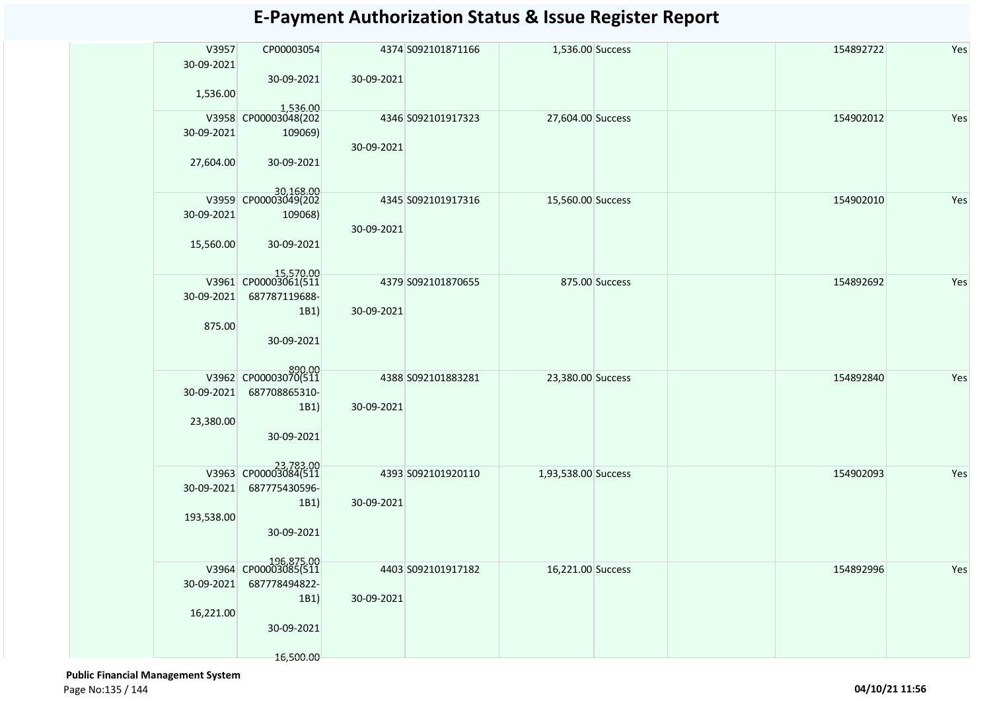| V3957<br>30-09-2021 | CP00003054                         |            | 4374 S092101871166 | 1,536.00 Success    |                | 154892722 | Yes |
|---------------------|------------------------------------|------------|--------------------|---------------------|----------------|-----------|-----|
|                     | 30-09-2021                         | 30-09-2021 |                    |                     |                |           |     |
| 1,536.00            |                                    |            |                    |                     |                |           |     |
|                     | 1,536.00<br>V3958 CP00003048(202   |            | 4346 S092101917323 | 27,604.00 Success   |                | 154902012 | Yes |
| 30-09-2021          | 109069)                            | 30-09-2021 |                    |                     |                |           |     |
| 27,604.00           | 30-09-2021                         |            |                    |                     |                |           |     |
|                     | 30,168.00<br>V3959 CP00003049(202  |            | 4345 S092101917316 | 15,560.00 Success   |                | 154902010 | Yes |
| 30-09-2021          | 109068)                            |            |                    |                     |                |           |     |
|                     |                                    | 30-09-2021 |                    |                     |                |           |     |
| 15,560.00           | 30-09-2021                         |            |                    |                     |                |           |     |
|                     | 15,570.00<br>V3961 CP00003061(511  |            | 4379 S092101870655 |                     | 875.00 Success | 154892692 | Yes |
| 30-09-2021          | 687787119688-                      |            |                    |                     |                |           |     |
|                     | 1B1)                               | 30-09-2021 |                    |                     |                |           |     |
| 875.00              | 30-09-2021                         |            |                    |                     |                |           |     |
|                     |                                    |            |                    |                     |                |           |     |
|                     | V3962 CP00003070(511               |            | 4388 S092101883281 | 23,380.00 Success   |                | 154892840 | Yes |
| 30-09-2021          | 687708865310-<br>1B1)              | 30-09-2021 |                    |                     |                |           |     |
| 23,380.00           |                                    |            |                    |                     |                |           |     |
|                     | 30-09-2021                         |            |                    |                     |                |           |     |
|                     | V3963 CP00003084(511               |            |                    |                     |                |           |     |
| 30-09-2021          | 687775430596-                      |            | 4393 S092101920110 | 1,93,538.00 Success |                | 154902093 | Yes |
|                     | 1B1)                               | 30-09-2021 |                    |                     |                |           |     |
| 193,538.00          | 30-09-2021                         |            |                    |                     |                |           |     |
|                     |                                    |            |                    |                     |                |           |     |
|                     | 196,875.00<br>V3964 CP00003085(511 |            | 4403 S092101917182 | 16,221.00 Success   |                | 154892996 | Yes |
| 30-09-2021          | 687778494822-                      |            |                    |                     |                |           |     |
| 16,221.00           | 1B1)                               | 30-09-2021 |                    |                     |                |           |     |
|                     | 30-09-2021                         |            |                    |                     |                |           |     |
|                     | 16,500.00                          |            |                    |                     |                |           |     |

 **Public Financial Management System**  Page No:135 / 144 **04/10/21 11:56**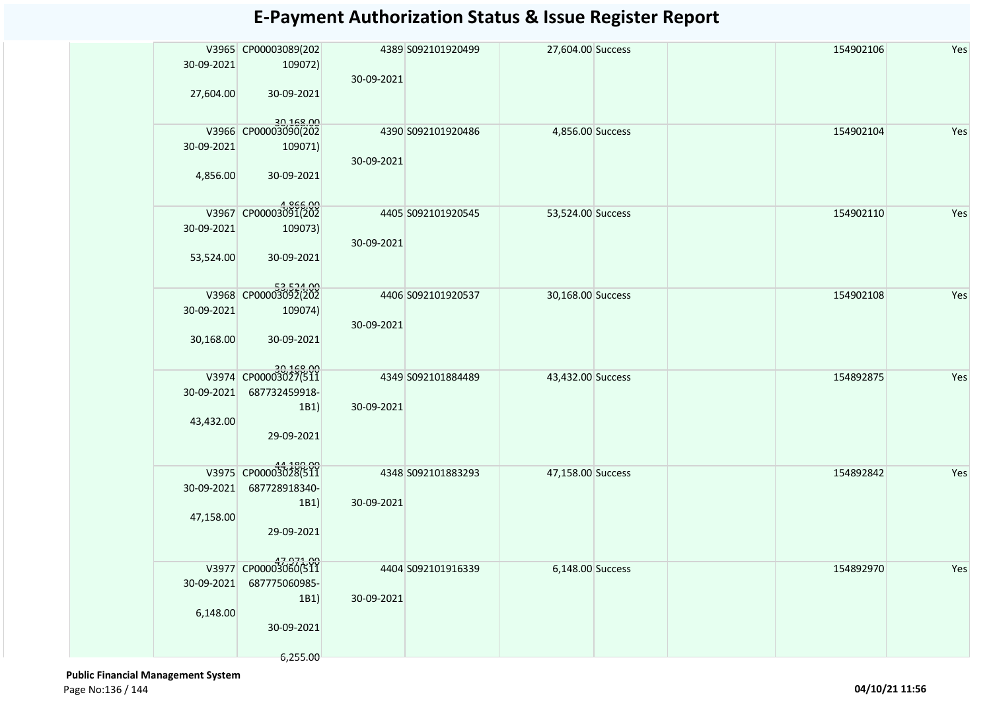|            | V3965 CP00003089(202              |            | 4389 S092101920499 | 27,604.00 Success |  | 154902106 | Yes |
|------------|-----------------------------------|------------|--------------------|-------------------|--|-----------|-----|
| 30-09-2021 | 109072)                           |            |                    |                   |  |           |     |
|            |                                   | 30-09-2021 |                    |                   |  |           |     |
|            |                                   |            |                    |                   |  |           |     |
| 27,604.00  | 30-09-2021                        |            |                    |                   |  |           |     |
|            |                                   |            |                    |                   |  |           |     |
|            | 30,168.00<br>V3966 CP00003090(202 |            | 4390 S092101920486 | 4,856.00 Success  |  | 154902104 | Yes |
| 30-09-2021 | 109071)                           |            |                    |                   |  |           |     |
|            |                                   | 30-09-2021 |                    |                   |  |           |     |
| 4,856.00   | 30-09-2021                        |            |                    |                   |  |           |     |
|            |                                   |            |                    |                   |  |           |     |
|            |                                   |            |                    |                   |  |           |     |
| V3967      | 4,866.00<br>CP00003091(202        |            | 4405 S092101920545 | 53,524.00 Success |  | 154902110 | Yes |
| 30-09-2021 | 109073)                           |            |                    |                   |  |           |     |
|            |                                   | 30-09-2021 |                    |                   |  |           |     |
| 53,524.00  | 30-09-2021                        |            |                    |                   |  |           |     |
|            |                                   |            |                    |                   |  |           |     |
|            |                                   |            |                    |                   |  |           |     |
|            | 53,524.00                         |            | 4406 S092101920537 | 30,168.00 Success |  | 154902108 | Yes |
| 30-09-2021 | 109074)                           |            |                    |                   |  |           |     |
|            |                                   | 30-09-2021 |                    |                   |  |           |     |
| 30,168.00  | 30-09-2021                        |            |                    |                   |  |           |     |
|            |                                   |            |                    |                   |  |           |     |
|            | 30,168.00<br>V3974 CP00003027(511 |            |                    |                   |  |           |     |
|            |                                   |            | 4349 S092101884489 | 43,432.00 Success |  | 154892875 | Yes |
| 30-09-2021 | 687732459918-                     |            |                    |                   |  |           |     |
|            | 1B1)                              | 30-09-2021 |                    |                   |  |           |     |
| 43,432.00  |                                   |            |                    |                   |  |           |     |
|            | 29-09-2021                        |            |                    |                   |  |           |     |
|            |                                   |            |                    |                   |  |           |     |
| V3975      | 44,180.00<br>CP00003028(511       |            | 4348 S092101883293 | 47,158.00 Success |  | 154892842 | Yes |
| 30-09-2021 | 687728918340-                     |            |                    |                   |  |           |     |
|            | 1B1)                              | 30-09-2021 |                    |                   |  |           |     |
| 47,158.00  |                                   |            |                    |                   |  |           |     |
|            | 29-09-2021                        |            |                    |                   |  |           |     |
|            |                                   |            |                    |                   |  |           |     |
|            |                                   |            |                    |                   |  |           |     |
|            | 47,971.00<br>V3977 CP00003060(511 |            | 4404 S092101916339 | 6,148.00 Success  |  | 154892970 | Yes |
| 30-09-2021 | 687775060985-                     |            |                    |                   |  |           |     |
|            | 1B1)                              | 30-09-2021 |                    |                   |  |           |     |
| 6,148.00   |                                   |            |                    |                   |  |           |     |
|            | 30-09-2021                        |            |                    |                   |  |           |     |
|            |                                   |            |                    |                   |  |           |     |
|            | 6,255.00                          |            |                    |                   |  |           |     |

 **Public Financial Management System**  Page No:136 / 144 **04/10/21 11:56**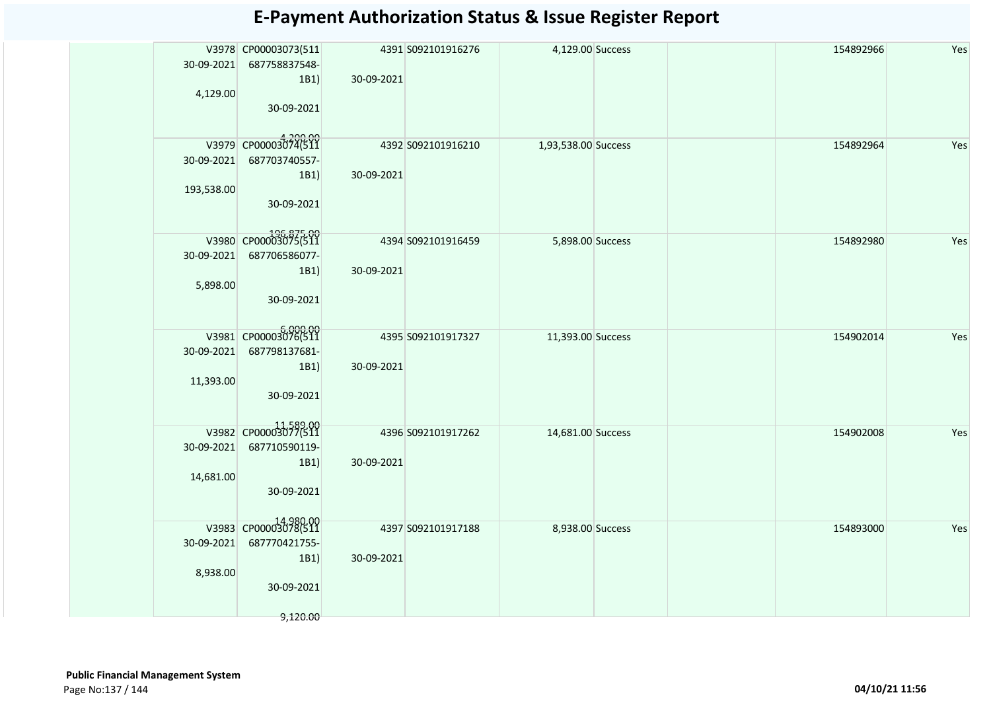|            | V3978 CP00003073(511               |            | 4391 S092101916276 | 4,129.00 Success    |  | 154892966 | Yes |
|------------|------------------------------------|------------|--------------------|---------------------|--|-----------|-----|
| 30-09-2021 | 687758837548-                      |            |                    |                     |  |           |     |
|            | 1B1)                               | 30-09-2021 |                    |                     |  |           |     |
| 4,129.00   | 30-09-2021                         |            |                    |                     |  |           |     |
|            |                                    |            |                    |                     |  |           |     |
|            | V3979 CP00003074(511               |            |                    |                     |  |           |     |
|            |                                    |            | 4392 S092101916210 | 1,93,538.00 Success |  | 154892964 | Yes |
| 30-09-2021 | 687703740557-                      |            |                    |                     |  |           |     |
| 193,538.00 | 1B1)                               | 30-09-2021 |                    |                     |  |           |     |
|            | 30-09-2021                         |            |                    |                     |  |           |     |
|            |                                    |            |                    |                     |  |           |     |
|            | 196,875.00<br>V3980 CP00003075(511 |            |                    |                     |  |           |     |
| 30-09-2021 | 687706586077-                      |            | 4394 S092101916459 | 5,898.00 Success    |  | 154892980 | Yes |
|            | 1B1)                               | 30-09-2021 |                    |                     |  |           |     |
| 5,898.00   |                                    |            |                    |                     |  |           |     |
|            | 30-09-2021                         |            |                    |                     |  |           |     |
|            |                                    |            |                    |                     |  |           |     |
|            | 6,000.00<br>V3981 CP00003076(511   |            | 4395 S092101917327 | 11,393.00 Success   |  | 154902014 | Yes |
| 30-09-2021 | 687798137681-                      |            |                    |                     |  |           |     |
|            | 1B1)                               | 30-09-2021 |                    |                     |  |           |     |
| 11,393.00  |                                    |            |                    |                     |  |           |     |
|            | 30-09-2021                         |            |                    |                     |  |           |     |
|            |                                    |            |                    |                     |  |           |     |
|            | V3982 CP00003077(511               |            | 4396 S092101917262 | 14,681.00 Success   |  | 154902008 | Yes |
| 30-09-2021 | 687710590119-                      |            |                    |                     |  |           |     |
|            | 1B1)                               | 30-09-2021 |                    |                     |  |           |     |
| 14,681.00  |                                    |            |                    |                     |  |           |     |
|            | 30-09-2021                         |            |                    |                     |  |           |     |
|            |                                    |            |                    |                     |  |           |     |
|            | V3983 CP00003078(511               |            | 4397 S092101917188 | 8,938.00 Success    |  | 154893000 | Yes |
| 30-09-2021 | 687770421755-                      |            |                    |                     |  |           |     |
|            | 1B1)                               | 30-09-2021 |                    |                     |  |           |     |
| 8,938.00   |                                    |            |                    |                     |  |           |     |
|            | 30-09-2021                         |            |                    |                     |  |           |     |
|            | 9,120.00                           |            |                    |                     |  |           |     |
|            |                                    |            |                    |                     |  |           |     |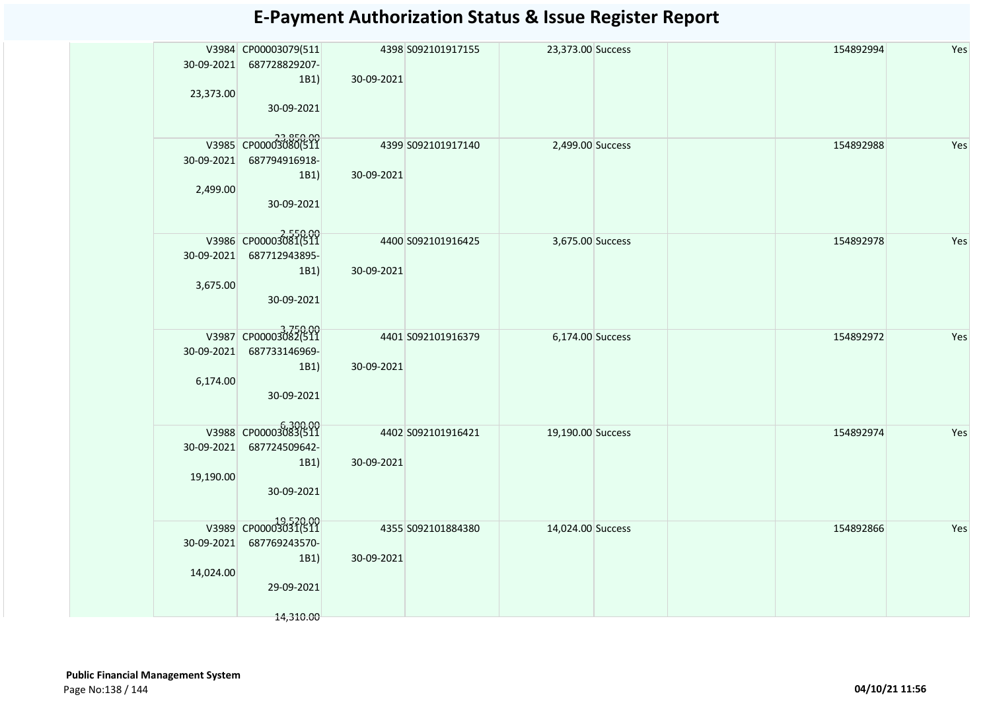|            | V3984 CP00003079(511             |            | 4398 S092101917155 | 23,373.00 Success |  | 154892994 | Yes |
|------------|----------------------------------|------------|--------------------|-------------------|--|-----------|-----|
| 30-09-2021 | 687728829207-                    |            |                    |                   |  |           |     |
|            | 1B1)                             | 30-09-2021 |                    |                   |  |           |     |
| 23,373.00  |                                  |            |                    |                   |  |           |     |
|            | 30-09-2021                       |            |                    |                   |  |           |     |
|            |                                  |            |                    |                   |  |           |     |
|            | 23,850.00                        |            | 4399 S092101917140 | 2,499.00 Success  |  | 154892988 | Yes |
| 30-09-2021 | 687794916918-                    |            |                    |                   |  |           |     |
|            | 1B1)                             | 30-09-2021 |                    |                   |  |           |     |
| 2,499.00   |                                  |            |                    |                   |  |           |     |
|            | 30-09-2021                       |            |                    |                   |  |           |     |
|            |                                  |            |                    |                   |  |           |     |
|            | 2,550.00<br>V3986 CP00003081(511 |            | 4400 S092101916425 | 3,675.00 Success  |  | 154892978 | Yes |
| 30-09-2021 | 687712943895-                    |            |                    |                   |  |           |     |
|            | 1B1)                             | 30-09-2021 |                    |                   |  |           |     |
| 3,675.00   |                                  |            |                    |                   |  |           |     |
|            | 30-09-2021                       |            |                    |                   |  |           |     |
|            |                                  |            |                    |                   |  |           |     |
|            | V3987 CP00003082(511             |            | 4401 S092101916379 | 6,174.00 Success  |  | 154892972 | Yes |
| 30-09-2021 | 687733146969-                    |            |                    |                   |  |           |     |
|            | 1B1)                             | 30-09-2021 |                    |                   |  |           |     |
| 6,174.00   |                                  |            |                    |                   |  |           |     |
|            | 30-09-2021                       |            |                    |                   |  |           |     |
|            |                                  |            |                    |                   |  |           |     |
|            | V3988 CP00003083(511             |            | 4402 S092101916421 | 19,190.00 Success |  | 154892974 | Yes |
| 30-09-2021 | 687724509642-                    |            |                    |                   |  |           |     |
|            | 1B1)                             | 30-09-2021 |                    |                   |  |           |     |
| 19,190.00  |                                  |            |                    |                   |  |           |     |
|            | 30-09-2021                       |            |                    |                   |  |           |     |
|            |                                  |            |                    |                   |  |           |     |
|            | V3989 CP00003031(511             |            | 4355 S092101884380 | 14,024.00 Success |  | 154892866 | Yes |
| 30-09-2021 | 687769243570-                    |            |                    |                   |  |           |     |
|            | 1B1)                             | 30-09-2021 |                    |                   |  |           |     |
| 14,024.00  |                                  |            |                    |                   |  |           |     |
|            | 29-09-2021                       |            |                    |                   |  |           |     |
|            |                                  |            |                    |                   |  |           |     |
|            | 14,310.00                        |            |                    |                   |  |           |     |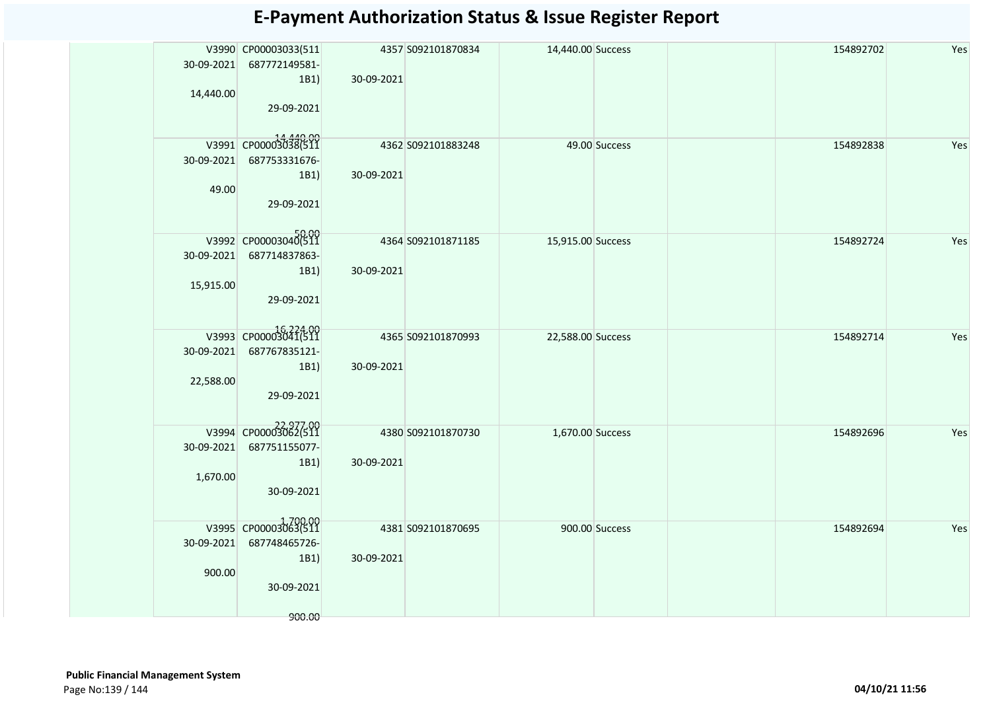|            | V3990 CP00003033(511     |            | 4357 S092101870834 | 14,440.00 Success |                | 154892702 | Yes |
|------------|--------------------------|------------|--------------------|-------------------|----------------|-----------|-----|
| 30-09-2021 | 687772149581-            |            |                    |                   |                |           |     |
|            | 1B1)                     | 30-09-2021 |                    |                   |                |           |     |
| 14,440.00  |                          |            |                    |                   |                |           |     |
|            | 29-09-2021               |            |                    |                   |                |           |     |
|            |                          |            |                    |                   |                |           |     |
|            |                          |            |                    |                   |                |           |     |
|            | V3991 CP00003038(511     |            | 4362 S092101883248 |                   | 49.00 Success  | 154892838 | Yes |
|            | 30-09-2021 687753331676- |            |                    |                   |                |           |     |
|            | 1B1)                     | 30-09-2021 |                    |                   |                |           |     |
| 49.00      |                          |            |                    |                   |                |           |     |
|            | 29-09-2021               |            |                    |                   |                |           |     |
|            |                          |            |                    |                   |                |           |     |
|            | V3992 CP00003040(511     |            |                    |                   |                |           |     |
|            | 30-09-2021 687714837863- |            | 4364 S092101871185 | 15,915.00 Success |                | 154892724 | Yes |
|            |                          |            |                    |                   |                |           |     |
|            | 1B1)                     | 30-09-2021 |                    |                   |                |           |     |
| 15,915.00  |                          |            |                    |                   |                |           |     |
|            | 29-09-2021               |            |                    |                   |                |           |     |
|            |                          |            |                    |                   |                |           |     |
|            | V3993 CP00003041(511     |            | 4365 S092101870993 | 22,588.00 Success |                | 154892714 | Yes |
| 30-09-2021 | 687767835121-            |            |                    |                   |                |           |     |
|            | 1B1)                     | 30-09-2021 |                    |                   |                |           |     |
| 22,588.00  |                          |            |                    |                   |                |           |     |
|            | 29-09-2021               |            |                    |                   |                |           |     |
|            |                          |            |                    |                   |                |           |     |
|            | V3994 CP00003062(511     |            |                    |                   |                |           |     |
|            |                          |            | 4380 S092101870730 | 1,670.00 Success  |                | 154892696 | Yes |
| 30-09-2021 | 687751155077-            |            |                    |                   |                |           |     |
|            | 1B1)                     | 30-09-2021 |                    |                   |                |           |     |
| 1,670.00   |                          |            |                    |                   |                |           |     |
|            | 30-09-2021               |            |                    |                   |                |           |     |
|            |                          |            |                    |                   |                |           |     |
|            | V3995 CP00003063(511     |            | 4381 S092101870695 |                   | 900.00 Success | 154892694 | Yes |
| 30-09-2021 | 687748465726-            |            |                    |                   |                |           |     |
|            | 1B1)                     | 30-09-2021 |                    |                   |                |           |     |
| 900.00     |                          |            |                    |                   |                |           |     |
|            | 30-09-2021               |            |                    |                   |                |           |     |
|            |                          |            |                    |                   |                |           |     |
|            | 900.00                   |            |                    |                   |                |           |     |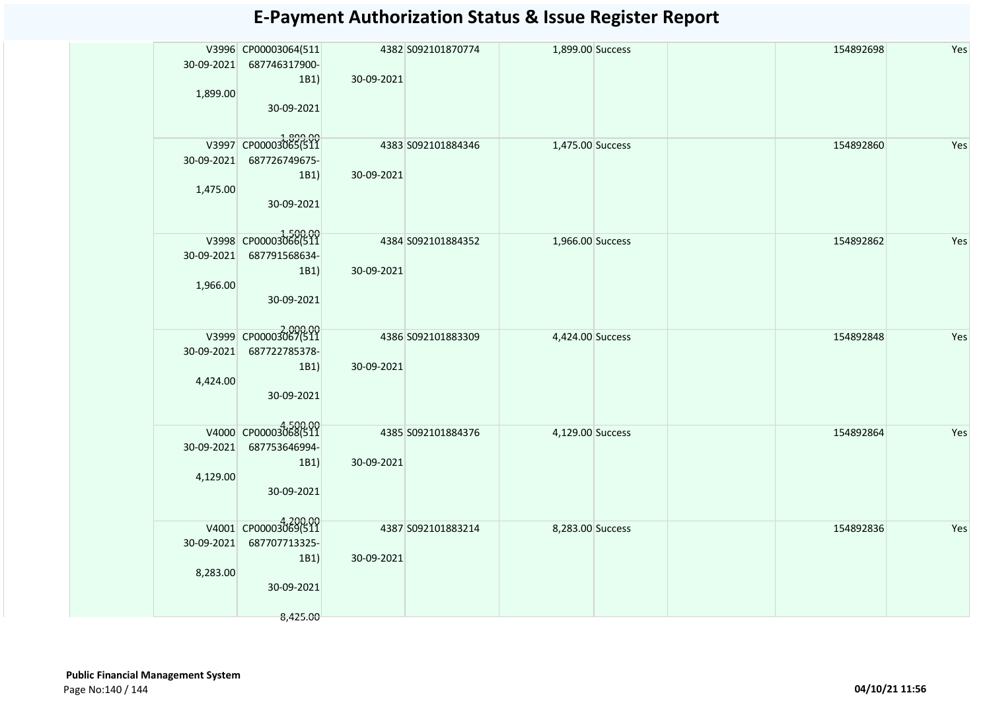|            | V3996 CP00003064(511            |            | 4382 S092101870774 | 1,899.00 Success |  | 154892698 | Yes |
|------------|---------------------------------|------------|--------------------|------------------|--|-----------|-----|
| 30-09-2021 | 687746317900-                   |            |                    |                  |  |           |     |
|            | 1B1)                            | 30-09-2021 |                    |                  |  |           |     |
| 1,899.00   |                                 |            |                    |                  |  |           |     |
|            | 30-09-2021                      |            |                    |                  |  |           |     |
|            |                                 |            |                    |                  |  |           |     |
|            |                                 |            |                    |                  |  |           |     |
|            | 1899.00<br>V3997 CP00003065(511 |            | 4383 S092101884346 | 1,475.00 Success |  | 154892860 | Yes |
| 30-09-2021 | 687726749675-                   |            |                    |                  |  |           |     |
|            | 1B1)                            | 30-09-2021 |                    |                  |  |           |     |
| 1,475.00   |                                 |            |                    |                  |  |           |     |
|            | 30-09-2021                      |            |                    |                  |  |           |     |
|            |                                 |            |                    |                  |  |           |     |
|            |                                 |            |                    |                  |  |           |     |
|            | V3998 CP00003066(511            |            | 4384 S092101884352 | 1,966.00 Success |  | 154892862 | Yes |
| 30-09-2021 | 687791568634-                   |            |                    |                  |  |           |     |
|            | 1B1)                            | 30-09-2021 |                    |                  |  |           |     |
| 1,966.00   |                                 |            |                    |                  |  |           |     |
|            | 30-09-2021                      |            |                    |                  |  |           |     |
|            |                                 |            |                    |                  |  |           |     |
|            |                                 |            |                    |                  |  |           |     |
|            | 2,000.00                        |            | 4386 S092101883309 | 4,424.00 Success |  | 154892848 | Yes |
| 30-09-2021 | 687722785378-                   |            |                    |                  |  |           |     |
|            | 1B1)                            | 30-09-2021 |                    |                  |  |           |     |
|            |                                 |            |                    |                  |  |           |     |
| 4,424.00   |                                 |            |                    |                  |  |           |     |
|            | 30-09-2021                      |            |                    |                  |  |           |     |
|            |                                 |            |                    |                  |  |           |     |
|            | V4000 CP00003068(511            |            | 4385 S092101884376 | 4,129.00 Success |  | 154892864 | Yes |
| 30-09-2021 | 687753646994-                   |            |                    |                  |  |           |     |
|            |                                 |            |                    |                  |  |           |     |
|            | 1B1)                            | 30-09-2021 |                    |                  |  |           |     |
| 4,129.00   |                                 |            |                    |                  |  |           |     |
|            | 30-09-2021                      |            |                    |                  |  |           |     |
|            |                                 |            |                    |                  |  |           |     |
|            | V4001 CP00003069(511            |            | 4387 S092101883214 | 8,283.00 Success |  | 154892836 | Yes |
| 30-09-2021 | 687707713325-                   |            |                    |                  |  |           |     |
|            |                                 |            |                    |                  |  |           |     |
|            | 1B1)                            | 30-09-2021 |                    |                  |  |           |     |
| 8,283.00   |                                 |            |                    |                  |  |           |     |
|            | 30-09-2021                      |            |                    |                  |  |           |     |
|            |                                 |            |                    |                  |  |           |     |
|            | 8,425.00                        |            |                    |                  |  |           |     |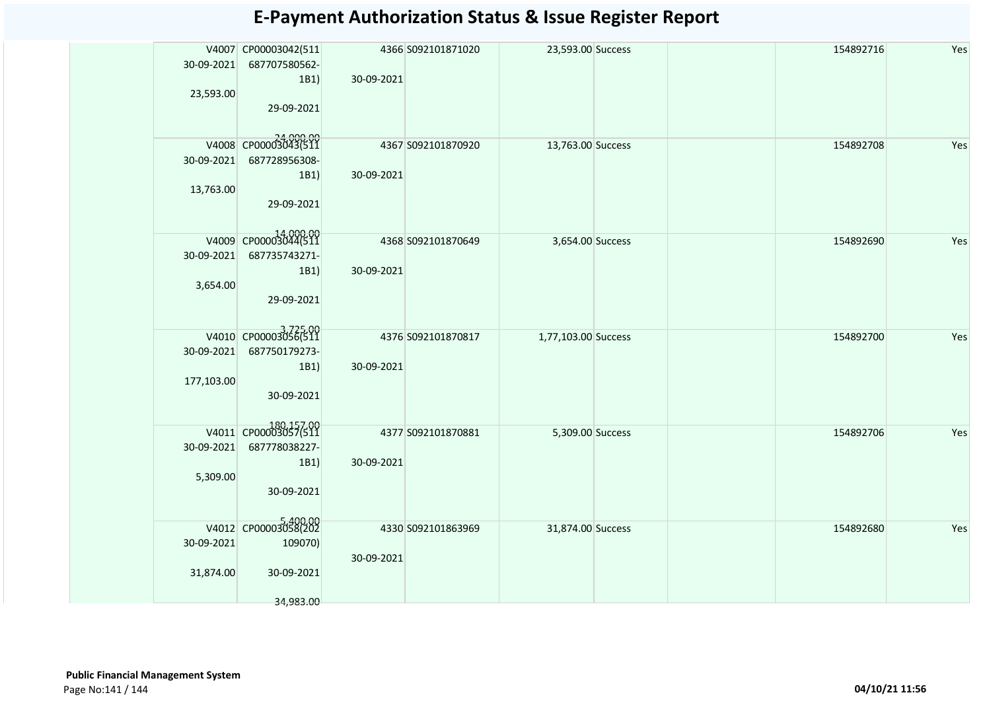| 23,593.00                | V4007 CP00003042(511<br>30-09-2021 687707580562-<br>1B1)<br>29-09-2021    | 30-09-2021 | 4366 S092101871020 | 23,593.00 Success   | 154892716 | Yes |
|--------------------------|---------------------------------------------------------------------------|------------|--------------------|---------------------|-----------|-----|
| 30-09-2021<br>13,763.00  | 24,000.00<br>V4008 CP00003043(511<br>687728956308-<br>1B1)<br>29-09-2021  | 30-09-2021 | 4367 S092101870920 | 13,763.00 Success   | 154892708 | Yes |
| 30-09-2021<br>3,654.00   | V4009 CP00003044(511<br>687735743271-<br>1B1)<br>29-09-2021               | 30-09-2021 | 4368 S092101870649 | 3,654.00 Success    | 154892690 | Yes |
| 30-09-2021<br>177,103.00 | V4010 CP00003056(511<br>687750179273-<br>1B1)<br>30-09-2021               | 30-09-2021 | 4376 S092101870817 | 1,77,103.00 Success | 154892700 | Yes |
| 30-09-2021<br>5,309.00   | 180,157.00<br>V4011 CP00003057(511<br>687778038227-<br>1B1)<br>30-09-2021 | 30-09-2021 | 4377 S092101870881 | 5,309.00 Success    | 154892706 | Yes |
| 30-09-2021<br>31,874.00  | V4012 CP00003058(202<br>109070)<br>30-09-2021<br>34,983.00                | 30-09-2021 | 4330 S092101863969 | 31,874.00 Success   | 154892680 | Yes |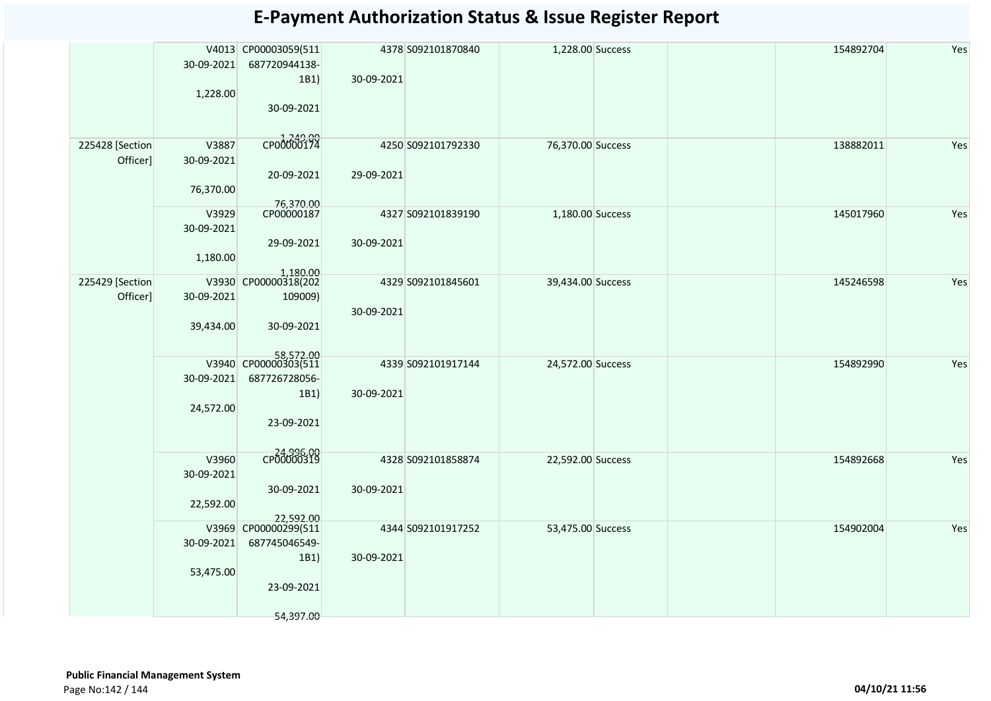|                             | 30-09-2021<br>1,228.00           | V4013 CP00003059(511<br>687720944138-<br>1B1)<br>30-09-2021                                                          | 30-09-2021 | 4378 S092101870840 | 1,228.00 Success  |  | 154892704 | Yes |
|-----------------------------|----------------------------------|----------------------------------------------------------------------------------------------------------------------|------------|--------------------|-------------------|--|-----------|-----|
| 225428 [Section<br>Officer] | V3887<br>30-09-2021<br>76,370.00 | L <sub>249.00</sub><br>CP00000174<br>20-09-2021                                                                      | 29-09-2021 | 4250 S092101792330 | 76,370.00 Success |  | 138882011 | Yes |
|                             | V3929<br>30-09-2021<br>1,180.00  | 76,370.00<br>CP00000187<br>29-09-2021                                                                                | 30-09-2021 | 4327 S092101839190 | 1,180.00 Success  |  | 145017960 | Yes |
| 225429 [Section<br>Officer] | 30-09-2021<br>39,434.00          | $\begin{array}{r l} & 1,180.00 \\ \hline \text{V3930} & \text{CP00000318(202)} \end{array}$<br>109009)<br>30-09-2021 | 30-09-2021 | 4329 S092101845601 | 39,434.00 Success |  | 145246598 | Yes |
|                             | 30-09-2021<br>24,572.00          | 58,572.00<br>V3940 CP00000303(511<br>687726728056-<br>1B1)<br>23-09-2021                                             | 30-09-2021 | 4339 S092101917144 | 24,572.00 Success |  | 154892990 | Yes |
|                             | V3960<br>30-09-2021<br>22,592.00 | CP00000319<br>30-09-2021<br>22,592.00                                                                                | 30-09-2021 | 4328 S092101858874 | 22,592.00 Success |  | 154892668 | Yes |
|                             | 30-09-2021<br>53,475.00          | V3969 CP00000299(511<br>687745046549-<br>1B1)<br>23-09-2021<br>54,397.00                                             | 30-09-2021 | 4344 S092101917252 | 53,475.00 Success |  | 154902004 | Yes |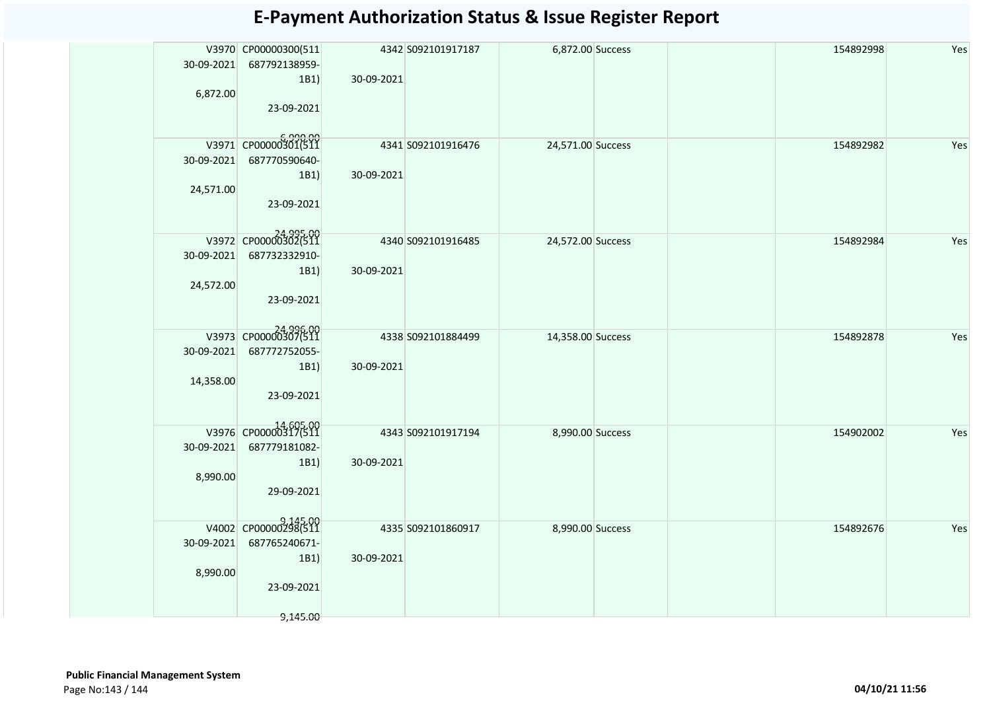|            | V3970 CP00000300(511 |            | 4342 S092101917187 | 6,872.00 Success  |  | 154892998 | Yes |
|------------|----------------------|------------|--------------------|-------------------|--|-----------|-----|
| 30-09-2021 | 687792138959-        |            |                    |                   |  |           |     |
|            | 1B1)                 | 30-09-2021 |                    |                   |  |           |     |
| 6,872.00   |                      |            |                    |                   |  |           |     |
|            | 23-09-2021           |            |                    |                   |  |           |     |
|            |                      |            |                    |                   |  |           |     |
|            |                      |            |                    |                   |  |           |     |
|            | V3971 CP00000301(511 |            | 4341 S092101916476 | 24,571.00 Success |  | 154892982 | Yes |
| 30-09-2021 | 687770590640-        |            |                    |                   |  |           |     |
|            |                      |            |                    |                   |  |           |     |
|            | 1B1)                 | 30-09-2021 |                    |                   |  |           |     |
| 24,571.00  |                      |            |                    |                   |  |           |     |
|            | 23-09-2021           |            |                    |                   |  |           |     |
|            |                      |            |                    |                   |  |           |     |
|            |                      |            |                    |                   |  |           |     |
|            | V3972 CP00000302(511 |            | 4340 S092101916485 | 24,572.00 Success |  | 154892984 | Yes |
| 30-09-2021 | 687732332910-        |            |                    |                   |  |           |     |
|            | 1B1)                 | 30-09-2021 |                    |                   |  |           |     |
| 24,572.00  |                      |            |                    |                   |  |           |     |
|            | 23-09-2021           |            |                    |                   |  |           |     |
|            |                      |            |                    |                   |  |           |     |
|            |                      |            |                    |                   |  |           |     |
|            | 24,996.00            |            | 4338 S092101884499 | 14,358.00 Success |  | 154892878 | Yes |
| 30-09-2021 | 687772752055-        |            |                    |                   |  |           |     |
|            |                      |            |                    |                   |  |           |     |
|            | 1B1)                 | 30-09-2021 |                    |                   |  |           |     |
| 14,358.00  |                      |            |                    |                   |  |           |     |
|            | 23-09-2021           |            |                    |                   |  |           |     |
|            |                      |            |                    |                   |  |           |     |
|            | V3976 CP00000317(511 |            |                    |                   |  |           |     |
|            |                      |            | 4343 S092101917194 | 8,990.00 Success  |  | 154902002 | Yes |
| 30-09-2021 | 687779181082-        |            |                    |                   |  |           |     |
|            | 1B1)                 | 30-09-2021 |                    |                   |  |           |     |
| 8,990.00   |                      |            |                    |                   |  |           |     |
|            | 29-09-2021           |            |                    |                   |  |           |     |
|            |                      |            |                    |                   |  |           |     |
|            |                      |            |                    |                   |  |           |     |
|            | V4002 CP00000298(511 |            | 4335 S092101860917 | 8,990.00 Success  |  | 154892676 | Yes |
| 30-09-2021 | 687765240671-        |            |                    |                   |  |           |     |
|            | 1B1)                 | 30-09-2021 |                    |                   |  |           |     |
|            |                      |            |                    |                   |  |           |     |
| 8,990.00   |                      |            |                    |                   |  |           |     |
|            | 23-09-2021           |            |                    |                   |  |           |     |
|            |                      |            |                    |                   |  |           |     |
|            | 9,145.00             |            |                    |                   |  |           |     |